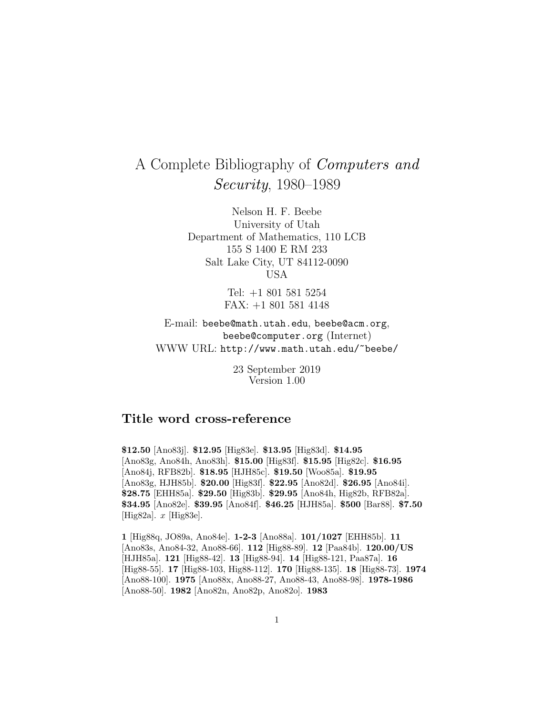# A Complete Bibliography of Computers and Security, 1980–1989

Nelson H. F. Beebe University of Utah Department of Mathematics, 110 LCB 155 S 1400 E RM 233 Salt Lake City, UT 84112-0090 USA

> Tel: +1 801 581 5254 FAX: +1 801 581 4148

E-mail: beebe@math.utah.edu, beebe@acm.org, beebe@computer.org (Internet) WWW URL: http://www.math.utah.edu/~beebe/

> 23 September 2019 Version 1.00

# **Title word cross-reference**

**\$12.50** [Ano83j]. **\$12.95** [Hig83e]. **\$13.95** [Hig83d]. **\$14.95** [Ano83g, Ano84h, Ano83h]. **\$15.00** [Hig83f]. **\$15.95** [Hig82c]. **\$16.95** [Ano84j, RFB82b]. **\$18.95** [HJH85c]. **\$19.50** [Woo85a]. **\$19.95** [Ano83g, HJH85b]. **\$20.00** [Hig83f]. **\$22.95** [Ano82d]. **\$26.95** [Ano84i]. **\$28.75** [EHH85a]. **\$29.50** [Hig83b]. **\$29.95** [Ano84h, Hig82b, RFB82a]. **\$34.95** [Ano82e]. **\$39.95** [Ano84f]. **\$46.25** [HJH85a]. **\$500** [Bar88]. **\$7.50** [Hig82a]. x [Hig83e].

**1** [Hig88q, JO89a, Ano84e]. **1-2-3** [Ano88a]. **101/1027** [EHH85b]. **11** [Ano83s, Ano84-32, Ano88-66]. **112** [Hig88-89]. **12** [Paa84b]. **120.00/US** [HJH85a]. **121** [Hig88-42]. **13** [Hig88-94]. **14** [Hig88-121, Paa87a]. **16** [Hig88-55]. **17** [Hig88-103, Hig88-112]. **170** [Hig88-135]. **18** [Hig88-73]. **1974** [Ano88-100]. **1975** [Ano88x, Ano88-27, Ano88-43, Ano88-98]. **1978-1986** [Ano88-50]. **1982** [Ano82n, Ano82p, Ano82o]. **1983**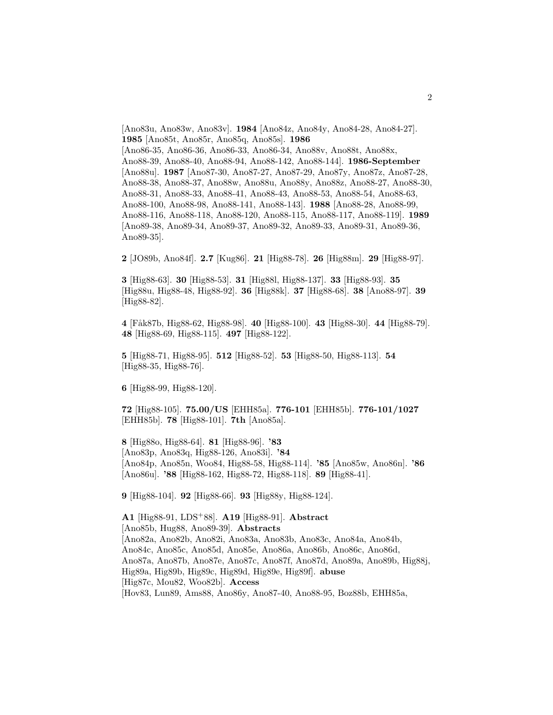[Ano83u, Ano83w, Ano83v]. **1984** [Ano84z, Ano84y, Ano84-28, Ano84-27]. **1985** [Ano85t, Ano85r, Ano85q, Ano85s]. **1986** [Ano86-35, Ano86-36, Ano86-33, Ano86-34, Ano88v, Ano88t, Ano88x, Ano88-39, Ano88-40, Ano88-94, Ano88-142, Ano88-144]. **1986-September** [Ano88u]. **1987** [Ano87-30, Ano87-27, Ano87-29, Ano87y, Ano87z, Ano87-28, Ano88-38, Ano88-37, Ano88w, Ano88u, Ano88y, Ano88z, Ano88-27, Ano88-30, Ano88-31, Ano88-33, Ano88-41, Ano88-43, Ano88-53, Ano88-54, Ano88-63, Ano88-100, Ano88-98, Ano88-141, Ano88-143]. **1988** [Ano88-28, Ano88-99, Ano88-116, Ano88-118, Ano88-120, Ano88-115, Ano88-117, Ano88-119]. **1989** [Ano89-38, Ano89-34, Ano89-37, Ano89-32, Ano89-33, Ano89-31, Ano89-36, Ano89-35].

**2** [JO89b, Ano84f]. **2.7** [Kug86]. **21** [Hig88-78]. **26** [Hig88m]. **29** [Hig88-97].

**3** [Hig88-63]. **30** [Hig88-53]. **31** [Hig88l, Hig88-137]. **33** [Hig88-93]. **35** [Hig88u, Hig88-48, Hig88-92]. **36** [Hig88k]. **37** [Hig88-68]. **38** [Ano88-97]. **39** [Hig88-82].

**4** [F˚ak87b, Hig88-62, Hig88-98]. **40** [Hig88-100]. **43** [Hig88-30]. **44** [Hig88-79]. **48** [Hig88-69, Hig88-115]. **497** [Hig88-122].

**5** [Hig88-71, Hig88-95]. **512** [Hig88-52]. **53** [Hig88-50, Hig88-113]. **54** [Hig88-35, Hig88-76].

**6** [Hig88-99, Hig88-120].

**72** [Hig88-105]. **75.00/US** [EHH85a]. **776-101** [EHH85b]. **776-101/1027** [EHH85b]. **78** [Hig88-101]. **7th** [Ano85a].

**8** [Hig88o, Hig88-64]. **81** [Hig88-96]. **'83** [Ano83p, Ano83q, Hig88-126, Ano83i]. **'84** [Ano84p, Ano85n, Woo84, Hig88-58, Hig88-114]. **'85** [Ano85w, Ano86n]. **'86** [Ano86u]. **'88** [Hig88-162, Hig88-72, Hig88-118]. **89** [Hig88-41].

**9** [Hig88-104]. **92** [Hig88-66]. **93** [Hig88y, Hig88-124].

**A1** [Hig88-91, LDS<sup>+</sup>88]. **A19** [Hig88-91]. **Abstract** [Ano85b, Hug88, Ano89-39]. **Abstracts** [Ano82a, Ano82b, Ano82i, Ano83a, Ano83b, Ano83c, Ano84a, Ano84b, Ano84c, Ano85c, Ano85d, Ano85e, Ano86a, Ano86b, Ano86c, Ano86d, Ano87a, Ano87b, Ano87e, Ano87c, Ano87f, Ano87d, Ano89a, Ano89b, Hig88j, Hig89a, Hig89b, Hig89c, Hig89d, Hig89e, Hig89f]. **abuse** [Hig87c, Mou82, Woo82b]. **Access** [Hov83, Lun89, Ams88, Ano86y, Ano87-40, Ano88-95, Boz88b, EHH85a,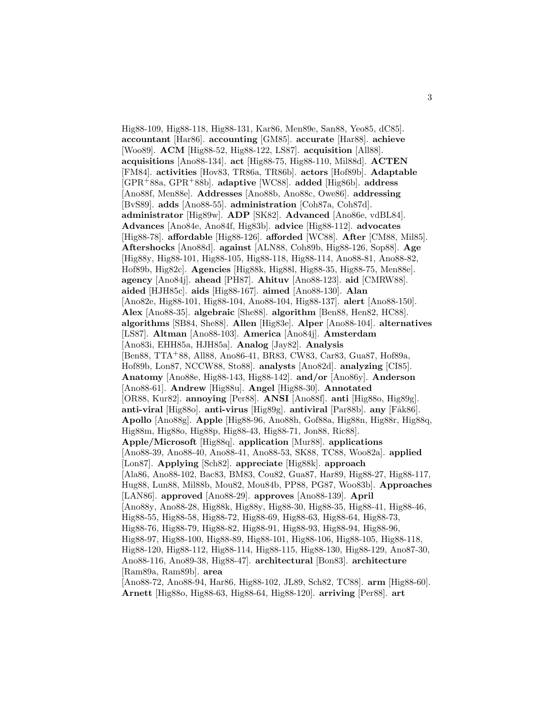Hig88-109, Hig88-118, Hig88-131, Kar86, Men89e, San88, Yeo85, dC85]. **accountant** [Har86]. **accounting** [GM85]. **accurate** [Har88]. **achieve** [Woo89]. **ACM** [Hig88-52, Hig88-122, LS87]. **acquisition** [All88]. **acquisitions** [Ano88-134]. **act** [Hig88-75, Hig88-110, Mil88d]. **ACTEN** [FM84]. **activities** [Hov83, TR86a, TR86b]. **actors** [Hof89b]. **Adaptable** [GPR<sup>+</sup>88a, GPR<sup>+</sup>88b]. **adaptive** [WC88]. **added** [Hig86b]. **address** [Ano88f, Men88e]. **Addresses** [Ano88b, Ano88c, Owe86]. **addressing** [BvS89]. **adds** [Ano88-55]. **administration** [Coh87a, Coh87d]. **administrator** [Hig89w]. **ADP** [SK82]. **Advanced** [Ano86e, vdBL84]. **Advances** [Ano84e, Ano84f, Hig83b]. **advice** [Hig88-112]. **advocates** [Hig88-78]. **affordable** [Hig88-126]. **afforded** [WC88]. **After** [CM88, Mil85]. **Aftershocks** [Ano88d]. **against** [ALN88, Coh89b, Hig88-126, Sop88]. **Age** [Hig88y, Hig88-101, Hig88-105, Hig88-118, Hig88-114, Ano88-81, Ano88-82, Hof89b, Hig82c]. **Agencies** [Hig88k, Hig88l, Hig88-35, Hig88-75, Men88e]. **agency** [Ano84j]. **ahead** [PH87]. **Ahituv** [Ano88-123]. **aid** [CMRW88]. **aided** [HJH85c]. **aids** [Hig88-167]. **aimed** [Ano88-130]. **Alan** [Ano82e, Hig88-101, Hig88-104, Ano88-104, Hig88-137]. **alert** [Ano88-150]. **Alex** [Ano88-35]. **algebraic** [She88]. **algorithm** [Ben88, Hen82, HC88]. **algorithms** [SB84, She88]. **Allen** [Hig83e]. **Alper** [Ano88-104]. **alternatives** [LS87]. **Altman** [Ano88-103]. **America** [Ano84j]. **Amsterdam** [Ano83i, EHH85a, HJH85a]. **Analog** [Jay82]. **Analysis** [Ben88, TTA<sup>+</sup>88, All88, Ano86-41, BR83, CW83, Car83, Gua87, Hof89a, Hof89b, Lon87, NCCW88, Sto88]. **analysts** [Ano82d]. **analyzing** [CI85]. **Anatomy** [Ano88e, Hig88-143, Hig88-142]. **and/or** [Ano86y]. **Anderson** [Ano88-61]. **Andrew** [Hig88u]. **Angel** [Hig88-30]. **Annotated** [OR88, Kur82]. **annoying** [Per88]. **ANSI** [Ano88f]. **anti** [Hig88o, Hig89g]. **anti-viral** [Hig88o]. **anti-virus** [Hig89g]. **antiviral** [Par88b]. **any** [Fåk86]. **Apollo** [Ano88g]. **Apple** [Hig88-96, Ano88h, Gof88a, Hig88n, Hig88r, Hig88q, Hig88m, Hig88o, Hig88p, Hig88-43, Hig88-71, Jon88, Ric88]. **Apple/Microsoft** [Hig88q]. **application** [Mur88]. **applications** [Ano88-39, Ano88-40, Ano88-41, Ano88-53, SK88, TC88, Woo82a]. **applied** [Lon87]. **Applying** [Sch82]. **appreciate** [Hig88k]. **approach** [Ala86, Ano88-102, Bac83, BM83, Cou82, Gua87, Har89, Hig88-27, Hig88-117, Hug88, Lun88, Mil88b, Mou82, Mou84b, PP88, PG87, Woo83b]. **Approaches** [LAN86]. **approved** [Ano88-29]. **approves** [Ano88-139]. **April** [Ano88y, Ano88-28, Hig88k, Hig88y, Hig88-30, Hig88-35, Hig88-41, Hig88-46, Hig88-55, Hig88-58, Hig88-72, Hig88-69, Hig88-63, Hig88-64, Hig88-73, Hig88-76, Hig88-79, Hig88-82, Hig88-91, Hig88-93, Hig88-94, Hig88-96, Hig88-97, Hig88-100, Hig88-89, Hig88-101, Hig88-106, Hig88-105, Hig88-118, Hig88-120, Hig88-112, Hig88-114, Hig88-115, Hig88-130, Hig88-129, Ano87-30, Ano88-116, Ano89-38, Hig88-47]. **architectural** [Bon83]. **architecture** [Ram89a, Ram89b]. **area**

[Ano88-72, Ano88-94, Har86, Hig88-102, JL89, Sch82, TC88]. **arm** [Hig88-60]. **Arnett** [Hig88o, Hig88-63, Hig88-64, Hig88-120]. **arriving** [Per88]. **art**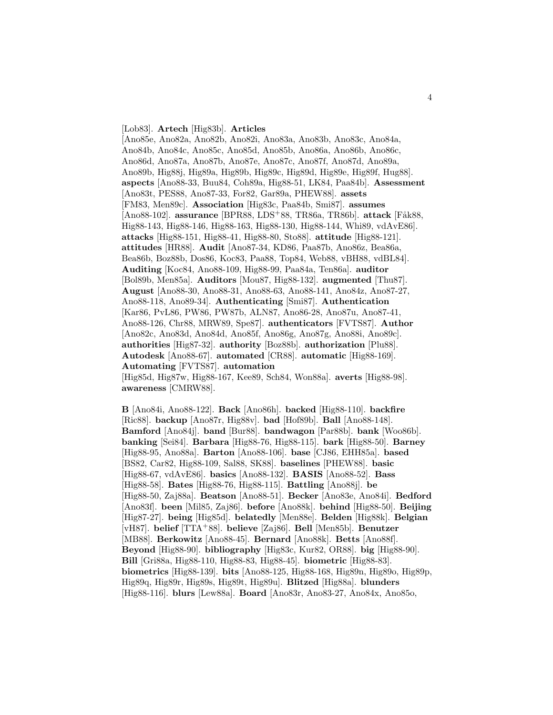#### [Lob83]. **Artech** [Hig83b]. **Articles**

[Ano85e, Ano82a, Ano82b, Ano82i, Ano83a, Ano83b, Ano83c, Ano84a, Ano84b, Ano84c, Ano85c, Ano85d, Ano85b, Ano86a, Ano86b, Ano86c, Ano86d, Ano87a, Ano87b, Ano87e, Ano87c, Ano87f, Ano87d, Ano89a, Ano89b, Hig88j, Hig89a, Hig89b, Hig89c, Hig89d, Hig89e, Hig89f, Hug88]. **aspects** [Ano88-33, Buu84, Coh89a, Hig88-51, LK84, Paa84b]. **Assessment** [Ano83t, PES88, Ano87-33, For82, Gar89a, PHEW88]. **assets** [FM83, Men89c]. **Association** [Hig83c, Paa84b, Smi87]. **assumes** [Ano88-102]. **assurance** [BPR88, LDS<sup>+</sup>88, TR86a, TR86b]. **attack** [Fåk88, Hig88-143, Hig88-146, Hig88-163, Hig88-130, Hig88-144, Whi89, vdAvE86]. **attacks** [Hig88-151, Hig88-41, Hig88-80, Sto88]. **attitude** [Hig88-121]. **attitudes** [HR88]. **Audit** [Ano87-34, KD86, Paa87b, Ano86z, Bea86a, Bea86b, Boz88b, Dos86, Koc83, Paa88, Top84, Web88, vBH88, vdBL84]. **Auditing** [Koc84, Ano88-109, Hig88-99, Paa84a, Ten86a]. **auditor** [Bol89b, Men85a]. **Auditors** [Mou87, Hig88-132]. **augmented** [Thu87]. **August** [Ano88-30, Ano88-31, Ano88-63, Ano88-141, Ano84z, Ano87-27, Ano88-118, Ano89-34]. **Authenticating** [Smi87]. **Authentication** [Kar86, PvL86, PW86, PW87b, ALN87, Ano86-28, Ano87u, Ano87-41, Ano88-126, Chr88, MRW89, Spe87]. **authenticators** [FVTS87]. **Author** [Ano82c, Ano83d, Ano84d, Ano85f, Ano86g, Ano87g, Ano88i, Ano89c]. **authorities** [Hig87-32]. **authority** [Boz88b]. **authorization** [Plu88]. **Autodesk** [Ano88-67]. **automated** [CR88]. **automatic** [Hig88-169]. **Automating** [FVTS87]. **automation**

[Hig85d, Hig87w, Hig88-167, Kee89, Sch84, Won88a]. **averts** [Hig88-98]. **awareness** [CMRW88].

**B** [Ano84i, Ano88-122]. **Back** [Ano86h]. **backed** [Hig88-110]. **backfire** [Ric88]. **backup** [Ano87r, Hig88v]. **bad** [Hof89b]. **Ball** [Ano88-148]. **Bamford** [Ano84j]. **band** [Bur88]. **bandwagon** [Par88b]. **bank** [Woo86b]. **banking** [Sei84]. **Barbara** [Hig88-76, Hig88-115]. **bark** [Hig88-50]. **Barney** [Hig88-95, Ano88a]. **Barton** [Ano88-106]. **base** [CJ86, EHH85a]. **based** [BS82, Car82, Hig88-109, Sal88, SK88]. **baselines** [PHEW88]. **basic** [Hig88-67, vdAvE86]. **basics** [Ano88-132]. **BASIS** [Ano88-52]. **Bass** [Hig88-58]. **Bates** [Hig88-76, Hig88-115]. **Battling** [Ano88j]. **be** [Hig88-50, Zaj88a]. **Beatson** [Ano88-51]. **Becker** [Ano83e, Ano84i]. **Bedford** [Ano83f]. **been** [Mil85, Zaj86]. **before** [Ano88k]. **behind** [Hig88-50]. **Beijing** [Hig87-27]. **being** [Hig85d]. **belatedly** [Men88e]. **Belden** [Hig88k]. **Belgian** [vH87]. **belief** [TTA<sup>+</sup>88]. **believe** [Zaj86]. **Bell** [Men85b]. **Benutzer** [MB88]. **Berkowitz** [Ano88-45]. **Bernard** [Ano88k]. **Betts** [Ano88f]. **Beyond** [Hig88-90]. **bibliography** [Hig83c, Kur82, OR88]. **big** [Hig88-90]. **Bill** [Gri88a, Hig88-110, Hig88-83, Hig88-45]. **biometric** [Hig88-83]. **biometrics** [Hig88-139]. **bits** [Ano88-125, Hig88-168, Hig89n, Hig89o, Hig89p, Hig89q, Hig89r, Hig89s, Hig89t, Hig89u]. **Blitzed** [Hig88a]. **blunders** [Hig88-116]. **blurs** [Lew88a]. **Board** [Ano83r, Ano83-27, Ano84x, Ano85o,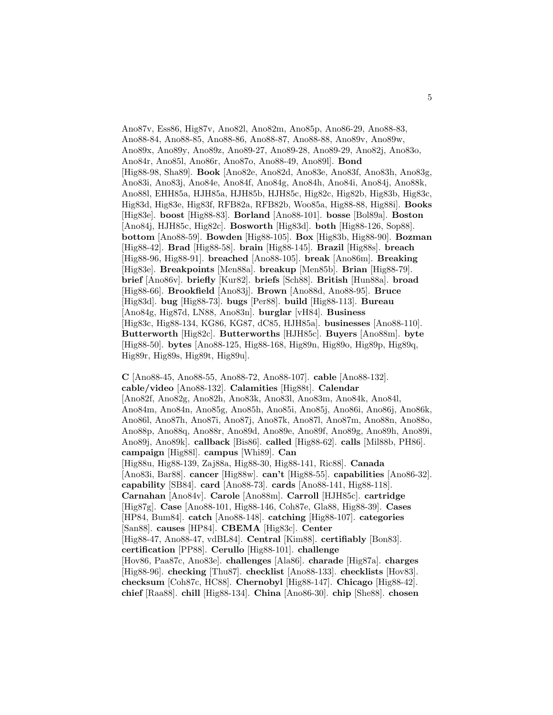Ano87v, Ess86, Hig87v, Ano82l, Ano82m, Ano85p, Ano86-29, Ano88-83, Ano88-84, Ano88-85, Ano88-86, Ano88-87, Ano88-88, Ano89v, Ano89w, Ano89x, Ano89y, Ano89z, Ano89-27, Ano89-28, Ano89-29, Ano82j, Ano83o, Ano84r, Ano85l, Ano86r, Ano87o, Ano88-49, Ano89l]. **Bond** [Hig88-98, Sha89]. **Book** [Ano82e, Ano82d, Ano83e, Ano83f, Ano83h, Ano83g, Ano83i, Ano83j, Ano84e, Ano84f, Ano84g, Ano84h, Ano84i, Ano84j, Ano88k, Ano88l, EHH85a, HJH85a, HJH85b, HJH85c, Hig82c, Hig82b, Hig83b, Hig83c, Hig83d, Hig83e, Hig83f, RFB82a, RFB82b, Woo85a, Hig88-88, Hig88i]. **Books** [Hig83e]. **boost** [Hig88-83]. **Borland** [Ano88-101]. **bosse** [Bol89a]. **Boston** [Ano84j, HJH85c, Hig82c]. **Bosworth** [Hig83d]. **both** [Hig88-126, Sop88]. **bottom** [Ano88-59]. **Bowden** [Hig88-105]. **Box** [Hig83b, Hig88-90]. **Bozman** [Hig88-42]. **Brad** [Hig88-58]. **brain** [Hig88-145]. **Brazil** [Hig88s]. **breach** [Hig88-96, Hig88-91]. **breached** [Ano88-105]. **break** [Ano86m]. **Breaking** [Hig83e]. **Breakpoints** [Men88a]. **breakup** [Men85b]. **Brian** [Hig88-79]. **brief** [Ano86v]. **briefly** [Kur82]. **briefs** [Sch88]. **British** [Hun88a]. **broad** [Hig88-66]. **Brookfield** [Ano83j]. **Brown** [Ano88d, Ano88-95]. **Bruce** [Hig83d]. **bug** [Hig88-73]. **bugs** [Per88]. **build** [Hig88-113]. **Bureau** [Ano84g, Hig87d, LN88, Ano83n]. **burglar** [vH84]. **Business** [Hig83c, Hig88-134, KG86, KG87, dC85, HJH85a]. **businesses** [Ano88-110]. **Butterworth** [Hig82c]. **Butterworths** [HJH85c]. **Buyers** [Ano88m]. **byte** [Hig88-50]. **bytes** [Ano88-125, Hig88-168, Hig89n, Hig89o, Hig89p, Hig89q, Hig89r, Hig89s, Hig89t, Hig89u].

**C** [Ano88-45, Ano88-55, Ano88-72, Ano88-107]. **cable** [Ano88-132]. **cable/video** [Ano88-132]. **Calamities** [Hig88t]. **Calendar** [Ano82f, Ano82g, Ano82h, Ano83k, Ano83l, Ano83m, Ano84k, Ano84l, Ano84m, Ano84n, Ano85g, Ano85h, Ano85i, Ano85j, Ano86i, Ano86j, Ano86k, Ano86l, Ano87h, Ano87i, Ano87j, Ano87k, Ano87l, Ano87m, Ano88n, Ano88o, Ano88p, Ano88q, Ano88r, Ano89d, Ano89e, Ano89f, Ano89g, Ano89h, Ano89i, Ano89j, Ano89k]. **callback** [Bis86]. **called** [Hig88-62]. **calls** [Mil88b, PH86]. **campaign** [Hig88l]. **campus** [Whi89]. **Can** [Hig88u, Hig88-139, Zaj88a, Hig88-30, Hig88-141, Ric88]. **Canada** [Ano83i, Bar88]. **cancer** [Hig88w]. **can't** [Hig88-55]. **capabilities** [Ano86-32]. **capability** [SB84]. **card** [Ano88-73]. **cards** [Ano88-141, Hig88-118]. **Carnahan** [Ano84v]. **Carole** [Ano88m]. **Carroll** [HJH85c]. **cartridge** [Hig87g]. **Case** [Ano88-101, Hig88-146, Coh87e, Gla88, Hig88-39]. **Cases** [HP84, Bum84]. **catch** [Ano88-148]. **catching** [Hig88-107]. **categories** [San88]. **causes** [HP84]. **CBEMA** [Hig83c]. **Center** [Hig88-47, Ano88-47, vdBL84]. **Central** [Kim88]. **certifiably** [Bon83]. **certification** [PP88]. **Cerullo** [Hig88-101]. **challenge** [Hov86, Paa87c, Ano83e]. **challenges** [Ala86]. **charade** [Hig87a]. **charges** [Hig88-96]. **checking** [Thu87]. **checklist** [Ano88-133]. **checklists** [Hov83]. **checksum** [Coh87c, HC88]. **Chernobyl** [Hig88-147]. **Chicago** [Hig88-42]. **chief** [Raa88]. **chill** [Hig88-134]. **China** [Ano86-30]. **chip** [She88]. **chosen**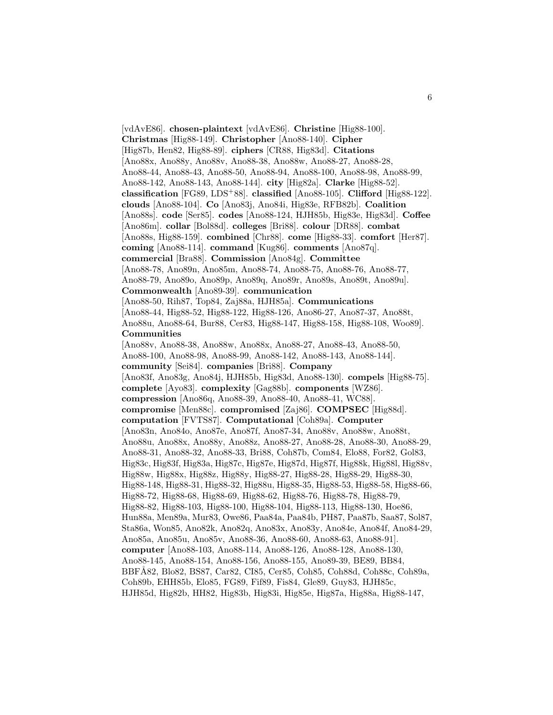[vdAvE86]. **chosen-plaintext** [vdAvE86]. **Christine** [Hig88-100]. **Christmas** [Hig88-149]. **Christopher** [Ano88-140]. **Cipher** [Hig87b, Hen82, Hig88-89]. **ciphers** [CR88, Hig83d]. **Citations** [Ano88x, Ano88y, Ano88v, Ano88-38, Ano88w, Ano88-27, Ano88-28, Ano88-44, Ano88-43, Ano88-50, Ano88-94, Ano88-100, Ano88-98, Ano88-99, Ano88-142, Ano88-143, Ano88-144]. **city** [Hig82a]. **Clarke** [Hig88-52]. **classification** [FG89, LDS<sup>+</sup>88]. **classified** [Ano88-105]. **Clifford** [Hig88-122]. **clouds** [Ano88-104]. **Co** [Ano83j, Ano84i, Hig83e, RFB82b]. **Coalition** [Ano88s]. **code** [Ser85]. **codes** [Ano88-124, HJH85b, Hig83e, Hig83d]. **Coffee** [Ano86m]. **collar** [Bol88d]. **colleges** [Bri88]. **colour** [DR88]. **combat** [Ano88s, Hig88-159]. **combined** [Chr88]. **come** [Hig88-33]. **comfort** [Her87]. **coming** [Ano88-114]. **command** [Kug86]. **comments** [Ano87q]. **commercial** [Bra88]. **Commission** [Ano84g]. **Committee** [Ano88-78, Ano89n, Ano85m, Ano88-74, Ano88-75, Ano88-76, Ano88-77, Ano88-79, Ano89o, Ano89p, Ano89q, Ano89r, Ano89s, Ano89t, Ano89u]. **Commonwealth** [Ano89-39]. **communication** [Ano88-50, Rih87, Top84, Zaj88a, HJH85a]. **Communications** [Ano88-44, Hig88-52, Hig88-122, Hig88-126, Ano86-27, Ano87-37, Ano88t, Ano88u, Ano88-64, Bur88, Cer83, Hig88-147, Hig88-158, Hig88-108, Woo89]. **Communities** [Ano88v, Ano88-38, Ano88w, Ano88x, Ano88-27, Ano88-43, Ano88-50, Ano88-100, Ano88-98, Ano88-99, Ano88-142, Ano88-143, Ano88-144]. **community** [Sei84]. **companies** [Bri88]. **Company** [Ano83f, Ano83g, Ano84j, HJH85b, Hig83d, Ano88-130]. **compels** [Hig88-75]. **complete** [Ayo83]. **complexity** [Gag88b]. **components** [WZ86]. **compression** [Ano86q, Ano88-39, Ano88-40, Ano88-41, WC88]. **compromise** [Men88c]. **compromised** [Zaj86]. **COMPSEC** [Hig88d]. **computation** [FVTS87]. **Computational** [Coh89a]. **Computer** [Ano83n, Ano84o, Ano87e, Ano87f, Ano87-34, Ano88v, Ano88w, Ano88t, Ano88u, Ano88x, Ano88y, Ano88z, Ano88-27, Ano88-28, Ano88-30, Ano88-29, Ano88-31, Ano88-32, Ano88-33, Bri88, Coh87b, Com84, Elo88, For82, Gol83, Hig83c, Hig83f, Hig83a, Hig87c, Hig87e, Hig87d, Hig87f, Hig88k, Hig88l, Hig88v, Hig88w, Hig88x, Hig88z, Hig88y, Hig88-27, Hig88-28, Hig88-29, Hig88-30, Hig88-148, Hig88-31, Hig88-32, Hig88u, Hig88-35, Hig88-53, Hig88-58, Hig88-66, Hig88-72, Hig88-68, Hig88-69, Hig88-62, Hig88-76, Hig88-78, Hig88-79, Hig88-82, Hig88-103, Hig88-100, Hig88-104, Hig88-113, Hig88-130, Hoe86, Hun88a, Men89a, Mur83, Owe86, Paa84a, Paa84b, PH87, Paa87b, Saa87, Sol87, Sta86a, Won85, Ano82k, Ano82q, Ano83x, Ano83y, Ano84e, Ano84f, Ano84-29, Ano85a, Ano85u, Ano85v, Ano88-36, Ano88-60, Ano88-63, Ano88-91]. **computer** [Ano88-103, Ano88-114, Ano88-126, Ano88-128, Ano88-130, Ano88-145, Ano88-154, Ano88-156, Ano88-155, Ano89-39, BE89, BB84, BBF˚A82, Blo82, BS87, Car82, CI85, Cer85, Coh85, Coh88d, Coh88c, Coh89a, Coh89b, EHH85b, Elo85, FG89, Fif89, Fis84, Gle89, Guy83, HJH85c, HJH85d, Hig82b, HH82, Hig83b, Hig83i, Hig85e, Hig87a, Hig88a, Hig88-147,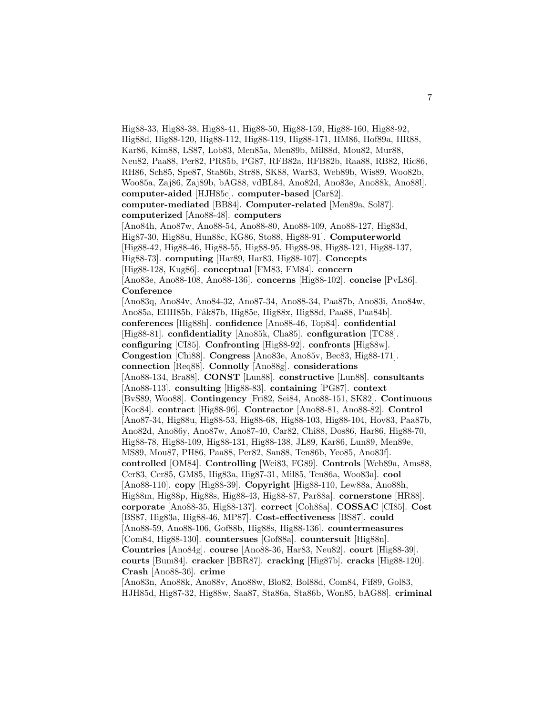Hig88-33, Hig88-38, Hig88-41, Hig88-50, Hig88-159, Hig88-160, Hig88-92, Hig88d, Hig88-120, Hig88-112, Hig88-119, Hig88-171, HM86, Hof89a, HR88, Kar86, Kim88, LS87, Lob83, Men85a, Men89b, Mil88d, Mou82, Mur88, Neu82, Paa88, Per82, PR85b, PG87, RFB82a, RFB82b, Raa88, RB82, Ric86, RH86, Sch85, Spe87, Sta86b, Str88, SK88, War83, Web89b, Wis89, Woo82b, Woo85a, Zaj86, Zaj89b, bAG88, vdBL84, Ano82d, Ano83e, Ano88k, Ano88l]. **computer-aided** [HJH85c]. **computer-based** [Car82]. **computer-mediated** [BB84]. **Computer-related** [Men89a, Sol87]. **computerized** [Ano88-48]. **computers** [Ano84h, Ano87w, Ano88-54, Ano88-80, Ano88-109, Ano88-127, Hig83d, Hig87-30, Hig88u, Hun88c, KG86, Sto88, Hig88-91]. **Computerworld** [Hig88-42, Hig88-46, Hig88-55, Hig88-95, Hig88-98, Hig88-121, Hig88-137, Hig88-73]. **computing** [Har89, Har83, Hig88-107]. **Concepts** [Hig88-128, Kug86]. **conceptual** [FM83, FM84]. **concern** [Ano83e, Ano88-108, Ano88-136]. **concerns** [Hig88-102]. **concise** [PvL86]. **Conference** [Ano83q, Ano84v, Ano84-32, Ano87-34, Ano88-34, Paa87b, Ano83i, Ano84w, Ano85a, EHH85b, Fåk87b, Hig85e, Hig88x, Hig88d, Paa88, Paa84b]. **conferences** [Hig88h]. **confidence** [Ano88-46, Top84]. **confidential** [Hig88-81]. **confidentiality** [Ano85k, Cha85]. **configuration** [TC88]. **configuring** [CI85]. **Confronting** [Hig88-92]. **confronts** [Hig88w]. **Congestion** [Chi88]. **Congress** [Ano83e, Ano85v, Bec83, Hig88-171]. **connection** [Req88]. **Connolly** [Ano88g]. **considerations** [Ano88-134, Bra88]. **CONST** [Lun88]. **constructive** [Lun88]. **consultants** [Ano88-113]. **consulting** [Hig88-83]. **containing** [PG87]. **context** [BvS89, Woo88]. **Contingency** [Fri82, Sei84, Ano88-151, SK82]. **Continuous** [Koc84]. **contract** [Hig88-96]. **Contractor** [Ano88-81, Ano88-82]. **Control** [Ano87-34, Hig88u, Hig88-53, Hig88-68, Hig88-103, Hig88-104, Hov83, Paa87b, Ano82d, Ano86y, Ano87w, Ano87-40, Car82, Chi88, Dos86, Har86, Hig88-70, Hig88-78, Hig88-109, Hig88-131, Hig88-138, JL89, Kar86, Lun89, Men89e, MS89, Mou87, PH86, Paa88, Per82, San88, Ten86b, Yeo85, Ano83f]. **controlled** [OM84]. **Controlling** [Wei83, FG89]. **Controls** [Web89a, Ams88, Cer83, Cer85, GM85, Hig83a, Hig87-31, Mil85, Ten86a, Woo83a]. **cool** [Ano88-110]. **copy** [Hig88-39]. **Copyright** [Hig88-110, Lew88a, Ano88h, Hig88m, Hig88p, Hig88s, Hig88-43, Hig88-87, Par88a]. **cornerstone** [HR88]. **corporate** [Ano88-35, Hig88-137]. **correct** [Coh88a]. **COSSAC** [CI85]. **Cost** [BS87, Hig83a, Hig88-46, MP87]. **Cost-effectiveness** [BS87]. **could** [Ano88-59, Ano88-106, Gof88b, Hig88s, Hig88-136]. **countermeasures** [Com84, Hig88-130]. **countersues** [Gof88a]. **countersuit** [Hig88n]. **Countries** [Ano84g]. **course** [Ano88-36, Har83, Neu82]. **court** [Hig88-39]. **courts** [Bum84]. **cracker** [BBR87]. **cracking** [Hig87b]. **cracks** [Hig88-120]. **Crash** [Ano88-36]. **crime** [Ano83n, Ano88k, Ano88v, Ano88w, Blo82, Bol88d, Com84, Fif89, Gol83,

HJH85d, Hig87-32, Hig88w, Saa87, Sta86a, Sta86b, Won85, bAG88]. **criminal**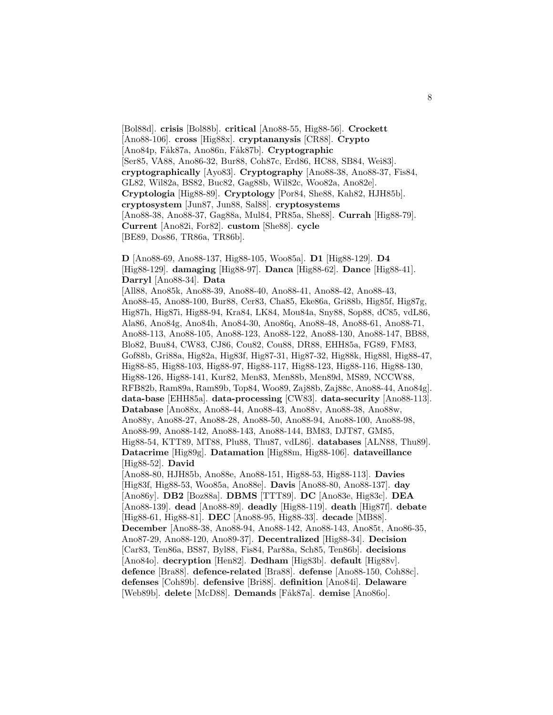[Bol88d]. **crisis** [Bol88b]. **critical** [Ano88-55, Hig88-56]. **Crockett** [Ano88-106]. **cross** [Hig88x]. **cryptananysis** [CR88]. **Crypto** [Ano84p, F˚ak87a, Ano86n, F˚ak87b]. **Cryptographic** [Ser85, VA88, Ano86-32, Bur88, Coh87c, Erd86, HC88, SB84, Wei83]. **cryptographically** [Ayo83]. **Cryptography** [Ano88-38, Ano88-37, Fis84, GL82, Wil82a, BS82, Buc82, Gag88b, Wil82c, Woo82a, Ano82e]. **Cryptologia** [Hig88-89]. **Cryptology** [Por84, She88, Kah82, HJH85b]. **cryptosystem** [Jun87, Jun88, Sal88]. **cryptosystems** [Ano88-38, Ano88-37, Gag88a, Mul84, PR85a, She88]. **Currah** [Hig88-79]. **Current** [Ano82i, For82]. **custom** [She88]. **cycle** [BE89, Dos86, TR86a, TR86b].

**D** [Ano88-69, Ano88-137, Hig88-105, Woo85a]. **D1** [Hig88-129]. **D4** [Hig88-129]. **damaging** [Hig88-97]. **Danca** [Hig88-62]. **Dance** [Hig88-41]. **Darryl** [Ano88-34]. **Data**

[All88, Ano85k, Ano88-39, Ano88-40, Ano88-41, Ano88-42, Ano88-43, Ano88-45, Ano88-100, Bur88, Cer83, Cha85, Eke86a, Gri88b, Hig85f, Hig87g, Hig87h, Hig87i, Hig88-94, Kra84, LK84, Mou84a, Sny88, Sop88, dC85, vdL86, Ala86, Ano84g, Ano84h, Ano84-30, Ano86q, Ano88-48, Ano88-61, Ano88-71, Ano88-113, Ano88-105, Ano88-123, Ano88-122, Ano88-130, Ano88-147, BB88, Blo82, Buu84, CW83, CJ86, Cou82, Cou88, DR88, EHH85a, FG89, FM83, Gof88b, Gri88a, Hig82a, Hig83f, Hig87-31, Hig87-32, Hig88k, Hig88l, Hig88-47, Hig88-85, Hig88-103, Hig88-97, Hig88-117, Hig88-123, Hig88-116, Hig88-130, Hig88-126, Hig88-141, Kur82, Men83, Men88b, Men89d, MS89, NCCW88, RFB82b, Ram89a, Ram89b, Top84, Woo89, Zaj88b, Zaj88c, Ano88-44, Ano84g]. **data-base** [EHH85a]. **data-processing** [CW83]. **data-security** [Ano88-113]. **Database** [Ano88x, Ano88-44, Ano88-43, Ano88v, Ano88-38, Ano88w, Ano88y, Ano88-27, Ano88-28, Ano88-50, Ano88-94, Ano88-100, Ano88-98, Ano88-99, Ano88-142, Ano88-143, Ano88-144, BM83, DJT87, GM85, Hig88-54, KTT89, MT88, Plu88, Thu87, vdL86]. **databases** [ALN88, Thu89]. **Datacrime** [Hig89g]. **Datamation** [Hig88m, Hig88-106]. **dataveillance** [Hig88-52]. **David** [Ano88-80, HJH85b, Ano88e, Ano88-151, Hig88-53, Hig88-113]. **Davies** [Hig83f, Hig88-53, Woo85a, Ano88e]. **Davis** [Ano88-80, Ano88-137]. **day** [Ano86y]. **DB2** [Boz88a]. **DBMS** [TTT89]. **DC** [Ano83e, Hig83c]. **DEA** [Ano88-139]. **dead** [Ano88-89]. **deadly** [Hig88-119]. **death** [Hig87f]. **debate** [Hig88-61, Hig88-81]. **DEC** [Ano88-95, Hig88-33]. **decade** [MB88]. **December** [Ano88-38, Ano88-94, Ano88-142, Ano88-143, Ano85t, Ano86-35, Ano87-29, Ano88-120, Ano89-37]. **Decentralized** [Hig88-34]. **Decision** [Car83, Ten86a, BS87, Byl88, Fis84, Par88a, Sch85, Ten86b]. **decisions** [Ano84o]. **decryption** [Hen82]. **Dedham** [Hig83b]. **default** [Hig88v]. **defence** [Bra88]. **defence-related** [Bra88]. **defense** [Ano88-150, Coh88c]. **defenses** [Coh89b]. **defensive** [Bri88]. **definition** [Ano84i]. **Delaware**

[Web89b]. **delete** [McD88]. **Demands** [Fåk87a]. **demise** [Ano86o].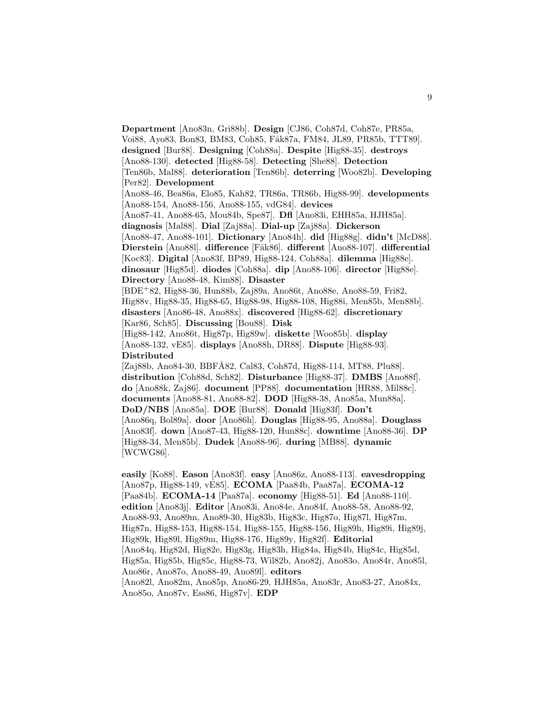**Department** [Ano83n, Gri88b]. **Design** [CJ86, Coh87d, Coh87e, PR85a, Voi88, Ayo83, Bon83, BM83, Coh85, Fåk87a, FM84, JL89, PR85b, TTT89]. **designed** [Bur88]. **Designing** [Coh88a]. **Despite** [Hig88-35]. **destroys** [Ano88-130]. **detected** [Hig88-58]. **Detecting** [She88]. **Detection** [Ten86b, Mal88]. **deterioration** [Ten86b]. **deterring** [Woo82b]. **Developing** [Per82]. **Development** [Ano88-46, Bea86a, Elo85, Kah82, TR86a, TR86b, Hig88-99]. **developments** [Ano88-154, Ano88-156, Ano88-155, vdG84]. **devices** [Ano87-41, Ano88-65, Mou84b, Spe87]. **Dfl** [Ano83i, EHH85a, HJH85a]. **diagnosis** [Mal88]. **Dial** [Zaj88a]. **Dial-up** [Zaj88a]. **Dickerson** [Ano88-47, Ano88-101]. **Dictionary** [Ano84h]. **did** [Hig88g]. **didn't** [McD88]. **Dierstein** [Ano88l]. **difference** [F˚ak86]. **different** [Ano88-107]. **differential** [Koc83]. **Digital** [Ano83f, BP89, Hig88-124, Coh88a]. **dilemma** [Hig88e]. **dinosaur** [Hig85d]. **diodes** [Coh88a]. **dip** [Ano88-106]. **director** [Hig88e]. **Directory** [Ano88-48, Kim88]. **Disaster** [BDE<sup>+</sup>82, Hig88-36, Hun88b, Zaj89a, Ano86t, Ano88e, Ano88-59, Fri82, Hig88v, Hig88-35, Hig88-65, Hig88-98, Hig88-108, Hig88i, Men85b, Men88b]. **disasters** [Ano86-48, Ano88x]. **discovered** [Hig88-62]. **discretionary** [Kar86, Sch85]. **Discussing** [Bou88]. **Disk** [Hig88-142, Ano86t, Hig87p, Hig89w]. **diskette** [Woo85b]. **display** [Ano88-132, vE85]. **displays** [Ano88h, DR88]. **Dispute** [Hig88-93]. **Distributed** [Zaj88b, Ano84-30, BBFÅ82, Cal83, Coh87d, Hig88-114, MT88, Plu88]. **distribution** [Coh88d, Sch82]. **Disturbance** [Hig88-37]. **DMBS** [Ano88f]. **do** [Ano88k, Zaj86]. **document** [PP88]. **documentation** [HR88, Mil88c]. **documents** [Ano88-81, Ano88-82]. **DOD** [Hig88-38, Ano85a, Mun88a]. **DoD/NBS** [Ano85a]. **DOE** [Bur88]. **Donald** [Hig83f]. **Don't** [Ano86q, Bol89a]. **door** [Ano86h]. **Douglas** [Hig88-95, Ano88a]. **Douglass** [Ano83f]. **down** [Ano87-43, Hig88-120, Hun88c]. **downtime** [Ano88-36]. **DP** [Hig88-34, Men85b]. **Dudek** [Ano88-96]. **during** [MB88]. **dynamic** [WCWG86].

**easily** [Ko88]. **Eason** [Ano83f]. **easy** [Ano86z, Ano88-113]. **eavesdropping** [Ano87p, Hig88-149, vE85]. **ECOMA** [Paa84b, Paa87a]. **ECOMA-12** [Paa84b]. **ECOMA-14** [Paa87a]. **economy** [Hig88-51]. **Ed** [Ano88-110]. **edition** [Ano83j]. **Editor** [Ano83i, Ano84e, Ano84f, Ano88-58, Ano88-92, Ano88-93, Ano89m, Ano89-30, Hig83b, Hig83c, Hig87o, Hig87l, Hig87m, Hig87n, Hig88-153, Hig88-154, Hig88-155, Hig88-156, Hig89h, Hig89i, Hig89j, Hig89k, Hig89l, Hig89m, Hig88-176, Hig89y, Hig82f]. **Editorial** [Ano84q, Hig82d, Hig82e, Hig83g, Hig83h, Hig84a, Hig84b, Hig84c, Hig85d, Hig85a, Hig85b, Hig85c, Hig88-73, Wil82b, Ano82j, Ano83o, Ano84r, Ano85l, Ano86r, Ano87o, Ano88-49, Ano89l]. **editors** [Ano82l, Ano82m, Ano85p, Ano86-29, HJH85a, Ano83r, Ano83-27, Ano84x, Ano85o, Ano87v, Ess86, Hig87v]. **EDP**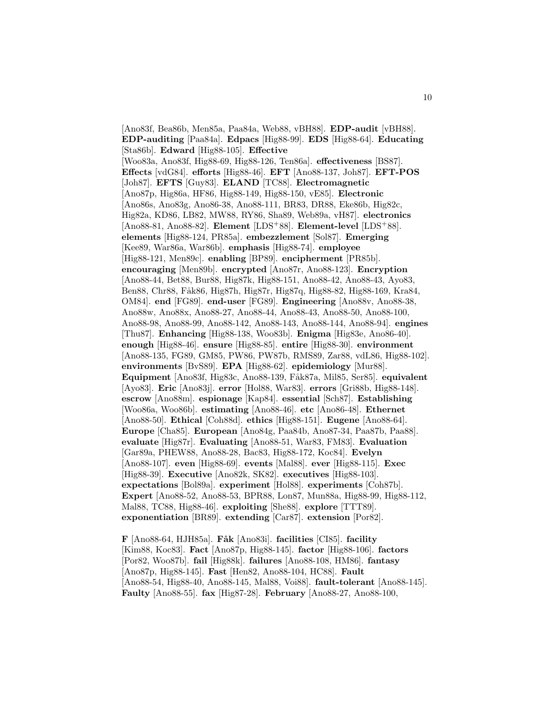[Ano83f, Bea86b, Men85a, Paa84a, Web88, vBH88]. **EDP-audit** [vBH88]. **EDP-auditing** [Paa84a]. **Edpacs** [Hig88-99]. **EDS** [Hig88-64]. **Educating** [Sta86b]. **Edward** [Hig88-105]. **Effective** [Woo83a, Ano83f, Hig88-69, Hig88-126, Ten86a]. **effectiveness** [BS87]. **Effects** [vdG84]. **efforts** [Hig88-46]. **EFT** [Ano88-137, Joh87]. **EFT-POS** [Joh87]. **EFTS** [Guy83]. **ELAND** [TC88]. **Electromagnetic** [Ano87p, Hig86a, HF86, Hig88-149, Hig88-150, vE85]. **Electronic** [Ano86s, Ano83g, Ano86-38, Ano88-111, BR83, DR88, Eke86b, Hig82c, Hig82a, KD86, LB82, MW88, RY86, Sha89, Web89a, vH87]. **electronics** [Ano88-81, Ano88-82]. **Element** [LDS<sup>+</sup>88]. **Element-level** [LDS<sup>+</sup>88]. **elements** [Hig88-124, PR85a]. **embezzlement** [Sol87]. **Emerging** [Kee89, War86a, War86b]. **emphasis** [Hig88-74]. **employee** [Hig88-121, Men89c]. **enabling** [BP89]. **encipherment** [PR85b]. **encouraging** [Men89b]. **encrypted** [Ano87r, Ano88-123]. **Encryption** [Ano88-44, Bet88, Bur88, Hig87k, Hig88-151, Ano88-42, Ano88-43, Ayo83, Ben88, Chr88, Fåk86, Hig87h, Hig87r, Hig87q, Hig88-82, Hig88-169, Kra84, OM84]. **end** [FG89]. **end-user** [FG89]. **Engineering** [Ano88v, Ano88-38, Ano88w, Ano88x, Ano88-27, Ano88-44, Ano88-43, Ano88-50, Ano88-100, Ano88-98, Ano88-99, Ano88-142, Ano88-143, Ano88-144, Ano88-94]. **engines** [Thu87]. **Enhancing** [Hig88-138, Woo83b]. **Enigma** [Hig83e, Ano86-40]. **enough** [Hig88-46]. **ensure** [Hig88-85]. **entire** [Hig88-30]. **environment** [Ano88-135, FG89, GM85, PW86, PW87b, RMS89, Zar88, vdL86, Hig88-102]. **environments** [BvS89]. **EPA** [Hig88-62]. **epidemiology** [Mur88]. Equipment [Ano83f, Hig83c, Ano88-139, Fåk87a, Mil85, Ser85]. **equivalent** [Ayo83]. **Eric** [Ano83j]. **error** [Hol88, War83]. **errors** [Gri88b, Hig88-148]. **escrow** [Ano88m]. **espionage** [Kap84]. **essential** [Sch87]. **Establishing** [Woo86a, Woo86b]. **estimating** [Ano88-46]. **etc** [Ano86-48]. **Ethernet** [Ano88-50]. **Ethical** [Coh88d]. **ethics** [Hig88-151]. **Eugene** [Ano88-64]. **Europe** [Cha85]. **European** [Ano84g, Paa84b, Ano87-34, Paa87b, Paa88]. **evaluate** [Hig87r]. **Evaluating** [Ano88-51, War83, FM83]. **Evaluation** [Gar89a, PHEW88, Ano88-28, Bac83, Hig88-172, Koc84]. **Evelyn** [Ano88-107]. **even** [Hig88-69]. **events** [Mal88]. **ever** [Hig88-115]. **Exec** [Hig88-39]. **Executive** [Ano82k, SK82]. **executives** [Hig88-103]. **expectations** [Bol89a]. **experiment** [Hol88]. **experiments** [Coh87b]. **Expert** [Ano88-52, Ano88-53, BPR88, Lon87, Mun88a, Hig88-99, Hig88-112, Mal88, TC88, Hig88-46]. **exploiting** [She88]. **explore** [TTT89]. **exponentiation** [BR89]. **extending** [Car87]. **extension** [Por82].

**F** [Ano88-64, HJH85a]. **F˚ak** [Ano83i]. **facilities** [CI85]. **facility** [Kim88, Koc83]. **Fact** [Ano87p, Hig88-145]. **factor** [Hig88-106]. **factors** [Por82, Woo87b]. **fail** [Hig88k]. **failures** [Ano88-108, HM86]. **fantasy** [Ano87p, Hig88-145]. **Fast** [Hen82, Ano88-104, HC88]. **Fault** [Ano88-54, Hig88-40, Ano88-145, Mal88, Voi88]. **fault-tolerant** [Ano88-145]. **Faulty** [Ano88-55]. **fax** [Hig87-28]. **February** [Ano88-27, Ano88-100,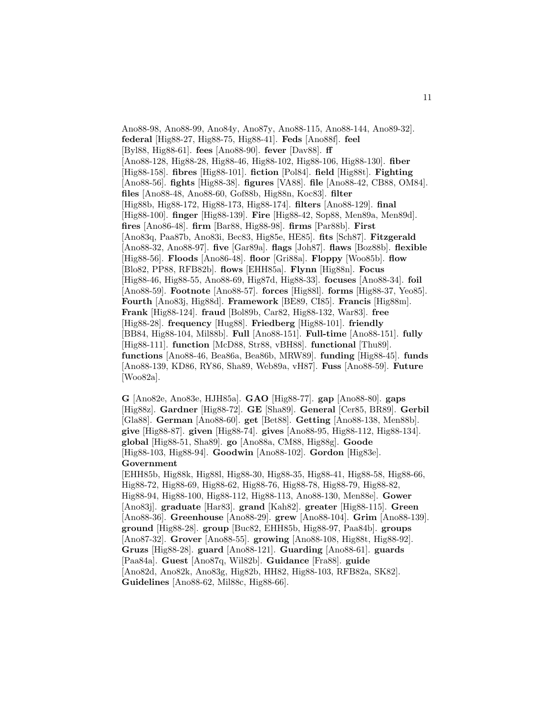Ano88-98, Ano88-99, Ano84y, Ano87y, Ano88-115, Ano88-144, Ano89-32]. **federal** [Hig88-27, Hig88-75, Hig88-41]. **Feds** [Ano88f]. **feel** [Byl88, Hig88-61]. **fees** [Ano88-90]. **fever** [Dav88]. **ff** [Ano88-128, Hig88-28, Hig88-46, Hig88-102, Hig88-106, Hig88-130]. **fiber** [Hig88-158]. **fibres** [Hig88-101]. **fiction** [Pol84]. **field** [Hig88t]. **Fighting** [Ano88-56]. **fights** [Hig88-38]. **figures** [VA88]. **file** [Ano88-42, CB88, OM84]. **files** [Ano88-48, Ano88-60, Gof88b, Hig88n, Koc83]. **filter** [Hig88b, Hig88-172, Hig88-173, Hig88-174]. **filters** [Ano88-129]. **final** [Hig88-100]. **finger** [Hig88-139]. **Fire** [Hig88-42, Sop88, Men89a, Men89d]. **fires** [Ano86-48]. **firm** [Bar88, Hig88-98]. **firms** [Par88b]. **First** [Ano83q, Paa87b, Ano83i, Bec83, Hig85e, HE85]. **fits** [Sch87]. **Fitzgerald** [Ano88-32, Ano88-97]. **five** [Gar89a]. **flags** [Joh87]. **flaws** [Boz88b]. **flexible** [Hig88-56]. **Floods** [Ano86-48]. **floor** [Gri88a]. **Floppy** [Woo85b]. **flow** [Blo82, PP88, RFB82b]. **flows** [EHH85a]. **Flynn** [Hig88n]. **Focus** [Hig88-46, Hig88-55, Ano88-69, Hig87d, Hig88-33]. **focuses** [Ano88-34]. **foil** [Ano88-59]. **Footnote** [Ano88-57]. **forces** [Hig88l]. **forms** [Hig88-37, Yeo85]. **Fourth** [Ano83j, Hig88d]. **Framework** [BE89, CI85]. **Francis** [Hig88m]. **Frank** [Hig88-124]. **fraud** [Bol89b, Car82, Hig88-132, War83]. **free** [Hig88-28]. **frequency** [Hug88]. **Friedberg** [Hig88-101]. **friendly** [BB84, Hig88-104, Mil88b]. **Full** [Ano88-151]. **Full-time** [Ano88-151]. **fully** [Hig88-111]. **function** [McD88, Str88, vBH88]. **functional** [Thu89]. **functions** [Ano88-46, Bea86a, Bea86b, MRW89]. **funding** [Hig88-45]. **funds** [Ano88-139, KD86, RY86, Sha89, Web89a, vH87]. **Fuss** [Ano88-59]. **Future** [Woo82a].

**G** [Ano82e, Ano83e, HJH85a]. **GAO** [Hig88-77]. **gap** [Ano88-80]. **gaps** [Hig88z]. **Gardner** [Hig88-72]. **GE** [Sha89]. **General** [Cer85, BR89]. **Gerbil** [Gla88]. **German** [Ano88-60]. **get** [Bet88]. **Getting** [Ano88-138, Men88b]. **give** [Hig88-87]. **given** [Hig88-74]. **gives** [Ano88-95, Hig88-112, Hig88-134]. **global** [Hig88-51, Sha89]. **go** [Ano88a, CM88, Hig88g]. **Goode** [Hig88-103, Hig88-94]. **Goodwin** [Ano88-102]. **Gordon** [Hig83e]. **Government**

[EHH85b, Hig88k, Hig88l, Hig88-30, Hig88-35, Hig88-41, Hig88-58, Hig88-66, Hig88-72, Hig88-69, Hig88-62, Hig88-76, Hig88-78, Hig88-79, Hig88-82, Hig88-94, Hig88-100, Hig88-112, Hig88-113, Ano88-130, Men88e]. **Gower** [Ano83j]. **graduate** [Har83]. **grand** [Kah82]. **greater** [Hig88-115]. **Green** [Ano88-36]. **Greenhouse** [Ano88-29]. **grew** [Ano88-104]. **Grim** [Ano88-139]. **ground** [Hig88-28]. **group** [Buc82, EHH85b, Hig88-97, Paa84b]. **groups** [Ano87-32]. **Grover** [Ano88-55]. **growing** [Ano88-108, Hig88t, Hig88-92]. **Gruzs** [Hig88-28]. **guard** [Ano88-121]. **Guarding** [Ano88-61]. **guards** [Paa84a]. **Guest** [Ano87q, Wil82b]. **Guidance** [Fra88]. **guide** [Ano82d, Ano82k, Ano83g, Hig82b, HH82, Hig88-103, RFB82a, SK82]. **Guidelines** [Ano88-62, Mil88c, Hig88-66].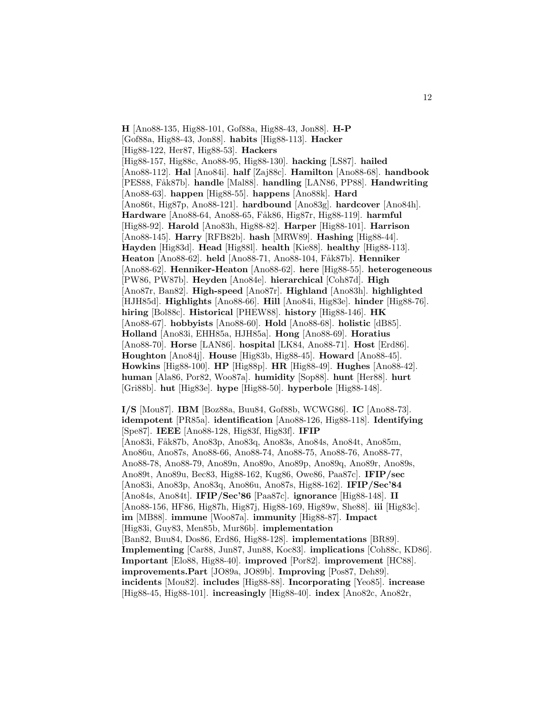**H** [Ano88-135, Hig88-101, Gof88a, Hig88-43, Jon88]. **H-P** [Gof88a, Hig88-43, Jon88]. **habits** [Hig88-113]. **Hacker** [Hig88-122, Her87, Hig88-53]. **Hackers** [Hig88-157, Hig88c, Ano88-95, Hig88-130]. **hacking** [LS87]. **hailed** [Ano88-112]. **Hal** [Ano84i]. **half** [Zaj88c]. **Hamilton** [Ano88-68]. **handbook** [PES88, F˚ak87b]. **handle** [Mal88]. **handling** [LAN86, PP88]. **Handwriting** [Ano88-63]. **happen** [Hig88-55]. **happens** [Ano88k]. **Hard** [Ano86t, Hig87p, Ano88-121]. **hardbound** [Ano83g]. **hardcover** [Ano84h]. **Hardware** [Ano88-64, Ano88-65, F˚ak86, Hig87r, Hig88-119]. **harmful** [Hig88-92]. **Harold** [Ano83h, Hig88-82]. **Harper** [Hig88-101]. **Harrison** [Ano88-145]. **Harry** [RFB82b]. **hash** [MRW89]. **Hashing** [Hig88-44]. **Hayden** [Hig83d]. **Head** [Hig88l]. **health** [Kie88]. **healthy** [Hig88-113]. **Heaton** [Ano88-62]. **held** [Ano88-71, Ano88-104, Fåk87b]. **Henniker** [Ano88-62]. **Henniker-Heaton** [Ano88-62]. **here** [Hig88-55]. **heterogeneous** [PW86, PW87b]. **Heyden** [Ano84e]. **hierarchical** [Coh87d]. **High** [Ano87r, Ban82]. **High-speed** [Ano87r]. **Highland** [Ano83h]. **highlighted** [HJH85d]. **Highlights** [Ano88-66]. **Hill** [Ano84i, Hig83e]. **hinder** [Hig88-76]. **hiring** [Bol88c]. **Historical** [PHEW88]. **history** [Hig88-146]. **HK** [Ano88-67]. **hobbyists** [Ano88-60]. **Hold** [Ano88-68]. **holistic** [dB85]. **Holland** [Ano83i, EHH85a, HJH85a]. **Hong** [Ano88-69]. **Horatius** [Ano88-70]. **Horse** [LAN86]. **hospital** [LK84, Ano88-71]. **Host** [Erd86]. **Houghton** [Ano84j]. **House** [Hig83b, Hig88-45]. **Howard** [Ano88-45]. **Howkins** [Hig88-100]. **HP** [Hig88p]. **HR** [Hig88-49]. **Hughes** [Ano88-42]. **human** [Ala86, Por82, Woo87a]. **humidity** [Sop88]. **hunt** [Her88]. **hurt** [Gri88b]. **hut** [Hig83e]. **hype** [Hig88-50]. **hyperbole** [Hig88-148].

**I/S** [Mou87]. **IBM** [Boz88a, Buu84, Gof88b, WCWG86]. **IC** [Ano88-73]. **idempotent** [PR85a]. **identification** [Ano88-126, Hig88-118]. **Identifying** [Spe87]. **IEEE** [Ano88-128, Hig83f, Hig83f]. **IFIP** [Ano83i, Fåk87b, Ano83p, Ano83q, Ano83s, Ano84s, Ano84t, Ano85m, Ano86u, Ano87s, Ano88-66, Ano88-74, Ano88-75, Ano88-76, Ano88-77, Ano88-78, Ano88-79, Ano89n, Ano89o, Ano89p, Ano89q, Ano89r, Ano89s, Ano89t, Ano89u, Bec83, Hig88-162, Kug86, Owe86, Paa87c]. **IFIP/sec** [Ano83i, Ano83p, Ano83q, Ano86u, Ano87s, Hig88-162]. **IFIP/Sec'84** [Ano84s, Ano84t]. **IFIP/Sec'86** [Paa87c]. **ignorance** [Hig88-148]. **II** [Ano88-156, HF86, Hig87h, Hig87j, Hig88-169, Hig89w, She88]. **iii** [Hig83c]. **im** [MB88]. **immune** [Woo87a]. **immunity** [Hig88-87]. **Impact** [Hig83i, Guy83, Men85b, Mur86b]. **implementation** [Ban82, Buu84, Dos86, Erd86, Hig88-128]. **implementations** [BR89]. **Implementing** [Car88, Jun87, Jun88, Koc83]. **implications** [Coh88c, KD86]. **Important** [Elo88, Hig88-40]. **improved** [Por82]. **improvement** [HC88]. **improvements.Part** [JO89a, JO89b]. **Improving** [Pos87, Deh89]. **incidents** [Mou82]. **includes** [Hig88-88]. **Incorporating** [Yeo85]. **increase** [Hig88-45, Hig88-101]. **increasingly** [Hig88-40]. **index** [Ano82c, Ano82r,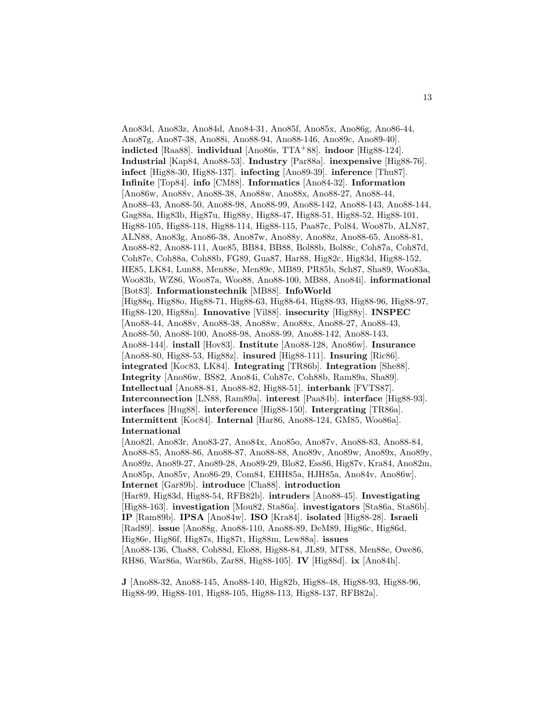Ano83d, Ano83z, Ano84d, Ano84-31, Ano85f, Ano85x, Ano86g, Ano86-44, Ano87g, Ano87-38, Ano88i, Ano88-94, Ano88-146, Ano89c, Ano89-40]. **indicted** [Raa88]. **individual** [Ano86s, TTA<sup>+</sup>88]. **indoor** [Hig88-124]. **Industrial** [Kap84, Ano88-53]. **Industry** [Par88a]. **inexpensive** [Hig88-76]. **infect** [Hig88-30, Hig88-137]. **infecting** [Ano89-39]. **inference** [Thu87]. **Infinite** [Top84]. **info** [CM88]. **Informatics** [Ano84-32]. **Information** [Ano86w, Ano88v, Ano88-38, Ano88w, Ano88x, Ano88-27, Ano88-44, Ano88-43, Ano88-50, Ano88-98, Ano88-99, Ano88-142, Ano88-143, Ano88-144, Gag88a, Hig83b, Hig87u, Hig88y, Hig88-47, Hig88-51, Hig88-52, Hig88-101, Hig88-105, Hig88-118, Hig88-114, Hig88-115, Paa87c, Pol84, Woo87b, ALN87, ALN88, Ano83g, Ano86-38, Ano87w, Ano88y, Ano88z, Ano88-65, Ano88-81, Ano88-82, Ano88-111, Aue85, BB84, BB88, Bol88b, Bol88c, Coh87a, Coh87d, Coh87e, Coh88a, Coh88b, FG89, Gua87, Har88, Hig82c, Hig83d, Hig88-152, HE85, LK84, Lun88, Men88e, Men89c, MB89, PR85b, Sch87, Sha89, Woo83a, Woo83b, WZ86, Woo87a, Woo88, Ano88-100, MB88, Ano84i]. **informational** [Bot83]. **Informationstechnik** [MB88]. **InfoWorld** [Hig88q, Hig88o, Hig88-71, Hig88-63, Hig88-64, Hig88-93, Hig88-96, Hig88-97, Hig88-120, Hig88n]. **Innovative** [Vil88]. **insecurity** [Hig88y]. **INSPEC** [Ano88-44, Ano88v, Ano88-38, Ano88w, Ano88x, Ano88-27, Ano88-43, Ano88-50, Ano88-100, Ano88-98, Ano88-99, Ano88-142, Ano88-143, Ano88-144]. **install** [Hov83]. **Institute** [Ano88-128, Ano86w]. **Insurance** [Ano88-80, Hig88-53, Hig88z]. **insured** [Hig88-111]. **Insuring** [Ric86]. **integrated** [Koc83, LK84]. **Integrating** [TR86b]. **Integration** [She88]. **Integrity** [Ano86w, BS82, Ano84i, Coh87c, Coh88b, Ram89a, Sha89]. **Intellectual** [Ano88-81, Ano88-82, Hig88-51]. **interbank** [FVTS87]. **Interconnection** [LN88, Ram89a]. **interest** [Paa84b]. **interface** [Hig88-93]. **interfaces** [Hug88]. **interference** [Hig88-150]. **Intergrating** [TR86a]. **Intermittent** [Koc84]. **Internal** [Har86, Ano88-124, GM85, Woo86a]. **International** [Ano82l, Ano83r, Ano83-27, Ano84x, Ano85o, Ano87v, Ano88-83, Ano88-84, Ano88-85, Ano88-86, Ano88-87, Ano88-88, Ano89v, Ano89w, Ano89x, Ano89y, Ano89z, Ano89-27, Ano89-28, Ano89-29, Blo82, Ess86, Hig87v, Kra84, Ano82m, Ano85p, Ano85v, Ano86-29, Com84, EHH85a, HJH85a, Ano84v, Ano86w]. **Internet** [Gar89b]. **introduce** [Cha88]. **introduction** [Har89, Hig83d, Hig88-54, RFB82b]. **intruders** [Ano88-45]. **Investigating** [Hig88-163]. **investigation** [Mou82, Sta86a]. **investigators** [Sta86a, Sta86b]. **IP** [Ram89b]. **IPSA** [Ano84w]. **ISO** [Kra84]. **isolated** [Hig88-28]. **Israeli** [Rad89]. **issue** [Ano88g, Ano88-110, Ano88-89, DeM89, Hig86c, Hig86d,

Hig86e, Hig86f, Hig87s, Hig87t, Hig88m, Lew88a]. **issues**

[Ano88-136, Cha88, Coh88d, Elo88, Hig88-84, JL89, MT88, Men88e, Owe86, RH86, War86a, War86b, Zar88, Hig88-105]. **IV** [Hig88d]. **ix** [Ano84h].

**J** [Ano88-32, Ano88-145, Ano88-140, Hig82b, Hig88-48, Hig88-93, Hig88-96, Hig88-99, Hig88-101, Hig88-105, Hig88-113, Hig88-137, RFB82a].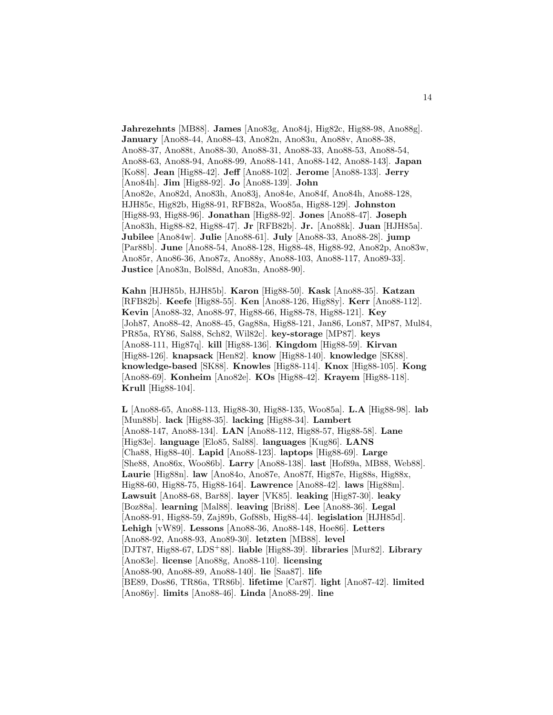**Jahrezehnts** [MB88]. **James** [Ano83g, Ano84j, Hig82c, Hig88-98, Ano88g]. **January** [Ano88-44, Ano88-43, Ano82n, Ano83u, Ano88v, Ano88-38, Ano88-37, Ano88t, Ano88-30, Ano88-31, Ano88-33, Ano88-53, Ano88-54, Ano88-63, Ano88-94, Ano88-99, Ano88-141, Ano88-142, Ano88-143]. **Japan** [Ko88]. **Jean** [Hig88-42]. **Jeff** [Ano88-102]. **Jerome** [Ano88-133]. **Jerry** [Ano84h]. **Jim** [Hig88-92]. **Jo** [Ano88-139]. **John** [Ano82e, Ano82d, Ano83h, Ano83j, Ano84e, Ano84f, Ano84h, Ano88-128, HJH85c, Hig82b, Hig88-91, RFB82a, Woo85a, Hig88-129]. **Johnston** [Hig88-93, Hig88-96]. **Jonathan** [Hig88-92]. **Jones** [Ano88-47]. **Joseph** [Ano83h, Hig88-82, Hig88-47]. **Jr** [RFB82b]. **Jr.** [Ano88k]. **Juan** [HJH85a]. **Jubilee** [Ano84w]. **Julie** [Ano88-61]. **July** [Ano88-33, Ano88-28]. **jump** [Par88b]. **June** [Ano88-54, Ano88-128, Hig88-48, Hig88-92, Ano82p, Ano83w, Ano85r, Ano86-36, Ano87z, Ano88y, Ano88-103, Ano88-117, Ano89-33]. **Justice** [Ano83n, Bol88d, Ano83n, Ano88-90].

**Kahn** [HJH85b, HJH85b]. **Karon** [Hig88-50]. **Kask** [Ano88-35]. **Katzan** [RFB82b]. **Keefe** [Hig88-55]. **Ken** [Ano88-126, Hig88y]. **Kerr** [Ano88-112]. **Kevin** [Ano88-32, Ano88-97, Hig88-66, Hig88-78, Hig88-121]. **Key** [Joh87, Ano88-42, Ano88-45, Gag88a, Hig88-121, Jan86, Lon87, MP87, Mul84, PR85a, RY86, Sal88, Sch82, Wil82c]. **key-storage** [MP87]. **keys** [Ano88-111, Hig87q]. **kill** [Hig88-136]. **Kingdom** [Hig88-59]. **Kirvan** [Hig88-126]. **knapsack** [Hen82]. **know** [Hig88-140]. **knowledge** [SK88]. **knowledge-based** [SK88]. **Knowles** [Hig88-114]. **Knox** [Hig88-105]. **Kong** [Ano88-69]. **Konheim** [Ano82e]. **KOs** [Hig88-42]. **Krayem** [Hig88-118]. **Krull** [Hig88-104].

**L** [Ano88-65, Ano88-113, Hig88-30, Hig88-135, Woo85a]. **L.A** [Hig88-98]. **lab** [Mun88b]. **lack** [Hig88-35]. **lacking** [Hig88-34]. **Lambert** [Ano88-147, Ano88-134]. **LAN** [Ano88-112, Hig88-57, Hig88-58]. **Lane** [Hig83e]. **language** [Elo85, Sal88]. **languages** [Kug86]. **LANS** [Cha88, Hig88-40]. **Lapid** [Ano88-123]. **laptops** [Hig88-69]. **Large** [She88, Ano86x, Woo86b]. **Larry** [Ano88-138]. **last** [Hof89a, MB88, Web88]. **Laurie** [Hig88n]. **law** [Ano84o, Ano87e, Ano87f, Hig87e, Hig88s, Hig88x, Hig88-60, Hig88-75, Hig88-164]. **Lawrence** [Ano88-42]. **laws** [Hig88m]. **Lawsuit** [Ano88-68, Bar88]. **layer** [VK85]. **leaking** [Hig87-30]. **leaky** [Boz88a]. **learning** [Mal88]. **leaving** [Bri88]. **Lee** [Ano88-36]. **Legal** [Ano88-91, Hig88-59, Zaj89b, Gof88b, Hig88-44]. **legislation** [HJH85d]. **Lehigh** [vW89]. **Lessons** [Ano88-36, Ano88-148, Hoe86]. **Letters** [Ano88-92, Ano88-93, Ano89-30]. **letzten** [MB88]. **level** [DJT87, Hig88-67, LDS<sup>+</sup>88]. **liable** [Hig88-39]. **libraries** [Mur82]. **Library** [Ano83e]. **license** [Ano88g, Ano88-110]. **licensing** [Ano88-90, Ano88-89, Ano88-140]. **lie** [Saa87]. **life** [BE89, Dos86, TR86a, TR86b]. **lifetime** [Car87]. **light** [Ano87-42]. **limited** [Ano86y]. **limits** [Ano88-46]. **Linda** [Ano88-29]. **line**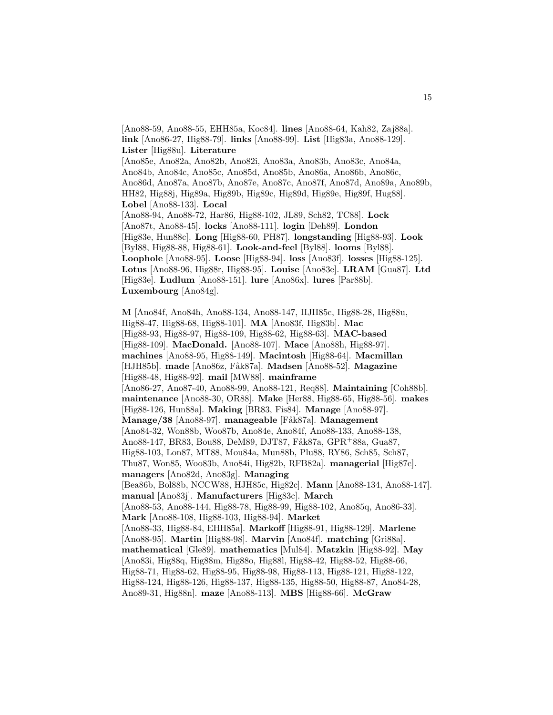[Ano88-59, Ano88-55, EHH85a, Koc84]. **lines** [Ano88-64, Kah82, Zaj88a]. **link** [Ano86-27, Hig88-79]. **links** [Ano88-99]. **List** [Hig83a, Ano88-129]. **Lister** [Hig88u]. **Literature** [Ano85e, Ano82a, Ano82b, Ano82i, Ano83a, Ano83b, Ano83c, Ano84a, Ano84b, Ano84c, Ano85c, Ano85d, Ano85b, Ano86a, Ano86b, Ano86c, Ano86d, Ano87a, Ano87b, Ano87e, Ano87c, Ano87f, Ano87d, Ano89a, Ano89b, HH82, Hig88j, Hig89a, Hig89b, Hig89c, Hig89d, Hig89e, Hig89f, Hug88]. **Lobel** [Ano88-133]. **Local** [Ano88-94, Ano88-72, Har86, Hig88-102, JL89, Sch82, TC88]. **Lock** [Ano87t, Ano88-45]. **locks** [Ano88-111]. **login** [Deh89]. **London** [Hig83e, Hun88c]. **Long** [Hig88-60, PH87]. **longstanding** [Hig88-93]. **Look** [Byl88, Hig88-88, Hig88-61]. **Look-and-feel** [Byl88]. **looms** [Byl88]. **Loophole** [Ano88-95]. **Loose** [Hig88-94]. **loss** [Ano83f]. **losses** [Hig88-125]. **Lotus** [Ano88-96, Hig88r, Hig88-95]. **Louise** [Ano83e]. **LRAM** [Gua87]. **Ltd** [Hig83e]. **Ludlum** [Ano88-151]. **lure** [Ano86x]. **lures** [Par88b]. **Luxembourg** [Ano84g]. **M** [Ano84f, Ano84h, Ano88-134, Ano88-147, HJH85c, Hig88-28, Hig88u, Hig88-47, Hig88-68, Hig88-101]. **MA** [Ano83f, Hig83b]. **Mac** [Hig88-93, Hig88-97, Hig88-109, Hig88-62, Hig88-63]. **MAC-based** [Hig88-109]. **MacDonald.** [Ano88-107]. **Mace** [Ano88h, Hig88-97]. **machines** [Ano88-95, Hig88-149]. **Macintosh** [Hig88-64]. **Macmillan** [HJH85b]. **made** [Ano86z, F˚ak87a]. **Madsen** [Ano88-52]. **Magazine** [Hig88-48, Hig88-92]. **mail** [MW88]. **mainframe** [Ano86-27, Ano87-40, Ano88-99, Ano88-121, Req88]. **Maintaining** [Coh88b]. **maintenance** [Ano88-30, OR88]. **Make** [Her88, Hig88-65, Hig88-56]. **makes** [Hig88-126, Hun88a]. **Making** [BR83, Fis84]. **Manage** [Ano88-97].

**Manage/38** [Ano88-97]. **manageable** [F˚ak87a]. **Management** [Ano84-32, Won88b, Woo87b, Ano84e, Ano84f, Ano88-133, Ano88-138, Ano88-147, BR83, Bou88, DeM89, DJT87, Fåk87a, GPR+88a, Gua87, Hig88-103, Lon87, MT88, Mou84a, Mun88b, Plu88, RY86, Sch85, Sch87, Thu87, Won85, Woo83b, Ano84i, Hig82b, RFB82a]. **managerial** [Hig87c]. **managers** [Ano82d, Ano83g]. **Managing** [Bea86b, Bol88b, NCCW88, HJH85c, Hig82c]. **Mann** [Ano88-134, Ano88-147]. **manual** [Ano83j]. **Manufacturers** [Hig83c]. **March** [Ano88-53, Ano88-144, Hig88-78, Hig88-99, Hig88-102, Ano85q, Ano86-33]. **Mark** [Ano88-108, Hig88-103, Hig88-94]. **Market** [Ano88-33, Hig88-84, EHH85a]. **Markoff** [Hig88-91, Hig88-129]. **Marlene** [Ano88-95]. **Martin** [Hig88-98]. **Marvin** [Ano84f]. **matching** [Gri88a]. **mathematical** [Gle89]. **mathematics** [Mul84]. **Matzkin** [Hig88-92]. **May** [Ano83i, Hig88q, Hig88m, Hig88o, Hig88l, Hig88-42, Hig88-52, Hig88-66, Hig88-71, Hig88-62, Hig88-95, Hig88-98, Hig88-113, Hig88-121, Hig88-122, Hig88-124, Hig88-126, Hig88-137, Hig88-135, Hig88-50, Hig88-87, Ano84-28, Ano89-31, Hig88n]. **maze** [Ano88-113]. **MBS** [Hig88-66]. **McGraw**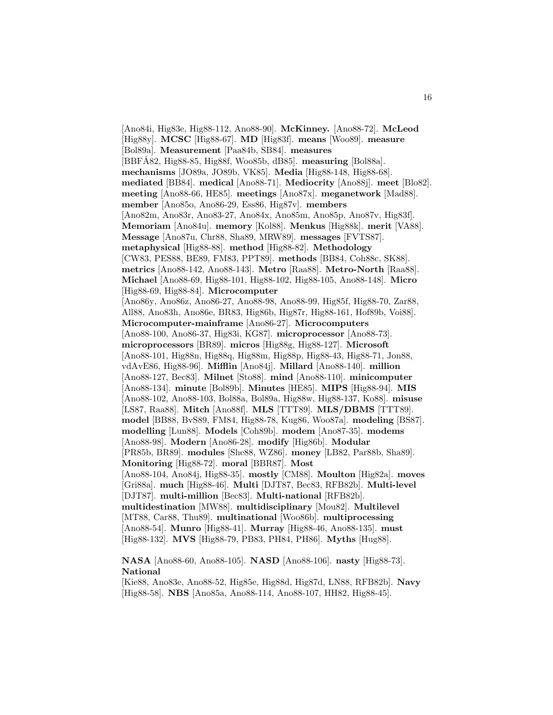[Ano84i, Hig83e, Hig88-112, Ano88-90]. **McKinney.** [Ano88-72]. **McLeod** [Hig88y]. **MCSC** [Hig88-67]. **MD** [Hig83f]. **means** [Woo89]. **measure** [Bol89a]. **Measurement** [Paa84b, SB84]. **measures** [BBF˚A82, Hig88-85, Hig88f, Woo85b, dB85]. **measuring** [Bol88a]. **mechanisms** [JO89a, JO89b, VK85]. **Media** [Hig88-148, Hig88-68]. **mediated** [BB84]. **medical** [Ano88-71]. **Mediocrity** [Ano88j]. **meet** [Blo82]. **meeting** [Ano88-66, HE85]. **meetings** [Ano87x]. **meganetwork** [Mad88]. **member** [Ano85o, Ano86-29, Ess86, Hig87v]. **members** [Ano82m, Ano83r, Ano83-27, Ano84x, Ano85m, Ano85p, Ano87v, Hig83f]. **Memoriam** [Ano84u]. **memory** [Kol88]. **Menkus** [Hig88k]. **merit** [VA88]. **Message** [Ano87u, Chr88, Sha89, MRW89]. **messages** [FVTS87]. **metaphysical** [Hig88-88]. **method** [Hig88-82]. **Methodology** [CW83, PES88, BE89, FM83, PPT89]. **methods** [BB84, Coh88c, SK88]. **metrics** [Ano88-142, Ano88-143]. **Metro** [Raa88]. **Metro-North** [Raa88]. **Michael** [Ano88-69, Hig88-101, Hig88-102, Hig88-105, Ano88-148]. **Micro** [Hig88-69, Hig88-84]. **Microcomputer** [Ano86y, Ano86z, Ano86-27, Ano88-98, Ano88-99, Hig85f, Hig88-70, Zar88, All88, Ano83h, Ano86e, BR83, Hig86b, Hig87r, Hig88-161, Hof89b, Voi88]. **Microcomputer-mainframe** [Ano86-27]. **Microcomputers** [Ano88-100, Ano86-37, Hig83i, KG87]. **microprocessor** [Ano88-73]. **microprocessors** [BR89]. **micros** [Hig88g, Hig88-127]. **Microsoft** [Ano88-101, Hig88n, Hig88q, Hig88m, Hig88p, Hig88-43, Hig88-71, Jon88, vdAvE86, Hig88-96]. **Mifflin** [Ano84j]. **Millard** [Ano88-140]. **million** [Ano88-127, Bec83]. **Milnet** [Sto88]. **mind** [Ano88-110]. **minicomputer** [Ano88-134]. **minute** [Bol89b]. **Minutes** [HE85]. **MIPS** [Hig88-94]. **MIS** [Ano88-102, Ano88-103, Bol88a, Bol89a, Hig88w, Hig88-137, Ko88]. **misuse** [LS87, Raa88]. **Mitch** [Ano88f]. **MLS** [TTT89]. **MLS/DBMS** [TTT89]. **model** [BB88, BvS89, FM84, Hig88-78, Kug86, Woo87a]. **modeling** [BS87]. **modelling** [Lun88]. **Models** [Coh89b]. **modem** [Ano87-35]. **modems** [Ano88-98]. **Modern** [Ano86-28]. **modify** [Hig86b]. **Modular** [PR85b, BR89]. **modules** [She88, WZ86]. **money** [LB82, Par88b, Sha89]. **Monitoring** [Hig88-72]. **moral** [BBR87]. **Most** [Ano88-104, Ano84j, Hig88-35]. **mostly** [CM88]. **Moulton** [Hig82a]. **moves** [Gri88a]. **much** [Hig88-46]. **Multi** [DJT87, Bec83, RFB82b]. **Multi-level** [DJT87]. **multi-million** [Bec83]. **Multi-national** [RFB82b]. **multidestination** [MW88]. **multidisciplinary** [Mou82]. **Multilevel** [MT88, Car88, Thu89]. **multinational** [Woo86b]. **multiprocessing** [Ano88-54]. **Munro** [Hig88-41]. **Murray** [Hig88-46, Ano88-135]. **must** [Hig88-132]. **MVS** [Hig88-79, PB83, PH84, PH86]. **Myths** [Hug88].

**NASA** [Ano88-60, Ano88-105]. **NASD** [Ano88-106]. **nasty** [Hig88-73]. **National**

[Kie88, Ano83e, Ano88-52, Hig85e, Hig88d, Hig87d, LN88, RFB82b]. **Navy** [Hig88-58]. **NBS** [Ano85a, Ano88-114, Ano88-107, HH82, Hig88-45].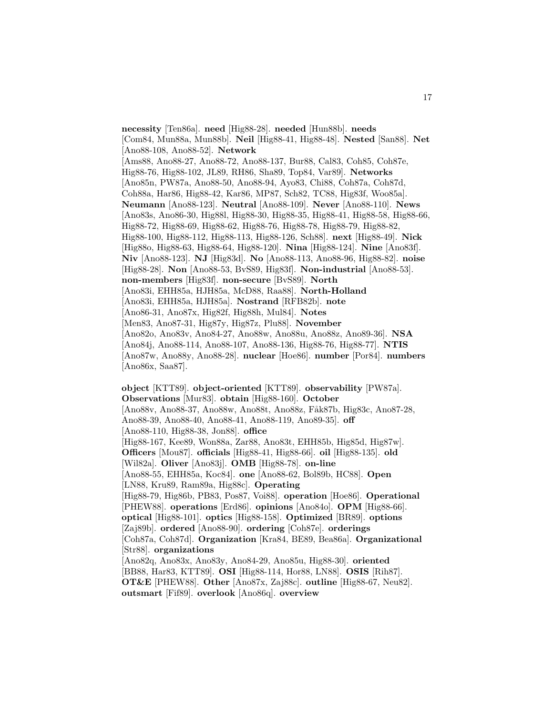**necessity** [Ten86a]. **need** [Hig88-28]. **needed** [Hun88b]. **needs** [Com84, Mun88a, Mun88b]. **Neil** [Hig88-41, Hig88-48]. **Nested** [San88]. **Net** [Ano88-108, Ano88-52]. **Network** [Ams88, Ano88-27, Ano88-72, Ano88-137, Bur88, Cal83, Coh85, Coh87e, Hig88-76, Hig88-102, JL89, RH86, Sha89, Top84, Var89]. **Networks** [Ano85n, PW87a, Ano88-50, Ano88-94, Ayo83, Chi88, Coh87a, Coh87d, Coh88a, Har86, Hig88-42, Kar86, MP87, Sch82, TC88, Hig83f, Woo85a]. **Neumann** [Ano88-123]. **Neutral** [Ano88-109]. **Never** [Ano88-110]. **News** [Ano83s, Ano86-30, Hig88l, Hig88-30, Hig88-35, Hig88-41, Hig88-58, Hig88-66, Hig88-72, Hig88-69, Hig88-62, Hig88-76, Hig88-78, Hig88-79, Hig88-82, Hig88-100, Hig88-112, Hig88-113, Hig88-126, Sch88]. **next** [Hig88-49]. **Nick** [Hig88o, Hig88-63, Hig88-64, Hig88-120]. **Nina** [Hig88-124]. **Nine** [Ano83f]. **Niv** [Ano88-123]. **NJ** [Hig83d]. **No** [Ano88-113, Ano88-96, Hig88-82]. **noise** [Hig88-28]. **Non** [Ano88-53, BvS89, Hig83f]. **Non-industrial** [Ano88-53]. **non-members** [Hig83f]. **non-secure** [BvS89]. **North** [Ano83i, EHH85a, HJH85a, McD88, Raa88]. **North-Holland** [Ano83i, EHH85a, HJH85a]. **Nostrand** [RFB82b]. **note** [Ano86-31, Ano87x, Hig82f, Hig88h, Mul84]. **Notes** [Men83, Ano87-31, Hig87y, Hig87z, Plu88]. **November** [Ano82o, Ano83v, Ano84-27, Ano88w, Ano88u, Ano88z, Ano89-36]. **NSA** [Ano84j, Ano88-114, Ano88-107, Ano88-136, Hig88-76, Hig88-77]. **NTIS** [Ano87w, Ano88y, Ano88-28]. **nuclear** [Hoe86]. **number** [Por84]. **numbers** [Ano86x, Saa87].

**object** [KTT89]. **object-oriented** [KTT89]. **observability** [PW87a]. **Observations** [Mur83]. **obtain** [Hig88-160]. **October** [Ano88v, Ano88-37, Ano88w, Ano88t, Ano88z, Fåk87b, Hig83c, Ano87-28, Ano88-39, Ano88-40, Ano88-41, Ano88-119, Ano89-35]. **off** [Ano88-110, Hig88-38, Jon88]. **office** [Hig88-167, Kee89, Won88a, Zar88, Ano83t, EHH85b, Hig85d, Hig87w]. **Officers** [Mou87]. **officials** [Hig88-41, Hig88-66]. **oil** [Hig88-135]. **old** [Wil82a]. **Oliver** [Ano83j]. **OMB** [Hig88-78]. **on-line** [Ano88-55, EHH85a, Koc84]. **one** [Ano88-62, Bol89b, HC88]. **Open** [LN88, Kru89, Ram89a, Hig88c]. **Operating** [Hig88-79, Hig86b, PB83, Pos87, Voi88]. **operation** [Hoe86]. **Operational** [PHEW88]. **operations** [Erd86]. **opinions** [Ano84o]. **OPM** [Hig88-66]. **optical** [Hig88-101]. **optics** [Hig88-158]. **Optimized** [BR89]. **options** [Zaj89b]. **ordered** [Ano88-90]. **ordering** [Coh87e]. **orderings** [Coh87a, Coh87d]. **Organization** [Kra84, BE89, Bea86a]. **Organizational** [Str88]. **organizations** [Ano82q, Ano83x, Ano83y, Ano84-29, Ano85u, Hig88-30]. **oriented** [BB88, Har83, KTT89]. **OSI** [Hig88-114, Hor88, LN88]. **OSIS** [Rih87]. **OT&E** [PHEW88]. **Other** [Ano87x, Zaj88c]. **outline** [Hig88-67, Neu82]. **outsmart** [Fif89]. **overlook** [Ano86q]. **overview**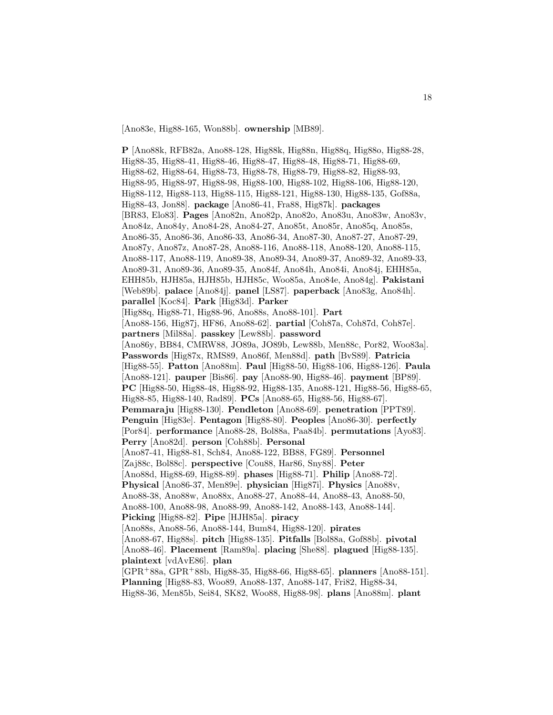[Ano83e, Hig88-165, Won88b]. **ownership** [MB89].

**P** [Ano88k, RFB82a, Ano88-128, Hig88k, Hig88n, Hig88q, Hig88o, Hig88-28, Hig88-35, Hig88-41, Hig88-46, Hig88-47, Hig88-48, Hig88-71, Hig88-69, Hig88-62, Hig88-64, Hig88-73, Hig88-78, Hig88-79, Hig88-82, Hig88-93, Hig88-95, Hig88-97, Hig88-98, Hig88-100, Hig88-102, Hig88-106, Hig88-120, Hig88-112, Hig88-113, Hig88-115, Hig88-121, Hig88-130, Hig88-135, Gof88a, Hig88-43, Jon88]. **package** [Ano86-41, Fra88, Hig87k]. **packages** [BR83, Elo83]. **Pages** [Ano82n, Ano82p, Ano82o, Ano83u, Ano83w, Ano83v, Ano84z, Ano84y, Ano84-28, Ano84-27, Ano85t, Ano85r, Ano85q, Ano85s, Ano86-35, Ano86-36, Ano86-33, Ano86-34, Ano87-30, Ano87-27, Ano87-29, Ano87y, Ano87z, Ano87-28, Ano88-116, Ano88-118, Ano88-120, Ano88-115, Ano88-117, Ano88-119, Ano89-38, Ano89-34, Ano89-37, Ano89-32, Ano89-33, Ano89-31, Ano89-36, Ano89-35, Ano84f, Ano84h, Ano84i, Ano84j, EHH85a, EHH85b, HJH85a, HJH85b, HJH85c, Woo85a, Ano84e, Ano84g]. **Pakistani** [Web89b]. **palace** [Ano84j]. **panel** [LS87]. **paperback** [Ano83g, Ano84h]. **parallel** [Koc84]. **Park** [Hig83d]. **Parker** [Hig88q, Hig88-71, Hig88-96, Ano88s, Ano88-101]. **Part** [Ano88-156, Hig87j, HF86, Ano88-62]. **partial** [Coh87a, Coh87d, Coh87e]. **partners** [Mil88a]. **passkey** [Lew88b]. **password** [Ano86y, BB84, CMRW88, JO89a, JO89b, Lew88b, Men88c, Por82, Woo83a]. **Passwords** [Hig87x, RMS89, Ano86f, Men88d]. **path** [BvS89]. **Patricia** [Hig88-55]. **Patton** [Ano88m]. **Paul** [Hig88-50, Hig88-106, Hig88-126]. **Paula** [Ano88-121]. **pauper** [Bis86]. **pay** [Ano88-90, Hig88-46]. **payment** [BP89]. **PC** [Hig88-50, Hig88-48, Hig88-92, Hig88-135, Ano88-121, Hig88-56, Hig88-65, Hig88-85, Hig88-140, Rad89]. **PCs** [Ano88-65, Hig88-56, Hig88-67]. **Pemmaraju** [Hig88-130]. **Pendleton** [Ano88-69]. **penetration** [PPT89]. **Penguin** [Hig83e]. **Pentagon** [Hig88-80]. **Peoples** [Ano86-30]. **perfectly** [Por84]. **performance** [Ano88-28, Bol88a, Paa84b]. **permutations** [Ayo83]. **Perry** [Ano82d]. **person** [Coh88b]. **Personal** [Ano87-41, Hig88-81, Sch84, Ano88-122, BB88, FG89]. **Personnel** [Zaj88c, Bol88c]. **perspective** [Cou88, Har86, Sny88]. **Peter** [Ano88d, Hig88-69, Hig88-89]. **phases** [Hig88-71]. **Philip** [Ano88-72]. **Physical** [Ano86-37, Men89e]. **physician** [Hig87i]. **Physics** [Ano88v, Ano88-38, Ano88w, Ano88x, Ano88-27, Ano88-44, Ano88-43, Ano88-50, Ano88-100, Ano88-98, Ano88-99, Ano88-142, Ano88-143, Ano88-144]. **Picking** [Hig88-82]. **Pipe** [HJH85a]. **piracy** [Ano88s, Ano88-56, Ano88-144, Bum84, Hig88-120]. **pirates** [Ano88-67, Hig88s]. **pitch** [Hig88-135]. **Pitfalls** [Bol88a, Gof88b]. **pivotal** [Ano88-46]. **Placement** [Ram89a]. **placing** [She88]. **plagued** [Hig88-135]. **plaintext** [vdAvE86]. **plan** [GPR<sup>+</sup>88a, GPR<sup>+</sup>88b, Hig88-35, Hig88-66, Hig88-65]. **planners** [Ano88-151]. **Planning** [Hig88-83, Woo89, Ano88-137, Ano88-147, Fri82, Hig88-34, Hig88-36, Men85b, Sei84, SK82, Woo88, Hig88-98]. **plans** [Ano88m]. **plant**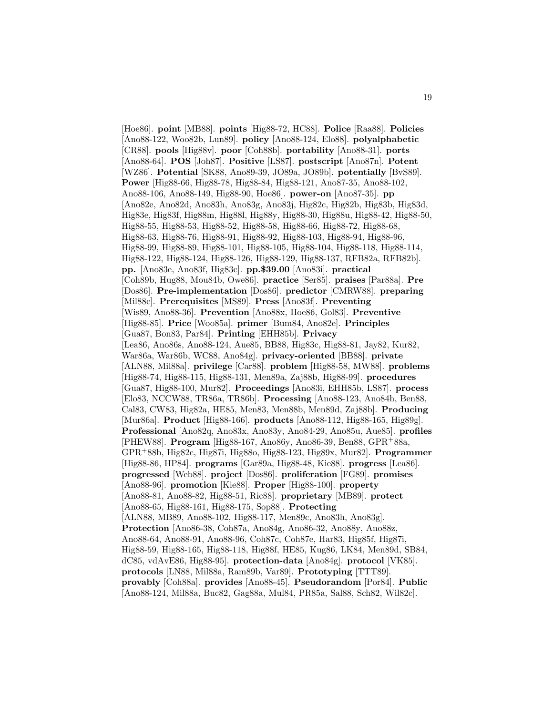[Hoe86]. **point** [MB88]. **points** [Hig88-72, HC88]. **Police** [Raa88]. **Policies** [Ano88-122, Woo82b, Lun89]. **policy** [Ano88-124, Elo88]. **polyalphabetic** [CR88]. **pools** [Hig88v]. **poor** [Coh88b]. **portability** [Ano88-31]. **ports** [Ano88-64]. **POS** [Joh87]. **Positive** [LS87]. **postscript** [Ano87n]. **Potent** [WZ86]. **Potential** [SK88, Ano89-39, JO89a, JO89b]. **potentially** [BvS89]. **Power** [Hig88-66, Hig88-78, Hig88-84, Hig88-121, Ano87-35, Ano88-102, Ano88-106, Ano88-149, Hig88-90, Hoe86]. **power-on** [Ano87-35]. **pp** [Ano82e, Ano82d, Ano83h, Ano83g, Ano83j, Hig82c, Hig82b, Hig83b, Hig83d, Hig83e, Hig83f, Hig88m, Hig88l, Hig88y, Hig88-30, Hig88u, Hig88-42, Hig88-50, Hig88-55, Hig88-53, Hig88-52, Hig88-58, Hig88-66, Hig88-72, Hig88-68, Hig88-63, Hig88-76, Hig88-91, Hig88-92, Hig88-103, Hig88-94, Hig88-96, Hig88-99, Hig88-89, Hig88-101, Hig88-105, Hig88-104, Hig88-118, Hig88-114, Hig88-122, Hig88-124, Hig88-126, Hig88-129, Hig88-137, RFB82a, RFB82b]. **pp.** [Ano83e, Ano83f, Hig83c]. **pp.\$39.00** [Ano83i]. **practical** [Coh89b, Hug88, Mou84b, Owe86]. **practice** [Ser85]. **praises** [Par88a]. **Pre** [Dos86]. **Pre-implementation** [Dos86]. **predictor** [CMRW88]. **preparing** [Mil88c]. **Prerequisites** [MS89]. **Press** [Ano83f]. **Preventing** [Wis89, Ano88-36]. **Prevention** [Ano88x, Hoe86, Gol83]. **Preventive** [Hig88-85]. **Price** [Woo85a]. **primer** [Bum84, Ano82e]. **Principles** [Gua87, Bon83, Par84]. **Printing** [EHH85b]. **Privacy** [Lea86, Ano86s, Ano88-124, Aue85, BB88, Hig83c, Hig88-81, Jay82, Kur82, War86a, War86b, WC88, Ano84g]. **privacy-oriented** [BB88]. **private** [ALN88, Mil88a]. **privilege** [Car88]. **problem** [Hig88-58, MW88]. **problems** [Hig88-74, Hig88-115, Hig88-131, Men89a, Zaj88b, Hig88-99]. **procedures** [Gua87, Hig88-100, Mur82]. **Proceedings** [Ano83i, EHH85b, LS87]. **process** [Elo83, NCCW88, TR86a, TR86b]. **Processing** [Ano88-123, Ano84h, Ben88, Cal83, CW83, Hig82a, HE85, Men83, Men88b, Men89d, Zaj88b]. **Producing** [Mur86a]. **Product** [Hig88-166]. **products** [Ano88-112, Hig88-165, Hig89g]. **Professional** [Ano82q, Ano83x, Ano83y, Ano84-29, Ano85u, Aue85]. **profiles** [PHEW88]. **Program** [Hig88-167, Ano86y, Ano86-39, Ben88, GPR<sup>+</sup>88a, GPR<sup>+</sup>88b, Hig82c, Hig87i, Hig88o, Hig88-123, Hig89x, Mur82]. **Programmer** [Hig88-86, HP84]. **programs** [Gar89a, Hig88-48, Kie88]. **progress** [Lea86]. **progressed** [Web88]. **project** [Dos86]. **proliferation** [FG89]. **promises** [Ano88-96]. **promotion** [Kie88]. **Proper** [Hig88-100]. **property** [Ano88-81, Ano88-82, Hig88-51, Ric88]. **proprietary** [MB89]. **protect** [Ano88-65, Hig88-161, Hig88-175, Sop88]. **Protecting** [ALN88, MB89, Ano88-102, Hig88-117, Men89c, Ano83h, Ano83g]. **Protection** [Ano86-38, Coh87a, Ano84g, Ano86-32, Ano88y, Ano88z, Ano88-64, Ano88-91, Ano88-96, Coh87c, Coh87e, Har83, Hig85f, Hig87i, Hig88-59, Hig88-165, Hig88-118, Hig88f, HE85, Kug86, LK84, Men89d, SB84, dC85, vdAvE86, Hig88-95]. **protection-data** [Ano84g]. **protocol** [VK85]. **protocols** [LN88, Mil88a, Ram89b, Var89]. **Prototyping** [TTT89]. **provably** [Coh88a]. **provides** [Ano88-45]. **Pseudorandom** [Por84]. **Public** [Ano88-124, Mil88a, Buc82, Gag88a, Mul84, PR85a, Sal88, Sch82, Wil82c].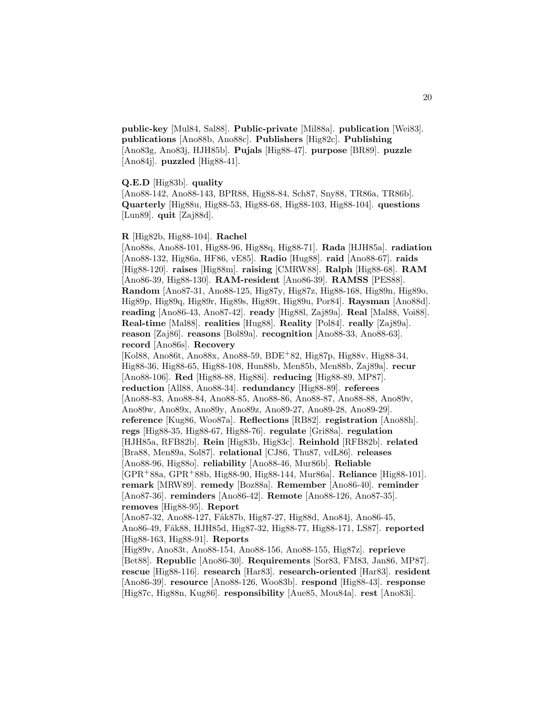**public-key** [Mul84, Sal88]. **Public-private** [Mil88a]. **publication** [Wei83]. **publications** [Ano88b, Ano88c]. **Publishers** [Hig82c]. **Publishing** [Ano83g, Ano83j, HJH85b]. **Pujals** [Hig88-47]. **purpose** [BR89]. **puzzle** [Ano84j]. **puzzled** [Hig88-41].

#### **Q.E.D** [Hig83b]. **quality**

[Ano88-142, Ano88-143, BPR88, Hig88-84, Sch87, Sny88, TR86a, TR86b]. **Quarterly** [Hig88u, Hig88-53, Hig88-68, Hig88-103, Hig88-104]. **questions** [Lun89]. **quit** [Zaj88d].

## **R** [Hig82b, Hig88-104]. **Rachel**

[Ano88s, Ano88-101, Hig88-96, Hig88q, Hig88-71]. **Rada** [HJH85a]. **radiation** [Ano88-132, Hig86a, HF86, vE85]. **Radio** [Hug88]. **raid** [Ano88-67]. **raids** [Hig88-120]. **raises** [Hig88m]. **raising** [CMRW88]. **Ralph** [Hig88-68]. **RAM** [Ano86-39, Hig88-130]. **RAM-resident** [Ano86-39]. **RAMSS** [PES88]. **Random** [Ano87-31, Ano88-125, Hig87y, Hig87z, Hig88-168, Hig89n, Hig89o, Hig89p, Hig89q, Hig89r, Hig89s, Hig89t, Hig89u, Por84]. **Raysman** [Ano88d]. **reading** [Ano86-43, Ano87-42]. **ready** [Hig88l, Zaj89a]. **Real** [Mal88, Voi88]. **Real-time** [Mal88]. **realities** [Hug88]. **Reality** [Pol84]. **really** [Zaj89a]. **reason** [Zaj86]. **reasons** [Bol89a]. **recognition** [Ano88-33, Ano88-63]. **record** [Ano86s]. **Recovery** [Kol88, Ano86t, Ano88x, Ano88-59, BDE<sup>+</sup>82, Hig87p, Hig88v, Hig88-34, Hig88-36, Hig88-65, Hig88-108, Hun88b, Men85b, Men88b, Zaj89a]. **recur** [Ano88-106]. **Red** [Hig88-88, Hig88i]. **reducing** [Hig88-89, MP87]. **reduction** [All88, Ano88-34]. **redundancy** [Hig88-89]. **referees** [Ano88-83, Ano88-84, Ano88-85, Ano88-86, Ano88-87, Ano88-88, Ano89v, Ano89w, Ano89x, Ano89y, Ano89z, Ano89-27, Ano89-28, Ano89-29]. **reference** [Kug86, Woo87a]. **Reflections** [RB82]. **registration** [Ano88h]. **regs** [Hig88-35, Hig88-67, Hig88-76]. **regulate** [Gri88a]. **regulation** [HJH85a, RFB82b]. **Rein** [Hig83b, Hig83c]. **Reinhold** [RFB82b]. **related** [Bra88, Men89a, Sol87]. **relational** [CJ86, Thu87, vdL86]. **releases** [Ano88-96, Hig88o]. **reliability** [Ano88-46, Mur86b]. **Reliable** [GPR<sup>+</sup>88a, GPR<sup>+</sup>88b, Hig88-90, Hig88-144, Mur86a]. **Reliance** [Hig88-101]. **remark** [MRW89]. **remedy** [Boz88a]. **Remember** [Ano86-40]. **reminder** [Ano87-36]. **reminders** [Ano86-42]. **Remote** [Ano88-126, Ano87-35]. **removes** [Hig88-95]. **Report** [Ano87-32, Ano88-127, Fåk87b, Hig87-27, Hig88d, Ano84j, Ano86-45, Ano86-49, Fåk88, HJH85d, Hig87-32, Hig88-77, Hig88-171, LS87. **reported** [Hig88-163, Hig88-91]. **Reports** [Hig89v, Ano83t, Ano88-154, Ano88-156, Ano88-155, Hig87z]. **reprieve** [Bet88]. **Republic** [Ano86-30]. **Requirements** [Sor83, FM83, Jan86, MP87].

**rescue** [Hig88-116]. **research** [Har83]. **research-oriented** [Har83]. **resident** [Ano86-39]. **resource** [Ano88-126, Woo83b]. **respond** [Hig88-43]. **response** [Hig87c, Hig88n, Kug86]. **responsibility** [Aue85, Mou84a]. **rest** [Ano83i].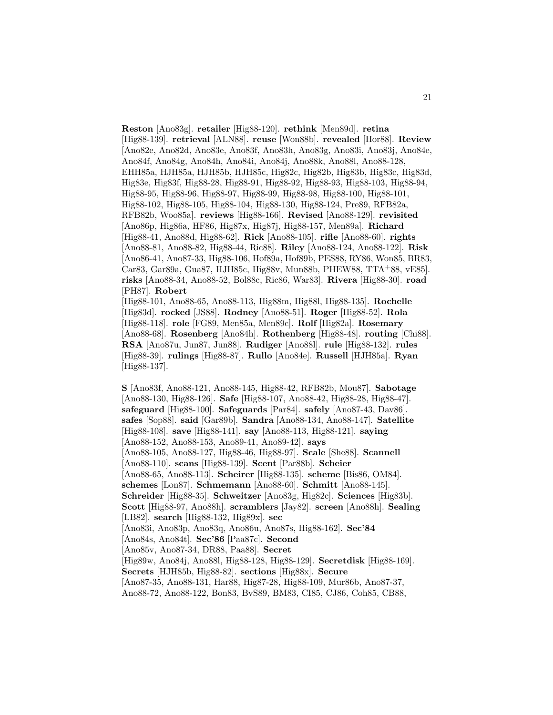**Reston** [Ano83g]. **retailer** [Hig88-120]. **rethink** [Men89d]. **retina** [Hig88-139]. **retrieval** [ALN88]. **reuse** [Won88b]. **revealed** [Hor88]. **Review** [Ano82e, Ano82d, Ano83e, Ano83f, Ano83h, Ano83g, Ano83i, Ano83j, Ano84e, Ano84f, Ano84g, Ano84h, Ano84i, Ano84j, Ano88k, Ano88l, Ano88-128, EHH85a, HJH85a, HJH85b, HJH85c, Hig82c, Hig82b, Hig83b, Hig83c, Hig83d, Hig83e, Hig83f, Hig88-28, Hig88-91, Hig88-92, Hig88-93, Hig88-103, Hig88-94, Hig88-95, Hig88-96, Hig88-97, Hig88-99, Hig88-98, Hig88-100, Hig88-101, Hig88-102, Hig88-105, Hig88-104, Hig88-130, Hig88-124, Pre89, RFB82a, RFB82b, Woo85a]. **reviews** [Hig88-166]. **Revised** [Ano88-129]. **revisited** [Ano86p, Hig86a, HF86, Hig87x, Hig87j, Hig88-157, Men89a]. **Richard** [Hig88-41, Ano88d, Hig88-62]. **Rick** [Ano88-105]. **rifle** [Ano88-60]. **rights** [Ano88-81, Ano88-82, Hig88-44, Ric88]. **Riley** [Ano88-124, Ano88-122]. **Risk** [Ano86-41, Ano87-33, Hig88-106, Hof89a, Hof89b, PES88, RY86, Won85, BR83, Car83, Gar89a, Gua87, HJH85c, Hig88v, Mun88b, PHEW88, TTA<sup>+</sup>88, vE85]. **risks** [Ano88-34, Ano88-52, Bol88c, Ric86, War83]. **Rivera** [Hig88-30]. **road** [PH87]. **Robert** [Hig88-101, Ano88-65, Ano88-113, Hig88m, Hig88l, Hig88-135]. **Rochelle**

[Hig83d]. **rocked** [JS88]. **Rodney** [Ano88-51]. **Roger** [Hig88-52]. **Rola** [Hig88-118]. **role** [FG89, Men85a, Men89c]. **Rolf** [Hig82a]. **Rosemary** [Ano88-68]. **Rosenberg** [Ano84h]. **Rothenberg** [Hig88-48]. **routing** [Chi88]. **RSA** [Ano87u, Jun87, Jun88]. **Rudiger** [Ano88l]. **rule** [Hig88-132]. **rules** [Hig88-39]. **rulings** [Hig88-87]. **Rullo** [Ano84e]. **Russell** [HJH85a]. **Ryan** [Hig88-137].

**S** [Ano83f, Ano88-121, Ano88-145, Hig88-42, RFB82b, Mou87]. **Sabotage** [Ano88-130, Hig88-126]. **Safe** [Hig88-107, Ano88-42, Hig88-28, Hig88-47]. **safeguard** [Hig88-100]. **Safeguards** [Par84]. **safely** [Ano87-43, Dav86]. **safes** [Sop88]. **said** [Gar89b]. **Sandra** [Ano88-134, Ano88-147]. **Satellite** [Hig88-108]. **save** [Hig88-141]. **say** [Ano88-113, Hig88-121]. **saying** [Ano88-152, Ano88-153, Ano89-41, Ano89-42]. **says** [Ano88-105, Ano88-127, Hig88-46, Hig88-97]. **Scale** [She88]. **Scannell** [Ano88-110]. **scans** [Hig88-139]. **Scent** [Par88b]. **Scheier** [Ano88-65, Ano88-113]. **Scheirer** [Hig88-135]. **scheme** [Bis86, OM84]. **schemes** [Lon87]. **Schmemann** [Ano88-60]. **Schmitt** [Ano88-145]. **Schreider** [Hig88-35]. **Schweitzer** [Ano83g, Hig82c]. **Sciences** [Hig83b]. **Scott** [Hig88-97, Ano88h]. **scramblers** [Jay82]. **screen** [Ano88h]. **Sealing** [LB82]. **search** [Hig88-132, Hig89x]. **sec** [Ano83i, Ano83p, Ano83q, Ano86u, Ano87s, Hig88-162]. **Sec'84** [Ano84s, Ano84t]. **Sec'86** [Paa87c]. **Second** [Ano85v, Ano87-34, DR88, Paa88]. **Secret** [Hig89w, Ano84j, Ano88l, Hig88-128, Hig88-129]. **Secretdisk** [Hig88-169]. **Secrets** [HJH85b, Hig88-82]. **sections** [Hig88x]. **Secure** [Ano87-35, Ano88-131, Har88, Hig87-28, Hig88-109, Mur86b, Ano87-37, Ano88-72, Ano88-122, Bon83, BvS89, BM83, CI85, CJ86, Coh85, CB88,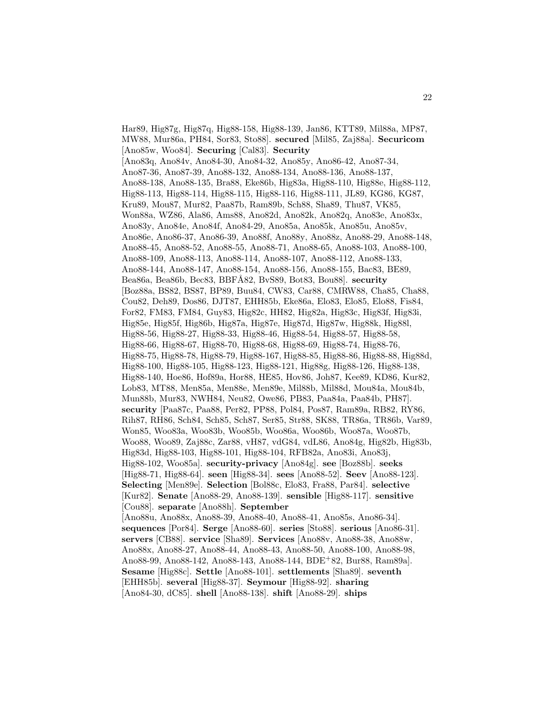Har89, Hig87g, Hig87q, Hig88-158, Hig88-139, Jan86, KTT89, Mil88a, MP87, MW88, Mur86a, PH84, Sor83, Sto88]. **secured** [Mil85, Zaj88a]. **Securicom** [Ano85w, Woo84]. **Securing** [Cal83]. **Security** [Ano83q, Ano84v, Ano84-30, Ano84-32, Ano85y, Ano86-42, Ano87-34, Ano87-36, Ano87-39, Ano88-132, Ano88-134, Ano88-136, Ano88-137, Ano88-138, Ano88-135, Bra88, Eke86b, Hig83a, Hig88-110, Hig88e, Hig88-112, Hig88-113, Hig88-114, Hig88-115, Hig88-116, Hig88-111, JL89, KG86, KG87, Kru89, Mou87, Mur82, Paa87b, Ram89b, Sch88, Sha89, Thu87, VK85, Won88a, WZ86, Ala86, Ams88, Ano82d, Ano82k, Ano82q, Ano83e, Ano83x, Ano83y, Ano84e, Ano84f, Ano84-29, Ano85a, Ano85k, Ano85u, Ano85v, Ano86e, Ano86-37, Ano86-39, Ano88f, Ano88y, Ano88z, Ano88-29, Ano88-148, Ano88-45, Ano88-52, Ano88-55, Ano88-71, Ano88-65, Ano88-103, Ano88-100, Ano88-109, Ano88-113, Ano88-114, Ano88-107, Ano88-112, Ano88-133, Ano88-144, Ano88-147, Ano88-154, Ano88-156, Ano88-155, Bac83, BE89, Bea86a, Bea86b, Bec83, BBF˚A82, BvS89, Bot83, Bou88]. **security** [Boz88a, BS82, BS87, BP89, Buu84, CW83, Car88, CMRW88, Cha85, Cha88, Cou82, Deh89, Dos86, DJT87, EHH85b, Eke86a, Elo83, Elo85, Elo88, Fis84, For82, FM83, FM84, Guy83, Hig82c, HH82, Hig82a, Hig83c, Hig83f, Hig83i, Hig85e, Hig85f, Hig86b, Hig87a, Hig87e, Hig87d, Hig87w, Hig88k, Hig88l, Hig88-56, Hig88-27, Hig88-33, Hig88-46, Hig88-54, Hig88-57, Hig88-58, Hig88-66, Hig88-67, Hig88-70, Hig88-68, Hig88-69, Hig88-74, Hig88-76, Hig88-75, Hig88-78, Hig88-79, Hig88-167, Hig88-85, Hig88-86, Hig88-88, Hig88d, Hig88-100, Hig88-105, Hig88-123, Hig88-121, Hig88g, Hig88-126, Hig88-138, Hig88-140, Hoe86, Hof89a, Hor88, HE85, Hov86, Joh87, Kee89, KD86, Kur82, Lob83, MT88, Men85a, Men88e, Men89e, Mil88b, Mil88d, Mou84a, Mou84b, Mun88b, Mur83, NWH84, Neu82, Owe86, PB83, Paa84a, Paa84b, PH87]. **security** [Paa87c, Paa88, Per82, PP88, Pol84, Pos87, Ram89a, RB82, RY86, Rih87, RH86, Sch84, Sch85, Sch87, Ser85, Str88, SK88, TR86a, TR86b, Var89, Won85, Woo83a, Woo83b, Woo85b, Woo86a, Woo86b, Woo87a, Woo87b, Woo88, Woo89, Zaj88c, Zar88, vH87, vdG84, vdL86, Ano84g, Hig82b, Hig83b, Hig83d, Hig88-103, Hig88-101, Hig88-104, RFB82a, Ano83i, Ano83j, Hig88-102, Woo85a]. **security-privacy** [Ano84g]. **see** [Boz88b]. **seeks** [Hig88-71, Hig88-64]. **seen** [Hig88-34]. **sees** [Ano88-52]. **Seev** [Ano88-123]. **Selecting** [Men89e]. **Selection** [Bol88c, Elo83, Fra88, Par84]. **selective** [Kur82]. **Senate** [Ano88-29, Ano88-139]. **sensible** [Hig88-117]. **sensitive** [Cou88]. **separate** [Ano88h]. **September** [Ano88u, Ano88x, Ano88-39, Ano88-40, Ano88-41, Ano85s, Ano86-34]. **sequences** [Por84]. **Serge** [Ano88-60]. **series** [Sto88]. **serious** [Ano86-31]. **servers** [CB88]. **service** [Sha89]. **Services** [Ano88v, Ano88-38, Ano88w, Ano88x, Ano88-27, Ano88-44, Ano88-43, Ano88-50, Ano88-100, Ano88-98, Ano88-99, Ano88-142, Ano88-143, Ano88-144, BDE<sup>+</sup>82, Bur88, Ram89a]. **Sesame** [Hig88c]. **Settle** [Ano88-101]. **settlements** [Sha89]. **seventh** [EHH85b]. **several** [Hig88-37]. **Seymour** [Hig88-92]. **sharing** [Ano84-30, dC85]. **shell** [Ano88-138]. **shift** [Ano88-29]. **ships**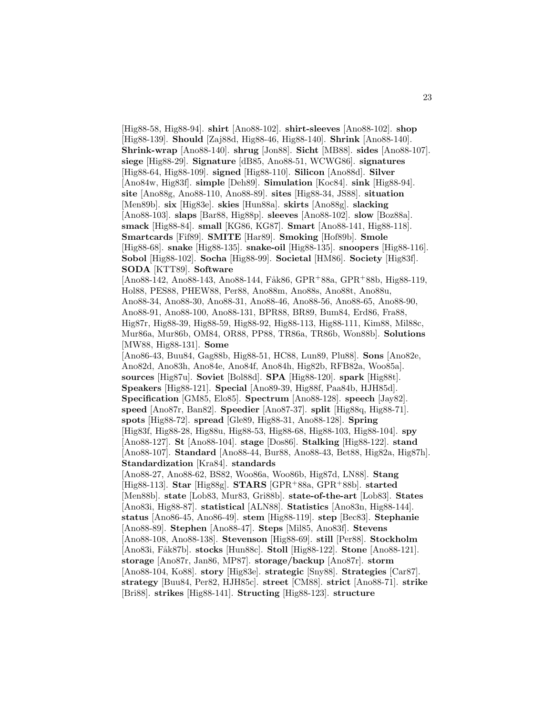[Hig88-58, Hig88-94]. **shirt** [Ano88-102]. **shirt-sleeves** [Ano88-102]. **shop** [Hig88-139]. **Should** [Zaj88d, Hig88-46, Hig88-140]. **Shrink** [Ano88-140]. **Shrink-wrap** [Ano88-140]. **shrug** [Jon88]. **Sicht** [MB88]. **sides** [Ano88-107]. **siege** [Hig88-29]. **Signature** [dB85, Ano88-51, WCWG86]. **signatures** [Hig88-64, Hig88-109]. **signed** [Hig88-110]. **Silicon** [Ano88d]. **Silver** [Ano84w, Hig83f]. **simple** [Deh89]. **Simulation** [Koc84]. **sink** [Hig88-94]. **site** [Ano88g, Ano88-110, Ano88-89]. **sites** [Hig88-34, JS88]. **situation** [Men89b]. **six** [Hig83e]. **skies** [Hun88a]. **skirts** [Ano88g]. **slacking** [Ano88-103]. **slaps** [Bar88, Hig88p]. **sleeves** [Ano88-102]. **slow** [Boz88a]. **smack** [Hig88-84]. **small** [KG86, KG87]. **Smart** [Ano88-141, Hig88-118]. **Smartcards** [Fif89]. **SMITE** [Har89]. **Smoking** [Hof89b]. **Smole** [Hig88-68]. **snake** [Hig88-135]. **snake-oil** [Hig88-135]. **snoopers** [Hig88-116]. **Sobol** [Hig88-102]. **Socha** [Hig88-99]. **Societal** [HM86]. **Society** [Hig83f]. **SODA** [KTT89]. **Software**  $[Ano88-142, Ano88-143, Ano88-144, Fåk86, GPR+88a, GPR+88b, Hig88-119,$ Hol88, PES88, PHEW88, Per88, Ano88m, Ano88s, Ano88t, Ano88u, Ano88-34, Ano88-30, Ano88-31, Ano88-46, Ano88-56, Ano88-65, Ano88-90, Ano88-91, Ano88-100, Ano88-131, BPR88, BR89, Bum84, Erd86, Fra88, Hig87r, Hig88-39, Hig88-59, Hig88-92, Hig88-113, Hig88-111, Kim88, Mil88c, Mur86a, Mur86b, OM84, OR88, PP88, TR86a, TR86b, Won88b]. **Solutions** [MW88, Hig88-131]. **Some** [Ano86-43, Buu84, Gag88b, Hig88-51, HC88, Lun89, Plu88]. **Sons** [Ano82e, Ano82d, Ano83h, Ano84e, Ano84f, Ano84h, Hig82b, RFB82a, Woo85a]. **sources** [Hig87u]. **Soviet** [Bol88d]. **SPA** [Hig88-120]. **spark** [Hig88t]. **Speakers** [Hig88-121]. **Special** [Ano89-39, Hig88f, Paa84b, HJH85d]. **Specification** [GM85, Elo85]. **Spectrum** [Ano88-128]. **speech** [Jay82]. **speed** [Ano87r, Ban82]. **Speedier** [Ano87-37]. **split** [Hig88q, Hig88-71]. **spots** [Hig88-72]. **spread** [Gle89, Hig88-31, Ano88-128]. **Spring** [Hig83f, Hig88-28, Hig88u, Hig88-53, Hig88-68, Hig88-103, Hig88-104]. **spy** [Ano88-127]. **St** [Ano88-104]. **stage** [Dos86]. **Stalking** [Hig88-122]. **stand** [Ano88-107]. **Standard** [Ano88-44, Bur88, Ano88-43, Bet88, Hig82a, Hig87h]. **Standardization** [Kra84]. **standards** [Ano88-27, Ano88-62, BS82, Woo86a, Woo86b, Hig87d, LN88]. **Stang** [Hig88-113]. **Star** [Hig88g]. **STARS** [GPR<sup>+</sup>88a, GPR<sup>+</sup>88b]. **started** [Men88b]. **state** [Lob83, Mur83, Gri88b]. **state-of-the-art** [Lob83]. **States** [Ano83i, Hig88-87]. **statistical** [ALN88]. **Statistics** [Ano83n, Hig88-144]. **status** [Ano86-45, Ano86-49]. **stem** [Hig88-119]. **step** [Bec83]. **Stephanie** [Ano88-89]. **Stephen** [Ano88-47]. **Steps** [Mil85, Ano83f]. **Stevens** [Ano88-108, Ano88-138]. **Stevenson** [Hig88-69]. **still** [Per88]. **Stockholm** [Ano83i, Fåk87b]. **stocks** [Hun88c]. **Stoll** [Hig88-122]. **Stone** [Ano88-121]. **storage** [Ano87r, Jan86, MP87]. **storage/backup** [Ano87r]. **storm** [Ano88-104, Ko88]. **story** [Hig83e]. **strategic** [Sny88]. **Strategies** [Car87]. **strategy** [Buu84, Per82, HJH85c]. **street** [CM88]. **strict** [Ano88-71]. **strike** [Bri88]. **strikes** [Hig88-141]. **Structing** [Hig88-123]. **structure**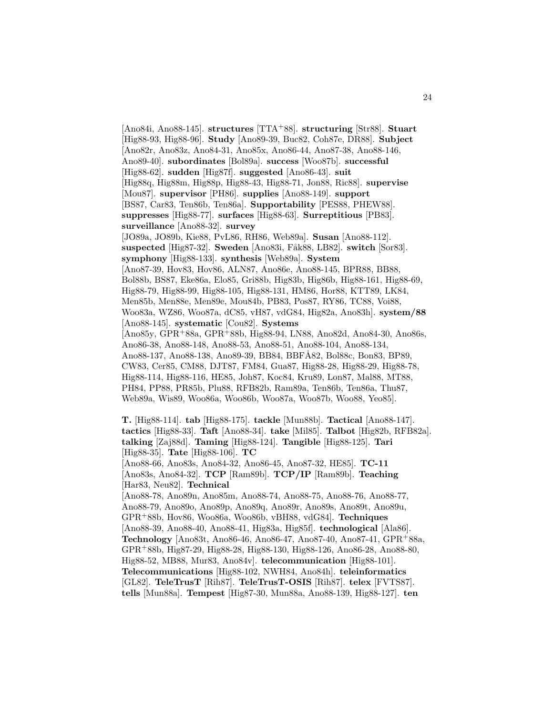[Ano84i, Ano88-145]. **structures** [TTA<sup>+</sup>88]. **structuring** [Str88]. **Stuart** [Hig88-93, Hig88-96]. **Study** [Ano89-39, Buc82, Coh87e, DR88]. **Subject** [Ano82r, Ano83z, Ano84-31, Ano85x, Ano86-44, Ano87-38, Ano88-146, Ano89-40]. **subordinates** [Bol89a]. **success** [Woo87b]. **successful** [Hig88-62]. **sudden** [Hig87f]. **suggested** [Ano86-43]. **suit** [Hig88q, Hig88m, Hig88p, Hig88-43, Hig88-71, Jon88, Ric88]. **supervise** [Mou87]. **supervisor** [PH86]. **supplies** [Ano88-149]. **support** [BS87, Car83, Ten86b, Ten86a]. **Supportability** [PES88, PHEW88]. **suppresses** [Hig88-77]. **surfaces** [Hig88-63]. **Surreptitious** [PB83]. **surveillance** [Ano88-32]. **survey** [JO89a, JO89b, Kie88, PvL86, RH86, Web89a]. **Susan** [Ano88-112]. **suspected** [Hig87-32]. **Sweden** [Ano83i, Fåk88, LB82]. **switch** [Sor83]. **symphony** [Hig88-133]. **synthesis** [Web89a]. **System** [Ano87-39, Hov83, Hov86, ALN87, Ano86e, Ano88-145, BPR88, BB88, Bol88b, BS87, Eke86a, Elo85, Gri88b, Hig83b, Hig86b, Hig88-161, Hig88-69, Hig88-79, Hig88-99, Hig88-105, Hig88-131, HM86, Hor88, KTT89, LK84, Men85b, Men88e, Men89e, Mou84b, PB83, Pos87, RY86, TC88, Voi88, Woo83a, WZ86, Woo87a, dC85, vH87, vdG84, Hig82a, Ano83h]. **system/88** [Ano88-145]. **systematic** [Cou82]. **Systems** [Ano85y, GPR<sup>+</sup>88a, GPR<sup>+</sup>88b, Hig88-94, LN88, Ano82d, Ano84-30, Ano86s, Ano86-38, Ano88-148, Ano88-53, Ano88-51, Ano88-104, Ano88-134, Ano88-137, Ano88-138, Ano89-39, BB84, BBFÅ82, Bol88c, Bon83, BP89, CW83, Cer85, CM88, DJT87, FM84, Gua87, Hig88-28, Hig88-29, Hig88-78, Hig88-114, Hig88-116, HE85, Joh87, Koc84, Kru89, Lon87, Mal88, MT88, PH84, PP88, PR85b, Plu88, RFB82b, Ram89a, Ten86b, Ten86a, Thu87, Web89a, Wis89, Woo86a, Woo86b, Woo87a, Woo87b, Woo88, Yeo85]. **T.** [Hig88-114]. **tab** [Hig88-175]. **tackle** [Mun88b]. **Tactical** [Ano88-147].

**tactics** [Hig88-33]. **Taft** [Ano88-34]. **take** [Mil85]. **Talbot** [Hig82b, RFB82a]. **talking** [Zaj88d]. **Taming** [Hig88-124]. **Tangible** [Hig88-125]. **Tari** [Hig88-35]. **Tate** [Hig88-106]. **TC** [Ano88-66, Ano83s, Ano84-32, Ano86-45, Ano87-32, HE85]. **TC-11** [Ano83s, Ano84-32]. **TCP** [Ram89b]. **TCP/IP** [Ram89b]. **Teaching** [Har83, Neu82]. **Technical** [Ano88-78, Ano89n, Ano85m, Ano88-74, Ano88-75, Ano88-76, Ano88-77, Ano88-79, Ano89o, Ano89p, Ano89q, Ano89r, Ano89s, Ano89t, Ano89u, GPR<sup>+</sup>88b, Hov86, Woo86a, Woo86b, vBH88, vdG84]. **Techniques** [Ano88-39, Ano88-40, Ano88-41, Hig83a, Hig85f]. **technological** [Ala86]. **Technology** [Ano83t, Ano86-46, Ano86-47, Ano87-40, Ano87-41, GPR<sup>+</sup>88a, GPR<sup>+</sup>88b, Hig87-29, Hig88-28, Hig88-130, Hig88-126, Ano86-28, Ano88-80, Hig88-52, MB88, Mur83, Ano84v]. **telecommunication** [Hig88-101]. **Telecommunications** [Hig88-102, NWH84, Ano84h]. **teleinformatics** [GL82]. **TeleTrusT** [Rih87]. **TeleTrusT-OSIS** [Rih87]. **telex** [FVTS87]. **tells** [Mun88a]. **Tempest** [Hig87-30, Mun88a, Ano88-139, Hig88-127]. **ten**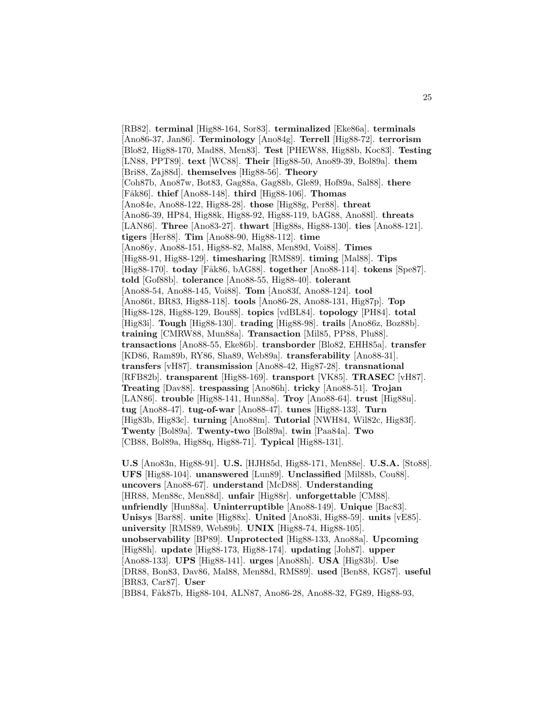[RB82]. **terminal** [Hig88-164, Sor83]. **terminalized** [Eke86a]. **terminals** [Ano86-37, Jan86]. **Terminology** [Ano84g]. **Terrell** [Hig88-72]. **terrorism** [Blo82, Hig88-170, Mad88, Men83]. **Test** [PHEW88, Hig88b, Koc83]. **Testing** [LN88, PPT89]. **text** [WC88]. **Their** [Hig88-50, Ano89-39, Bol89a]. **them** [Bri88, Zaj88d]. **themselves** [Hig88-56]. **Theory** [Coh87b, Ano87w, Bot83, Gag88a, Gag88b, Gle89, Hof89a, Sal88]. **there** [F˚ak86]. **thief** [Ano88-148]. **third** [Hig88-106]. **Thomas** [Ano84e, Ano88-122, Hig88-28]. **those** [Hig88g, Per88]. **threat** [Ano86-39, HP84, Hig88k, Hig88-92, Hig88-119, bAG88, Ano88l]. **threats** [LAN86]. **Three** [Ano83-27]. **thwart** [Hig88s, Hig88-130]. **ties** [Ano88-121]. **tigers** [Her88]. **Tim** [Ano88-90, Hig88-112]. **time** [Ano86y, Ano88-151, Hig88-82, Mal88, Men89d, Voi88]. **Times** [Hig88-91, Hig88-129]. **timesharing** [RMS89]. **timing** [Mal88]. **Tips** [Hig88-170]. **today** [F˚ak86, bAG88]. **together** [Ano88-114]. **tokens** [Spe87]. **told** [Gof88b]. **tolerance** [Ano88-55, Hig88-40]. **tolerant** [Ano88-54, Ano88-145, Voi88]. **Tom** [Ano83f, Ano88-124]. **tool** [Ano86t, BR83, Hig88-118]. **tools** [Ano86-28, Ano88-131, Hig87p]. **Top** [Hig88-128, Hig88-129, Bou88]. **topics** [vdBL84]. **topology** [PH84]. **total** [Hig83i]. **Tough** [Hig88-130]. **trading** [Hig88-98]. **trails** [Ano86z, Boz88b]. **training** [CMRW88, Mun88a]. **Transaction** [Mil85, PP88, Plu88]. **transactions** [Ano88-55, Eke86b]. **transborder** [Blo82, EHH85a]. **transfer** [KD86, Ram89b, RY86, Sha89, Web89a]. **transferability** [Ano88-31]. **transfers** [vH87]. **transmission** [Ano88-42, Hig87-28]. **transnational** [RFB82b]. **transparent** [Hig88-169]. **transport** [VK85]. **TRASEC** [vH87]. **Treating** [Dav88]. **trespassing** [Ano86h]. **tricky** [Ano88-51]. **Trojan** [LAN86]. **trouble** [Hig88-141, Hun88a]. **Troy** [Ano88-64]. **trust** [Hig88u]. **tug** [Ano88-47]. **tug-of-war** [Ano88-47]. **tunes** [Hig88-133]. **Turn** [Hig83b, Hig83c]. **turning** [Ano88m]. **Tutorial** [NWH84, Wil82c, Hig83f]. **Twenty** [Bol89a]. **Twenty-two** [Bol89a]. **twin** [Paa84a]. **Two** [CB88, Bol89a, Hig88q, Hig88-71]. **Typical** [Hig88-131].

**U.S** [Ano83n, Hig88-91]. **U.S.** [HJH85d, Hig88-171, Men88e]. **U.S.A.** [Sto88]. **UFS** [Hig88-104]. **unanswered** [Lun89]. **Unclassified** [Mil88b, Cou88]. **uncovers** [Ano88-67]. **understand** [McD88]. **Understanding** [HR88, Men88c, Men88d]. **unfair** [Hig88r]. **unforgettable** [CM88]. **unfriendly** [Hun88a]. **Uninterruptible** [Ano88-149]. **Unique** [Bac83]. **Unisys** [Bar88]. **unite** [Hig88x]. **United** [Ano83i, Hig88-59]. **units** [vE85]. **university** [RMS89, Web89b]. **UNIX** [Hig88-74, Hig88-105]. **unobservability** [BP89]. **Unprotected** [Hig88-133, Ano88a]. **Upcoming** [Hig88h]. **update** [Hig88-173, Hig88-174]. **updating** [Joh87]. **upper** [Ano88-133]. **UPS** [Hig88-141]. **urges** [Ano88h]. **USA** [Hig83b]. **Use** [DR88, Bon83, Dav86, Mal88, Men88d, RMS89]. **used** [Ben88, KG87]. **useful** [BR83, Car87]. **User** [BB84, Fåk87b, Hig88-104, ALN87, Ano86-28, Ano88-32, FG89, Hig88-93,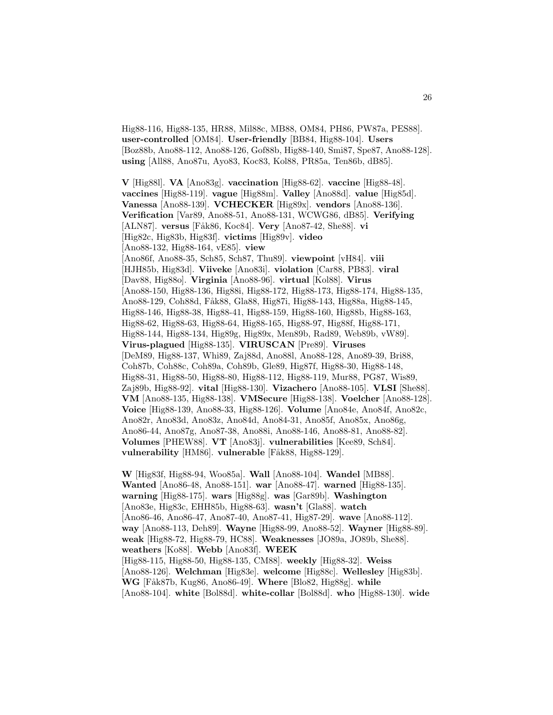Hig88-116, Hig88-135, HR88, Mil88c, MB88, OM84, PH86, PW87a, PES88]. **user-controlled** [OM84]. **User-friendly** [BB84, Hig88-104]. **Users** [Boz88b, Ano88-112, Ano88-126, Gof88b, Hig88-140, Smi87, Spe87, Ano88-128]. **using** [All88, Ano87u, Ayo83, Koc83, Kol88, PR85a, Ten86b, dB85].

**V** [Hig88l]. **VA** [Ano83g]. **vaccination** [Hig88-62]. **vaccine** [Hig88-48]. **vaccines** [Hig88-119]. **vague** [Hig88m]. **Valley** [Ano88d]. **value** [Hig85d]. **Vanessa** [Ano88-139]. **VCHECKER** [Hig89x]. **vendors** [Ano88-136]. **Verification** [Var89, Ano88-51, Ano88-131, WCWG86, dB85]. **Verifying** [ALN87]. **versus** [F˚ak86, Koc84]. **Very** [Ano87-42, She88]. **vi** [Hig82c, Hig83b, Hig83f]. **victims** [Hig89v]. **video** [Ano88-132, Hig88-164, vE85]. **view** [Ano86f, Ano88-35, Sch85, Sch87, Thu89]. **viewpoint** [vH84]. **viii** [HJH85b, Hig83d]. **Viiveke** [Ano83i]. **violation** [Car88, PB83]. **viral** [Dav88, Hig88o]. **Virginia** [Ano88-96]. **virtual** [Kol88]. **Virus** [Ano88-150, Hig88-136, Hig88i, Hig88-172, Hig88-173, Hig88-174, Hig88-135, Ano88-129, Coh88d, Fåk88, Gla88, Hig87i, Hig88-143, Hig88a, Hig88-145, Hig88-146, Hig88-38, Hig88-41, Hig88-159, Hig88-160, Hig88b, Hig88-163, Hig88-62, Hig88-63, Hig88-64, Hig88-165, Hig88-97, Hig88f, Hig88-171, Hig88-144, Hig88-134, Hig89g, Hig89x, Men89b, Rad89, Web89b, vW89]. **Virus-plagued** [Hig88-135]. **VIRUSCAN** [Pre89]. **Viruses** [DeM89, Hig88-137, Whi89, Zaj88d, Ano88l, Ano88-128, Ano89-39, Bri88, Coh87b, Coh88c, Coh89a, Coh89b, Gle89, Hig87f, Hig88-30, Hig88-148, Hig88-31, Hig88-50, Hig88-80, Hig88-112, Hig88-119, Mur88, PG87, Wis89, Zaj89b, Hig88-92]. **vital** [Hig88-130]. **Vizachero** [Ano88-105]. **VLSI** [She88]. **VM** [Ano88-135, Hig88-138]. **VMSecure** [Hig88-138]. **Voelcher** [Ano88-128]. **Voice** [Hig88-139, Ano88-33, Hig88-126]. **Volume** [Ano84e, Ano84f, Ano82c, Ano82r, Ano83d, Ano83z, Ano84d, Ano84-31, Ano85f, Ano85x, Ano86g, Ano86-44, Ano87g, Ano87-38, Ano88i, Ano88-146, Ano88-81, Ano88-82]. **Volumes** [PHEW88]. **VT** [Ano83j]. **vulnerabilities** [Kee89, Sch84]. **vulnerability** [HM86]. **vulnerable** [Fåk88, Hig88-129].

**W** [Hig83f, Hig88-94, Woo85a]. **Wall** [Ano88-104]. **Wandel** [MB88]. **Wanted** [Ano86-48, Ano88-151]. **war** [Ano88-47]. **warned** [Hig88-135]. **warning** [Hig88-175]. **wars** [Hig88g]. **was** [Gar89b]. **Washington** [Ano83e, Hig83c, EHH85b, Hig88-63]. **wasn't** [Gla88]. **watch** [Ano86-46, Ano86-47, Ano87-40, Ano87-41, Hig87-29]. **wave** [Ano88-112]. **way** [Ano88-113, Deh89]. **Wayne** [Hig88-99, Ano88-52]. **Wayner** [Hig88-89]. **weak** [Hig88-72, Hig88-79, HC88]. **Weaknesses** [JO89a, JO89b, She88]. **weathers** [Ko88]. **Webb** [Ano83f]. **WEEK** [Hig88-115, Hig88-50, Hig88-135, CM88]. **weekly** [Hig88-32]. **Weiss** [Ano88-126]. **Welchman** [Hig83e]. **welcome** [Hig88c]. **Wellesley** [Hig83b]. **WG** [F˚ak87b, Kug86, Ano86-49]. **Where** [Blo82, Hig88g]. **while** [Ano88-104]. **white** [Bol88d]. **white-collar** [Bol88d]. **who** [Hig88-130]. **wide**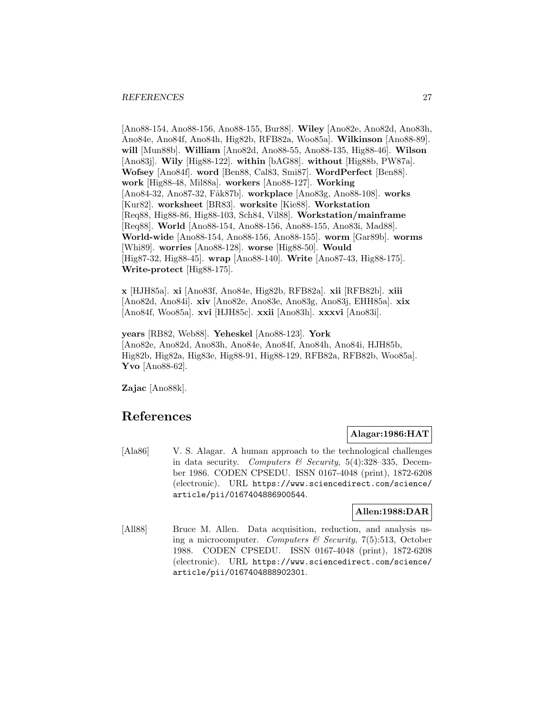#### *REFERENCES* 27

[Ano88-154, Ano88-156, Ano88-155, Bur88]. **Wiley** [Ano82e, Ano82d, Ano83h, Ano84e, Ano84f, Ano84h, Hig82b, RFB82a, Woo85a]. **Wilkinson** [Ano88-89]. **will** [Mun88b]. **William** [Ano82d, Ano88-55, Ano88-135, Hig88-46]. **Wilson** [Ano83j]. **Wily** [Hig88-122]. **within** [bAG88]. **without** [Hig88b, PW87a]. **Wofsey** [Ano84f]. **word** [Ben88, Cal83, Smi87]. **WordPerfect** [Ben88]. **work** [Hig88-48, Mil88a]. **workers** [Ano88-127]. **Working** [Ano84-32, Ano87-32, F˚ak87b]. **workplace** [Ano83g, Ano88-108]. **works** [Kur82]. **worksheet** [BR83]. **worksite** [Kie88]. **Workstation** [Req88, Hig88-86, Hig88-103, Sch84, Vil88]. **Workstation/mainframe** [Req88]. **World** [Ano88-154, Ano88-156, Ano88-155, Ano83i, Mad88]. **World-wide** [Ano88-154, Ano88-156, Ano88-155]. **worm** [Gar89b]. **worms** [Whi89]. **worries** [Ano88-128]. **worse** [Hig88-50]. **Would** [Hig87-32, Hig88-45]. **wrap** [Ano88-140]. **Write** [Ano87-43, Hig88-175]. **Write-protect** [Hig88-175].

**x** [HJH85a]. **xi** [Ano83f, Ano84e, Hig82b, RFB82a]. **xii** [RFB82b]. **xiii** [Ano82d, Ano84i]. **xiv** [Ano82e, Ano83e, Ano83g, Ano83j, EHH85a]. **xix** [Ano84f, Woo85a]. **xvi** [HJH85c]. **xxii** [Ano83h]. **xxxvi** [Ano83i].

**years** [RB82, Web88]. **Yeheskel** [Ano88-123]. **York** [Ano82e, Ano82d, Ano83h, Ano84e, Ano84f, Ano84h, Ano84i, HJH85b, Hig82b, Hig82a, Hig83e, Hig88-91, Hig88-129, RFB82a, RFB82b, Woo85a]. **Yvo** [Ano88-62].

**Zajac** [Ano88k].

## **References**

## **Alagar:1986:HAT**

[Ala86] V. S. Alagar. A human approach to the technological challenges in data security. Computers & Security,  $5(4):328-335$ , December 1986. CODEN CPSEDU. ISSN 0167-4048 (print), 1872-6208 (electronic). URL https://www.sciencedirect.com/science/ article/pii/0167404886900544.

## **Allen:1988:DAR**

[All88] Bruce M. Allen. Data acquisition, reduction, and analysis using a microcomputer. Computers  $\mathcal B$  Security, 7(5):513, October 1988. CODEN CPSEDU. ISSN 0167-4048 (print), 1872-6208 (electronic). URL https://www.sciencedirect.com/science/ article/pii/0167404888902301.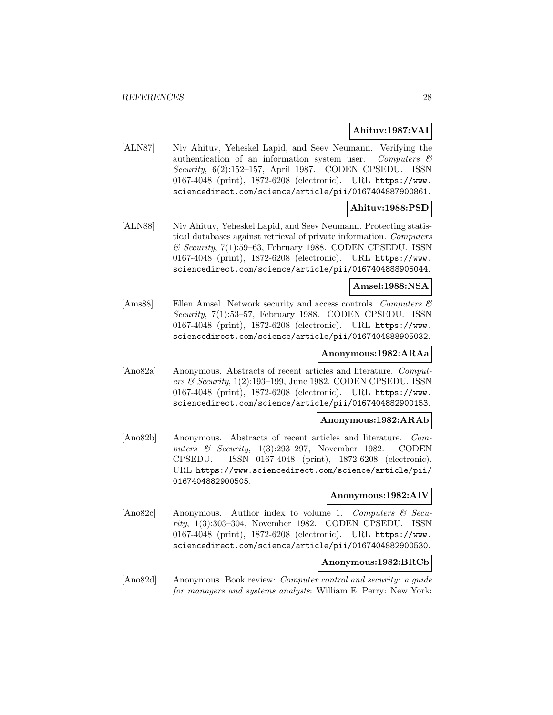## **Ahituv:1987:VAI**

[ALN87] Niv Ahituv, Yeheskel Lapid, and Seev Neumann. Verifying the authentication of an information system user. Computers  $\mathcal{C}$ Security, 6(2):152–157, April 1987. CODEN CPSEDU. ISSN 0167-4048 (print), 1872-6208 (electronic). URL https://www. sciencedirect.com/science/article/pii/0167404887900861.

## **Ahituv:1988:PSD**

[ALN88] Niv Ahituv, Yeheskel Lapid, and Seev Neumann. Protecting statistical databases against retrieval of private information. Computers  $\&$  Security, 7(1):59–63, February 1988. CODEN CPSEDU. ISSN 0167-4048 (print), 1872-6208 (electronic). URL https://www. sciencedirect.com/science/article/pii/0167404888905044.

## **Amsel:1988:NSA**

[Ams88] Ellen Amsel. Network security and access controls. Computers & Security, 7(1):53–57, February 1988. CODEN CPSEDU. ISSN 0167-4048 (print), 1872-6208 (electronic). URL https://www. sciencedirect.com/science/article/pii/0167404888905032.

## **Anonymous:1982:ARAa**

[Ano82a] Anonymous. Abstracts of recent articles and literature. Computers & Security, 1(2):193–199, June 1982. CODEN CPSEDU. ISSN 0167-4048 (print), 1872-6208 (electronic). URL https://www. sciencedirect.com/science/article/pii/0167404882900153.

## **Anonymous:1982:ARAb**

[Ano82b] Anonymous. Abstracts of recent articles and literature. Computers & Security, 1(3):293–297, November 1982. CODEN CPSEDU. ISSN 0167-4048 (print), 1872-6208 (electronic). URL https://www.sciencedirect.com/science/article/pii/ 0167404882900505.

## **Anonymous:1982:AIV**

[Ano82c] Anonymous. Author index to volume 1. Computers & Security, 1(3):303–304, November 1982. CODEN CPSEDU. ISSN 0167-4048 (print), 1872-6208 (electronic). URL https://www. sciencedirect.com/science/article/pii/0167404882900530.

## **Anonymous:1982:BRCb**

[Ano82d] Anonymous. Book review: Computer control and security: a guide for managers and systems analysts: William E. Perry: New York: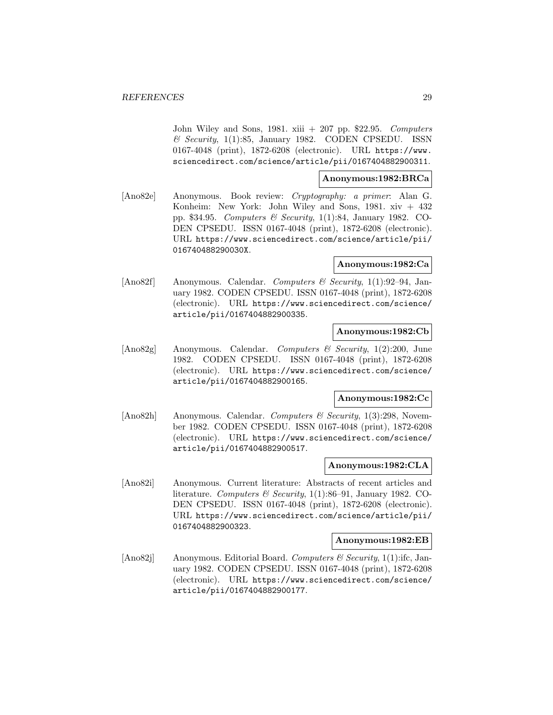John Wiley and Sons, 1981. xiii  $+207$  pp. \$22.95. Computers & Security, 1(1):85, January 1982. CODEN CPSEDU. ISSN 0167-4048 (print), 1872-6208 (electronic). URL https://www. sciencedirect.com/science/article/pii/0167404882900311.

## **Anonymous:1982:BRCa**

[Ano82e] Anonymous. Book review: Cryptography: a primer: Alan G. Konheim: New York: John Wiley and Sons, 1981. xiv  $+432$ pp. \$34.95. Computers & Security, 1(1):84, January 1982. CO-DEN CPSEDU. ISSN 0167-4048 (print), 1872-6208 (electronic). URL https://www.sciencedirect.com/science/article/pii/ 016740488290030X.

## **Anonymous:1982:Ca**

[Ano82f] Anonymous. Calendar. Computers & Security, 1(1):92–94, January 1982. CODEN CPSEDU. ISSN 0167-4048 (print), 1872-6208 (electronic). URL https://www.sciencedirect.com/science/ article/pii/0167404882900335.

## **Anonymous:1982:Cb**

[Ano82g] Anonymous. Calendar. Computers & Security, 1(2):200, June 1982. CODEN CPSEDU. ISSN 0167-4048 (print), 1872-6208 (electronic). URL https://www.sciencedirect.com/science/ article/pii/0167404882900165.

#### **Anonymous:1982:Cc**

[Ano82h] Anonymous. Calendar. Computers & Security, 1(3):298, November 1982. CODEN CPSEDU. ISSN 0167-4048 (print), 1872-6208 (electronic). URL https://www.sciencedirect.com/science/ article/pii/0167404882900517.

#### **Anonymous:1982:CLA**

[Ano82i] Anonymous. Current literature: Abstracts of recent articles and literature. Computers & Security, 1(1):86–91, January 1982. CO-DEN CPSEDU. ISSN 0167-4048 (print), 1872-6208 (electronic). URL https://www.sciencedirect.com/science/article/pii/ 0167404882900323.

## **Anonymous:1982:EB**

[Ano82j] Anonymous. Editorial Board. Computers  $\mathcal C$  Security, 1(1):ifc, January 1982. CODEN CPSEDU. ISSN 0167-4048 (print), 1872-6208 (electronic). URL https://www.sciencedirect.com/science/ article/pii/0167404882900177.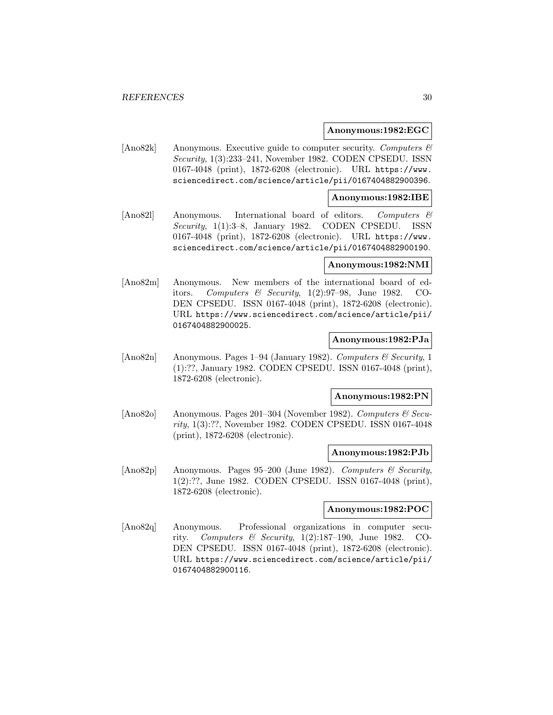## **Anonymous:1982:EGC**

[Ano82k] Anonymous. Executive guide to computer security. Computers  $\mathcal C$ Security, 1(3):233–241, November 1982. CODEN CPSEDU. ISSN 0167-4048 (print), 1872-6208 (electronic). URL https://www. sciencedirect.com/science/article/pii/0167404882900396.

## **Anonymous:1982:IBE**

[Ano82l] Anonymous. International board of editors. Computers & Security, 1(1):3–8, January 1982. CODEN CPSEDU. ISSN 0167-4048 (print), 1872-6208 (electronic). URL https://www. sciencedirect.com/science/article/pii/0167404882900190.

## **Anonymous:1982:NMI**

[Ano82m] Anonymous. New members of the international board of editors. Computers & Security, 1(2):97–98, June 1982. CO-DEN CPSEDU. ISSN 0167-4048 (print), 1872-6208 (electronic). URL https://www.sciencedirect.com/science/article/pii/ 0167404882900025.

## **Anonymous:1982:PJa**

[Ano82n] Anonymous. Pages 1–94 (January 1982). Computers & Security, 1 (1):??, January 1982. CODEN CPSEDU. ISSN 0167-4048 (print), 1872-6208 (electronic).

## **Anonymous:1982:PN**

[Ano82o] Anonymous. Pages 201–304 (November 1982). Computers  $\mathcal{C}$  Security, 1(3):??, November 1982. CODEN CPSEDU. ISSN 0167-4048 (print), 1872-6208 (electronic).

#### **Anonymous:1982:PJb**

[Ano82p] Anonymous. Pages 95–200 (June 1982). Computers & Security, 1(2):??, June 1982. CODEN CPSEDU. ISSN 0167-4048 (print), 1872-6208 (electronic).

## **Anonymous:1982:POC**

[Ano82q] Anonymous. Professional organizations in computer security. Computers & Security, 1(2):187–190, June 1982. CO-DEN CPSEDU. ISSN 0167-4048 (print), 1872-6208 (electronic). URL https://www.sciencedirect.com/science/article/pii/ 0167404882900116.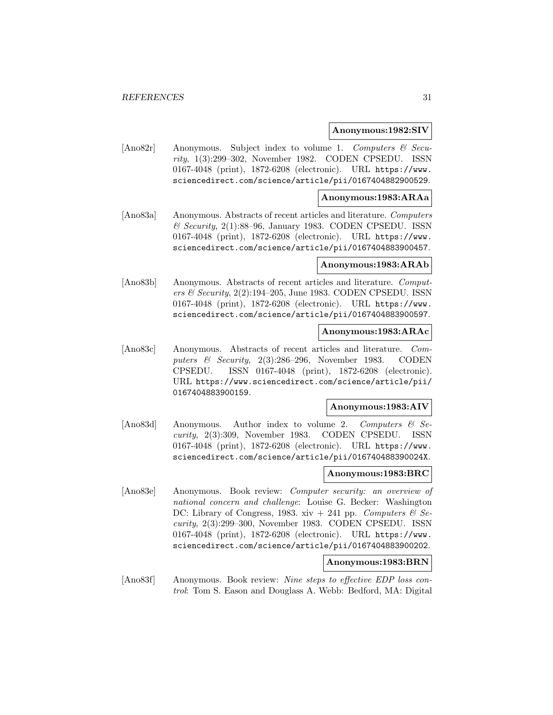#### **Anonymous:1982:SIV**

[Ano82r] Anonymous. Subject index to volume 1. Computers & Security, 1(3):299–302, November 1982. CODEN CPSEDU. ISSN 0167-4048 (print), 1872-6208 (electronic). URL https://www. sciencedirect.com/science/article/pii/0167404882900529.

## **Anonymous:1983:ARAa**

[Ano83a] Anonymous. Abstracts of recent articles and literature. Computers  $\mathcal C$  Security, 2(1):88–96, January 1983. CODEN CPSEDU. ISSN 0167-4048 (print), 1872-6208 (electronic). URL https://www. sciencedirect.com/science/article/pii/0167404883900457.

## **Anonymous:1983:ARAb**

[Ano83b] Anonymous. Abstracts of recent articles and literature. Computers & Security, 2(2):194–205, June 1983. CODEN CPSEDU. ISSN 0167-4048 (print), 1872-6208 (electronic). URL https://www. sciencedirect.com/science/article/pii/0167404883900597.

## **Anonymous:1983:ARAc**

[Ano83c] Anonymous. Abstracts of recent articles and literature. Computers & Security,  $2(3):286-296$ , November 1983. CODEN CPSEDU. ISSN 0167-4048 (print), 1872-6208 (electronic). URL https://www.sciencedirect.com/science/article/pii/ 0167404883900159.

## **Anonymous:1983:AIV**

[Ano83d] Anonymous. Author index to volume 2. Computers & Security, 2(3):309, November 1983. CODEN CPSEDU. ISSN 0167-4048 (print), 1872-6208 (electronic). URL https://www. sciencedirect.com/science/article/pii/016740488390024X.

#### **Anonymous:1983:BRC**

[Ano83e] Anonymous. Book review: Computer security: an overview of national concern and challenge: Louise G. Becker: Washington DC: Library of Congress, 1983. xiv + 241 pp. Computers  $\mathcal{C}$  Security, 2(3):299–300, November 1983. CODEN CPSEDU. ISSN 0167-4048 (print), 1872-6208 (electronic). URL https://www. sciencedirect.com/science/article/pii/0167404883900202.

## **Anonymous:1983:BRN**

[Ano83f] Anonymous. Book review: Nine steps to effective EDP loss control: Tom S. Eason and Douglass A. Webb: Bedford, MA: Digital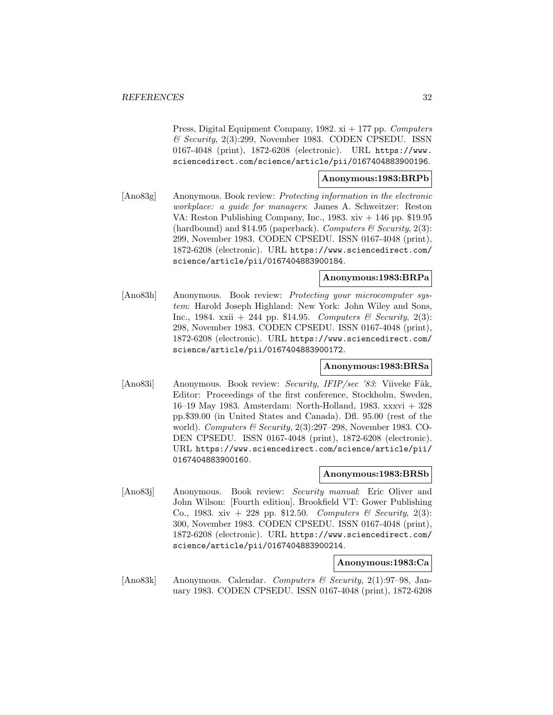Press, Digital Equipment Company, 1982.  $xi + 177$  pp. Computers & Security, 2(3):299, November 1983. CODEN CPSEDU. ISSN 0167-4048 (print), 1872-6208 (electronic). URL https://www. sciencedirect.com/science/article/pii/0167404883900196.

## **Anonymous:1983:BRPb**

[Ano83g] Anonymous. Book review: Protecting information in the electronic workplace: a guide for managers: James A. Schweitzer: Reston VA: Reston Publishing Company, Inc., 1983. xiv + 146 pp. \$19.95 (hardbound) and \$14.95 (paperback). Computers  $\mathcal C$  Security, 2(3): 299, November 1983. CODEN CPSEDU. ISSN 0167-4048 (print), 1872-6208 (electronic). URL https://www.sciencedirect.com/ science/article/pii/0167404883900184.

#### **Anonymous:1983:BRPa**

[Ano83h] Anonymous. Book review: Protecting your microcomputer system: Harold Joseph Highland: New York: John Wiley and Sons, Inc., 1984. xxii + 244 pp. \$14.95. Computers & Security, 2(3): 298, November 1983. CODEN CPSEDU. ISSN 0167-4048 (print), 1872-6208 (electronic). URL https://www.sciencedirect.com/ science/article/pii/0167404883900172.

## **Anonymous:1983:BRSa**

[Ano83i] Anonymous. Book review: Security, IFIP/sec '83: Viiveke Fåk, Editor: Proceedings of the first conference, Stockholm, Sweden, 16–19 May 1983. Amsterdam: North-Holland, 1983. xxxvi + 328 pp.\$39.00 (in United States and Canada). Dfl. 95.00 (rest of the world). Computers & Security,  $2(3):297-298$ , November 1983. CO-DEN CPSEDU. ISSN 0167-4048 (print), 1872-6208 (electronic). URL https://www.sciencedirect.com/science/article/pii/ 0167404883900160.

#### **Anonymous:1983:BRSb**

[Ano83j] Anonymous. Book review: Security manual: Eric Oliver and John Wilson: [Fourth edition]. Brookfield VT: Gower Publishing Co., 1983. xiv + 228 pp. \$12.50. Computers & Security, 2(3): 300, November 1983. CODEN CPSEDU. ISSN 0167-4048 (print), 1872-6208 (electronic). URL https://www.sciencedirect.com/ science/article/pii/0167404883900214.

#### **Anonymous:1983:Ca**

[Ano83k] Anonymous. Calendar. Computers & Security, 2(1):97–98, January 1983. CODEN CPSEDU. ISSN 0167-4048 (print), 1872-6208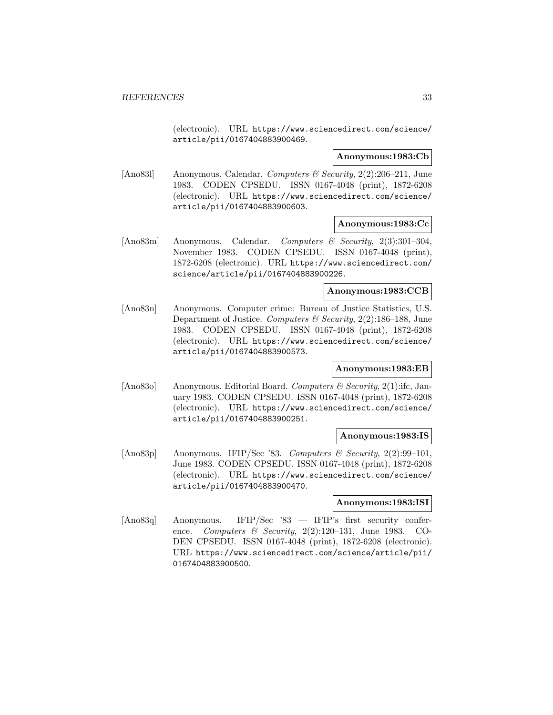(electronic). URL https://www.sciencedirect.com/science/ article/pii/0167404883900469.

## **Anonymous:1983:Cb**

[Ano83l] Anonymous. Calendar. Computers & Security, 2(2):206–211, June 1983. CODEN CPSEDU. ISSN 0167-4048 (print), 1872-6208 (electronic). URL https://www.sciencedirect.com/science/ article/pii/0167404883900603.

## **Anonymous:1983:Cc**

[Ano83m] Anonymous. Calendar. Computers & Security, 2(3):301–304, November 1983. CODEN CPSEDU. ISSN 0167-4048 (print), 1872-6208 (electronic). URL https://www.sciencedirect.com/ science/article/pii/0167404883900226.

#### **Anonymous:1983:CCB**

[Ano83n] Anonymous. Computer crime: Bureau of Justice Statistics, U.S. Department of Justice. Computers & Security,  $2(2)$ :186-188, June 1983. CODEN CPSEDU. ISSN 0167-4048 (print), 1872-6208 (electronic). URL https://www.sciencedirect.com/science/ article/pii/0167404883900573.

#### **Anonymous:1983:EB**

[Ano83o] Anonymous. Editorial Board. Computers & Security, 2(1):ifc, January 1983. CODEN CPSEDU. ISSN 0167-4048 (print), 1872-6208 (electronic). URL https://www.sciencedirect.com/science/ article/pii/0167404883900251.

#### **Anonymous:1983:IS**

[Ano83p] Anonymous. IFIP/Sec '83. Computers & Security, 2(2):99–101, June 1983. CODEN CPSEDU. ISSN 0167-4048 (print), 1872-6208 (electronic). URL https://www.sciencedirect.com/science/ article/pii/0167404883900470.

#### **Anonymous:1983:ISI**

[Ano83q] Anonymous. IFIP/Sec '83 — IFIP's first security conference. Computers & Security,  $2(2):120-131$ , June 1983. CO-DEN CPSEDU. ISSN 0167-4048 (print), 1872-6208 (electronic). URL https://www.sciencedirect.com/science/article/pii/ 0167404883900500.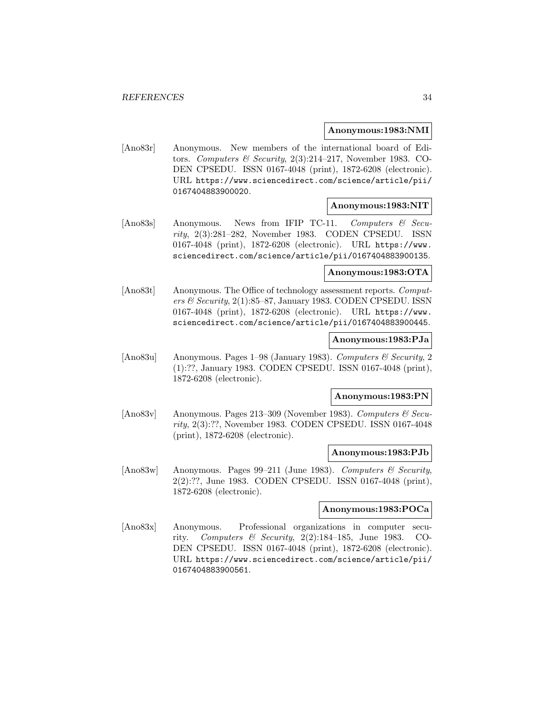## **Anonymous:1983:NMI**

[Ano83r] Anonymous. New members of the international board of Editors. Computers & Security, 2(3):214–217, November 1983. CO-DEN CPSEDU. ISSN 0167-4048 (print), 1872-6208 (electronic). URL https://www.sciencedirect.com/science/article/pii/ 0167404883900020.

#### **Anonymous:1983:NIT**

[Ano83s] Anonymous. News from IFIP TC-11. Computers & Security, 2(3):281–282, November 1983. CODEN CPSEDU. ISSN 0167-4048 (print), 1872-6208 (electronic). URL https://www. sciencedirect.com/science/article/pii/0167404883900135.

## **Anonymous:1983:OTA**

[Ano83t] Anonymous. The Office of technology assessment reports. Computers & Security,  $2(1)$ :85–87, January 1983. CODEN CPSEDU. ISSN 0167-4048 (print), 1872-6208 (electronic). URL https://www. sciencedirect.com/science/article/pii/0167404883900445.

## **Anonymous:1983:PJa**

[Ano83u] Anonymous. Pages 1–98 (January 1983). Computers & Security, 2 (1):??, January 1983. CODEN CPSEDU. ISSN 0167-4048 (print), 1872-6208 (electronic).

## **Anonymous:1983:PN**

[Ano83v] Anonymous. Pages 213–309 (November 1983). Computers  $\mathcal{C}$  Security, 2(3):??, November 1983. CODEN CPSEDU. ISSN 0167-4048 (print), 1872-6208 (electronic).

#### **Anonymous:1983:PJb**

[Ano83w] Anonymous. Pages 99–211 (June 1983). Computers & Security, 2(2):??, June 1983. CODEN CPSEDU. ISSN 0167-4048 (print), 1872-6208 (electronic).

## **Anonymous:1983:POCa**

[Ano83x] Anonymous. Professional organizations in computer security. Computers & Security,  $2(2):184-185$ , June 1983. CO-DEN CPSEDU. ISSN 0167-4048 (print), 1872-6208 (electronic). URL https://www.sciencedirect.com/science/article/pii/ 0167404883900561.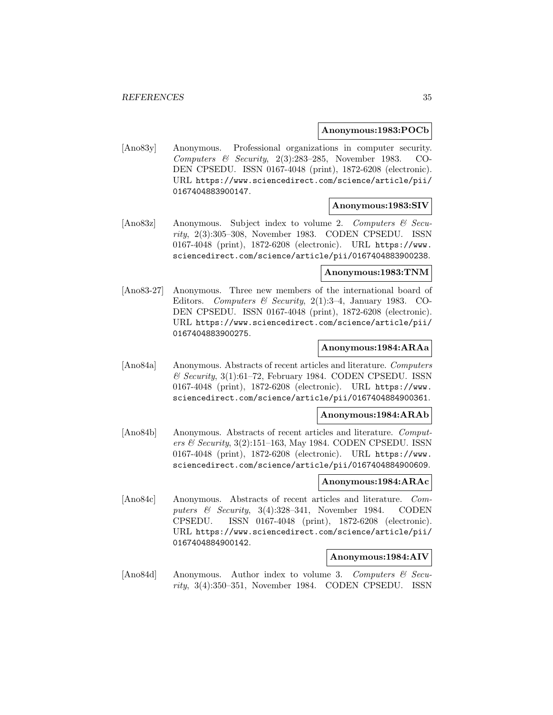## **Anonymous:1983:POCb**

[Ano83y] Anonymous. Professional organizations in computer security. Computers & Security, 2(3):283–285, November 1983. CO-DEN CPSEDU. ISSN 0167-4048 (print), 1872-6208 (electronic). URL https://www.sciencedirect.com/science/article/pii/ 0167404883900147.

#### **Anonymous:1983:SIV**

[Ano83z] Anonymous. Subject index to volume 2. Computers & Security, 2(3):305–308, November 1983. CODEN CPSEDU. ISSN 0167-4048 (print), 1872-6208 (electronic). URL https://www. sciencedirect.com/science/article/pii/0167404883900238.

## **Anonymous:1983:TNM**

[Ano83-27] Anonymous. Three new members of the international board of Editors. Computers & Security, 2(1):3-4, January 1983. CO-DEN CPSEDU. ISSN 0167-4048 (print), 1872-6208 (electronic). URL https://www.sciencedirect.com/science/article/pii/ 0167404883900275.

## **Anonymous:1984:ARAa**

[Ano84a] Anonymous. Abstracts of recent articles and literature. Computers & Security, 3(1):61–72, February 1984. CODEN CPSEDU. ISSN 0167-4048 (print), 1872-6208 (electronic). URL https://www. sciencedirect.com/science/article/pii/0167404884900361.

## **Anonymous:1984:ARAb**

[Ano84b] Anonymous. Abstracts of recent articles and literature. Computers & Security,  $3(2):151-163$ , May 1984. CODEN CPSEDU. ISSN 0167-4048 (print), 1872-6208 (electronic). URL https://www. sciencedirect.com/science/article/pii/0167404884900609.

#### **Anonymous:1984:ARAc**

[Ano84c] Anonymous. Abstracts of recent articles and literature. Computers & Security, 3(4):328–341, November 1984. CODEN CPSEDU. ISSN 0167-4048 (print), 1872-6208 (electronic). URL https://www.sciencedirect.com/science/article/pii/ 0167404884900142.

#### **Anonymous:1984:AIV**

[Ano84d] Anonymous. Author index to volume 3. Computers & Security, 3(4):350–351, November 1984. CODEN CPSEDU. ISSN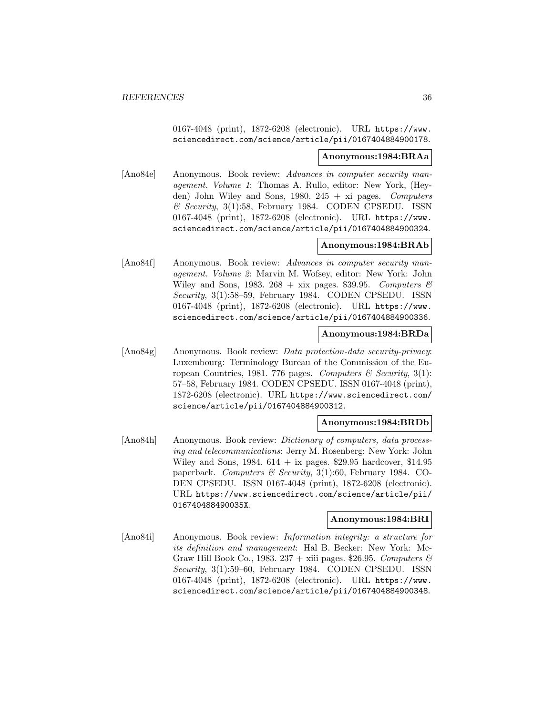0167-4048 (print), 1872-6208 (electronic). URL https://www. sciencedirect.com/science/article/pii/0167404884900178.

## **Anonymous:1984:BRAa**

[Ano84e] Anonymous. Book review: Advances in computer security management. Volume 1: Thomas A. Rullo, editor: New York, (Heyden) John Wiley and Sons,  $1980. 245 + x i$  pages. Computers  $\mathcal C$  Security, 3(1):58, February 1984. CODEN CPSEDU. ISSN 0167-4048 (print), 1872-6208 (electronic). URL https://www. sciencedirect.com/science/article/pii/0167404884900324.

## **Anonymous:1984:BRAb**

[Ano84f] Anonymous. Book review: Advances in computer security management. Volume 2: Marvin M. Wofsey, editor: New York: John Wiley and Sons, 1983.  $268 + xix$  pages. \$39.95. Computers  $\&$ Security, 3(1):58–59, February 1984. CODEN CPSEDU. ISSN 0167-4048 (print), 1872-6208 (electronic). URL https://www. sciencedirect.com/science/article/pii/0167404884900336.

## **Anonymous:1984:BRDa**

[Ano84g] Anonymous. Book review: Data protection-data security-privacy: Luxembourg: Terminology Bureau of the Commission of the European Countries, 1981. 776 pages. Computers & Security, 3(1): 57–58, February 1984. CODEN CPSEDU. ISSN 0167-4048 (print), 1872-6208 (electronic). URL https://www.sciencedirect.com/ science/article/pii/0167404884900312.

## **Anonymous:1984:BRDb**

[Ano84h] Anonymous. Book review: Dictionary of computers, data processing and telecommunications: Jerry M. Rosenberg: New York: John Wiley and Sons,  $1984.614 + i\text{x pages. } $29.95 \text{ hardcover}, $14.95$ paperback. Computers & Security, 3(1):60, February 1984. CO-DEN CPSEDU. ISSN 0167-4048 (print), 1872-6208 (electronic). URL https://www.sciencedirect.com/science/article/pii/ 016740488490035X.

#### **Anonymous:1984:BRI**

[Ano84i] Anonymous. Book review: Information integrity: a structure for its definition and management: Hal B. Becker: New York: Mc-Graw Hill Book Co., 1983. 237 + xiii pages. \$26.95. Computers  $\mathcal{B}$ Security, 3(1):59–60, February 1984. CODEN CPSEDU. ISSN 0167-4048 (print), 1872-6208 (electronic). URL https://www. sciencedirect.com/science/article/pii/0167404884900348.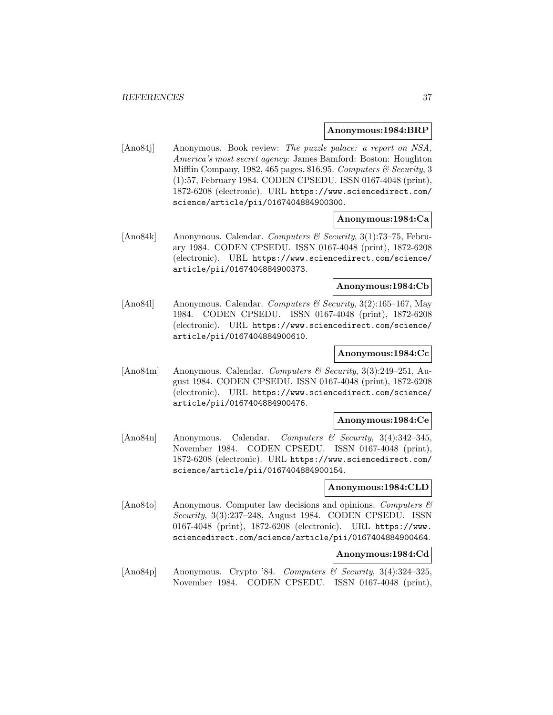## **Anonymous:1984:BRP**

[Ano84j] Anonymous. Book review: The puzzle palace: a report on NSA, America's most secret agency: James Bamford: Boston: Houghton Mifflin Company, 1982, 465 pages. \$16.95. Computers  $\mathcal C$  Security, 3 (1):57, February 1984. CODEN CPSEDU. ISSN 0167-4048 (print), 1872-6208 (electronic). URL https://www.sciencedirect.com/ science/article/pii/0167404884900300.

## **Anonymous:1984:Ca**

[Ano84k] Anonymous. Calendar. Computers & Security, 3(1):73–75, February 1984. CODEN CPSEDU. ISSN 0167-4048 (print), 1872-6208 (electronic). URL https://www.sciencedirect.com/science/ article/pii/0167404884900373.

# **Anonymous:1984:Cb**

[Ano841] Anonymous. Calendar. Computers & Security,  $3(2):165-167$ , May 1984. CODEN CPSEDU. ISSN 0167-4048 (print), 1872-6208 (electronic). URL https://www.sciencedirect.com/science/ article/pii/0167404884900610.

# **Anonymous:1984:Cc**

[Ano84m] Anonymous. Calendar. Computers & Security, 3(3):249-251, August 1984. CODEN CPSEDU. ISSN 0167-4048 (print), 1872-6208 (electronic). URL https://www.sciencedirect.com/science/ article/pii/0167404884900476.

## **Anonymous:1984:Ce**

[Ano84n] Anonymous. Calendar. Computers & Security,  $3(4):342-345$ , November 1984. CODEN CPSEDU. ISSN 0167-4048 (print), 1872-6208 (electronic). URL https://www.sciencedirect.com/ science/article/pii/0167404884900154.

## **Anonymous:1984:CLD**

[Ano84o] Anonymous. Computer law decisions and opinions. Computers & Security, 3(3):237–248, August 1984. CODEN CPSEDU. ISSN 0167-4048 (print), 1872-6208 (electronic). URL https://www. sciencedirect.com/science/article/pii/0167404884900464.

#### **Anonymous:1984:Cd**

[Ano84p] Anonymous. Crypto '84. Computers & Security,  $3(4)$ :324–325, November 1984. CODEN CPSEDU. ISSN 0167-4048 (print),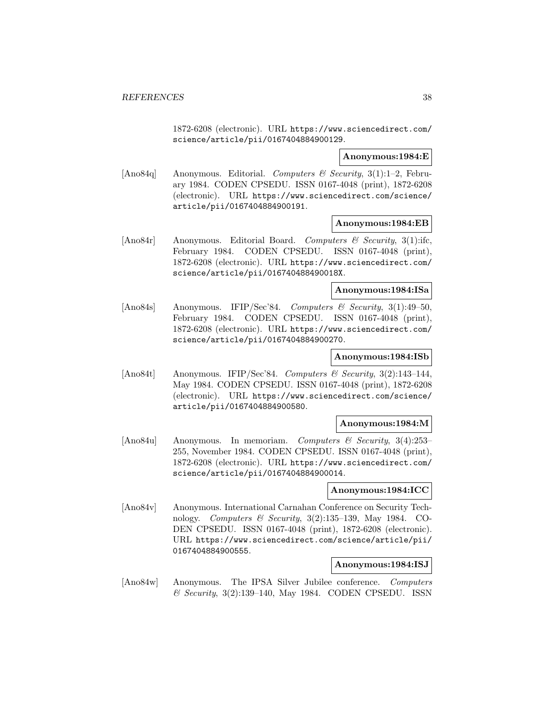1872-6208 (electronic). URL https://www.sciencedirect.com/ science/article/pii/0167404884900129.

## **Anonymous:1984:E**

[Ano84q] Anonymous. Editorial. Computers & Security, 3(1):1-2, February 1984. CODEN CPSEDU. ISSN 0167-4048 (print), 1872-6208 (electronic). URL https://www.sciencedirect.com/science/ article/pii/0167404884900191.

## **Anonymous:1984:EB**

[Ano84r] Anonymous. Editorial Board. Computers & Security, 3(1):ifc, February 1984. CODEN CPSEDU. ISSN 0167-4048 (print), 1872-6208 (electronic). URL https://www.sciencedirect.com/ science/article/pii/016740488490018X.

#### **Anonymous:1984:ISa**

[Ano84s] Anonymous. IFIP/Sec'84. Computers & Security, 3(1):49–50, February 1984. CODEN CPSEDU. ISSN 0167-4048 (print), 1872-6208 (electronic). URL https://www.sciencedirect.com/ science/article/pii/0167404884900270.

# **Anonymous:1984:ISb**

[Ano84t] Anonymous. IFIP/Sec'84. Computers & Security,  $3(2):143-144$ , May 1984. CODEN CPSEDU. ISSN 0167-4048 (print), 1872-6208 (electronic). URL https://www.sciencedirect.com/science/ article/pii/0167404884900580.

#### **Anonymous:1984:M**

[Ano84u] Anonymous. In memoriam. Computers & Security, 3(4):253– 255, November 1984. CODEN CPSEDU. ISSN 0167-4048 (print), 1872-6208 (electronic). URL https://www.sciencedirect.com/ science/article/pii/0167404884900014.

### **Anonymous:1984:ICC**

[Ano84v] Anonymous. International Carnahan Conference on Security Technology. Computers & Security,  $3(2):135-139$ , May 1984. CO-DEN CPSEDU. ISSN 0167-4048 (print), 1872-6208 (electronic). URL https://www.sciencedirect.com/science/article/pii/ 0167404884900555.

## **Anonymous:1984:ISJ**

[Ano84w] Anonymous. The IPSA Silver Jubilee conference. Computers & Security, 3(2):139–140, May 1984. CODEN CPSEDU. ISSN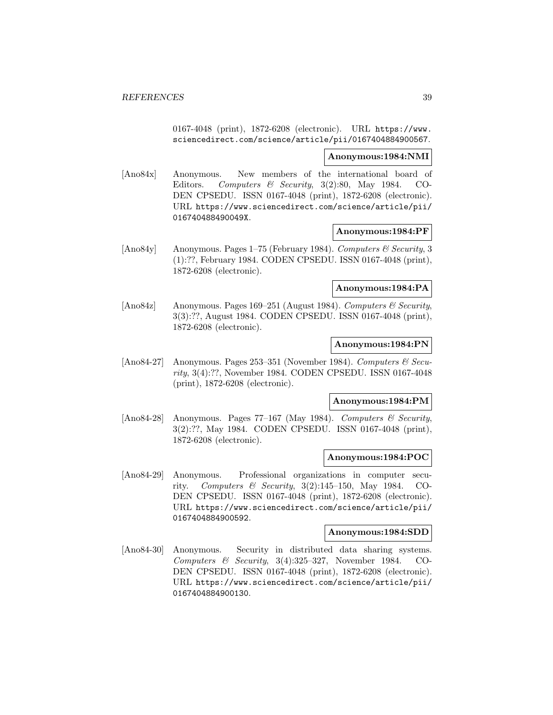0167-4048 (print), 1872-6208 (electronic). URL https://www. sciencedirect.com/science/article/pii/0167404884900567.

### **Anonymous:1984:NMI**

[Ano84x] Anonymous. New members of the international board of Editors. Computers & Security, 3(2):80, May 1984. CO-DEN CPSEDU. ISSN 0167-4048 (print), 1872-6208 (electronic). URL https://www.sciencedirect.com/science/article/pii/ 016740488490049X.

## **Anonymous:1984:PF**

[Ano84y] Anonymous. Pages 1–75 (February 1984). Computers & Security, 3 (1):??, February 1984. CODEN CPSEDU. ISSN 0167-4048 (print), 1872-6208 (electronic).

# **Anonymous:1984:PA**

[Ano84z] Anonymous. Pages 169–251 (August 1984). Computers & Security, 3(3):??, August 1984. CODEN CPSEDU. ISSN 0167-4048 (print), 1872-6208 (electronic).

#### **Anonymous:1984:PN**

[Ano84-27] Anonymous. Pages 253–351 (November 1984). Computers & Security, 3(4):??, November 1984. CODEN CPSEDU. ISSN 0167-4048 (print), 1872-6208 (electronic).

# **Anonymous:1984:PM**

[Ano84-28] Anonymous. Pages 77-167 (May 1984). Computers  $\mathcal{C}$  Security, 3(2):??, May 1984. CODEN CPSEDU. ISSN 0167-4048 (print), 1872-6208 (electronic).

### **Anonymous:1984:POC**

[Ano84-29] Anonymous. Professional organizations in computer security. Computers & Security, 3(2):145–150, May 1984. CO-DEN CPSEDU. ISSN 0167-4048 (print), 1872-6208 (electronic). URL https://www.sciencedirect.com/science/article/pii/ 0167404884900592.

## **Anonymous:1984:SDD**

[Ano84-30] Anonymous. Security in distributed data sharing systems. Computers & Security, 3(4):325–327, November 1984. CO-DEN CPSEDU. ISSN 0167-4048 (print), 1872-6208 (electronic). URL https://www.sciencedirect.com/science/article/pii/ 0167404884900130.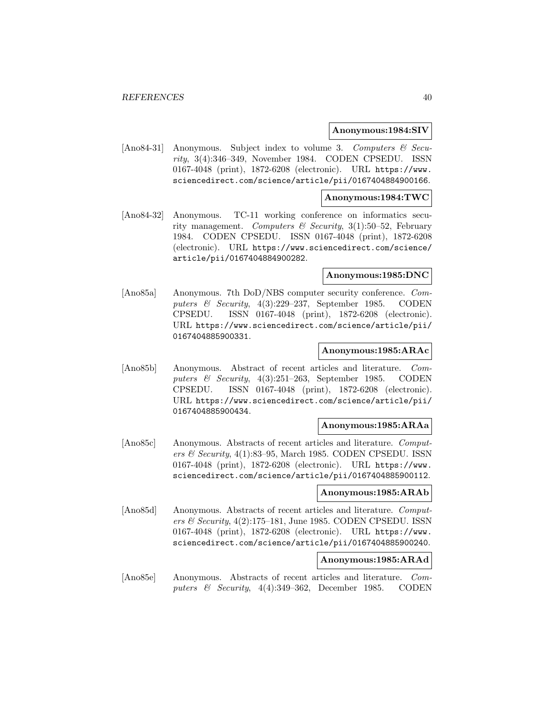## **Anonymous:1984:SIV**

[Ano84-31] Anonymous. Subject index to volume 3. Computers & Security, 3(4):346–349, November 1984. CODEN CPSEDU. ISSN 0167-4048 (print), 1872-6208 (electronic). URL https://www. sciencedirect.com/science/article/pii/0167404884900166.

# **Anonymous:1984:TWC**

[Ano84-32] Anonymous. TC-11 working conference on informatics security management. Computers & Security, 3(1):50–52, February 1984. CODEN CPSEDU. ISSN 0167-4048 (print), 1872-6208 (electronic). URL https://www.sciencedirect.com/science/ article/pii/0167404884900282.

#### **Anonymous:1985:DNC**

[Ano85a] Anonymous. 7th DoD/NBS computer security conference. Computers & Security, 4(3):229–237, September 1985. CODEN CPSEDU. ISSN 0167-4048 (print), 1872-6208 (electronic). URL https://www.sciencedirect.com/science/article/pii/ 0167404885900331.

#### **Anonymous:1985:ARAc**

[Ano85b] Anonymous. Abstract of recent articles and literature. Computers  $\&$  Security, 4(3):251–263, September 1985. CODEN CPSEDU. ISSN 0167-4048 (print), 1872-6208 (electronic). URL https://www.sciencedirect.com/science/article/pii/ 0167404885900434.

#### **Anonymous:1985:ARAa**

[Ano85c] Anonymous. Abstracts of recent articles and literature. Computers & Security,  $4(1):83-95$ , March 1985. CODEN CPSEDU. ISSN 0167-4048 (print), 1872-6208 (electronic). URL https://www. sciencedirect.com/science/article/pii/0167404885900112.

#### **Anonymous:1985:ARAb**

[Ano85d] Anonymous. Abstracts of recent articles and literature. Computers & Security,  $4(2):175-181$ , June 1985. CODEN CPSEDU. ISSN 0167-4048 (print), 1872-6208 (electronic). URL https://www. sciencedirect.com/science/article/pii/0167404885900240.

# **Anonymous:1985:ARAd**

[Ano85e] Anonymous. Abstracts of recent articles and literature. Computers  $\&$  Security, 4(4):349–362, December 1985. CODEN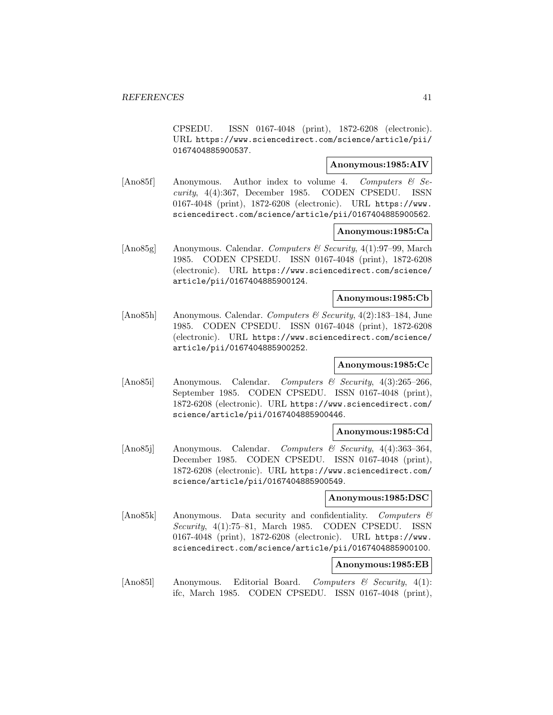CPSEDU. ISSN 0167-4048 (print), 1872-6208 (electronic). URL https://www.sciencedirect.com/science/article/pii/ 0167404885900537.

# **Anonymous:1985:AIV**

[Ano85f] Anonymous. Author index to volume 4. Computers & Security, 4(4):367, December 1985. CODEN CPSEDU. ISSN 0167-4048 (print), 1872-6208 (electronic). URL https://www. sciencedirect.com/science/article/pii/0167404885900562.

## **Anonymous:1985:Ca**

[Ano85g] Anonymous. Calendar. Computers & Security, 4(1):97–99, March 1985. CODEN CPSEDU. ISSN 0167-4048 (print), 1872-6208 (electronic). URL https://www.sciencedirect.com/science/ article/pii/0167404885900124.

# **Anonymous:1985:Cb**

[Ano85h] Anonymous. Calendar. Computers & Security, 4(2):183–184, June 1985. CODEN CPSEDU. ISSN 0167-4048 (print), 1872-6208 (electronic). URL https://www.sciencedirect.com/science/ article/pii/0167404885900252.

# **Anonymous:1985:Cc**

[Ano85i] Anonymous. Calendar. Computers & Security, 4(3):265–266, September 1985. CODEN CPSEDU. ISSN 0167-4048 (print), 1872-6208 (electronic). URL https://www.sciencedirect.com/ science/article/pii/0167404885900446.

# **Anonymous:1985:Cd**

[Ano85j] Anonymous. Calendar. Computers & Security, 4(4):363–364, December 1985. CODEN CPSEDU. ISSN 0167-4048 (print), 1872-6208 (electronic). URL https://www.sciencedirect.com/ science/article/pii/0167404885900549.

# **Anonymous:1985:DSC**

[Ano85k] Anonymous. Data security and confidentiality. Computers & Security, 4(1):75–81, March 1985. CODEN CPSEDU. ISSN 0167-4048 (print), 1872-6208 (electronic). URL https://www. sciencedirect.com/science/article/pii/0167404885900100.

# **Anonymous:1985:EB**

[Ano851] Anonymous. Editorial Board. Computers & Security, 4(1): ifc, March 1985. CODEN CPSEDU. ISSN 0167-4048 (print),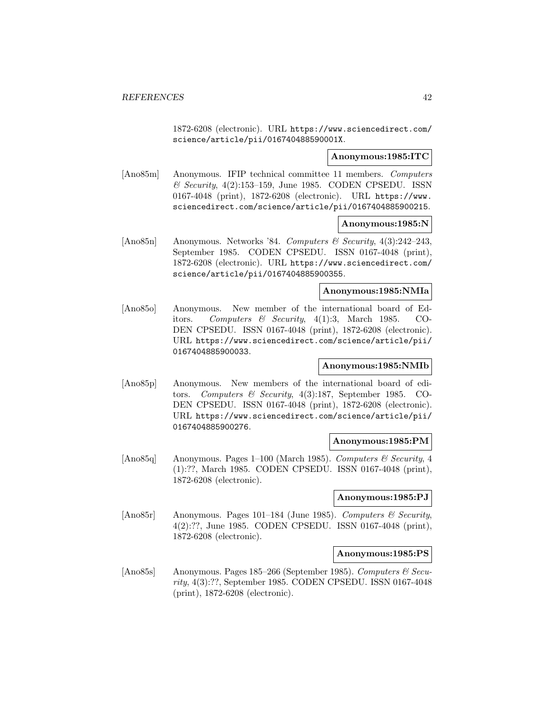1872-6208 (electronic). URL https://www.sciencedirect.com/ science/article/pii/016740488590001X.

# **Anonymous:1985:ITC**

[Ano85m] Anonymous. IFIP technical committee 11 members. Computers  $\mathcal C$  Security, 4(2):153–159, June 1985. CODEN CPSEDU. ISSN 0167-4048 (print), 1872-6208 (electronic). URL https://www. sciencedirect.com/science/article/pii/0167404885900215.

## **Anonymous:1985:N**

[Ano85n] Anonymous. Networks '84. Computers & Security,  $4(3):242-243$ , September 1985. CODEN CPSEDU. ISSN 0167-4048 (print), 1872-6208 (electronic). URL https://www.sciencedirect.com/ science/article/pii/0167404885900355.

## **Anonymous:1985:NMIa**

[Ano85o] Anonymous. New member of the international board of Editors. Computers & Security, 4(1):3, March 1985. CO-DEN CPSEDU. ISSN 0167-4048 (print), 1872-6208 (electronic). URL https://www.sciencedirect.com/science/article/pii/ 0167404885900033.

# **Anonymous:1985:NMIb**

[Ano85p] Anonymous. New members of the international board of editors. Computers & Security, 4(3):187, September 1985. CO-DEN CPSEDU. ISSN 0167-4048 (print), 1872-6208 (electronic). URL https://www.sciencedirect.com/science/article/pii/ 0167404885900276.

#### **Anonymous:1985:PM**

 $[\text{Ano85q}]$  Anonymous. Pages 1–100 (March 1985). Computers & Security, 4 (1):??, March 1985. CODEN CPSEDU. ISSN 0167-4048 (print), 1872-6208 (electronic).

#### **Anonymous:1985:PJ**

[Ano85r] Anonymous. Pages 101–184 (June 1985). Computers & Security, 4(2):??, June 1985. CODEN CPSEDU. ISSN 0167-4048 (print), 1872-6208 (electronic).

## **Anonymous:1985:PS**

[Ano85s] Anonymous. Pages 185–266 (September 1985). Computers & Security, 4(3):??, September 1985. CODEN CPSEDU. ISSN 0167-4048 (print), 1872-6208 (electronic).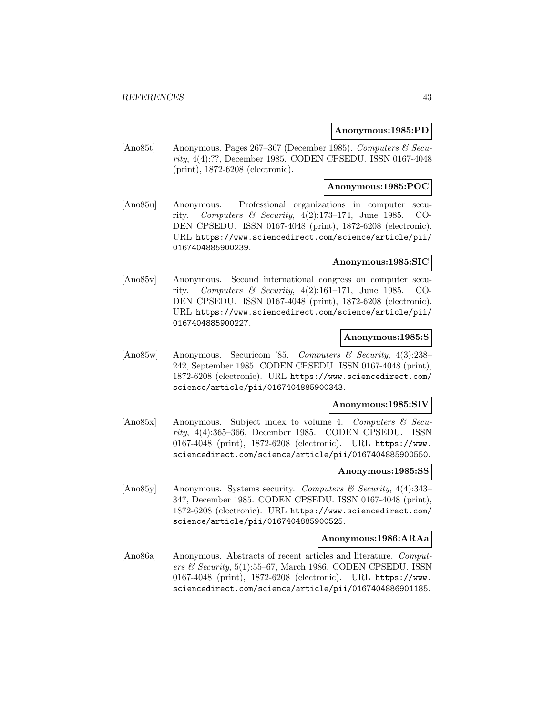## **Anonymous:1985:PD**

[Ano85t] Anonymous. Pages 267–367 (December 1985). Computers & Security, 4(4):??, December 1985. CODEN CPSEDU. ISSN 0167-4048 (print), 1872-6208 (electronic).

# **Anonymous:1985:POC**

[Ano85u] Anonymous. Professional organizations in computer security. Computers & Security,  $4(2):173-174$ , June 1985. CO-DEN CPSEDU. ISSN 0167-4048 (print), 1872-6208 (electronic). URL https://www.sciencedirect.com/science/article/pii/ 0167404885900239.

## **Anonymous:1985:SIC**

[Ano85v] Anonymous. Second international congress on computer security. Computers & Security,  $4(2):161-171$ , June 1985. CO-DEN CPSEDU. ISSN 0167-4048 (print), 1872-6208 (electronic). URL https://www.sciencedirect.com/science/article/pii/ 0167404885900227.

## **Anonymous:1985:S**

[Ano85w] Anonymous. Securicom '85. Computers & Security,  $4(3):238-$ 242, September 1985. CODEN CPSEDU. ISSN 0167-4048 (print), 1872-6208 (electronic). URL https://www.sciencedirect.com/ science/article/pii/0167404885900343.

#### **Anonymous:1985:SIV**

[Ano85x] Anonymous. Subject index to volume 4. Computers & Security, 4(4):365–366, December 1985. CODEN CPSEDU. ISSN 0167-4048 (print), 1872-6208 (electronic). URL https://www. sciencedirect.com/science/article/pii/0167404885900550.

#### **Anonymous:1985:SS**

[Ano85y] Anonymous. Systems security. Computers & Security, 4(4):343– 347, December 1985. CODEN CPSEDU. ISSN 0167-4048 (print), 1872-6208 (electronic). URL https://www.sciencedirect.com/ science/article/pii/0167404885900525.

# **Anonymous:1986:ARAa**

[Ano86a] Anonymous. Abstracts of recent articles and literature. Computers & Security,  $5(1):55-67$ , March 1986. CODEN CPSEDU. ISSN 0167-4048 (print), 1872-6208 (electronic). URL https://www. sciencedirect.com/science/article/pii/0167404886901185.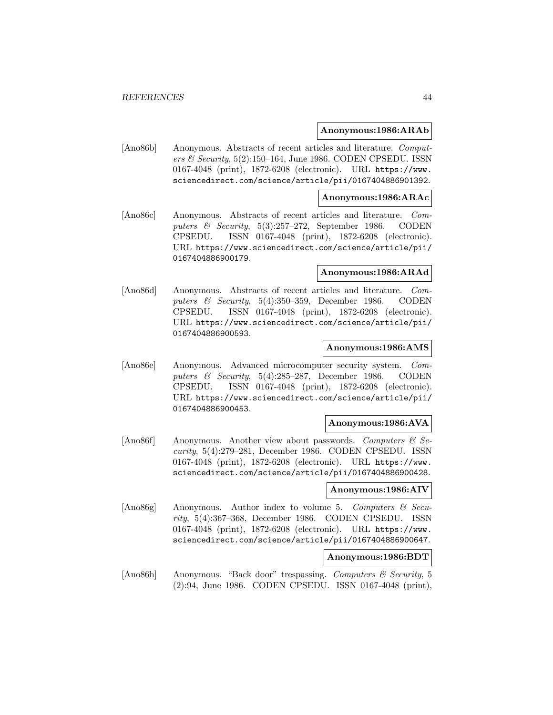### **Anonymous:1986:ARAb**

[Ano86b] Anonymous. Abstracts of recent articles and literature. Computers & Security,  $5(2):150-164$ , June 1986. CODEN CPSEDU. ISSN 0167-4048 (print), 1872-6208 (electronic). URL https://www. sciencedirect.com/science/article/pii/0167404886901392.

## **Anonymous:1986:ARAc**

[Ano86c] Anonymous. Abstracts of recent articles and literature. Computers  $\&$  Security, 5(3):257–272, September 1986. CODEN CPSEDU. ISSN 0167-4048 (print), 1872-6208 (electronic). URL https://www.sciencedirect.com/science/article/pii/ 0167404886900179.

# **Anonymous:1986:ARAd**

[Ano86d] Anonymous. Abstracts of recent articles and literature. Computers & Security, 5(4):350–359, December 1986. CODEN CPSEDU. ISSN 0167-4048 (print), 1872-6208 (electronic). URL https://www.sciencedirect.com/science/article/pii/ 0167404886900593.

# **Anonymous:1986:AMS**

[Ano86e] Anonymous. Advanced microcomputer security system. Computers & Security, 5(4):285–287, December 1986. CODEN CPSEDU. ISSN 0167-4048 (print), 1872-6208 (electronic). URL https://www.sciencedirect.com/science/article/pii/ 0167404886900453.

## **Anonymous:1986:AVA**

[Ano86f] Anonymous. Another view about passwords. Computers  $\mathcal{C}$  Security, 5(4):279–281, December 1986. CODEN CPSEDU. ISSN 0167-4048 (print), 1872-6208 (electronic). URL https://www. sciencedirect.com/science/article/pii/0167404886900428.

#### **Anonymous:1986:AIV**

[Ano86g] Anonymous. Author index to volume 5. Computers & Security, 5(4):367–368, December 1986. CODEN CPSEDU. ISSN 0167-4048 (print), 1872-6208 (electronic). URL https://www. sciencedirect.com/science/article/pii/0167404886900647.

#### **Anonymous:1986:BDT**

[Ano86h] Anonymous. "Back door" trespassing. Computers & Security, 5 (2):94, June 1986. CODEN CPSEDU. ISSN 0167-4048 (print),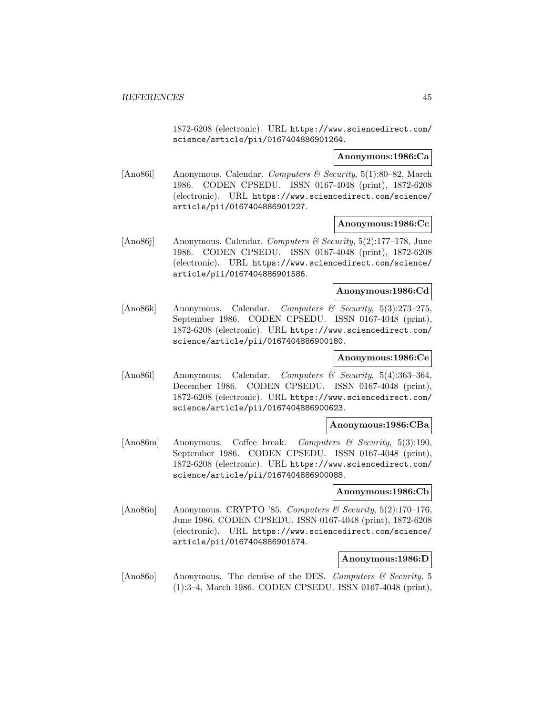1872-6208 (electronic). URL https://www.sciencedirect.com/ science/article/pii/0167404886901264.

## **Anonymous:1986:Ca**

[Ano86i] Anonymous. Calendar. Computers & Security, 5(1):80–82, March 1986. CODEN CPSEDU. ISSN 0167-4048 (print), 1872-6208 (electronic). URL https://www.sciencedirect.com/science/ article/pii/0167404886901227.

## **Anonymous:1986:Cc**

[Ano86j] Anonymous. Calendar. *Computers & Security*,  $5(2)$ :177–178, June 1986. CODEN CPSEDU. ISSN 0167-4048 (print), 1872-6208 (electronic). URL https://www.sciencedirect.com/science/ article/pii/0167404886901586.

## **Anonymous:1986:Cd**

[Ano86k] Anonymous. Calendar. Computers & Security, 5(3):273–275, September 1986. CODEN CPSEDU. ISSN 0167-4048 (print), 1872-6208 (electronic). URL https://www.sciencedirect.com/ science/article/pii/0167404886900180.

# **Anonymous:1986:Ce**

[Ano861] Anonymous. Calendar. Computers & Security, 5(4):363-364, December 1986. CODEN CPSEDU. ISSN 0167-4048 (print), 1872-6208 (electronic). URL https://www.sciencedirect.com/ science/article/pii/0167404886900623.

#### **Anonymous:1986:CBa**

[Ano86m] Anonymous. Coffee break. Computers & Security, 5(3):190, September 1986. CODEN CPSEDU. ISSN 0167-4048 (print), 1872-6208 (electronic). URL https://www.sciencedirect.com/ science/article/pii/0167404886900088.

#### **Anonymous:1986:Cb**

[Ano86n] Anonymous. CRYPTO '85. Computers & Security,  $5(2):170-176$ , June 1986. CODEN CPSEDU. ISSN 0167-4048 (print), 1872-6208 (electronic). URL https://www.sciencedirect.com/science/ article/pii/0167404886901574.

#### **Anonymous:1986:D**

[Ano86o] Anonymous. The demise of the DES. Computers & Security, 5 (1):3–4, March 1986. CODEN CPSEDU. ISSN 0167-4048 (print),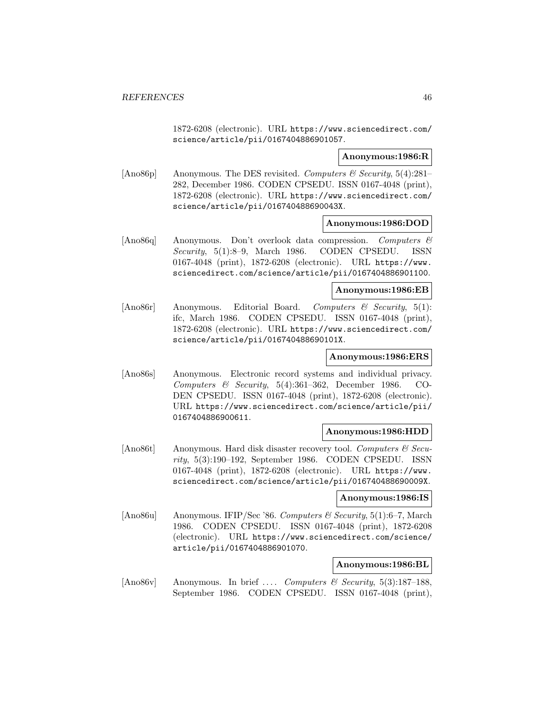1872-6208 (electronic). URL https://www.sciencedirect.com/ science/article/pii/0167404886901057.

### **Anonymous:1986:R**

[Ano86p] Anonymous. The DES revisited. Computers  $\mathcal C$  Security, 5(4):281– 282, December 1986. CODEN CPSEDU. ISSN 0167-4048 (print), 1872-6208 (electronic). URL https://www.sciencedirect.com/ science/article/pii/016740488690043X.

## **Anonymous:1986:DOD**

[Ano86q] Anonymous. Don't overlook data compression. Computers & Security, 5(1):8–9, March 1986. CODEN CPSEDU. ISSN 0167-4048 (print), 1872-6208 (electronic). URL https://www. sciencedirect.com/science/article/pii/0167404886901100.

#### **Anonymous:1986:EB**

[Ano86r] Anonymous. Editorial Board. Computers & Security, 5(1): ifc, March 1986. CODEN CPSEDU. ISSN 0167-4048 (print), 1872-6208 (electronic). URL https://www.sciencedirect.com/ science/article/pii/016740488690101X.

# **Anonymous:1986:ERS**

[Ano86s] Anonymous. Electronic record systems and individual privacy. Computers & Security, 5(4):361–362, December 1986. CO-DEN CPSEDU. ISSN 0167-4048 (print), 1872-6208 (electronic). URL https://www.sciencedirect.com/science/article/pii/ 0167404886900611.

# **Anonymous:1986:HDD**

[Ano86t] Anonymous. Hard disk disaster recovery tool. Computers & Security, 5(3):190–192, September 1986. CODEN CPSEDU. ISSN 0167-4048 (print), 1872-6208 (electronic). URL https://www. sciencedirect.com/science/article/pii/016740488690009X.

#### **Anonymous:1986:IS**

[Ano86u] Anonymous. IFIP/Sec '86. Computers & Security, 5(1):6–7, March 1986. CODEN CPSEDU. ISSN 0167-4048 (print), 1872-6208 (electronic). URL https://www.sciencedirect.com/science/ article/pii/0167404886901070.

# **Anonymous:1986:BL**

[Ano86v] Anonymous. In brief ... Computers & Security, 5(3):187-188, September 1986. CODEN CPSEDU. ISSN 0167-4048 (print),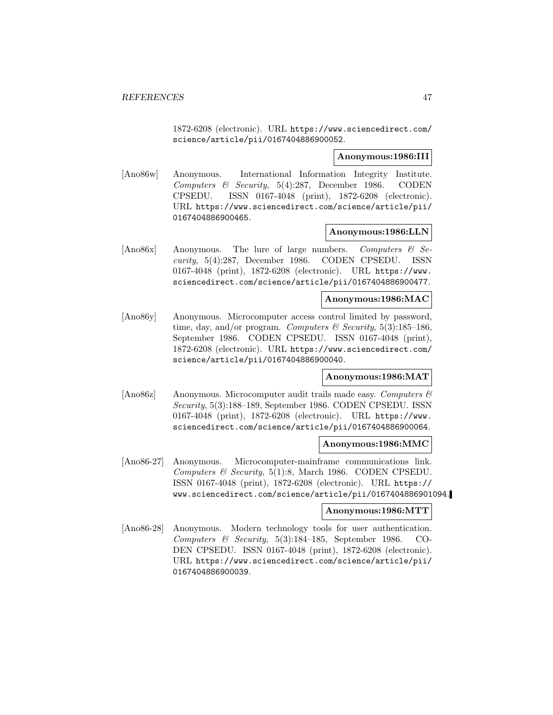1872-6208 (electronic). URL https://www.sciencedirect.com/ science/article/pii/0167404886900052.

## **Anonymous:1986:III**

[Ano86w] Anonymous. International Information Integrity Institute. Computers & Security, 5(4):287, December 1986. CODEN CPSEDU. ISSN 0167-4048 (print), 1872-6208 (electronic). URL https://www.sciencedirect.com/science/article/pii/ 0167404886900465.

# **Anonymous:1986:LLN**

[Ano86x] Anonymous. The lure of large numbers. Computers  $\mathcal{C}$  Security, 5(4):287, December 1986. CODEN CPSEDU. ISSN 0167-4048 (print), 1872-6208 (electronic). URL https://www. sciencedirect.com/science/article/pii/0167404886900477.

# **Anonymous:1986:MAC**

[Ano86y] Anonymous. Microcomputer access control limited by password, time, day, and/or program. Computers  $\mathcal C$  Security, 5(3):185–186, September 1986. CODEN CPSEDU. ISSN 0167-4048 (print), 1872-6208 (electronic). URL https://www.sciencedirect.com/ science/article/pii/0167404886900040.

# **Anonymous:1986:MAT**

 $[\text{Ano86z}]$  Anonymous. Microcomputer audit trails made easy. Computers  $\mathcal C$ Security, 5(3):188–189, September 1986. CODEN CPSEDU. ISSN 0167-4048 (print), 1872-6208 (electronic). URL https://www. sciencedirect.com/science/article/pii/0167404886900064.

#### **Anonymous:1986:MMC**

[Ano86-27] Anonymous. Microcomputer-mainframe communications link. Computers & Security, 5(1):8, March 1986. CODEN CPSEDU. ISSN 0167-4048 (print), 1872-6208 (electronic). URL https:// www.sciencedirect.com/science/article/pii/0167404886901094.

### **Anonymous:1986:MTT**

[Ano86-28] Anonymous. Modern technology tools for user authentication. Computers & Security, 5(3):184–185, September 1986. CO-DEN CPSEDU. ISSN 0167-4048 (print), 1872-6208 (electronic). URL https://www.sciencedirect.com/science/article/pii/ 0167404886900039.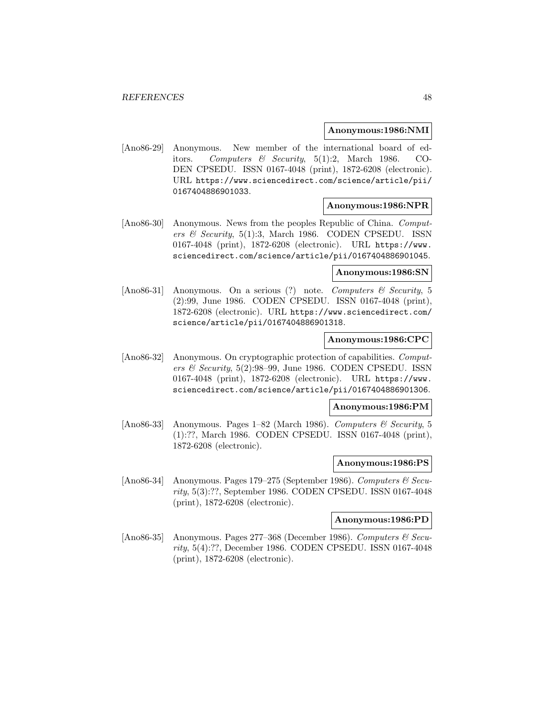## **Anonymous:1986:NMI**

[Ano86-29] Anonymous. New member of the international board of editors. Computers & Security, 5(1):2, March 1986. CO-DEN CPSEDU. ISSN 0167-4048 (print), 1872-6208 (electronic). URL https://www.sciencedirect.com/science/article/pii/ 0167404886901033.

#### **Anonymous:1986:NPR**

[Ano86-30] Anonymous. News from the peoples Republic of China. Computers & Security,  $5(1):3$ , March 1986. CODEN CPSEDU. ISSN 0167-4048 (print), 1872-6208 (electronic). URL https://www. sciencedirect.com/science/article/pii/0167404886901045.

# **Anonymous:1986:SN**

[Ano86-31] Anonymous. On a serious (?) note. Computers & Security, 5 (2):99, June 1986. CODEN CPSEDU. ISSN 0167-4048 (print), 1872-6208 (electronic). URL https://www.sciencedirect.com/ science/article/pii/0167404886901318.

## **Anonymous:1986:CPC**

[Ano86-32] Anonymous. On cryptographic protection of capabilities. Computers & Security,  $5(2):98-99$ , June 1986. CODEN CPSEDU. ISSN 0167-4048 (print), 1872-6208 (electronic). URL https://www. sciencedirect.com/science/article/pii/0167404886901306.

# **Anonymous:1986:PM**

[Ano86-33] Anonymous. Pages 1–82 (March 1986). Computers & Security, 5 (1):??, March 1986. CODEN CPSEDU. ISSN 0167-4048 (print), 1872-6208 (electronic).

## **Anonymous:1986:PS**

[Ano86-34] Anonymous. Pages 179–275 (September 1986). Computers & Security, 5(3):??, September 1986. CODEN CPSEDU. ISSN 0167-4048 (print), 1872-6208 (electronic).

# **Anonymous:1986:PD**

[Ano86-35] Anonymous. Pages 277–368 (December 1986). Computers  $\mathcal C$  Security, 5(4):??, December 1986. CODEN CPSEDU. ISSN 0167-4048 (print), 1872-6208 (electronic).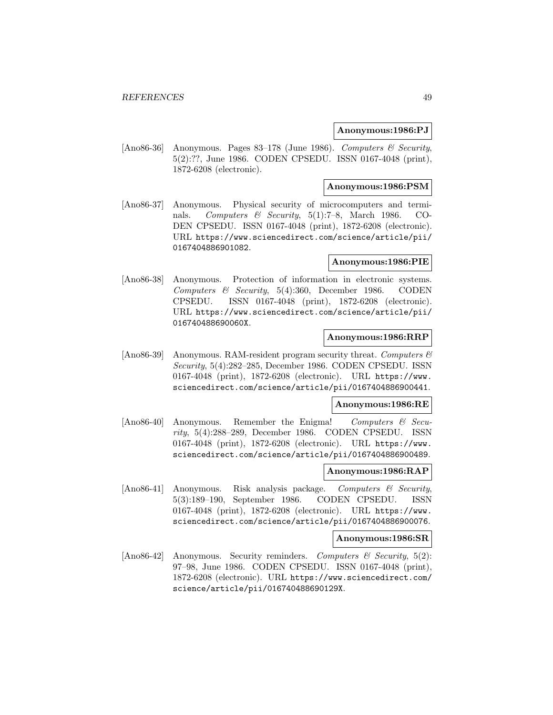## **Anonymous:1986:PJ**

[Ano86-36] Anonymous. Pages 83-178 (June 1986). Computers & Security, 5(2):??, June 1986. CODEN CPSEDU. ISSN 0167-4048 (print), 1872-6208 (electronic).

# **Anonymous:1986:PSM**

[Ano86-37] Anonymous. Physical security of microcomputers and terminals. Computers & Security, 5(1):7–8, March 1986. CO-DEN CPSEDU. ISSN 0167-4048 (print), 1872-6208 (electronic). URL https://www.sciencedirect.com/science/article/pii/ 0167404886901082.

## **Anonymous:1986:PIE**

[Ano86-38] Anonymous. Protection of information in electronic systems. Computers & Security, 5(4):360, December 1986. CODEN CPSEDU. ISSN 0167-4048 (print), 1872-6208 (electronic). URL https://www.sciencedirect.com/science/article/pii/ 016740488690060X.

## **Anonymous:1986:RRP**

[Ano86-39] Anonymous. RAM-resident program security threat. Computers  $\mathscr$ Security, 5(4):282–285, December 1986. CODEN CPSEDU. ISSN 0167-4048 (print), 1872-6208 (electronic). URL https://www. sciencedirect.com/science/article/pii/0167404886900441.

#### **Anonymous:1986:RE**

[Ano86-40] Anonymous. Remember the Enigma! Computers & Security, 5(4):288–289, December 1986. CODEN CPSEDU. ISSN 0167-4048 (print), 1872-6208 (electronic). URL https://www. sciencedirect.com/science/article/pii/0167404886900489.

#### **Anonymous:1986:RAP**

[Ano86-41] Anonymous. Risk analysis package. Computers & Security, 5(3):189–190, September 1986. CODEN CPSEDU. ISSN 0167-4048 (print), 1872-6208 (electronic). URL https://www. sciencedirect.com/science/article/pii/0167404886900076.

#### **Anonymous:1986:SR**

[Ano86-42] Anonymous. Security reminders. Computers & Security, 5(2): 97–98, June 1986. CODEN CPSEDU. ISSN 0167-4048 (print), 1872-6208 (electronic). URL https://www.sciencedirect.com/ science/article/pii/016740488690129X.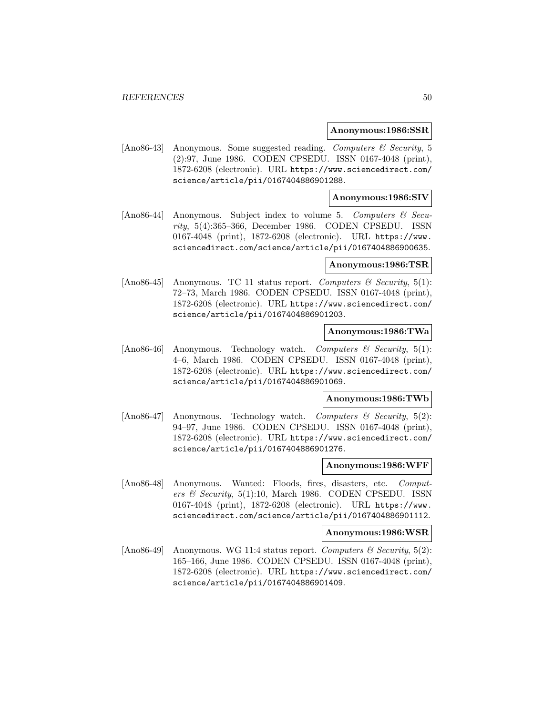#### **Anonymous:1986:SSR**

[Ano86-43] Anonymous. Some suggested reading. Computers & Security, 5 (2):97, June 1986. CODEN CPSEDU. ISSN 0167-4048 (print), 1872-6208 (electronic). URL https://www.sciencedirect.com/ science/article/pii/0167404886901288.

## **Anonymous:1986:SIV**

[Ano86-44] Anonymous. Subject index to volume 5. Computers & Security, 5(4):365–366, December 1986. CODEN CPSEDU. ISSN 0167-4048 (print), 1872-6208 (electronic). URL https://www. sciencedirect.com/science/article/pii/0167404886900635.

### **Anonymous:1986:TSR**

[Ano86-45] Anonymous. TC 11 status report. Computers  $\mathcal C$  Security, 5(1): 72–73, March 1986. CODEN CPSEDU. ISSN 0167-4048 (print), 1872-6208 (electronic). URL https://www.sciencedirect.com/ science/article/pii/0167404886901203.

# **Anonymous:1986:TWa**

[Ano86-46] Anonymous. Technology watch. Computers  $\mathcal C$  Security, 5(1): 4–6, March 1986. CODEN CPSEDU. ISSN 0167-4048 (print), 1872-6208 (electronic). URL https://www.sciencedirect.com/ science/article/pii/0167404886901069.

#### **Anonymous:1986:TWb**

[Ano86-47] Anonymous. Technology watch. Computers & Security, 5(2): 94–97, June 1986. CODEN CPSEDU. ISSN 0167-4048 (print), 1872-6208 (electronic). URL https://www.sciencedirect.com/ science/article/pii/0167404886901276.

### **Anonymous:1986:WFF**

[Ano86-48] Anonymous. Wanted: Floods, fires, disasters, etc. Computers & Security,  $5(1):10$ , March 1986. CODEN CPSEDU. ISSN 0167-4048 (print), 1872-6208 (electronic). URL https://www. sciencedirect.com/science/article/pii/0167404886901112.

#### **Anonymous:1986:WSR**

[Ano86-49] Anonymous. WG 11:4 status report. Computers  $\mathcal C$  Security, 5(2): 165–166, June 1986. CODEN CPSEDU. ISSN 0167-4048 (print), 1872-6208 (electronic). URL https://www.sciencedirect.com/ science/article/pii/0167404886901409.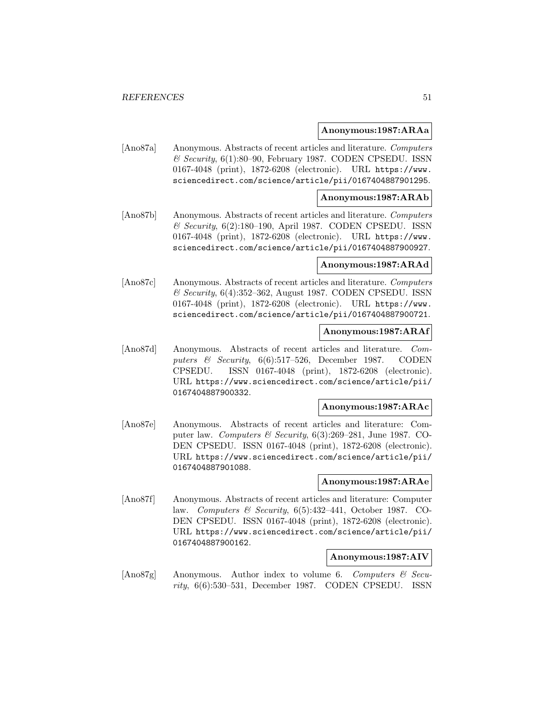### **Anonymous:1987:ARAa**

[Ano87a] Anonymous. Abstracts of recent articles and literature. Computers  $\mathscr$  Security, 6(1):80–90, February 1987. CODEN CPSEDU. ISSN 0167-4048 (print), 1872-6208 (electronic). URL https://www. sciencedirect.com/science/article/pii/0167404887901295.

## **Anonymous:1987:ARAb**

[Ano87b] Anonymous. Abstracts of recent articles and literature. Computers  $\mathcal C$  Security, 6(2):180–190, April 1987. CODEN CPSEDU. ISSN 0167-4048 (print), 1872-6208 (electronic). URL https://www. sciencedirect.com/science/article/pii/0167404887900927.

## **Anonymous:1987:ARAd**

[Ano87c] Anonymous. Abstracts of recent articles and literature. Computers & Security, 6(4):352–362, August 1987. CODEN CPSEDU. ISSN 0167-4048 (print), 1872-6208 (electronic). URL https://www. sciencedirect.com/science/article/pii/0167404887900721.

# **Anonymous:1987:ARAf**

[Ano87d] Anonymous. Abstracts of recent articles and literature. Computers  $\&$  Security, 6(6):517–526, December 1987. CODEN CPSEDU. ISSN 0167-4048 (print), 1872-6208 (electronic). URL https://www.sciencedirect.com/science/article/pii/ 0167404887900332.

#### **Anonymous:1987:ARAc**

[Ano87e] Anonymous. Abstracts of recent articles and literature: Computer law. Computers & Security,  $6(3):269-281$ , June 1987. CO-DEN CPSEDU. ISSN 0167-4048 (print), 1872-6208 (electronic). URL https://www.sciencedirect.com/science/article/pii/ 0167404887901088.

### **Anonymous:1987:ARAe**

[Ano87f] Anonymous. Abstracts of recent articles and literature: Computer law. Computers & Security, 6(5):432–441, October 1987. CO-DEN CPSEDU. ISSN 0167-4048 (print), 1872-6208 (electronic). URL https://www.sciencedirect.com/science/article/pii/ 0167404887900162.

#### **Anonymous:1987:AIV**

[Ano87g] Anonymous. Author index to volume 6. Computers & Security, 6(6):530–531, December 1987. CODEN CPSEDU. ISSN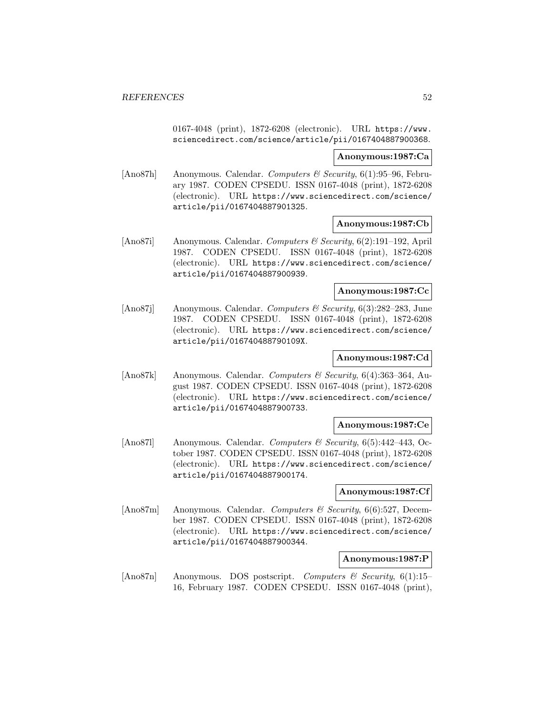0167-4048 (print), 1872-6208 (electronic). URL https://www. sciencedirect.com/science/article/pii/0167404887900368.

## **Anonymous:1987:Ca**

[Ano87h] Anonymous. Calendar. Computers & Security, 6(1):95-96, February 1987. CODEN CPSEDU. ISSN 0167-4048 (print), 1872-6208 (electronic). URL https://www.sciencedirect.com/science/ article/pii/0167404887901325.

# **Anonymous:1987:Cb**

[Ano87i] Anonymous. Calendar. Computers & Security, 6(2):191–192, April 1987. CODEN CPSEDU. ISSN 0167-4048 (print), 1872-6208 (electronic). URL https://www.sciencedirect.com/science/ article/pii/0167404887900939.

# **Anonymous:1987:Cc**

[Ano87]] Anonymous. Calendar. Computers & Security, 6(3):282–283, June 1987. CODEN CPSEDU. ISSN 0167-4048 (print), 1872-6208 (electronic). URL https://www.sciencedirect.com/science/ article/pii/016740488790109X.

# **Anonymous:1987:Cd**

[Ano87k] Anonymous. Calendar. Computers  $\mathcal C$  Security, 6(4):363–364, August 1987. CODEN CPSEDU. ISSN 0167-4048 (print), 1872-6208 (electronic). URL https://www.sciencedirect.com/science/ article/pii/0167404887900733.

#### **Anonymous:1987:Ce**

[Ano87l] Anonymous. Calendar. Computers & Security, 6(5):442–443, October 1987. CODEN CPSEDU. ISSN 0167-4048 (print), 1872-6208 (electronic). URL https://www.sciencedirect.com/science/ article/pii/0167404887900174.

### **Anonymous:1987:Cf**

[Ano87m] Anonymous. Calendar. Computers & Security, 6(6):527, December 1987. CODEN CPSEDU. ISSN 0167-4048 (print), 1872-6208 (electronic). URL https://www.sciencedirect.com/science/ article/pii/0167404887900344.

#### **Anonymous:1987:P**

[Ano87n] Anonymous. DOS postscript. Computers & Security, 6(1):15– 16, February 1987. CODEN CPSEDU. ISSN 0167-4048 (print),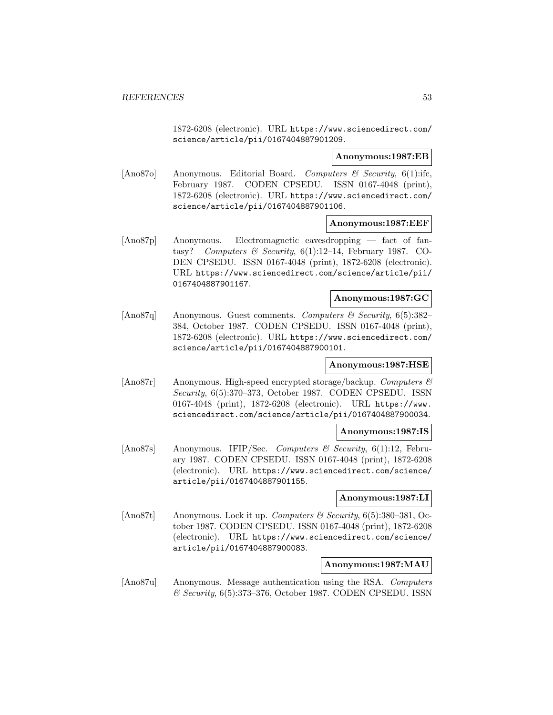1872-6208 (electronic). URL https://www.sciencedirect.com/ science/article/pii/0167404887901209.

### **Anonymous:1987:EB**

[Ano87o] Anonymous. Editorial Board. Computers & Security, 6(1):ifc, February 1987. CODEN CPSEDU. ISSN 0167-4048 (print), 1872-6208 (electronic). URL https://www.sciencedirect.com/ science/article/pii/0167404887901106.

# **Anonymous:1987:EEF**

[Ano87p] Anonymous. Electromagnetic eavesdropping — fact of fantasy? Computers & Security, 6(1):12–14, February 1987. CO-DEN CPSEDU. ISSN 0167-4048 (print), 1872-6208 (electronic). URL https://www.sciencedirect.com/science/article/pii/ 0167404887901167.

# **Anonymous:1987:GC**

[Ano87q] Anonymous. Guest comments. Computers & Security, 6(5):382– 384, October 1987. CODEN CPSEDU. ISSN 0167-4048 (print), 1872-6208 (electronic). URL https://www.sciencedirect.com/ science/article/pii/0167404887900101.

# **Anonymous:1987:HSE**

[Ano87r] Anonymous. High-speed encrypted storage/backup. Computers & Security, 6(5):370–373, October 1987. CODEN CPSEDU. ISSN 0167-4048 (print), 1872-6208 (electronic). URL https://www. sciencedirect.com/science/article/pii/0167404887900034.

## **Anonymous:1987:IS**

[Ano87s] Anonymous. IFIP/Sec. Computers & Security, 6(1):12, February 1987. CODEN CPSEDU. ISSN 0167-4048 (print), 1872-6208 (electronic). URL https://www.sciencedirect.com/science/ article/pii/0167404887901155.

## **Anonymous:1987:LI**

[Ano87t] Anonymous. Lock it up. Computers & Security, 6(5):380–381, October 1987. CODEN CPSEDU. ISSN 0167-4048 (print), 1872-6208 (electronic). URL https://www.sciencedirect.com/science/ article/pii/0167404887900083.

# **Anonymous:1987:MAU**

[Ano87u] Anonymous. Message authentication using the RSA. Computers  $\mathcal C$  Security, 6(5):373–376, October 1987. CODEN CPSEDU. ISSN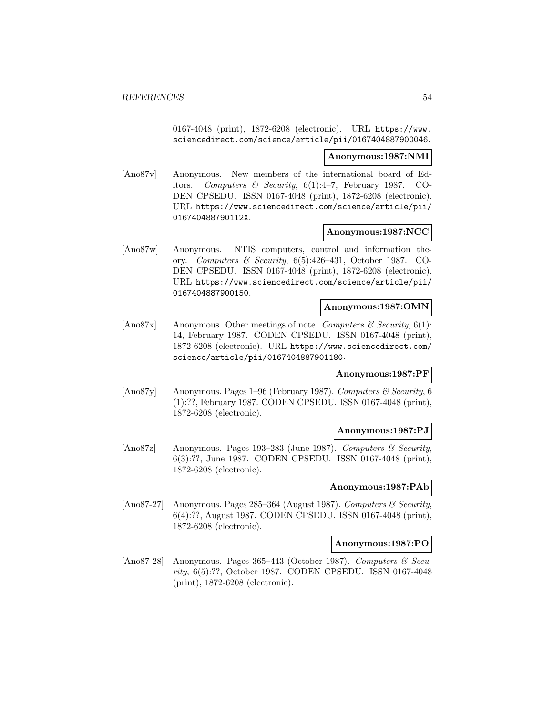0167-4048 (print), 1872-6208 (electronic). URL https://www. sciencedirect.com/science/article/pii/0167404887900046.

#### **Anonymous:1987:NMI**

[Ano87v] Anonymous. New members of the international board of Editors. Computers & Security, 6(1):4–7, February 1987. CO-DEN CPSEDU. ISSN 0167-4048 (print), 1872-6208 (electronic). URL https://www.sciencedirect.com/science/article/pii/ 016740488790112X.

# **Anonymous:1987:NCC**

[Ano87w] Anonymous. NTIS computers, control and information theory. Computers & Security, 6(5):426–431, October 1987. CO-DEN CPSEDU. ISSN 0167-4048 (print), 1872-6208 (electronic). URL https://www.sciencedirect.com/science/article/pii/ 0167404887900150.

# **Anonymous:1987:OMN**

[Ano87x] Anonymous. Other meetings of note. Computers  $\mathcal{B}$  Security, 6(1): 14, February 1987. CODEN CPSEDU. ISSN 0167-4048 (print), 1872-6208 (electronic). URL https://www.sciencedirect.com/ science/article/pii/0167404887901180.

## **Anonymous:1987:PF**

[Ano87y] Anonymous. Pages 1–96 (February 1987). Computers & Security, 6 (1):??, February 1987. CODEN CPSEDU. ISSN 0167-4048 (print), 1872-6208 (electronic).

## **Anonymous:1987:PJ**

[Ano87z] Anonymous. Pages 193–283 (June 1987). Computers & Security, 6(3):??, June 1987. CODEN CPSEDU. ISSN 0167-4048 (print), 1872-6208 (electronic).

#### **Anonymous:1987:PAb**

[Ano87-27] Anonymous. Pages 285–364 (August 1987). Computers & Security, 6(4):??, August 1987. CODEN CPSEDU. ISSN 0167-4048 (print), 1872-6208 (electronic).

#### **Anonymous:1987:PO**

[Ano87-28] Anonymous. Pages 365-443 (October 1987). Computers  $\mathcal C$  Security, 6(5):??, October 1987. CODEN CPSEDU. ISSN 0167-4048 (print), 1872-6208 (electronic).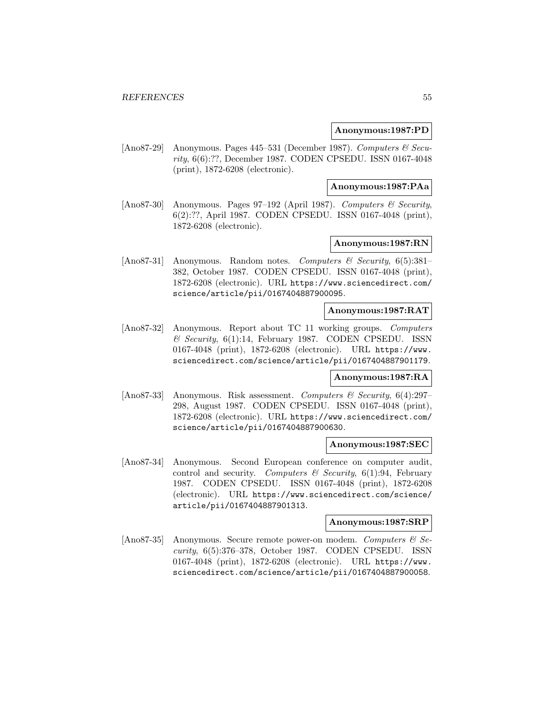## **Anonymous:1987:PD**

[Ano87-29] Anonymous. Pages 445–531 (December 1987). Computers & Security, 6(6):??, December 1987. CODEN CPSEDU. ISSN 0167-4048 (print), 1872-6208 (electronic).

## **Anonymous:1987:PAa**

[Ano87-30] Anonymous. Pages 97–192 (April 1987). Computers & Security, 6(2):??, April 1987. CODEN CPSEDU. ISSN 0167-4048 (print), 1872-6208 (electronic).

# **Anonymous:1987:RN**

[Ano87-31] Anonymous. Random notes. Computers & Security,  $6(5):381-$ 382, October 1987. CODEN CPSEDU. ISSN 0167-4048 (print), 1872-6208 (electronic). URL https://www.sciencedirect.com/ science/article/pii/0167404887900095.

# **Anonymous:1987:RAT**

[Ano87-32] Anonymous. Report about TC 11 working groups. Computers & Security, 6(1):14, February 1987. CODEN CPSEDU. ISSN 0167-4048 (print), 1872-6208 (electronic). URL https://www. sciencedirect.com/science/article/pii/0167404887901179.

# **Anonymous:1987:RA**

[Ano87-33] Anonymous. Risk assessment. Computers & Security, 6(4):297– 298, August 1987. CODEN CPSEDU. ISSN 0167-4048 (print), 1872-6208 (electronic). URL https://www.sciencedirect.com/ science/article/pii/0167404887900630.

#### **Anonymous:1987:SEC**

[Ano87-34] Anonymous. Second European conference on computer audit, control and security. Computers  $\mathcal B$  Security, 6(1):94, February 1987. CODEN CPSEDU. ISSN 0167-4048 (print), 1872-6208 (electronic). URL https://www.sciencedirect.com/science/ article/pii/0167404887901313.

# **Anonymous:1987:SRP**

[Ano87-35] Anonymous. Secure remote power-on modem. Computers & Security, 6(5):376–378, October 1987. CODEN CPSEDU. ISSN 0167-4048 (print), 1872-6208 (electronic). URL https://www. sciencedirect.com/science/article/pii/0167404887900058.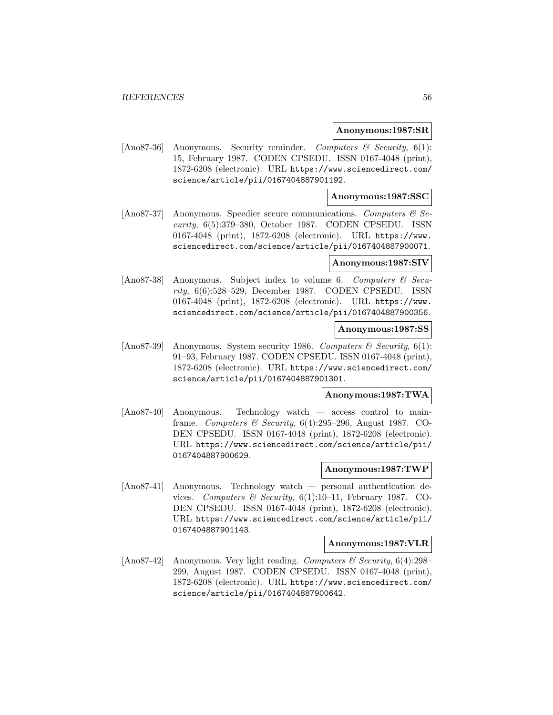## **Anonymous:1987:SR**

[Ano87-36] Anonymous. Security reminder. Computers & Security, 6(1): 15, February 1987. CODEN CPSEDU. ISSN 0167-4048 (print), 1872-6208 (electronic). URL https://www.sciencedirect.com/ science/article/pii/0167404887901192.

# **Anonymous:1987:SSC**

[Ano87-37] Anonymous. Speedier secure communications. Computers  $\mathcal{C}$  Security, 6(5):379–380, October 1987. CODEN CPSEDU. ISSN 0167-4048 (print), 1872-6208 (electronic). URL https://www. sciencedirect.com/science/article/pii/0167404887900071.

## **Anonymous:1987:SIV**

[Ano87-38] Anonymous. Subject index to volume 6. Computers  $\mathcal{C}$  Security, 6(6):528–529, December 1987. CODEN CPSEDU. ISSN 0167-4048 (print), 1872-6208 (electronic). URL https://www. sciencedirect.com/science/article/pii/0167404887900356.

# **Anonymous:1987:SS**

[Ano87-39] Anonymous. System security 1986. Computers  $\mathcal C$  Security, 6(1): 91–93, February 1987. CODEN CPSEDU. ISSN 0167-4048 (print), 1872-6208 (electronic). URL https://www.sciencedirect.com/ science/article/pii/0167404887901301.

# **Anonymous:1987:TWA**

[Ano87-40] Anonymous. Technology watch — access control to mainframe. Computers & Security,  $6(4):295-296$ , August 1987. CO-DEN CPSEDU. ISSN 0167-4048 (print), 1872-6208 (electronic). URL https://www.sciencedirect.com/science/article/pii/ 0167404887900629.

#### **Anonymous:1987:TWP**

[Ano87-41] Anonymous. Technology watch — personal authentication devices. Computers & Security,  $6(1):10-11$ , February 1987. CO-DEN CPSEDU. ISSN 0167-4048 (print), 1872-6208 (electronic). URL https://www.sciencedirect.com/science/article/pii/ 0167404887901143.

# **Anonymous:1987:VLR**

[Ano87-42] Anonymous. Very light reading. Computers & Security, 6(4):298-299, August 1987. CODEN CPSEDU. ISSN 0167-4048 (print), 1872-6208 (electronic). URL https://www.sciencedirect.com/ science/article/pii/0167404887900642.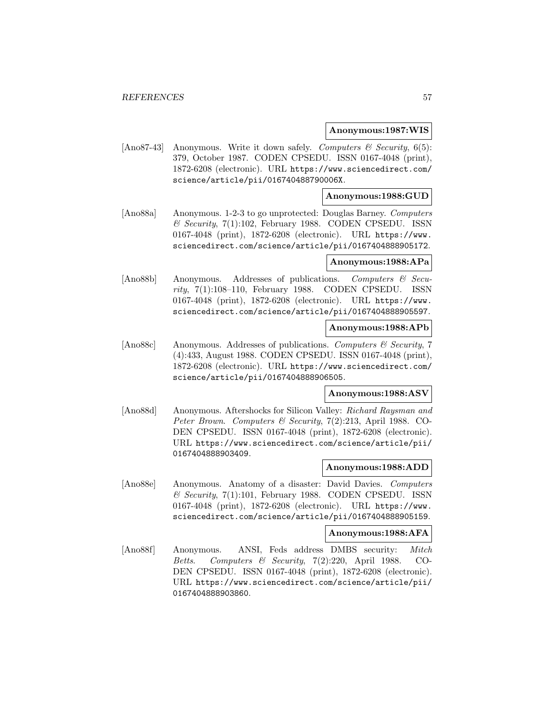### **Anonymous:1987:WIS**

[Ano87-43] Anonymous. Write it down safely. Computers  $\mathcal C$  Security, 6(5): 379, October 1987. CODEN CPSEDU. ISSN 0167-4048 (print), 1872-6208 (electronic). URL https://www.sciencedirect.com/ science/article/pii/016740488790006X.

# **Anonymous:1988:GUD**

[Ano88a] Anonymous. 1-2-3 to go unprotected: Douglas Barney. Computers & Security, 7(1):102, February 1988. CODEN CPSEDU. ISSN 0167-4048 (print), 1872-6208 (electronic). URL https://www. sciencedirect.com/science/article/pii/0167404888905172.

# **Anonymous:1988:APa**

[Ano88b] Anonymous. Addresses of publications. Computers & Security,  $7(1):108-110$ , February 1988. CODEN CPSEDU. ISSN 0167-4048 (print), 1872-6208 (electronic). URL https://www. sciencedirect.com/science/article/pii/0167404888905597.

# **Anonymous:1988:APb**

[Ano88c] Anonymous. Addresses of publications. Computers & Security, 7 (4):433, August 1988. CODEN CPSEDU. ISSN 0167-4048 (print), 1872-6208 (electronic). URL https://www.sciencedirect.com/ science/article/pii/0167404888906505.

# **Anonymous:1988:ASV**

[Ano88d] Anonymous. Aftershocks for Silicon Valley: Richard Raysman and Peter Brown. Computers & Security, 7(2):213, April 1988. CO-DEN CPSEDU. ISSN 0167-4048 (print), 1872-6208 (electronic). URL https://www.sciencedirect.com/science/article/pii/ 0167404888903409.

## **Anonymous:1988:ADD**

[Ano88e] Anonymous. Anatomy of a disaster: David Davies. Computers  $\&$  Security, 7(1):101, February 1988. CODEN CPSEDU. ISSN 0167-4048 (print), 1872-6208 (electronic). URL https://www. sciencedirect.com/science/article/pii/0167404888905159.

#### **Anonymous:1988:AFA**

[Ano88f] Anonymous. ANSI, Feds address DMBS security: Mitch Betts. Computers & Security, 7(2):220, April 1988. CO-DEN CPSEDU. ISSN 0167-4048 (print), 1872-6208 (electronic). URL https://www.sciencedirect.com/science/article/pii/ 0167404888903860.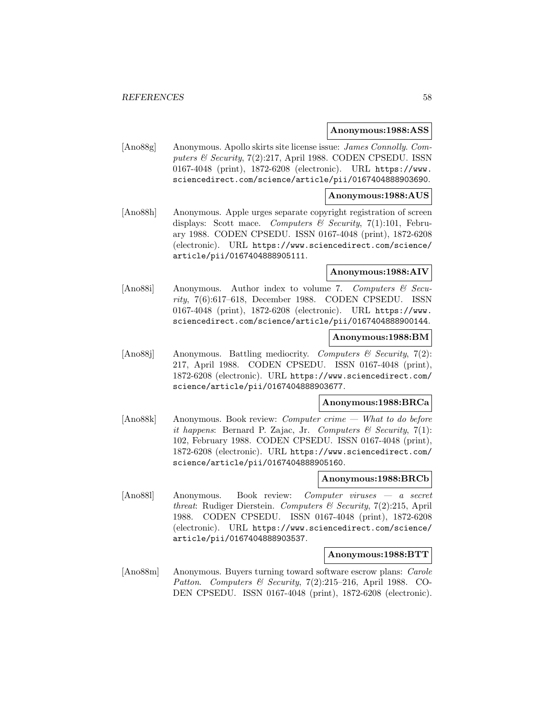### **Anonymous:1988:ASS**

[Ano88g] Anonymous. Apollo skirts site license issue: James Connolly. Computers & Security, 7(2):217, April 1988. CODEN CPSEDU. ISSN 0167-4048 (print), 1872-6208 (electronic). URL https://www. sciencedirect.com/science/article/pii/0167404888903690.

## **Anonymous:1988:AUS**

[Ano88h] Anonymous. Apple urges separate copyright registration of screen displays: Scott mace. Computers & Security, 7(1):101, February 1988. CODEN CPSEDU. ISSN 0167-4048 (print), 1872-6208 (electronic). URL https://www.sciencedirect.com/science/ article/pii/0167404888905111.

# **Anonymous:1988:AIV**

[Ano88i] Anonymous. Author index to volume 7. Computers & Security, 7(6):617–618, December 1988. CODEN CPSEDU. ISSN 0167-4048 (print), 1872-6208 (electronic). URL https://www. sciencedirect.com/science/article/pii/0167404888900144.

## **Anonymous:1988:BM**

[Ano88] Anonymous. Battling mediocrity. Computers  $\mathcal{B}$  Security, 7(2): 217, April 1988. CODEN CPSEDU. ISSN 0167-4048 (print), 1872-6208 (electronic). URL https://www.sciencedirect.com/ science/article/pii/0167404888903677.

# **Anonymous:1988:BRCa**

[Ano88k] Anonymous. Book review: Computer crime — What to do before it happens: Bernard P. Zajac, Jr. Computers  $\mathcal C$  Security, 7(1): 102, February 1988. CODEN CPSEDU. ISSN 0167-4048 (print), 1872-6208 (electronic). URL https://www.sciencedirect.com/ science/article/pii/0167404888905160.

# **Anonymous:1988:BRCb**

[Ano88l] Anonymous. Book review: Computer viruses — a secret threat: Rudiger Dierstein. Computers & Security,  $7(2)$ :215, April 1988. CODEN CPSEDU. ISSN 0167-4048 (print), 1872-6208 (electronic). URL https://www.sciencedirect.com/science/ article/pii/0167404888903537.

# **Anonymous:1988:BTT**

[Ano88m] Anonymous. Buyers turning toward software escrow plans: Carole Patton. Computers & Security, 7(2):215-216, April 1988. CO-DEN CPSEDU. ISSN 0167-4048 (print), 1872-6208 (electronic).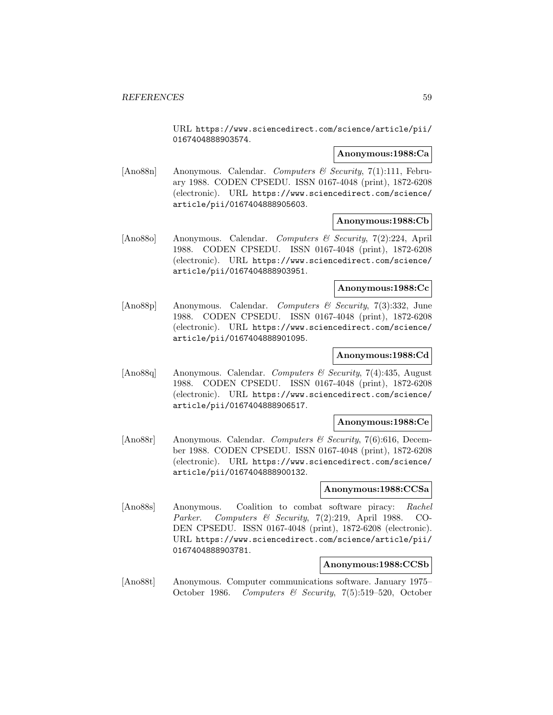URL https://www.sciencedirect.com/science/article/pii/ 0167404888903574.

# **Anonymous:1988:Ca**

[Ano88n] Anonymous. Calendar. Computers & Security, 7(1):111, February 1988. CODEN CPSEDU. ISSN 0167-4048 (print), 1872-6208 (electronic). URL https://www.sciencedirect.com/science/ article/pii/0167404888905603.

# **Anonymous:1988:Cb**

[Ano88o] Anonymous. Calendar. Computers & Security, 7(2):224, April 1988. CODEN CPSEDU. ISSN 0167-4048 (print), 1872-6208 (electronic). URL https://www.sciencedirect.com/science/ article/pii/0167404888903951.

# **Anonymous:1988:Cc**

[Ano88p] Anonymous. Calendar. Computers & Security, 7(3):332, June 1988. CODEN CPSEDU. ISSN 0167-4048 (print), 1872-6208 (electronic). URL https://www.sciencedirect.com/science/ article/pii/0167404888901095.

# **Anonymous:1988:Cd**

[Ano88q] Anonymous. Calendar. Computers & Security, 7(4):435, August 1988. CODEN CPSEDU. ISSN 0167-4048 (print), 1872-6208 (electronic). URL https://www.sciencedirect.com/science/ article/pii/0167404888906517.

## **Anonymous:1988:Ce**

[Ano88r] Anonymous. Calendar. Computers & Security, 7(6):616, December 1988. CODEN CPSEDU. ISSN 0167-4048 (print), 1872-6208 (electronic). URL https://www.sciencedirect.com/science/ article/pii/0167404888900132.

# **Anonymous:1988:CCSa**

[Ano88s] Anonymous. Coalition to combat software piracy: Rachel Parker. Computers & Security, 7(2):219, April 1988. CO-DEN CPSEDU. ISSN 0167-4048 (print), 1872-6208 (electronic). URL https://www.sciencedirect.com/science/article/pii/ 0167404888903781.

# **Anonymous:1988:CCSb**

[Ano88t] Anonymous. Computer communications software. January 1975– October 1986. Computers & Security, 7(5):519–520, October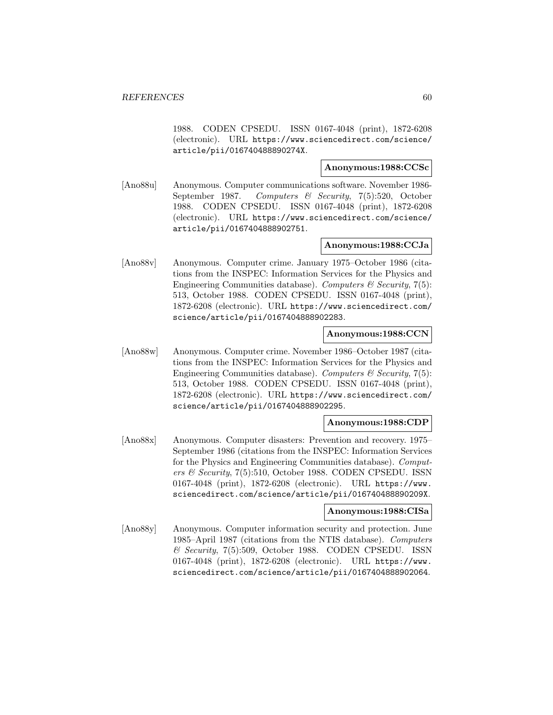1988. CODEN CPSEDU. ISSN 0167-4048 (print), 1872-6208 (electronic). URL https://www.sciencedirect.com/science/ article/pii/016740488890274X.

# **Anonymous:1988:CCSc**

[Ano88u] Anonymous. Computer communications software. November 1986- September 1987. Computers & Security, 7(5):520, October 1988. CODEN CPSEDU. ISSN 0167-4048 (print), 1872-6208 (electronic). URL https://www.sciencedirect.com/science/ article/pii/0167404888902751.

# **Anonymous:1988:CCJa**

[Ano88v] Anonymous. Computer crime. January 1975–October 1986 (citations from the INSPEC: Information Services for the Physics and Engineering Communities database). Computers & Security,  $7(5)$ : 513, October 1988. CODEN CPSEDU. ISSN 0167-4048 (print), 1872-6208 (electronic). URL https://www.sciencedirect.com/ science/article/pii/0167404888902283.

# **Anonymous:1988:CCN**

[Ano88w] Anonymous. Computer crime. November 1986–October 1987 (citations from the INSPEC: Information Services for the Physics and Engineering Communities database). Computers & Security,  $7(5)$ : 513, October 1988. CODEN CPSEDU. ISSN 0167-4048 (print), 1872-6208 (electronic). URL https://www.sciencedirect.com/ science/article/pii/0167404888902295.

# **Anonymous:1988:CDP**

[Ano88x] Anonymous. Computer disasters: Prevention and recovery. 1975– September 1986 (citations from the INSPEC: Information Services for the Physics and Engineering Communities database). Computers & Security, 7(5):510, October 1988. CODEN CPSEDU. ISSN 0167-4048 (print), 1872-6208 (electronic). URL https://www. sciencedirect.com/science/article/pii/016740488890209X.

## **Anonymous:1988:CISa**

[Ano88y] Anonymous. Computer information security and protection. June 1985–April 1987 (citations from the NTIS database). Computers & Security, 7(5):509, October 1988. CODEN CPSEDU. ISSN 0167-4048 (print), 1872-6208 (electronic). URL https://www. sciencedirect.com/science/article/pii/0167404888902064.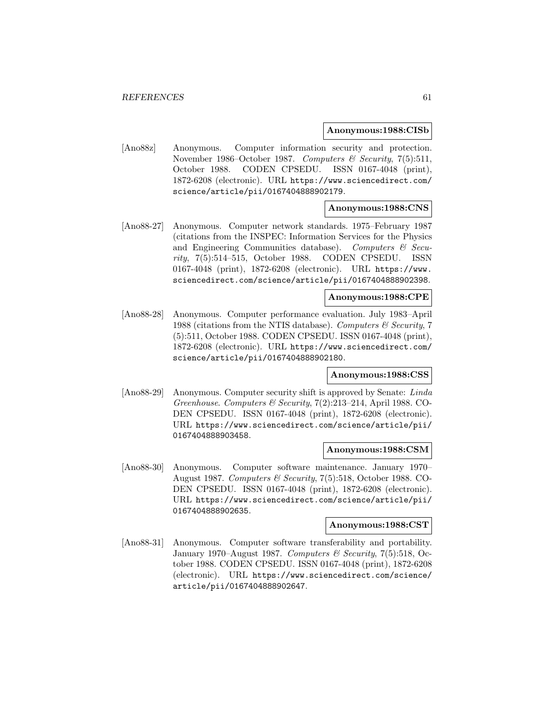#### **Anonymous:1988:CISb**

[Ano88z] Anonymous. Computer information security and protection. November 1986–October 1987. Computers & Security, 7(5):511, October 1988. CODEN CPSEDU. ISSN 0167-4048 (print), 1872-6208 (electronic). URL https://www.sciencedirect.com/ science/article/pii/0167404888902179.

# **Anonymous:1988:CNS**

[Ano88-27] Anonymous. Computer network standards. 1975–February 1987 (citations from the INSPEC: Information Services for the Physics and Engineering Communities database). Computers  $\mathcal{C}$  Security, 7(5):514–515, October 1988. CODEN CPSEDU. ISSN 0167-4048 (print), 1872-6208 (electronic). URL https://www. sciencedirect.com/science/article/pii/0167404888902398.

# **Anonymous:1988:CPE**

[Ano88-28] Anonymous. Computer performance evaluation. July 1983–April 1988 (citations from the NTIS database). Computers  $\mathcal{C}$  Security, 7 (5):511, October 1988. CODEN CPSEDU. ISSN 0167-4048 (print), 1872-6208 (electronic). URL https://www.sciencedirect.com/ science/article/pii/0167404888902180.

# **Anonymous:1988:CSS**

[Ano88-29] Anonymous. Computer security shift is approved by Senate: Linda Greenhouse. Computers & Security, 7(2):213–214, April 1988. CO-DEN CPSEDU. ISSN 0167-4048 (print), 1872-6208 (electronic). URL https://www.sciencedirect.com/science/article/pii/ 0167404888903458.

#### **Anonymous:1988:CSM**

[Ano88-30] Anonymous. Computer software maintenance. January 1970– August 1987. Computers & Security, 7(5):518, October 1988. CO-DEN CPSEDU. ISSN 0167-4048 (print), 1872-6208 (electronic). URL https://www.sciencedirect.com/science/article/pii/ 0167404888902635.

# **Anonymous:1988:CST**

[Ano88-31] Anonymous. Computer software transferability and portability. January 1970–August 1987. Computers & Security, 7(5):518, October 1988. CODEN CPSEDU. ISSN 0167-4048 (print), 1872-6208 (electronic). URL https://www.sciencedirect.com/science/ article/pii/0167404888902647.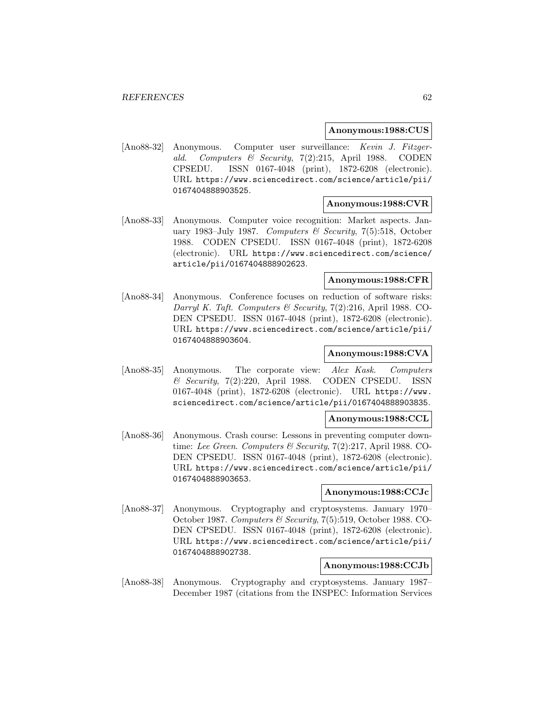## **Anonymous:1988:CUS**

[Ano88-32] Anonymous. Computer user surveillance: Kevin J. Fitzgerald. Computers & Security, 7(2):215, April 1988. CODEN CPSEDU. ISSN 0167-4048 (print), 1872-6208 (electronic). URL https://www.sciencedirect.com/science/article/pii/ 0167404888903525.

## **Anonymous:1988:CVR**

[Ano88-33] Anonymous. Computer voice recognition: Market aspects. January 1983–July 1987. Computers & Security, 7(5):518, October 1988. CODEN CPSEDU. ISSN 0167-4048 (print), 1872-6208 (electronic). URL https://www.sciencedirect.com/science/ article/pii/0167404888902623.

#### **Anonymous:1988:CFR**

[Ano88-34] Anonymous. Conference focuses on reduction of software risks: Darryl K. Taft. Computers & Security,  $7(2):216$ , April 1988. CO-DEN CPSEDU. ISSN 0167-4048 (print), 1872-6208 (electronic). URL https://www.sciencedirect.com/science/article/pii/ 0167404888903604.

# **Anonymous:1988:CVA**

[Ano88-35] Anonymous. The corporate view: Alex Kask. Computers & Security, 7(2):220, April 1988. CODEN CPSEDU. ISSN 0167-4048 (print), 1872-6208 (electronic). URL https://www. sciencedirect.com/science/article/pii/0167404888903835.

#### **Anonymous:1988:CCL**

[Ano88-36] Anonymous. Crash course: Lessons in preventing computer downtime: Lee Green. Computers & Security, 7(2):217, April 1988. CO-DEN CPSEDU. ISSN 0167-4048 (print), 1872-6208 (electronic). URL https://www.sciencedirect.com/science/article/pii/ 0167404888903653.

# **Anonymous:1988:CCJc**

[Ano88-37] Anonymous. Cryptography and cryptosystems. January 1970– October 1987. Computers & Security, 7(5):519, October 1988. CO-DEN CPSEDU. ISSN 0167-4048 (print), 1872-6208 (electronic). URL https://www.sciencedirect.com/science/article/pii/ 0167404888902738.

# **Anonymous:1988:CCJb**

[Ano88-38] Anonymous. Cryptography and cryptosystems. January 1987– December 1987 (citations from the INSPEC: Information Services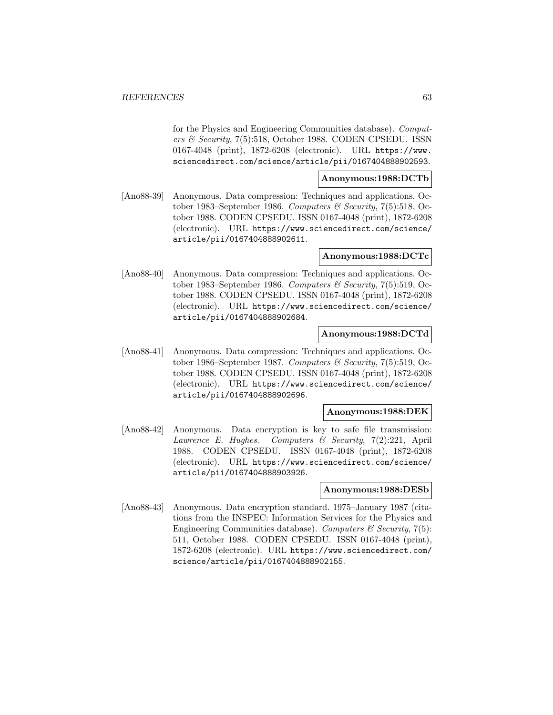for the Physics and Engineering Communities database). Computers & Security, 7(5):518, October 1988. CODEN CPSEDU. ISSN 0167-4048 (print), 1872-6208 (electronic). URL https://www. sciencedirect.com/science/article/pii/0167404888902593.

# **Anonymous:1988:DCTb**

[Ano88-39] Anonymous. Data compression: Techniques and applications. October 1983–September 1986. Computers & Security, 7(5):518, October 1988. CODEN CPSEDU. ISSN 0167-4048 (print), 1872-6208 (electronic). URL https://www.sciencedirect.com/science/ article/pii/0167404888902611.

# **Anonymous:1988:DCTc**

[Ano88-40] Anonymous. Data compression: Techniques and applications. October 1983–September 1986. Computers & Security, 7(5):519, October 1988. CODEN CPSEDU. ISSN 0167-4048 (print), 1872-6208 (electronic). URL https://www.sciencedirect.com/science/ article/pii/0167404888902684.

# **Anonymous:1988:DCTd**

[Ano88-41] Anonymous. Data compression: Techniques and applications. October 1986–September 1987. Computers & Security, 7(5):519, October 1988. CODEN CPSEDU. ISSN 0167-4048 (print), 1872-6208 (electronic). URL https://www.sciencedirect.com/science/ article/pii/0167404888902696.

## **Anonymous:1988:DEK**

[Ano88-42] Anonymous. Data encryption is key to safe file transmission: Lawrence E. Hughes. Computers  $\mathcal B$  Security, 7(2):221, April 1988. CODEN CPSEDU. ISSN 0167-4048 (print), 1872-6208 (electronic). URL https://www.sciencedirect.com/science/ article/pii/0167404888903926.

#### **Anonymous:1988:DESb**

[Ano88-43] Anonymous. Data encryption standard. 1975–January 1987 (citations from the INSPEC: Information Services for the Physics and Engineering Communities database). Computers  $\mathcal B$  Security, 7(5): 511, October 1988. CODEN CPSEDU. ISSN 0167-4048 (print), 1872-6208 (electronic). URL https://www.sciencedirect.com/ science/article/pii/0167404888902155.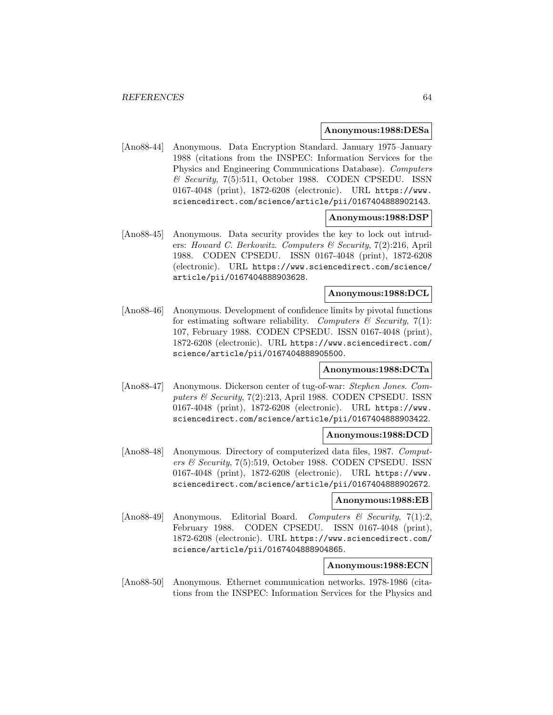## **Anonymous:1988:DESa**

[Ano88-44] Anonymous. Data Encryption Standard. January 1975–January 1988 (citations from the INSPEC: Information Services for the Physics and Engineering Communications Database). Computers & Security, 7(5):511, October 1988. CODEN CPSEDU. ISSN 0167-4048 (print), 1872-6208 (electronic). URL https://www. sciencedirect.com/science/article/pii/0167404888902143.

# **Anonymous:1988:DSP**

[Ano88-45] Anonymous. Data security provides the key to lock out intruders: Howard C. Berkowitz. Computers & Security, 7(2):216, April 1988. CODEN CPSEDU. ISSN 0167-4048 (print), 1872-6208 (electronic). URL https://www.sciencedirect.com/science/ article/pii/0167404888903628.

# **Anonymous:1988:DCL**

[Ano88-46] Anonymous. Development of confidence limits by pivotal functions for estimating software reliability. Computers  $\mathcal C$  Security, 7(1): 107, February 1988. CODEN CPSEDU. ISSN 0167-4048 (print), 1872-6208 (electronic). URL https://www.sciencedirect.com/ science/article/pii/0167404888905500.

### **Anonymous:1988:DCTa**

[Ano88-47] Anonymous. Dickerson center of tug-of-war: Stephen Jones. Computers  $\mathcal C$  Security, 7(2):213, April 1988. CODEN CPSEDU. ISSN 0167-4048 (print), 1872-6208 (electronic). URL https://www. sciencedirect.com/science/article/pii/0167404888903422.

#### **Anonymous:1988:DCD**

[Ano88-48] Anonymous. Directory of computerized data files, 1987. Computers & Security, 7(5):519, October 1988. CODEN CPSEDU. ISSN 0167-4048 (print), 1872-6208 (electronic). URL https://www. sciencedirect.com/science/article/pii/0167404888902672.

# **Anonymous:1988:EB**

[Ano88-49] Anonymous. Editorial Board. Computers & Security, 7(1):2, February 1988. CODEN CPSEDU. ISSN 0167-4048 (print) 1872-6208 (electronic). URL https://www.sciencedirect.com/ science/article/pii/0167404888904865.

### **Anonymous:1988:ECN**

[Ano88-50] Anonymous. Ethernet communication networks. 1978-1986 (citations from the INSPEC: Information Services for the Physics and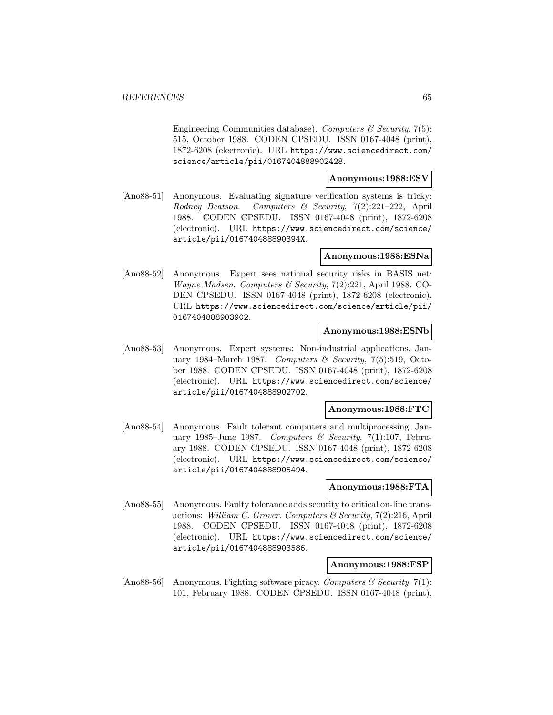Engineering Communities database). Computers  $\mathcal B$  Security, 7(5): 515, October 1988. CODEN CPSEDU. ISSN 0167-4048 (print), 1872-6208 (electronic). URL https://www.sciencedirect.com/ science/article/pii/0167404888902428.

# **Anonymous:1988:ESV**

[Ano88-51] Anonymous. Evaluating signature verification systems is tricky: Rodney Beatson. Computers & Security, 7(2):221–222, April 1988. CODEN CPSEDU. ISSN 0167-4048 (print), 1872-6208 (electronic). URL https://www.sciencedirect.com/science/ article/pii/016740488890394X.

# **Anonymous:1988:ESNa**

[Ano88-52] Anonymous. Expert sees national security risks in BASIS net: Wayne Madsen. Computers  $\mathcal B$  Security, 7(2):221, April 1988. CO-DEN CPSEDU. ISSN 0167-4048 (print), 1872-6208 (electronic). URL https://www.sciencedirect.com/science/article/pii/ 0167404888903902.

# **Anonymous:1988:ESNb**

[Ano88-53] Anonymous. Expert systems: Non-industrial applications. January 1984–March 1987. Computers & Security, 7(5):519, October 1988. CODEN CPSEDU. ISSN 0167-4048 (print), 1872-6208 (electronic). URL https://www.sciencedirect.com/science/ article/pii/0167404888902702.

#### **Anonymous:1988:FTC**

[Ano88-54] Anonymous. Fault tolerant computers and multiprocessing. January 1985–June 1987. Computers & Security, 7(1):107, February 1988. CODEN CPSEDU. ISSN 0167-4048 (print), 1872-6208 (electronic). URL https://www.sciencedirect.com/science/ article/pii/0167404888905494.

## **Anonymous:1988:FTA**

[Ano88-55] Anonymous. Faulty tolerance adds security to critical on-line transactions: William C. Grover. Computers & Security, 7(2):216, April 1988. CODEN CPSEDU. ISSN 0167-4048 (print), 1872-6208 (electronic). URL https://www.sciencedirect.com/science/ article/pii/0167404888903586.

## **Anonymous:1988:FSP**

[Ano88-56] Anonymous. Fighting software piracy. Computers  $\mathcal{C}$  Security, 7(1): 101, February 1988. CODEN CPSEDU. ISSN 0167-4048 (print),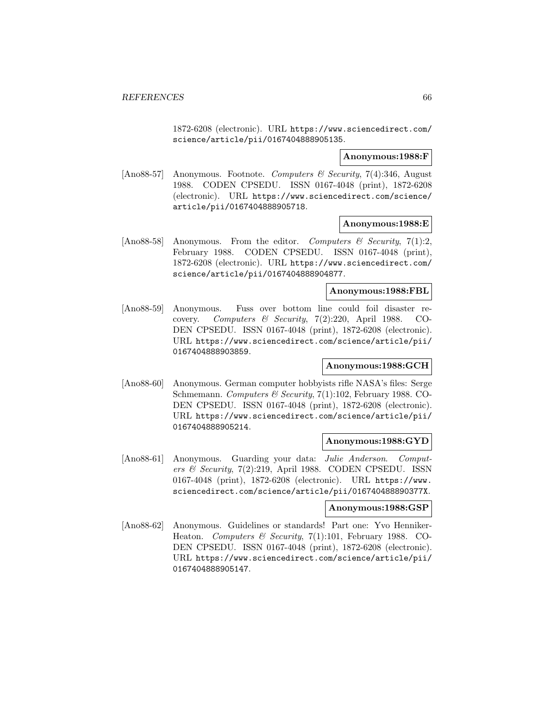1872-6208 (electronic). URL https://www.sciencedirect.com/ science/article/pii/0167404888905135.

## **Anonymous:1988:F**

[Ano88-57] Anonymous. Footnote. Computers & Security, 7(4):346, August 1988. CODEN CPSEDU. ISSN 0167-4048 (print), 1872-6208 (electronic). URL https://www.sciencedirect.com/science/ article/pii/0167404888905718.

## **Anonymous:1988:E**

[Ano88-58] Anonymous. From the editor. Computers & Security, 7(1):2, February 1988. CODEN CPSEDU. ISSN 0167-4048 (print), 1872-6208 (electronic). URL https://www.sciencedirect.com/ science/article/pii/0167404888904877.

## **Anonymous:1988:FBL**

[Ano88-59] Anonymous. Fuss over bottom line could foil disaster recovery. Computers & Security, 7(2):220, April 1988. CO-DEN CPSEDU. ISSN 0167-4048 (print), 1872-6208 (electronic). URL https://www.sciencedirect.com/science/article/pii/ 0167404888903859.

# **Anonymous:1988:GCH**

[Ano88-60] Anonymous. German computer hobbyists rifle NASA's files: Serge Schmemann. Computers & Security, 7(1):102, February 1988. CO-DEN CPSEDU. ISSN 0167-4048 (print), 1872-6208 (electronic). URL https://www.sciencedirect.com/science/article/pii/ 0167404888905214.

#### **Anonymous:1988:GYD**

[Ano88-61] Anonymous. Guarding your data: Julie Anderson. Computers & Security, 7(2):219, April 1988. CODEN CPSEDU. ISSN 0167-4048 (print), 1872-6208 (electronic). URL https://www. sciencedirect.com/science/article/pii/016740488890377X.

# **Anonymous:1988:GSP**

[Ano88-62] Anonymous. Guidelines or standards! Part one: Yvo Henniker-Heaton. Computers & Security, 7(1):101, February 1988. CO-DEN CPSEDU. ISSN 0167-4048 (print), 1872-6208 (electronic). URL https://www.sciencedirect.com/science/article/pii/ 0167404888905147.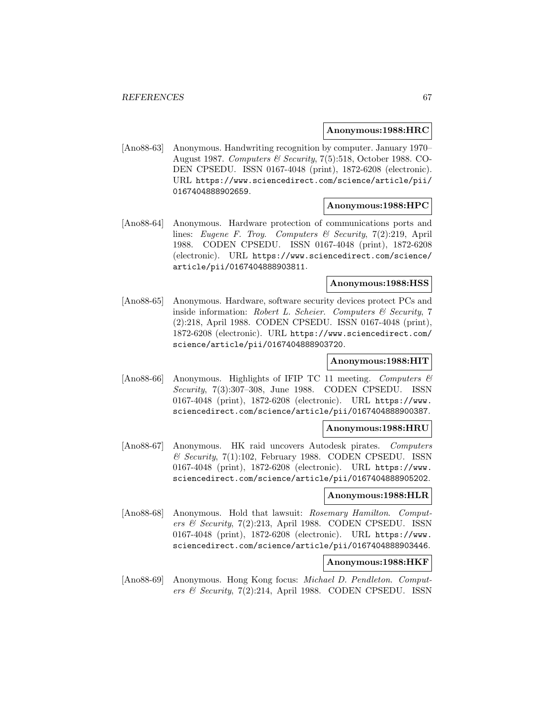## **Anonymous:1988:HRC**

[Ano88-63] Anonymous. Handwriting recognition by computer. January 1970– August 1987. Computers & Security, 7(5):518, October 1988. CO-DEN CPSEDU. ISSN 0167-4048 (print), 1872-6208 (electronic). URL https://www.sciencedirect.com/science/article/pii/ 0167404888902659.

#### **Anonymous:1988:HPC**

[Ano88-64] Anonymous. Hardware protection of communications ports and lines: Eugene F. Troy. Computers & Security, 7(2):219, April 1988. CODEN CPSEDU. ISSN 0167-4048 (print), 1872-6208 (electronic). URL https://www.sciencedirect.com/science/ article/pii/0167404888903811.

# **Anonymous:1988:HSS**

[Ano88-65] Anonymous. Hardware, software security devices protect PCs and inside information: Robert L. Scheier. Computers  $\mathcal B$  Security, 7 (2):218, April 1988. CODEN CPSEDU. ISSN 0167-4048 (print), 1872-6208 (electronic). URL https://www.sciencedirect.com/ science/article/pii/0167404888903720.

# **Anonymous:1988:HIT**

[Ano88-66] Anonymous. Highlights of IFIP TC 11 meeting. Computers  $\mathcal{E}$ Security, 7(3):307–308, June 1988. CODEN CPSEDU. ISSN 0167-4048 (print), 1872-6208 (electronic). URL https://www. sciencedirect.com/science/article/pii/0167404888900387.

#### **Anonymous:1988:HRU**

[Ano88-67] Anonymous. HK raid uncovers Autodesk pirates. Computers  $\&$  Security, 7(1):102, February 1988. CODEN CPSEDU. ISSN 0167-4048 (print), 1872-6208 (electronic). URL https://www. sciencedirect.com/science/article/pii/0167404888905202.

## **Anonymous:1988:HLR**

[Ano88-68] Anonymous. Hold that lawsuit: Rosemary Hamilton. Computers  $\mathcal B$  Security, 7(2):213, April 1988. CODEN CPSEDU. ISSN 0167-4048 (print), 1872-6208 (electronic). URL https://www. sciencedirect.com/science/article/pii/0167404888903446.

## **Anonymous:1988:HKF**

[Ano88-69] Anonymous. Hong Kong focus: Michael D. Pendleton. Computers & Security,  $7(2):214$ , April 1988. CODEN CPSEDU. ISSN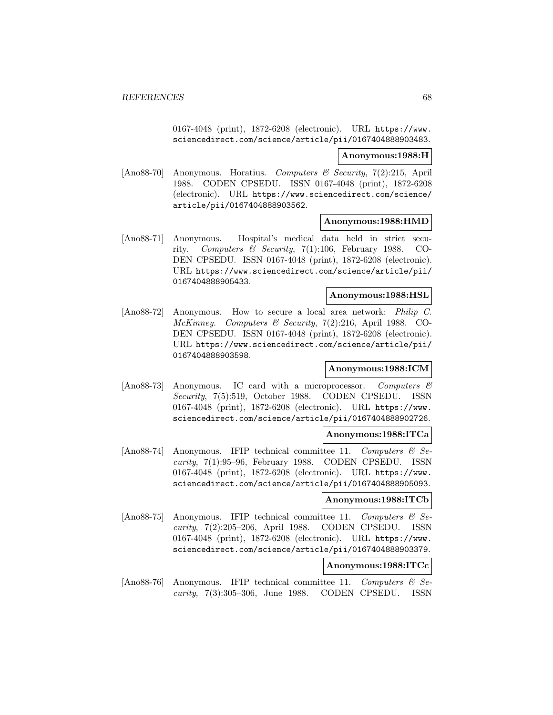0167-4048 (print), 1872-6208 (electronic). URL https://www. sciencedirect.com/science/article/pii/0167404888903483.

# **Anonymous:1988:H**

[Ano88-70] Anonymous. Horatius. Computers & Security, 7(2):215, April 1988. CODEN CPSEDU. ISSN 0167-4048 (print), 1872-6208 (electronic). URL https://www.sciencedirect.com/science/ article/pii/0167404888903562.

#### **Anonymous:1988:HMD**

[Ano88-71] Anonymous. Hospital's medical data held in strict security. Computers & Security, 7(1):106, February 1988. CO-DEN CPSEDU. ISSN 0167-4048 (print), 1872-6208 (electronic). URL https://www.sciencedirect.com/science/article/pii/ 0167404888905433.

### **Anonymous:1988:HSL**

[Ano88-72] Anonymous. How to secure a local area network: Philip C. McKinney. Computers & Security, 7(2):216, April 1988. CO-DEN CPSEDU. ISSN 0167-4048 (print), 1872-6208 (electronic). URL https://www.sciencedirect.com/science/article/pii/ 0167404888903598.

### **Anonymous:1988:ICM**

[Ano88-73] Anonymous. IC card with a microprocessor. Computers & Security, 7(5):519, October 1988. CODEN CPSEDU. ISSN 0167-4048 (print), 1872-6208 (electronic). URL https://www. sciencedirect.com/science/article/pii/0167404888902726.

#### **Anonymous:1988:ITCa**

[Ano88-74] Anonymous. IFIP technical committee 11. Computers  $\mathcal{C}$  Security, 7(1):95–96, February 1988. CODEN CPSEDU. ISSN 0167-4048 (print), 1872-6208 (electronic). URL https://www. sciencedirect.com/science/article/pii/0167404888905093.

#### **Anonymous:1988:ITCb**

[Ano88-75] Anonymous. IFIP technical committee 11. Computers  $\mathcal{C}$  Security, 7(2):205–206, April 1988. CODEN CPSEDU. ISSN 0167-4048 (print), 1872-6208 (electronic). URL https://www. sciencedirect.com/science/article/pii/0167404888903379.

# **Anonymous:1988:ITCc**

[Ano88-76] Anonymous. IFIP technical committee 11. Computers  $\mathcal{C}$  Security, 7(3):305–306, June 1988. CODEN CPSEDU. ISSN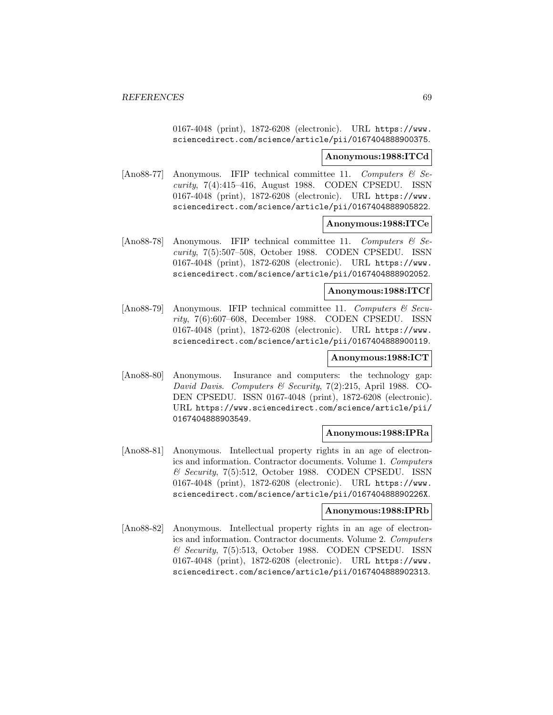0167-4048 (print), 1872-6208 (electronic). URL https://www. sciencedirect.com/science/article/pii/0167404888900375.

### **Anonymous:1988:ITCd**

[Ano88-77] Anonymous. IFIP technical committee 11. Computers  $\mathcal{C}$  Security, 7(4):415–416, August 1988. CODEN CPSEDU. ISSN 0167-4048 (print), 1872-6208 (electronic). URL https://www. sciencedirect.com/science/article/pii/0167404888905822.

# **Anonymous:1988:ITCe**

[Ano88-78] Anonymous. IFIP technical committee 11. Computers  $\mathcal{C}$  Security, 7(5):507–508, October 1988. CODEN CPSEDU. ISSN 0167-4048 (print), 1872-6208 (electronic). URL https://www. sciencedirect.com/science/article/pii/0167404888902052.

## **Anonymous:1988:ITCf**

[Ano88-79] Anonymous. IFIP technical committee 11. Computers  $\mathcal C$  Security, 7(6):607–608, December 1988. CODEN CPSEDU. ISSN 0167-4048 (print), 1872-6208 (electronic). URL https://www. sciencedirect.com/science/article/pii/0167404888900119.

# **Anonymous:1988:ICT**

[Ano88-80] Anonymous. Insurance and computers: the technology gap: David Davis. Computers & Security, 7(2):215, April 1988. CO-DEN CPSEDU. ISSN 0167-4048 (print), 1872-6208 (electronic). URL https://www.sciencedirect.com/science/article/pii/ 0167404888903549.

# **Anonymous:1988:IPRa**

[Ano88-81] Anonymous. Intellectual property rights in an age of electronics and information. Contractor documents. Volume 1. Computers & Security, 7(5):512, October 1988. CODEN CPSEDU. ISSN 0167-4048 (print), 1872-6208 (electronic). URL https://www. sciencedirect.com/science/article/pii/016740488890226X.

## **Anonymous:1988:IPRb**

[Ano88-82] Anonymous. Intellectual property rights in an age of electronics and information. Contractor documents. Volume 2. Computers & Security, 7(5):513, October 1988. CODEN CPSEDU. ISSN 0167-4048 (print), 1872-6208 (electronic). URL https://www. sciencedirect.com/science/article/pii/0167404888902313.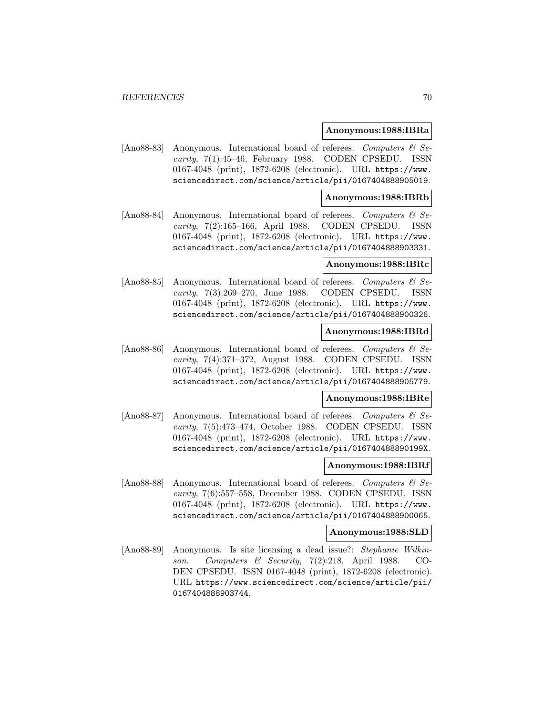#### **Anonymous:1988:IBRa**

[Ano88-83] Anonymous. International board of referees. Computers & Security, 7(1):45–46, February 1988. CODEN CPSEDU. ISSN 0167-4048 (print), 1872-6208 (electronic). URL https://www. sciencedirect.com/science/article/pii/0167404888905019.

# **Anonymous:1988:IBRb**

[Ano88-84] Anonymous. International board of referees. Computers  $\mathcal{B}$  Security, 7(2):165–166, April 1988. CODEN CPSEDU. ISSN 0167-4048 (print), 1872-6208 (electronic). URL https://www. sciencedirect.com/science/article/pii/0167404888903331.

#### **Anonymous:1988:IBRc**

[Ano88-85] Anonymous. International board of referees. Computers  $\mathcal{C}$  Security, 7(3):269–270, June 1988. CODEN CPSEDU. ISSN 0167-4048 (print), 1872-6208 (electronic). URL https://www. sciencedirect.com/science/article/pii/0167404888900326.

# **Anonymous:1988:IBRd**

[Ano88-86] Anonymous. International board of referees. Computers  $\mathcal{B}$  Security, 7(4):371–372, August 1988. CODEN CPSEDU. ISSN 0167-4048 (print), 1872-6208 (electronic). URL https://www. sciencedirect.com/science/article/pii/0167404888905779.

#### **Anonymous:1988:IBRe**

[Ano88-87] Anonymous. International board of referees. Computers  $\mathcal{C}$  Security, 7(5):473–474, October 1988. CODEN CPSEDU. ISSN 0167-4048 (print), 1872-6208 (electronic). URL https://www. sciencedirect.com/science/article/pii/016740488890199X.

## **Anonymous:1988:IBRf**

[Ano88-88] Anonymous. International board of referees. Computers  $\mathcal{B}$  Security, 7(6):557–558, December 1988. CODEN CPSEDU. ISSN 0167-4048 (print), 1872-6208 (electronic). URL https://www. sciencedirect.com/science/article/pii/0167404888900065.

#### **Anonymous:1988:SLD**

[Ano88-89] Anonymous. Is site licensing a dead issue?: Stephanie Wilkinson. Computers & Security, 7(2):218, April 1988. CO-DEN CPSEDU. ISSN 0167-4048 (print), 1872-6208 (electronic). URL https://www.sciencedirect.com/science/article/pii/ 0167404888903744.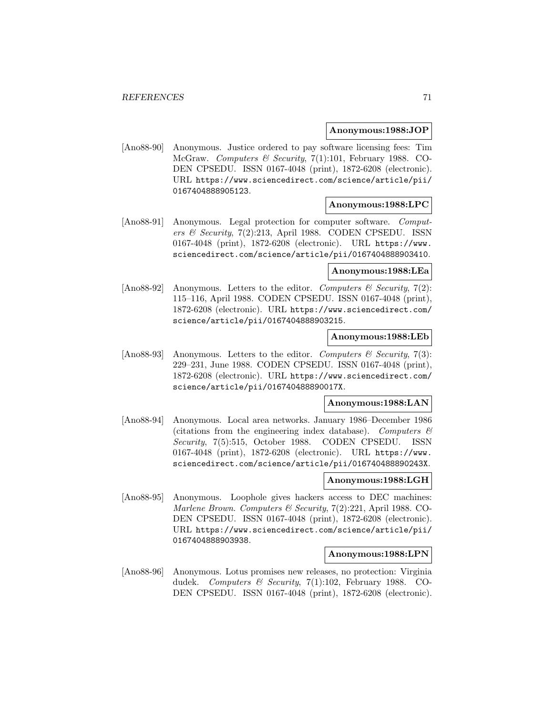## **Anonymous:1988:JOP**

[Ano88-90] Anonymous. Justice ordered to pay software licensing fees: Tim McGraw. Computers & Security, 7(1):101, February 1988. CO-DEN CPSEDU. ISSN 0167-4048 (print), 1872-6208 (electronic). URL https://www.sciencedirect.com/science/article/pii/ 0167404888905123.

# **Anonymous:1988:LPC**

[Ano88-91] Anonymous. Legal protection for computer software. Computers & Security, 7(2):213, April 1988. CODEN CPSEDU. ISSN 0167-4048 (print), 1872-6208 (electronic). URL https://www. sciencedirect.com/science/article/pii/0167404888903410.

# **Anonymous:1988:LEa**

[Ano88-92] Anonymous. Letters to the editor. Computers  $\mathscr{C}$  Security, 7(2): 115–116, April 1988. CODEN CPSEDU. ISSN 0167-4048 (print), 1872-6208 (electronic). URL https://www.sciencedirect.com/ science/article/pii/0167404888903215.

## **Anonymous:1988:LEb**

[Ano88-93] Anonymous. Letters to the editor. Computers  $\mathcal{C}$  Security, 7(3): 229–231, June 1988. CODEN CPSEDU. ISSN 0167-4048 (print), 1872-6208 (electronic). URL https://www.sciencedirect.com/ science/article/pii/016740488890017X.

# **Anonymous:1988:LAN**

[Ano88-94] Anonymous. Local area networks. January 1986–December 1986 (citations from the engineering index database). Computers  $\mathcal{B}$ Security, 7(5):515, October 1988. CODEN CPSEDU. ISSN 0167-4048 (print), 1872-6208 (electronic). URL https://www. sciencedirect.com/science/article/pii/016740488890243X.

# **Anonymous:1988:LGH**

[Ano88-95] Anonymous. Loophole gives hackers access to DEC machines: Marlene Brown. Computers & Security, 7(2):221, April 1988. CO-DEN CPSEDU. ISSN 0167-4048 (print), 1872-6208 (electronic). URL https://www.sciencedirect.com/science/article/pii/ 0167404888903938.

### **Anonymous:1988:LPN**

[Ano88-96] Anonymous. Lotus promises new releases, no protection: Virginia dudek. Computers & Security, 7(1):102, February 1988. CO-DEN CPSEDU. ISSN 0167-4048 (print), 1872-6208 (electronic).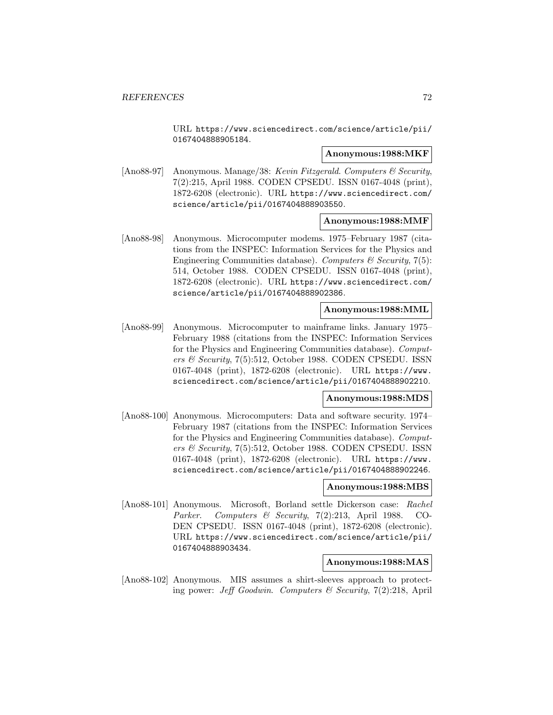URL https://www.sciencedirect.com/science/article/pii/ 0167404888905184.

## **Anonymous:1988:MKF**

[Ano88-97] Anonymous. Manage/38: Kevin Fitzgerald. Computers & Security, 7(2):215, April 1988. CODEN CPSEDU. ISSN 0167-4048 (print), 1872-6208 (electronic). URL https://www.sciencedirect.com/ science/article/pii/0167404888903550.

## **Anonymous:1988:MMF**

[Ano88-98] Anonymous. Microcomputer modems. 1975–February 1987 (citations from the INSPEC: Information Services for the Physics and Engineering Communities database). Computers  $\mathcal C$  Security, 7(5): 514, October 1988. CODEN CPSEDU. ISSN 0167-4048 (print), 1872-6208 (electronic). URL https://www.sciencedirect.com/ science/article/pii/0167404888902386.

# **Anonymous:1988:MML**

[Ano88-99] Anonymous. Microcomputer to mainframe links. January 1975– February 1988 (citations from the INSPEC: Information Services for the Physics and Engineering Communities database). Computers & Security, 7(5):512, October 1988. CODEN CPSEDU. ISSN 0167-4048 (print), 1872-6208 (electronic). URL https://www. sciencedirect.com/science/article/pii/0167404888902210.

# **Anonymous:1988:MDS**

[Ano88-100] Anonymous. Microcomputers: Data and software security. 1974– February 1987 (citations from the INSPEC: Information Services for the Physics and Engineering Communities database). Computers & Security, 7(5):512, October 1988. CODEN CPSEDU. ISSN 0167-4048 (print), 1872-6208 (electronic). URL https://www. sciencedirect.com/science/article/pii/0167404888902246.

## **Anonymous:1988:MBS**

[Ano88-101] Anonymous. Microsoft, Borland settle Dickerson case: Rachel Parker. Computers & Security, 7(2):213, April 1988. CO-DEN CPSEDU. ISSN 0167-4048 (print), 1872-6208 (electronic). URL https://www.sciencedirect.com/science/article/pii/ 0167404888903434.

#### **Anonymous:1988:MAS**

[Ano88-102] Anonymous. MIS assumes a shirt-sleeves approach to protecting power: Jeff Goodwin. Computers & Security, 7(2):218, April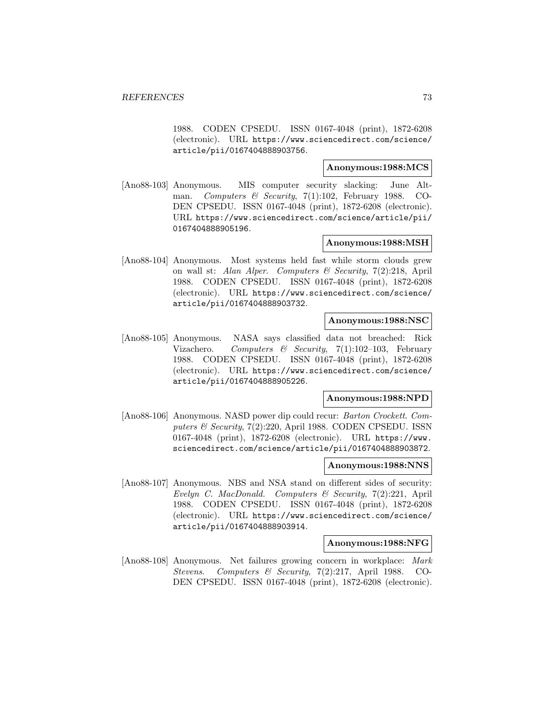1988. CODEN CPSEDU. ISSN 0167-4048 (print), 1872-6208 (electronic). URL https://www.sciencedirect.com/science/ article/pii/0167404888903756.

## **Anonymous:1988:MCS**

[Ano88-103] Anonymous. MIS computer security slacking: June Altman. Computers & Security, 7(1):102, February 1988. CO-DEN CPSEDU. ISSN 0167-4048 (print), 1872-6208 (electronic). URL https://www.sciencedirect.com/science/article/pii/ 0167404888905196.

## **Anonymous:1988:MSH**

[Ano88-104] Anonymous. Most systems held fast while storm clouds grew on wall st: Alan Alper. Computers & Security, 7(2):218, April 1988. CODEN CPSEDU. ISSN 0167-4048 (print), 1872-6208 (electronic). URL https://www.sciencedirect.com/science/ article/pii/0167404888903732.

#### **Anonymous:1988:NSC**

[Ano88-105] Anonymous. NASA says classified data not breached: Rick Vizachero. Computers & Security, 7(1):102-103, February 1988. CODEN CPSEDU. ISSN 0167-4048 (print), 1872-6208 (electronic). URL https://www.sciencedirect.com/science/ article/pii/0167404888905226.

### **Anonymous:1988:NPD**

[Ano88-106] Anonymous. NASD power dip could recur: Barton Crockett. Computers & Security, 7(2):220, April 1988. CODEN CPSEDU. ISSN 0167-4048 (print), 1872-6208 (electronic). URL https://www. sciencedirect.com/science/article/pii/0167404888903872.

#### **Anonymous:1988:NNS**

[Ano88-107] Anonymous. NBS and NSA stand on different sides of security: Evelyn C. MacDonald. Computers & Security, 7(2):221, April 1988. CODEN CPSEDU. ISSN 0167-4048 (print), 1872-6208 (electronic). URL https://www.sciencedirect.com/science/ article/pii/0167404888903914.

#### **Anonymous:1988:NFG**

[Ano88-108] Anonymous. Net failures growing concern in workplace: Mark Stevens. Computers & Security, 7(2):217, April 1988. CO-DEN CPSEDU. ISSN 0167-4048 (print), 1872-6208 (electronic).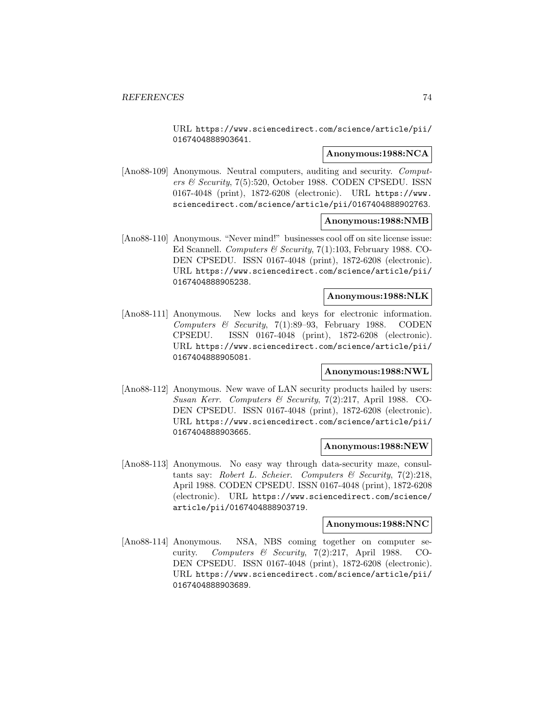URL https://www.sciencedirect.com/science/article/pii/ 0167404888903641.

#### **Anonymous:1988:NCA**

[Ano88-109] Anonymous. Neutral computers, auditing and security. Computers & Security, 7(5):520, October 1988. CODEN CPSEDU. ISSN 0167-4048 (print), 1872-6208 (electronic). URL https://www. sciencedirect.com/science/article/pii/0167404888902763.

#### **Anonymous:1988:NMB**

[Ano88-110] Anonymous. "Never mind!" businesses cool off on site license issue: Ed Scannell. Computers & Security,  $7(1):103$ , February 1988. CO-DEN CPSEDU. ISSN 0167-4048 (print), 1872-6208 (electronic). URL https://www.sciencedirect.com/science/article/pii/ 0167404888905238.

## **Anonymous:1988:NLK**

[Ano88-111] Anonymous. New locks and keys for electronic information. Computers & Security, 7(1):89–93, February 1988. CODEN CPSEDU. ISSN 0167-4048 (print), 1872-6208 (electronic). URL https://www.sciencedirect.com/science/article/pii/ 0167404888905081.

## **Anonymous:1988:NWL**

[Ano88-112] Anonymous. New wave of LAN security products hailed by users: Susan Kerr. Computers & Security, 7(2):217, April 1988. CO-DEN CPSEDU. ISSN 0167-4048 (print), 1872-6208 (electronic). URL https://www.sciencedirect.com/science/article/pii/ 0167404888903665.

## **Anonymous:1988:NEW**

[Ano88-113] Anonymous. No easy way through data-security maze, consultants say: Robert L. Scheier. Computers & Security,  $7(2):218$ , April 1988. CODEN CPSEDU. ISSN 0167-4048 (print), 1872-6208 (electronic). URL https://www.sciencedirect.com/science/ article/pii/0167404888903719.

## **Anonymous:1988:NNC**

[Ano88-114] Anonymous. NSA, NBS coming together on computer security. Computers & Security, 7(2):217, April 1988. CO-DEN CPSEDU. ISSN 0167-4048 (print), 1872-6208 (electronic). URL https://www.sciencedirect.com/science/article/pii/ 0167404888903689.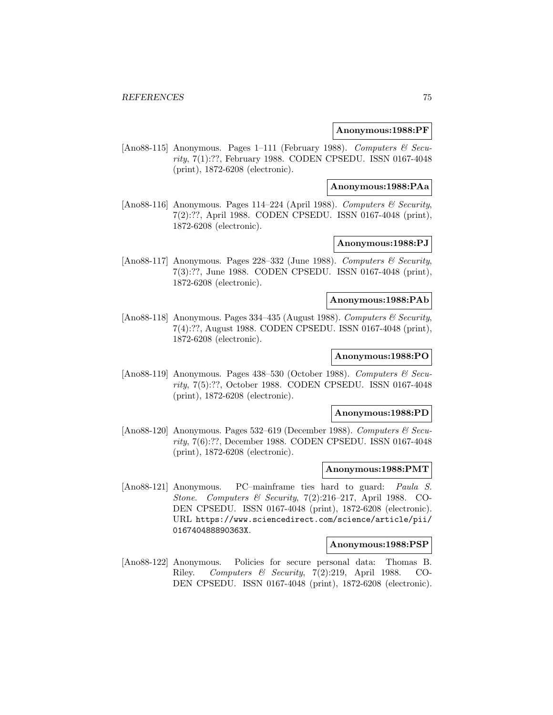#### **Anonymous:1988:PF**

[Ano88-115] Anonymous. Pages 1-111 (February 1988). Computers & Security, 7(1):??, February 1988. CODEN CPSEDU. ISSN 0167-4048 (print), 1872-6208 (electronic).

#### **Anonymous:1988:PAa**

[Ano88-116] Anonymous. Pages 114–224 (April 1988). Computers & Security, 7(2):??, April 1988. CODEN CPSEDU. ISSN 0167-4048 (print), 1872-6208 (electronic).

## **Anonymous:1988:PJ**

[Ano88-117] Anonymous. Pages 228–332 (June 1988). Computers  $\mathcal C$  Security, 7(3):??, June 1988. CODEN CPSEDU. ISSN 0167-4048 (print), 1872-6208 (electronic).

#### **Anonymous:1988:PAb**

[Ano88-118] Anonymous. Pages 334–435 (August 1988). Computers & Security, 7(4):??, August 1988. CODEN CPSEDU. ISSN 0167-4048 (print), 1872-6208 (electronic).

## **Anonymous:1988:PO**

[Ano88-119] Anonymous. Pages 438–530 (October 1988). Computers & Security, 7(5):??, October 1988. CODEN CPSEDU. ISSN 0167-4048 (print), 1872-6208 (electronic).

### **Anonymous:1988:PD**

[Ano88-120] Anonymous. Pages 532–619 (December 1988). Computers & Security, 7(6):??, December 1988. CODEN CPSEDU. ISSN 0167-4048 (print), 1872-6208 (electronic).

#### **Anonymous:1988:PMT**

[Ano88-121] Anonymous. PC–mainframe ties hard to guard: Paula S. Stone. Computers & Security,  $7(2):216-217$ , April 1988. CO-DEN CPSEDU. ISSN 0167-4048 (print), 1872-6208 (electronic). URL https://www.sciencedirect.com/science/article/pii/ 016740488890363X.

## **Anonymous:1988:PSP**

[Ano88-122] Anonymous. Policies for secure personal data: Thomas B. Riley. Computers & Security, 7(2):219, April 1988. CO-DEN CPSEDU. ISSN 0167-4048 (print), 1872-6208 (electronic).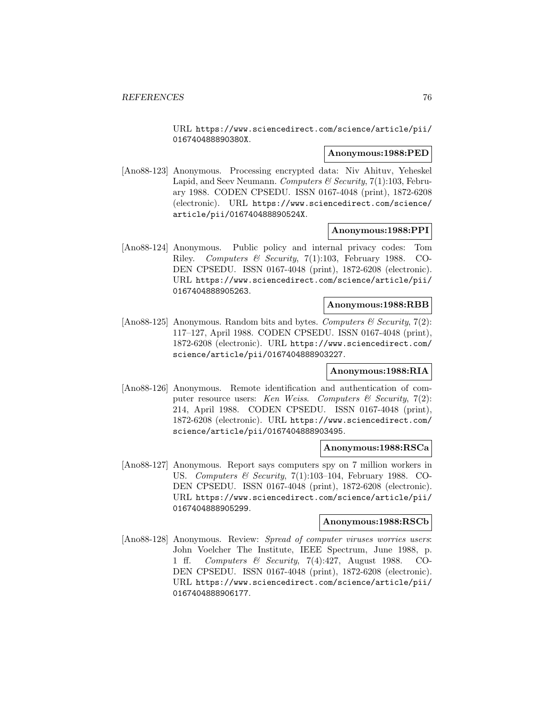URL https://www.sciencedirect.com/science/article/pii/ 016740488890380X.

## **Anonymous:1988:PED**

[Ano88-123] Anonymous. Processing encrypted data: Niv Ahituv, Yeheskel Lapid, and Seev Neumann. Computers  $\mathcal B$  Security, 7(1):103, February 1988. CODEN CPSEDU. ISSN 0167-4048 (print), 1872-6208 (electronic). URL https://www.sciencedirect.com/science/ article/pii/016740488890524X.

#### **Anonymous:1988:PPI**

[Ano88-124] Anonymous. Public policy and internal privacy codes: Tom Riley. Computers & Security, 7(1):103, February 1988. CO-DEN CPSEDU. ISSN 0167-4048 (print), 1872-6208 (electronic). URL https://www.sciencedirect.com/science/article/pii/ 0167404888905263.

#### **Anonymous:1988:RBB**

[Ano88-125] Anonymous. Random bits and bytes. Computers  $\mathcal C$  Security, 7(2): 117–127, April 1988. CODEN CPSEDU. ISSN 0167-4048 (print), 1872-6208 (electronic). URL https://www.sciencedirect.com/ science/article/pii/0167404888903227.

#### **Anonymous:1988:RIA**

[Ano88-126] Anonymous. Remote identification and authentication of computer resource users: Ken Weiss. Computers  $\mathcal{B}$  Security, 7(2): 214, April 1988. CODEN CPSEDU. ISSN 0167-4048 (print), 1872-6208 (electronic). URL https://www.sciencedirect.com/ science/article/pii/0167404888903495.

### **Anonymous:1988:RSCa**

[Ano88-127] Anonymous. Report says computers spy on 7 million workers in US. Computers & Security, 7(1):103–104, February 1988. CO-DEN CPSEDU. ISSN 0167-4048 (print), 1872-6208 (electronic). URL https://www.sciencedirect.com/science/article/pii/ 0167404888905299.

## **Anonymous:1988:RSCb**

[Ano88-128] Anonymous. Review: Spread of computer viruses worries users: John Voelcher The Institute, IEEE Spectrum, June 1988, p. 1 ff. Computers & Security, 7(4):427, August 1988. CO-DEN CPSEDU. ISSN 0167-4048 (print), 1872-6208 (electronic). URL https://www.sciencedirect.com/science/article/pii/ 0167404888906177.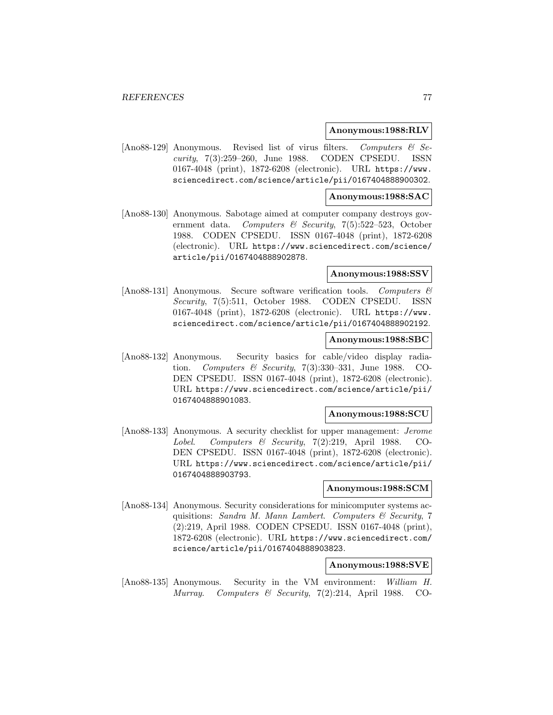#### **Anonymous:1988:RLV**

[Ano88-129] Anonymous. Revised list of virus filters. Computers  $\mathcal{C}$  Security, 7(3):259–260, June 1988. CODEN CPSEDU. ISSN 0167-4048 (print), 1872-6208 (electronic). URL https://www. sciencedirect.com/science/article/pii/0167404888900302.

#### **Anonymous:1988:SAC**

[Ano88-130] Anonymous. Sabotage aimed at computer company destroys government data. Computers & Security, 7(5):522–523, October 1988. CODEN CPSEDU. ISSN 0167-4048 (print), 1872-6208 (electronic). URL https://www.sciencedirect.com/science/ article/pii/0167404888902878.

## **Anonymous:1988:SSV**

[Ano88-131] Anonymous. Secure software verification tools. Computers  $\mathcal{B}$ Security, 7(5):511, October 1988. CODEN CPSEDU. ISSN 0167-4048 (print), 1872-6208 (electronic). URL https://www. sciencedirect.com/science/article/pii/0167404888902192.

#### **Anonymous:1988:SBC**

[Ano88-132] Anonymous. Security basics for cable/video display radiation. Computers & Security, 7(3):330–331, June 1988. CO-DEN CPSEDU. ISSN 0167-4048 (print), 1872-6208 (electronic). URL https://www.sciencedirect.com/science/article/pii/ 0167404888901083.

#### **Anonymous:1988:SCU**

[Ano88-133] Anonymous. A security checklist for upper management: Jerome Lobel. Computers & Security, 7(2):219, April 1988. CO-DEN CPSEDU. ISSN 0167-4048 (print), 1872-6208 (electronic). URL https://www.sciencedirect.com/science/article/pii/ 0167404888903793.

#### **Anonymous:1988:SCM**

[Ano88-134] Anonymous. Security considerations for minicomputer systems acquisitions: Sandra M. Mann Lambert. Computers & Security, 7 (2):219, April 1988. CODEN CPSEDU. ISSN 0167-4048 (print), 1872-6208 (electronic). URL https://www.sciencedirect.com/ science/article/pii/0167404888903823.

## **Anonymous:1988:SVE**

[Ano88-135] Anonymous. Security in the VM environment: William H. Murray. Computers & Security, 7(2):214, April 1988. CO-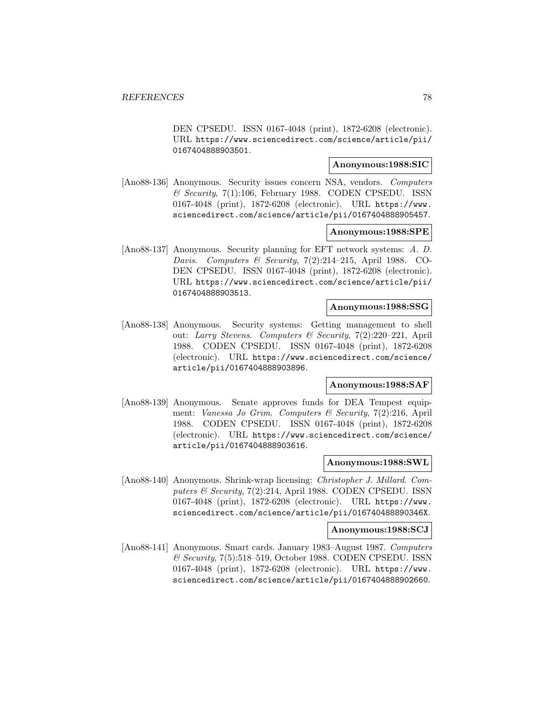DEN CPSEDU. ISSN 0167-4048 (print), 1872-6208 (electronic). URL https://www.sciencedirect.com/science/article/pii/ 0167404888903501.

## **Anonymous:1988:SIC**

[Ano88-136] Anonymous. Security issues concern NSA, vendors. Computers  $\&$  Security, 7(1):106, February 1988. CODEN CPSEDU. ISSN 0167-4048 (print), 1872-6208 (electronic). URL https://www. sciencedirect.com/science/article/pii/0167404888905457.

### **Anonymous:1988:SPE**

[Ano88-137] Anonymous. Security planning for EFT network systems: A. D. Davis. Computers & Security, 7(2):214–215, April 1988. CO-DEN CPSEDU. ISSN 0167-4048 (print), 1872-6208 (electronic). URL https://www.sciencedirect.com/science/article/pii/ 0167404888903513.

### **Anonymous:1988:SSG**

[Ano88-138] Anonymous. Security systems: Getting management to shell out: Larry Stevens. Computers & Security, 7(2):220–221, April 1988. CODEN CPSEDU. ISSN 0167-4048 (print), 1872-6208 (electronic). URL https://www.sciencedirect.com/science/ article/pii/0167404888903896.

#### **Anonymous:1988:SAF**

[Ano88-139] Anonymous. Senate approves funds for DEA Tempest equipment: Vanessa Jo Grim. Computers & Security, 7(2):216, April 1988. CODEN CPSEDU. ISSN 0167-4048 (print), 1872-6208 (electronic). URL https://www.sciencedirect.com/science/ article/pii/0167404888903616.

### **Anonymous:1988:SWL**

[Ano88-140] Anonymous. Shrink-wrap licensing: Christopher J. Millard. Computers & Security, 7(2):214, April 1988. CODEN CPSEDU. ISSN 0167-4048 (print), 1872-6208 (electronic). URL https://www. sciencedirect.com/science/article/pii/016740488890346X.

#### **Anonymous:1988:SCJ**

[Ano88-141] Anonymous. Smart cards. January 1983–August 1987. Computers & Security, 7(5):518–519, October 1988. CODEN CPSEDU. ISSN 0167-4048 (print), 1872-6208 (electronic). URL https://www. sciencedirect.com/science/article/pii/0167404888902660.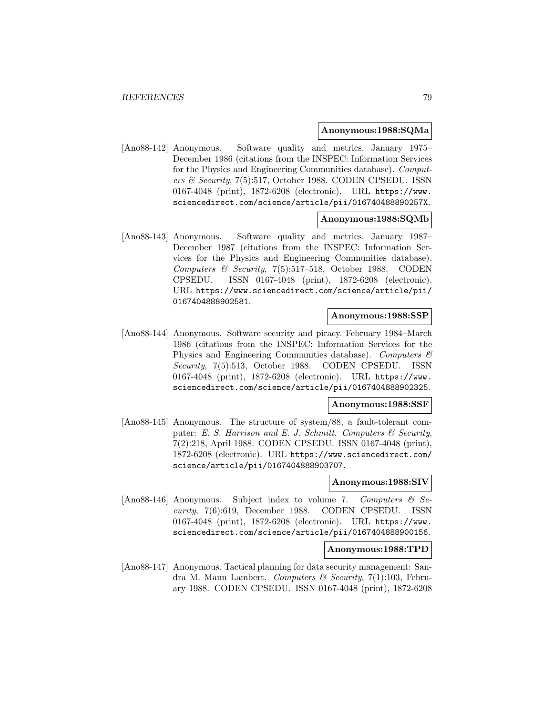#### **Anonymous:1988:SQMa**

[Ano88-142] Anonymous. Software quality and metrics. January 1975– December 1986 (citations from the INSPEC: Information Services for the Physics and Engineering Communities database). Computers & Security, 7(5):517, October 1988. CODEN CPSEDU. ISSN 0167-4048 (print), 1872-6208 (electronic). URL https://www. sciencedirect.com/science/article/pii/016740488890257X.

#### **Anonymous:1988:SQMb**

[Ano88-143] Anonymous. Software quality and metrics. January 1987– December 1987 (citations from the INSPEC: Information Services for the Physics and Engineering Communities database). Computers  $\mathcal B$  Security, 7(5):517–518, October 1988. CODEN CPSEDU. ISSN 0167-4048 (print), 1872-6208 (electronic). URL https://www.sciencedirect.com/science/article/pii/ 0167404888902581.

### **Anonymous:1988:SSP**

[Ano88-144] Anonymous. Software security and piracy. February 1984–March 1986 (citations from the INSPEC: Information Services for the Physics and Engineering Communities database). Computers  $\mathcal{B}$ Security, 7(5):513, October 1988. CODEN CPSEDU. ISSN 0167-4048 (print), 1872-6208 (electronic). URL https://www. sciencedirect.com/science/article/pii/0167404888902325.

#### **Anonymous:1988:SSF**

[Ano88-145] Anonymous. The structure of system/88, a fault-tolerant computer: E. S. Harrison and E. J. Schmitt. Computers  $\mathcal C$  Security, 7(2):218, April 1988. CODEN CPSEDU. ISSN 0167-4048 (print), 1872-6208 (electronic). URL https://www.sciencedirect.com/ science/article/pii/0167404888903707.

## **Anonymous:1988:SIV**

[Ano88-146] Anonymous. Subject index to volume 7. Computers  $\mathcal{C}$  Security, 7(6):619, December 1988. CODEN CPSEDU. ISSN 0167-4048 (print), 1872-6208 (electronic). URL https://www. sciencedirect.com/science/article/pii/0167404888900156.

## **Anonymous:1988:TPD**

[Ano88-147] Anonymous. Tactical planning for data security management: Sandra M. Mann Lambert. Computers & Security, 7(1):103, February 1988. CODEN CPSEDU. ISSN 0167-4048 (print), 1872-6208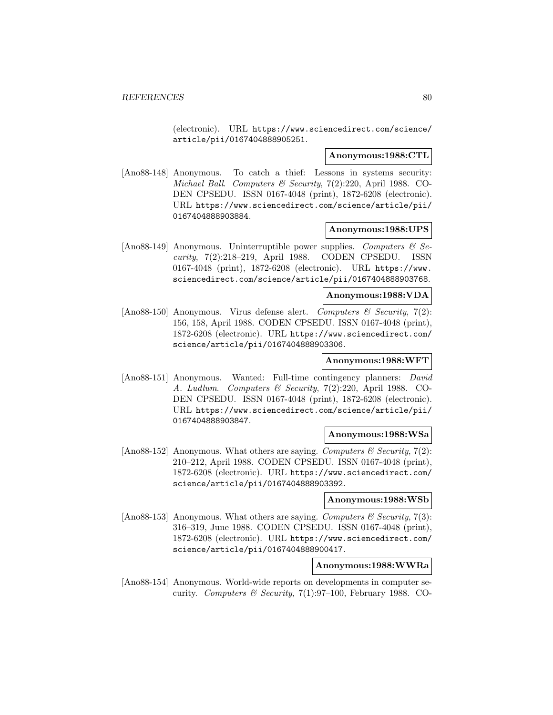(electronic). URL https://www.sciencedirect.com/science/ article/pii/0167404888905251.

#### **Anonymous:1988:CTL**

[Ano88-148] Anonymous. To catch a thief: Lessons in systems security: Michael Ball. Computers & Security, 7(2):220, April 1988. CO-DEN CPSEDU. ISSN 0167-4048 (print), 1872-6208 (electronic). URL https://www.sciencedirect.com/science/article/pii/ 0167404888903884.

### **Anonymous:1988:UPS**

[Ano88-149] Anonymous. Uninterruptible power supplies. Computers  $\mathcal{C}$  Security, 7(2):218–219, April 1988. CODEN CPSEDU. ISSN 0167-4048 (print), 1872-6208 (electronic). URL https://www. sciencedirect.com/science/article/pii/0167404888903768.

### **Anonymous:1988:VDA**

[Ano88-150] Anonymous. Virus defense alert. Computers & Security, 7(2): 156, 158, April 1988. CODEN CPSEDU. ISSN 0167-4048 (print), 1872-6208 (electronic). URL https://www.sciencedirect.com/ science/article/pii/0167404888903306.

## **Anonymous:1988:WFT**

[Ano88-151] Anonymous. Wanted: Full-time contingency planners: David A. Ludlum. Computers & Security, 7(2):220, April 1988. CO-DEN CPSEDU. ISSN 0167-4048 (print), 1872-6208 (electronic). URL https://www.sciencedirect.com/science/article/pii/ 0167404888903847.

#### **Anonymous:1988:WSa**

[Ano88-152] Anonymous. What others are saying. Computers & Security,  $7(2)$ : 210–212, April 1988. CODEN CPSEDU. ISSN 0167-4048 (print), 1872-6208 (electronic). URL https://www.sciencedirect.com/ science/article/pii/0167404888903392.

### **Anonymous:1988:WSb**

[Ano88-153] Anonymous. What others are saying. Computers & Security, 7(3): 316–319, June 1988. CODEN CPSEDU. ISSN 0167-4048 (print), 1872-6208 (electronic). URL https://www.sciencedirect.com/ science/article/pii/0167404888900417.

## **Anonymous:1988:WWRa**

[Ano88-154] Anonymous. World-wide reports on developments in computer security. Computers & Security,  $7(1):97-100$ , February 1988. CO-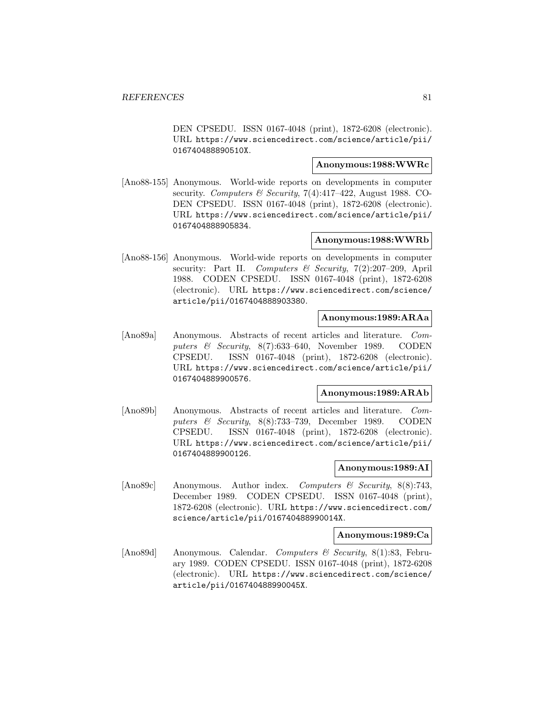DEN CPSEDU. ISSN 0167-4048 (print), 1872-6208 (electronic). URL https://www.sciencedirect.com/science/article/pii/ 016740488890510X.

## **Anonymous:1988:WWRc**

[Ano88-155] Anonymous. World-wide reports on developments in computer security. Computers & Security,  $7(4):417-422$ , August 1988. CO-DEN CPSEDU. ISSN 0167-4048 (print), 1872-6208 (electronic). URL https://www.sciencedirect.com/science/article/pii/ 0167404888905834.

## **Anonymous:1988:WWRb**

[Ano88-156] Anonymous. World-wide reports on developments in computer security: Part II. Computers & Security,  $7(2):207-209$ , April 1988. CODEN CPSEDU. ISSN 0167-4048 (print), 1872-6208 (electronic). URL https://www.sciencedirect.com/science/ article/pii/0167404888903380.

## **Anonymous:1989:ARAa**

[Ano89a] Anonymous. Abstracts of recent articles and literature. Computers & Security, 8(7):633-640, November 1989. CODEN CPSEDU. ISSN 0167-4048 (print), 1872-6208 (electronic). URL https://www.sciencedirect.com/science/article/pii/ 0167404889900576.

## **Anonymous:1989:ARAb**

[Ano89b] Anonymous. Abstracts of recent articles and literature. Computers  $\&$  Security, 8(8):733–739, December 1989. CODEN CPSEDU. ISSN 0167-4048 (print), 1872-6208 (electronic). URL https://www.sciencedirect.com/science/article/pii/ 0167404889900126.

### **Anonymous:1989:AI**

[Ano89c] Anonymous. Author index. Computers & Security, 8(8):743, December 1989. CODEN CPSEDU. ISSN 0167-4048 (print), 1872-6208 (electronic). URL https://www.sciencedirect.com/ science/article/pii/016740488990014X.

### **Anonymous:1989:Ca**

[Ano89d] Anonymous. Calendar. *Computers & Security*, 8(1):83, February 1989. CODEN CPSEDU. ISSN 0167-4048 (print), 1872-6208 (electronic). URL https://www.sciencedirect.com/science/ article/pii/016740488990045X.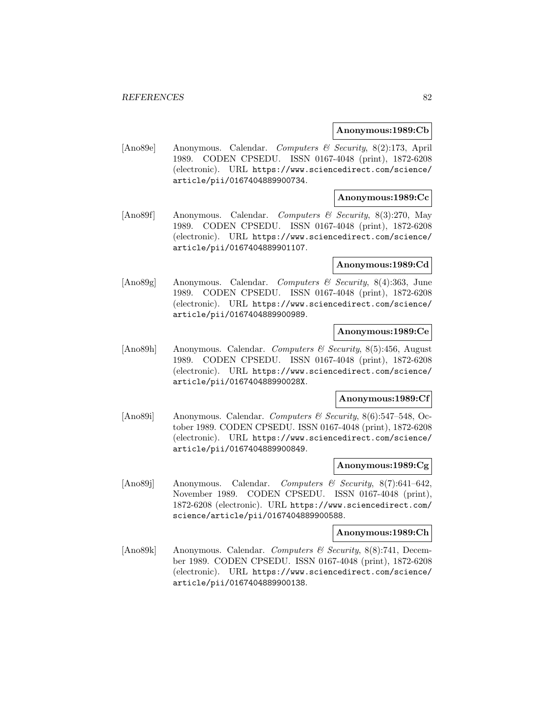#### **Anonymous:1989:Cb**

[Ano89e] Anonymous. Calendar. Computers & Security, 8(2):173, April 1989. CODEN CPSEDU. ISSN 0167-4048 (print), 1872-6208 (electronic). URL https://www.sciencedirect.com/science/ article/pii/0167404889900734.

## **Anonymous:1989:Cc**

[Ano89f] Anonymous. Calendar. Computers & Security, 8(3):270, May 1989. CODEN CPSEDU. ISSN 0167-4048 (print), 1872-6208 (electronic). URL https://www.sciencedirect.com/science/ article/pii/0167404889901107.

## **Anonymous:1989:Cd**

[Ano89g] Anonymous. Calendar. Computers & Security, 8(4):363, June 1989. CODEN CPSEDU. ISSN 0167-4048 (print), 1872-6208 (electronic). URL https://www.sciencedirect.com/science/ article/pii/0167404889900989.

## **Anonymous:1989:Ce**

[Ano89h] Anonymous. Calendar. Computers & Security, 8(5):456, August 1989. CODEN CPSEDU. ISSN 0167-4048 (print), 1872-6208 (electronic). URL https://www.sciencedirect.com/science/ article/pii/016740488990028X.

#### **Anonymous:1989:Cf**

[Ano89i] Anonymous. Calendar. Computers & Security, 8(6):547–548, October 1989. CODEN CPSEDU. ISSN 0167-4048 (print), 1872-6208 (electronic). URL https://www.sciencedirect.com/science/ article/pii/0167404889900849.

## **Anonymous:1989:Cg**

[Ano89] Anonymous. Calendar. Computers & Security, 8(7):641-642, November 1989. CODEN CPSEDU. ISSN 0167-4048 (print), 1872-6208 (electronic). URL https://www.sciencedirect.com/ science/article/pii/0167404889900588.

#### **Anonymous:1989:Ch**

[Ano89k] Anonymous. Calendar. Computers & Security, 8(8):741, December 1989. CODEN CPSEDU. ISSN 0167-4048 (print), 1872-6208 (electronic). URL https://www.sciencedirect.com/science/ article/pii/0167404889900138.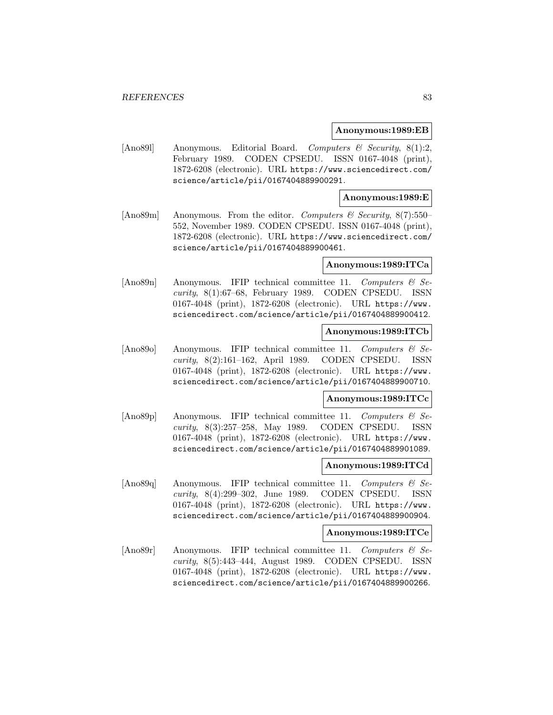#### **Anonymous:1989:EB**

[Ano89l] Anonymous. Editorial Board. Computers & Security, 8(1):2, February 1989. CODEN CPSEDU. ISSN 0167-4048 (print), 1872-6208 (electronic). URL https://www.sciencedirect.com/ science/article/pii/0167404889900291.

## **Anonymous:1989:E**

[Ano89m] Anonymous. From the editor. Computers & Security, 8(7):550– 552, November 1989. CODEN CPSEDU. ISSN 0167-4048 (print), 1872-6208 (electronic). URL https://www.sciencedirect.com/ science/article/pii/0167404889900461.

### **Anonymous:1989:ITCa**

[Ano89n] Anonymous. IFIP technical committee 11. Computers  $\mathcal{C}$  Security, 8(1):67–68, February 1989. CODEN CPSEDU. ISSN 0167-4048 (print), 1872-6208 (electronic). URL https://www. sciencedirect.com/science/article/pii/0167404889900412.

## **Anonymous:1989:ITCb**

[Ano89o] Anonymous. IFIP technical committee 11. Computers  $\mathcal{C}$  Security, 8(2):161–162, April 1989. CODEN CPSEDU. ISSN 0167-4048 (print), 1872-6208 (electronic). URL https://www. sciencedirect.com/science/article/pii/0167404889900710.

#### **Anonymous:1989:ITCc**

[Ano89p] Anonymous. IFIP technical committee 11. Computers & Security, 8(3):257–258, May 1989. CODEN CPSEDU. ISSN 0167-4048 (print), 1872-6208 (electronic). URL https://www. sciencedirect.com/science/article/pii/0167404889901089.

### **Anonymous:1989:ITCd**

[Ano89q] Anonymous. IFIP technical committee 11. Computers  $\mathcal{C}$  Security, 8(4):299–302, June 1989. CODEN CPSEDU. ISSN 0167-4048 (print), 1872-6208 (electronic). URL https://www. sciencedirect.com/science/article/pii/0167404889900904.

#### **Anonymous:1989:ITCe**

[Ano89r] Anonymous. IFIP technical committee 11. Computers  $\mathcal{C}$  Security, 8(5):443–444, August 1989. CODEN CPSEDU. ISSN 0167-4048 (print), 1872-6208 (electronic). URL https://www. sciencedirect.com/science/article/pii/0167404889900266.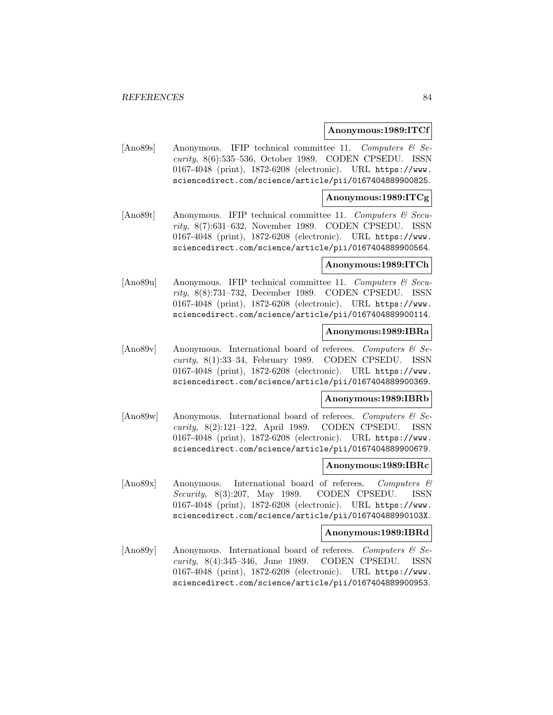#### **Anonymous:1989:ITCf**

[Ano89s] Anonymous. IFIP technical committee 11. Computers & Security, 8(6):535–536, October 1989. CODEN CPSEDU. ISSN 0167-4048 (print), 1872-6208 (electronic). URL https://www. sciencedirect.com/science/article/pii/0167404889900825.

## **Anonymous:1989:ITCg**

[Ano89t] Anonymous. IFIP technical committee 11. Computers & Security, 8(7):631–632, November 1989. CODEN CPSEDU. ISSN 0167-4048 (print), 1872-6208 (electronic). URL https://www. sciencedirect.com/science/article/pii/0167404889900564.

## **Anonymous:1989:ITCh**

[Ano89u] Anonymous. IFIP technical committee 11. Computers & Security, 8(8):731–732, December 1989. CODEN CPSEDU. ISSN 0167-4048 (print), 1872-6208 (electronic). URL https://www. sciencedirect.com/science/article/pii/0167404889900114.

### **Anonymous:1989:IBRa**

[Ano89v] Anonymous. International board of referees. Computers  $\mathcal{C}$  Security, 8(1):33–34, February 1989. CODEN CPSEDU. ISSN 0167-4048 (print), 1872-6208 (electronic). URL https://www. sciencedirect.com/science/article/pii/0167404889900369.

## **Anonymous:1989:IBRb**

[Ano89w] Anonymous. International board of referees. Computers  $\mathcal{B}$  Security, 8(2):121–122, April 1989. CODEN CPSEDU. ISSN 0167-4048 (print), 1872-6208 (electronic). URL https://www. sciencedirect.com/science/article/pii/0167404889900679.

#### **Anonymous:1989:IBRc**

[Ano89x] Anonymous. International board of referees. Computers & Security, 8(3):207, May 1989. CODEN CPSEDU. ISSN 0167-4048 (print), 1872-6208 (electronic). URL https://www. sciencedirect.com/science/article/pii/016740488990103X.

#### **Anonymous:1989:IBRd**

[Ano89y] Anonymous. International board of referees. Computers & Security, 8(4):345–346, June 1989. CODEN CPSEDU. ISSN 0167-4048 (print), 1872-6208 (electronic). URL https://www. sciencedirect.com/science/article/pii/0167404889900953.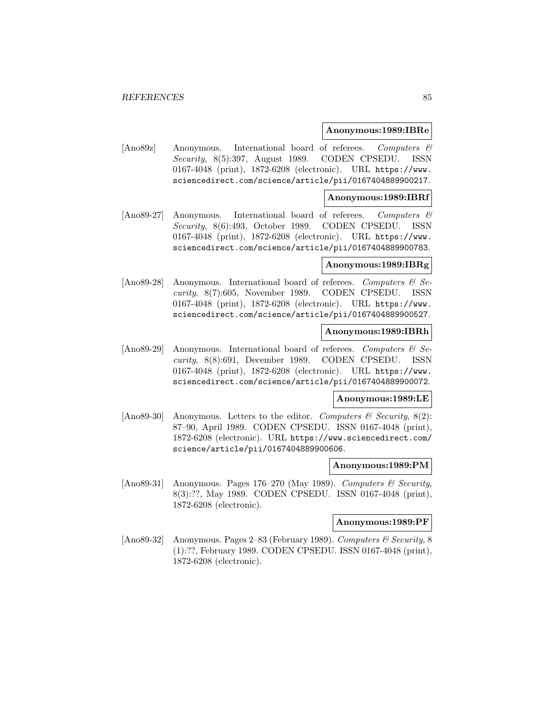#### **Anonymous:1989:IBRe**

[Ano89z] Anonymous. International board of referees. Computers & Security, 8(5):397, August 1989. CODEN CPSEDU. ISSN 0167-4048 (print), 1872-6208 (electronic). URL https://www. sciencedirect.com/science/article/pii/0167404889900217.

## **Anonymous:1989:IBRf**

[Ano89-27] Anonymous. International board of referees. Computers & Security, 8(6):493, October 1989. CODEN CPSEDU. ISSN 0167-4048 (print), 1872-6208 (electronic). URL https://www. sciencedirect.com/science/article/pii/0167404889900783.

## **Anonymous:1989:IBRg**

[Ano89-28] Anonymous. International board of referees. Computers  $\mathcal{C}$  Security, 8(7):605, November 1989. CODEN CPSEDU. ISSN 0167-4048 (print), 1872-6208 (electronic). URL https://www. sciencedirect.com/science/article/pii/0167404889900527.

## **Anonymous:1989:IBRh**

[Ano89-29] Anonymous. International board of referees. Computers  $\mathcal{C}$  Security, 8(8):691, December 1989. CODEN CPSEDU. ISSN 0167-4048 (print), 1872-6208 (electronic). URL https://www. sciencedirect.com/science/article/pii/0167404889900072.

#### **Anonymous:1989:LE**

[Ano89-30] Anonymous. Letters to the editor. Computers  $\mathcal C$  Security, 8(2): 87–90, April 1989. CODEN CPSEDU. ISSN 0167-4048 (print), 1872-6208 (electronic). URL https://www.sciencedirect.com/ science/article/pii/0167404889900606.

### **Anonymous:1989:PM**

[Ano89-31] Anonymous. Pages 176–270 (May 1989). Computers  $\mathcal C$  Security, 8(3):??, May 1989. CODEN CPSEDU. ISSN 0167-4048 (print), 1872-6208 (electronic).

## **Anonymous:1989:PF**

[Ano89-32] Anonymous. Pages 2–83 (February 1989). Computers  $\mathcal C$  Security, 8 (1):??, February 1989. CODEN CPSEDU. ISSN 0167-4048 (print), 1872-6208 (electronic).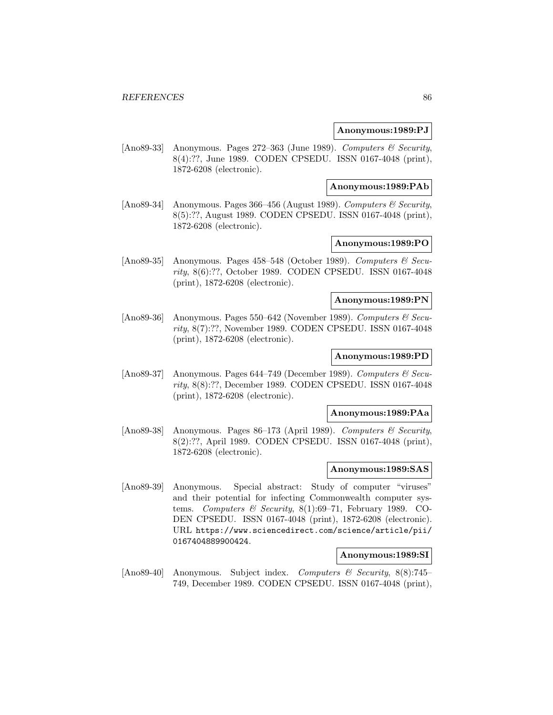#### **Anonymous:1989:PJ**

[Ano89-33] Anonymous. Pages 272–363 (June 1989). Computers & Security, 8(4):??, June 1989. CODEN CPSEDU. ISSN 0167-4048 (print), 1872-6208 (electronic).

#### **Anonymous:1989:PAb**

[Ano89-34] Anonymous. Pages 366–456 (August 1989). Computers & Security, 8(5):??, August 1989. CODEN CPSEDU. ISSN 0167-4048 (print), 1872-6208 (electronic).

## **Anonymous:1989:PO**

[Ano89-35] Anonymous. Pages  $458-548$  (October 1989). Computers & Security, 8(6):??, October 1989. CODEN CPSEDU. ISSN 0167-4048 (print), 1872-6208 (electronic).

### **Anonymous:1989:PN**

[Ano89-36] Anonymous. Pages 550–642 (November 1989). Computers  $\mathcal{C}$  Security, 8(7):??, November 1989. CODEN CPSEDU. ISSN 0167-4048 (print), 1872-6208 (electronic).

## **Anonymous:1989:PD**

[Ano89-37] Anonymous. Pages 644–749 (December 1989). Computers  $\mathcal{C}$  Security, 8(8):??, December 1989. CODEN CPSEDU. ISSN 0167-4048 (print), 1872-6208 (electronic).

### **Anonymous:1989:PAa**

[Ano89-38] Anonymous. Pages 86–173 (April 1989). Computers & Security, 8(2):??, April 1989. CODEN CPSEDU. ISSN 0167-4048 (print), 1872-6208 (electronic).

#### **Anonymous:1989:SAS**

[Ano89-39] Anonymous. Special abstract: Study of computer "viruses" and their potential for infecting Commonwealth computer systems. Computers & Security,  $8(1):69-71$ , February 1989. CO-DEN CPSEDU. ISSN 0167-4048 (print), 1872-6208 (electronic). URL https://www.sciencedirect.com/science/article/pii/ 0167404889900424.

## **Anonymous:1989:SI**

[Ano89-40] Anonymous. Subject index. Computers & Security, 8(8):745– 749, December 1989. CODEN CPSEDU. ISSN 0167-4048 (print),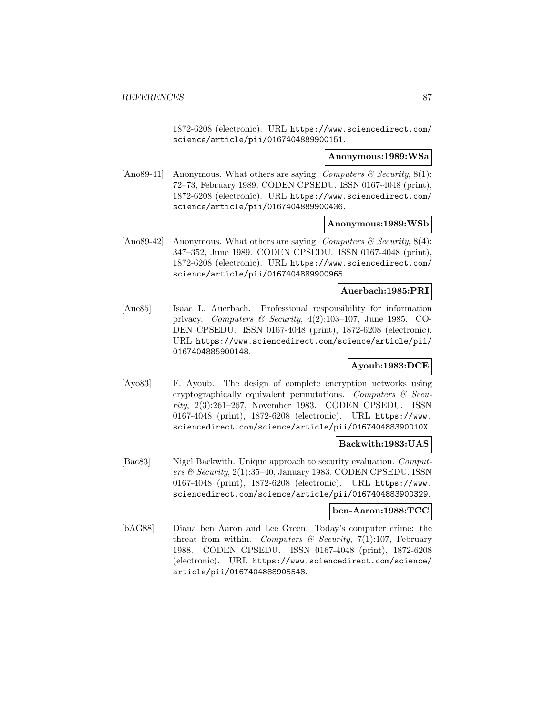1872-6208 (electronic). URL https://www.sciencedirect.com/ science/article/pii/0167404889900151.

#### **Anonymous:1989:WSa**

[Ano89-41] Anonymous. What others are saying. Computers  $\mathcal C$  Security, 8(1): 72–73, February 1989. CODEN CPSEDU. ISSN 0167-4048 (print), 1872-6208 (electronic). URL https://www.sciencedirect.com/ science/article/pii/0167404889900436.

### **Anonymous:1989:WSb**

[Ano89-42] Anonymous. What others are saying. Computers & Security,  $8(4)$ : 347–352, June 1989. CODEN CPSEDU. ISSN 0167-4048 (print), 1872-6208 (electronic). URL https://www.sciencedirect.com/ science/article/pii/0167404889900965.

## **Auerbach:1985:PRI**

[Aue85] Isaac L. Auerbach. Professional responsibility for information privacy. Computers & Security, 4(2):103–107, June 1985. CO-DEN CPSEDU. ISSN 0167-4048 (print), 1872-6208 (electronic). URL https://www.sciencedirect.com/science/article/pii/ 0167404885900148.

## **Ayoub:1983:DCE**

[Ayo83] F. Ayoub. The design of complete encryption networks using cryptographically equivalent permutations. Computers  $\mathcal{C}$  Security, 2(3):261–267, November 1983. CODEN CPSEDU. ISSN 0167-4048 (print), 1872-6208 (electronic). URL https://www. sciencedirect.com/science/article/pii/016740488390010X.

## **Backwith:1983:UAS**

[Bac83] Nigel Backwith. Unique approach to security evaluation. Computers & Security, 2(1):35–40, January 1983. CODEN CPSEDU. ISSN 0167-4048 (print), 1872-6208 (electronic). URL https://www. sciencedirect.com/science/article/pii/0167404883900329.

## **ben-Aaron:1988:TCC**

[bAG88] Diana ben Aaron and Lee Green. Today's computer crime: the threat from within. Computers  $\mathcal B$  Security, 7(1):107, February 1988. CODEN CPSEDU. ISSN 0167-4048 (print), 1872-6208 (electronic). URL https://www.sciencedirect.com/science/ article/pii/0167404888905548.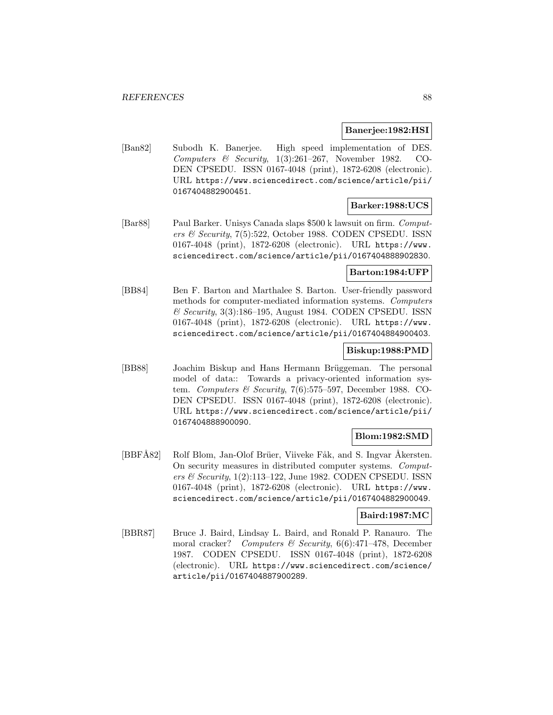### **Banerjee:1982:HSI**

[Ban82] Subodh K. Banerjee. High speed implementation of DES. Computers & Security,  $1(3):261-267$ , November 1982. CO-DEN CPSEDU. ISSN 0167-4048 (print), 1872-6208 (electronic). URL https://www.sciencedirect.com/science/article/pii/ 0167404882900451.

## **Barker:1988:UCS**

[Bar88] Paul Barker. Unisys Canada slaps \$500 k lawsuit on firm. Computers & Security, 7(5):522, October 1988. CODEN CPSEDU. ISSN 0167-4048 (print), 1872-6208 (electronic). URL https://www. sciencedirect.com/science/article/pii/0167404888902830.

## **Barton:1984:UFP**

[BB84] Ben F. Barton and Marthalee S. Barton. User-friendly password methods for computer-mediated information systems. Computers  $\mathcal C$  Security, 3(3):186–195, August 1984. CODEN CPSEDU. ISSN 0167-4048 (print), 1872-6208 (electronic). URL https://www. sciencedirect.com/science/article/pii/0167404884900403.

## **Biskup:1988:PMD**

[BB88] Joachim Biskup and Hans Hermann Brüggeman. The personal model of data:: Towards a privacy-oriented information system. Computers  $\mathcal B$  Security, 7(6):575–597, December 1988. CO-DEN CPSEDU. ISSN 0167-4048 (print), 1872-6208 (electronic). URL https://www.sciencedirect.com/science/article/pii/ 0167404888900090.

## **Blom:1982:SMD**

[BBFÅ82] Rolf Blom, Jan-Olof Brüer, Viiveke Fåk, and S. Ingvar Åkersten. On security measures in distributed computer systems. Computers & Security,  $1(2):113-122$ , June 1982. CODEN CPSEDU. ISSN 0167-4048 (print), 1872-6208 (electronic). URL https://www. sciencedirect.com/science/article/pii/0167404882900049.

### **Baird:1987:MC**

[BBR87] Bruce J. Baird, Lindsay L. Baird, and Ronald P. Ranauro. The moral cracker? Computers & Security,  $6(6)$ :471–478, December 1987. CODEN CPSEDU. ISSN 0167-4048 (print), 1872-6208 (electronic). URL https://www.sciencedirect.com/science/ article/pii/0167404887900289.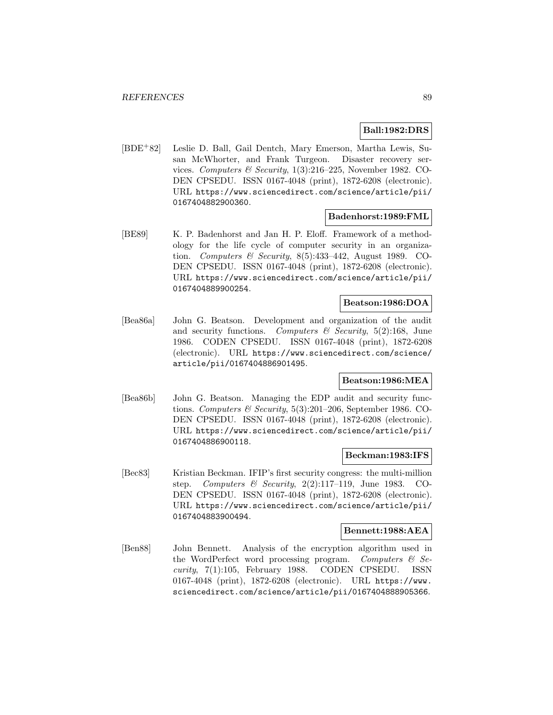## **Ball:1982:DRS**

[BDE<sup>+</sup>82] Leslie D. Ball, Gail Dentch, Mary Emerson, Martha Lewis, Susan McWhorter, and Frank Turgeon. Disaster recovery services. Computers & Security,  $1(3):216-225$ , November 1982. CO-DEN CPSEDU. ISSN 0167-4048 (print), 1872-6208 (electronic). URL https://www.sciencedirect.com/science/article/pii/ 0167404882900360.

#### **Badenhorst:1989:FML**

[BE89] K. P. Badenhorst and Jan H. P. Eloff. Framework of a methodology for the life cycle of computer security in an organization. Computers & Security,  $8(5):433-442$ , August 1989. CO-DEN CPSEDU. ISSN 0167-4048 (print), 1872-6208 (electronic). URL https://www.sciencedirect.com/science/article/pii/ 0167404889900254.

## **Beatson:1986:DOA**

[Bea86a] John G. Beatson. Development and organization of the audit and security functions. Computers  $\mathcal{B}$  Security, 5(2):168, June 1986. CODEN CPSEDU. ISSN 0167-4048 (print), 1872-6208 (electronic). URL https://www.sciencedirect.com/science/ article/pii/0167404886901495.

## **Beatson:1986:MEA**

[Bea86b] John G. Beatson. Managing the EDP audit and security functions. Computers & Security, 5(3):201–206, September 1986. CO-DEN CPSEDU. ISSN 0167-4048 (print), 1872-6208 (electronic). URL https://www.sciencedirect.com/science/article/pii/ 0167404886900118.

#### **Beckman:1983:IFS**

[Bec83] Kristian Beckman. IFIP's first security congress: the multi-million step. Computers & Security,  $2(2):117-119$ , June 1983. CO-DEN CPSEDU. ISSN 0167-4048 (print), 1872-6208 (electronic). URL https://www.sciencedirect.com/science/article/pii/ 0167404883900494.

#### **Bennett:1988:AEA**

[Ben88] John Bennett. Analysis of the encryption algorithm used in the WordPerfect word processing program. Computers  $\mathcal{C}$  Security, 7(1):105, February 1988. CODEN CPSEDU. ISSN 0167-4048 (print), 1872-6208 (electronic). URL https://www. sciencedirect.com/science/article/pii/0167404888905366.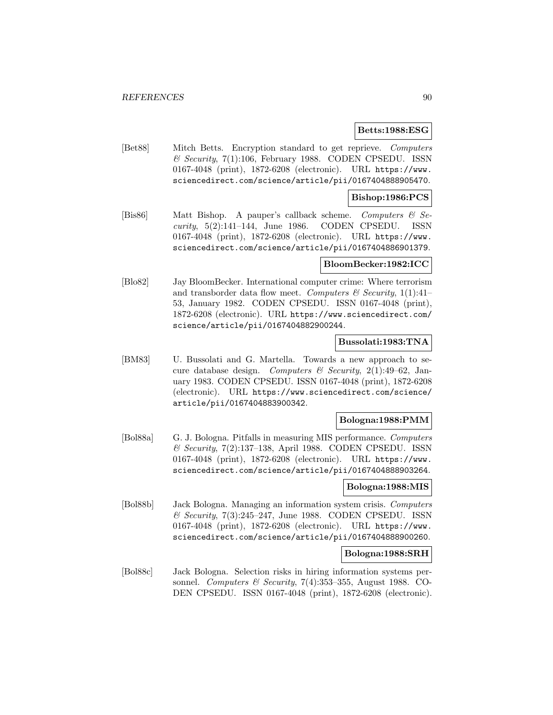#### **Betts:1988:ESG**

[Bet88] Mitch Betts. Encryption standard to get reprieve. Computers  $\mathscr$  Security, 7(1):106, February 1988. CODEN CPSEDU. ISSN 0167-4048 (print), 1872-6208 (electronic). URL https://www. sciencedirect.com/science/article/pii/0167404888905470.

## **Bishop:1986:PCS**

[Bis86] Matt Bishop. A pauper's callback scheme. Computers & Se $curity, 5(2):141-144, June 1986. CODEN CPSEDU. ISSN$ 0167-4048 (print), 1872-6208 (electronic). URL https://www. sciencedirect.com/science/article/pii/0167404886901379.

#### **BloomBecker:1982:ICC**

[Blo82] Jay BloomBecker. International computer crime: Where terrorism and transborder data flow meet. Computers  $\mathcal C$  Security, 1(1):41-53, January 1982. CODEN CPSEDU. ISSN 0167-4048 (print), 1872-6208 (electronic). URL https://www.sciencedirect.com/ science/article/pii/0167404882900244.

#### **Bussolati:1983:TNA**

[BM83] U. Bussolati and G. Martella. Towards a new approach to secure database design. Computers  $\mathcal C$  Security, 2(1):49-62, January 1983. CODEN CPSEDU. ISSN 0167-4048 (print), 1872-6208 (electronic). URL https://www.sciencedirect.com/science/ article/pii/0167404883900342.

## **Bologna:1988:PMM**

[Bol88a] G. J. Bologna. Pitfalls in measuring MIS performance. Computers & Security, 7(2):137–138, April 1988. CODEN CPSEDU. ISSN 0167-4048 (print), 1872-6208 (electronic). URL https://www. sciencedirect.com/science/article/pii/0167404888903264.

### **Bologna:1988:MIS**

[Bol88b] Jack Bologna. Managing an information system crisis. Computers  $&$  Security, 7(3):245–247, June 1988. CODEN CPSEDU. ISSN 0167-4048 (print), 1872-6208 (electronic). URL https://www. sciencedirect.com/science/article/pii/0167404888900260.

#### **Bologna:1988:SRH**

[Bol88c] Jack Bologna. Selection risks in hiring information systems personnel. Computers & Security, 7(4):353-355, August 1988. CO-DEN CPSEDU. ISSN 0167-4048 (print), 1872-6208 (electronic).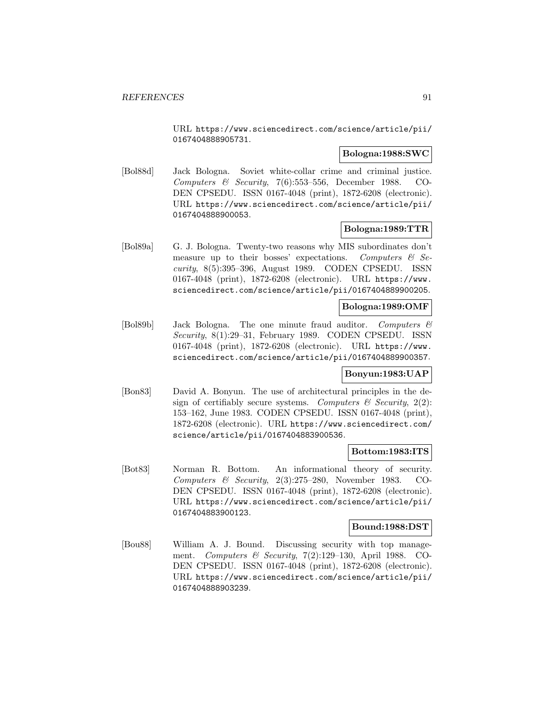URL https://www.sciencedirect.com/science/article/pii/ 0167404888905731.

## **Bologna:1988:SWC**

[Bol88d] Jack Bologna. Soviet white-collar crime and criminal justice. Computers & Security, 7(6):553–556, December 1988. CO-DEN CPSEDU. ISSN 0167-4048 (print), 1872-6208 (electronic). URL https://www.sciencedirect.com/science/article/pii/ 0167404888900053.

## **Bologna:1989:TTR**

[Bol89a] G. J. Bologna. Twenty-two reasons why MIS subordinates don't measure up to their bosses' expectations. Computers  $\mathcal{B}$  Security, 8(5):395–396, August 1989. CODEN CPSEDU. ISSN 0167-4048 (print), 1872-6208 (electronic). URL https://www. sciencedirect.com/science/article/pii/0167404889900205.

### **Bologna:1989:OMF**

[Bol89b] Jack Bologna. The one minute fraud auditor. Computers & Security, 8(1):29–31, February 1989. CODEN CPSEDU. ISSN 0167-4048 (print), 1872-6208 (electronic). URL https://www. sciencedirect.com/science/article/pii/0167404889900357.

### **Bonyun:1983:UAP**

[Bon83] David A. Bonyun. The use of architectural principles in the design of certifiably secure systems. Computers  $\mathcal C$  Security, 2(2): 153–162, June 1983. CODEN CPSEDU. ISSN 0167-4048 (print), 1872-6208 (electronic). URL https://www.sciencedirect.com/ science/article/pii/0167404883900536.

#### **Bottom:1983:ITS**

[Bot83] Norman R. Bottom. An informational theory of security. Computers & Security, 2(3):275–280, November 1983. CO-DEN CPSEDU. ISSN 0167-4048 (print), 1872-6208 (electronic). URL https://www.sciencedirect.com/science/article/pii/ 0167404883900123.

#### **Bound:1988:DST**

[Bou88] William A. J. Bound. Discussing security with top management. Computers & Security,  $7(2):129-130$ , April 1988. CO-DEN CPSEDU. ISSN 0167-4048 (print), 1872-6208 (electronic). URL https://www.sciencedirect.com/science/article/pii/ 0167404888903239.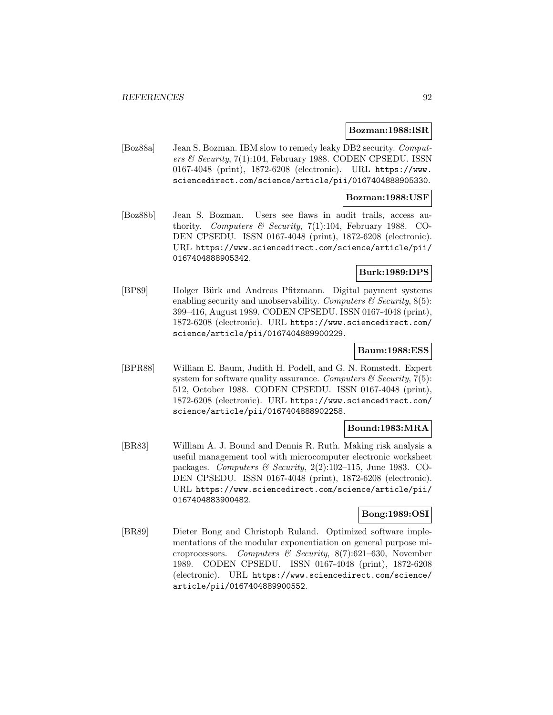#### **Bozman:1988:ISR**

[Boz88a] Jean S. Bozman. IBM slow to remedy leaky DB2 security. Computers & Security, 7(1):104, February 1988. CODEN CPSEDU. ISSN 0167-4048 (print), 1872-6208 (electronic). URL https://www. sciencedirect.com/science/article/pii/0167404888905330.

### **Bozman:1988:USF**

[Boz88b] Jean S. Bozman. Users see flaws in audit trails, access authority. Computers & Security, 7(1):104, February 1988. CO-DEN CPSEDU. ISSN 0167-4048 (print), 1872-6208 (electronic). URL https://www.sciencedirect.com/science/article/pii/ 0167404888905342.

## **Burk:1989:DPS**

[BP89] Holger Bürk and Andreas Pfitzmann. Digital payment systems enabling security and unobservability. Computers  $\mathcal C$  Security, 8(5): 399–416, August 1989. CODEN CPSEDU. ISSN 0167-4048 (print), 1872-6208 (electronic). URL https://www.sciencedirect.com/ science/article/pii/0167404889900229.

#### **Baum:1988:ESS**

[BPR88] William E. Baum, Judith H. Podell, and G. N. Romstedt. Expert system for software quality assurance. Computers  $\mathcal C$  Security, 7(5): 512, October 1988. CODEN CPSEDU. ISSN 0167-4048 (print), 1872-6208 (electronic). URL https://www.sciencedirect.com/ science/article/pii/0167404888902258.

## **Bound:1983:MRA**

[BR83] William A. J. Bound and Dennis R. Ruth. Making risk analysis a useful management tool with microcomputer electronic worksheet packages. Computers  $\mathcal C$  Security, 2(2):102–115, June 1983. CO-DEN CPSEDU. ISSN 0167-4048 (print), 1872-6208 (electronic). URL https://www.sciencedirect.com/science/article/pii/ 0167404883900482.

## **Bong:1989:OSI**

[BR89] Dieter Bong and Christoph Ruland. Optimized software implementations of the modular exponentiation on general purpose microprocessors. Computers & Security,  $8(7):621-630$ , November 1989. CODEN CPSEDU. ISSN 0167-4048 (print), 1872-6208 (electronic). URL https://www.sciencedirect.com/science/ article/pii/0167404889900552.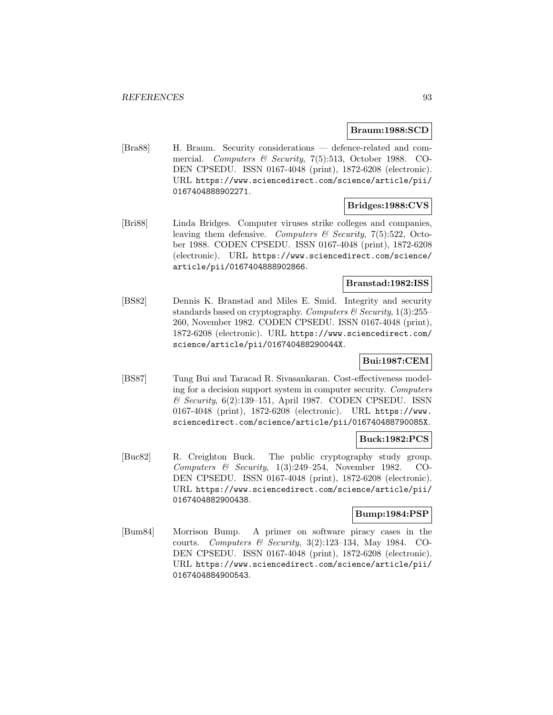### **Braum:1988:SCD**

[Bra88] H. Braum. Security considerations — defence-related and commercial. Computers & Security, 7(5):513, October 1988. CO-DEN CPSEDU. ISSN 0167-4048 (print), 1872-6208 (electronic). URL https://www.sciencedirect.com/science/article/pii/ 0167404888902271.

#### **Bridges:1988:CVS**

[Bri88] Linda Bridges. Computer viruses strike colleges and companies, leaving them defensive. Computers  $\mathcal C$  Security, 7(5):522, October 1988. CODEN CPSEDU. ISSN 0167-4048 (print), 1872-6208 (electronic). URL https://www.sciencedirect.com/science/ article/pii/0167404888902866.

## **Branstad:1982:ISS**

[BS82] Dennis K. Branstad and Miles E. Smid. Integrity and security standards based on cryptography. Computers  $\mathcal B$  Security, 1(3):255– 260, November 1982. CODEN CPSEDU. ISSN 0167-4048 (print), 1872-6208 (electronic). URL https://www.sciencedirect.com/ science/article/pii/016740488290044X.

## **Bui:1987:CEM**

[BS87] Tung Bui and Taracad R. Sivasankaran. Cost-effectiveness modeling for a decision support system in computer security. Computers  $\mathcal C$  Security, 6(2):139–151, April 1987. CODEN CPSEDU. ISSN 0167-4048 (print), 1872-6208 (electronic). URL https://www. sciencedirect.com/science/article/pii/016740488790085X.

## **Buck:1982:PCS**

[Buc82] R. Creighton Buck. The public cryptography study group. Computers & Security,  $1(3):249-254$ , November 1982. CO-DEN CPSEDU. ISSN 0167-4048 (print), 1872-6208 (electronic). URL https://www.sciencedirect.com/science/article/pii/ 0167404882900438.

## **Bump:1984:PSP**

[Bum84] Morrison Bump. A primer on software piracy cases in the courts. Computers & Security,  $3(2):123-134$ , May 1984. CO-DEN CPSEDU. ISSN 0167-4048 (print), 1872-6208 (electronic). URL https://www.sciencedirect.com/science/article/pii/ 0167404884900543.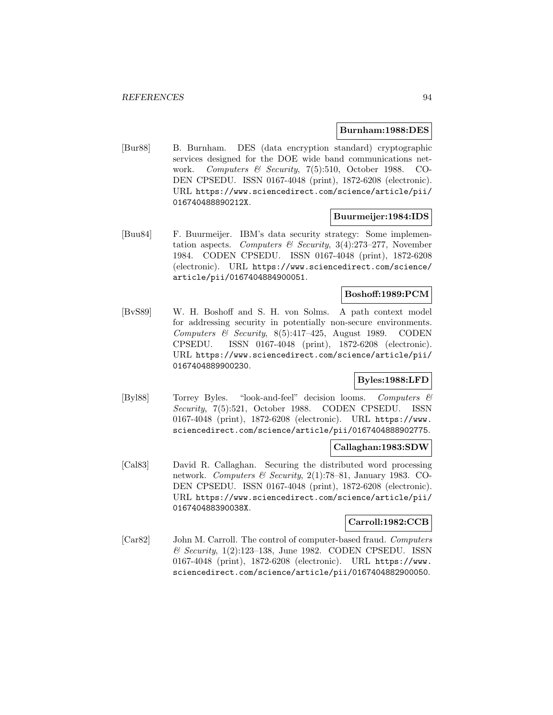#### **Burnham:1988:DES**

[Bur88] B. Burnham. DES (data encryption standard) cryptographic services designed for the DOE wide band communications network. Computers & Security, 7(5):510, October 1988. CO-DEN CPSEDU. ISSN 0167-4048 (print), 1872-6208 (electronic). URL https://www.sciencedirect.com/science/article/pii/ 016740488890212X.

## **Buurmeijer:1984:IDS**

[Buu84] F. Buurmeijer. IBM's data security strategy: Some implementation aspects. Computers & Security,  $3(4):273-277$ , November 1984. CODEN CPSEDU. ISSN 0167-4048 (print), 1872-6208 (electronic). URL https://www.sciencedirect.com/science/ article/pii/0167404884900051.

## **Boshoff:1989:PCM**

[BvS89] W. H. Boshoff and S. H. von Solms. A path context model for addressing security in potentially non-secure environments. Computers & Security,  $8(5):417-425$ , August 1989. CODEN CPSEDU. ISSN 0167-4048 (print), 1872-6208 (electronic). URL https://www.sciencedirect.com/science/article/pii/ 0167404889900230.

## **Byles:1988:LFD**

[Byl88] Torrey Byles. "look-and-feel" decision looms. Computers & Security, 7(5):521, October 1988. CODEN CPSEDU. ISSN 0167-4048 (print), 1872-6208 (electronic). URL https://www. sciencedirect.com/science/article/pii/0167404888902775.

## **Callaghan:1983:SDW**

[Cal83] David R. Callaghan. Securing the distributed word processing network. Computers & Security, 2(1):78–81, January 1983. CO-DEN CPSEDU. ISSN 0167-4048 (print), 1872-6208 (electronic). URL https://www.sciencedirect.com/science/article/pii/ 016740488390038X.

## **Carroll:1982:CCB**

[Car82] John M. Carroll. The control of computer-based fraud. Computers  $\mathcal C$  Security, 1(2):123–138, June 1982. CODEN CPSEDU. ISSN 0167-4048 (print), 1872-6208 (electronic). URL https://www. sciencedirect.com/science/article/pii/0167404882900050.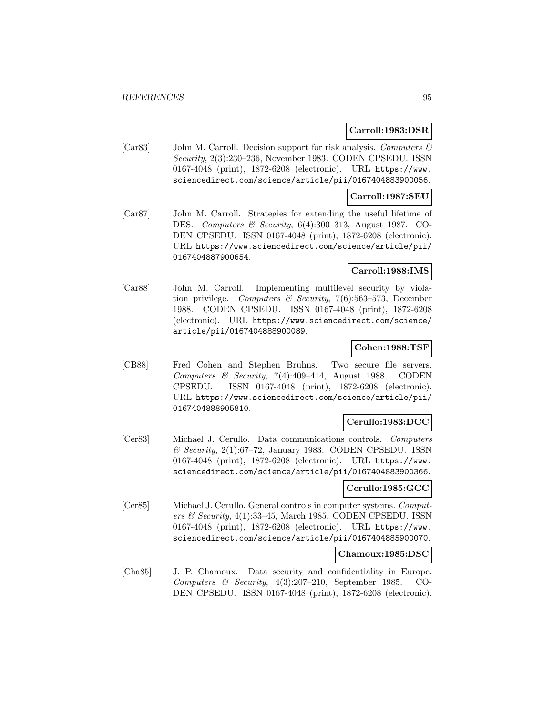## **Carroll:1983:DSR**

[Car83] John M. Carroll. Decision support for risk analysis. Computers  $\mathcal{C}$ Security, 2(3):230–236, November 1983. CODEN CPSEDU. ISSN 0167-4048 (print), 1872-6208 (electronic). URL https://www. sciencedirect.com/science/article/pii/0167404883900056.

#### **Carroll:1987:SEU**

[Car87] John M. Carroll. Strategies for extending the useful lifetime of DES. Computers & Security, 6(4):300–313, August 1987. CO-DEN CPSEDU. ISSN 0167-4048 (print), 1872-6208 (electronic). URL https://www.sciencedirect.com/science/article/pii/ 0167404887900654.

## **Carroll:1988:IMS**

[Car88] John M. Carroll. Implementing multilevel security by violation privilege. Computers & Security, 7(6):563-573, December 1988. CODEN CPSEDU. ISSN 0167-4048 (print), 1872-6208 (electronic). URL https://www.sciencedirect.com/science/ article/pii/0167404888900089.

## **Cohen:1988:TSF**

[CB88] Fred Cohen and Stephen Bruhns. Two secure file servers. Computers & Security, 7(4):409-414, August 1988. CODEN CPSEDU. ISSN 0167-4048 (print), 1872-6208 (electronic). URL https://www.sciencedirect.com/science/article/pii/ 0167404888905810.

## **Cerullo:1983:DCC**

[Cer83] Michael J. Cerullo. Data communications controls. Computers  $\mathcal C$  Security, 2(1):67–72, January 1983. CODEN CPSEDU. ISSN 0167-4048 (print), 1872-6208 (electronic). URL https://www. sciencedirect.com/science/article/pii/0167404883900366.

#### **Cerullo:1985:GCC**

[Cer85] Michael J. Cerullo. General controls in computer systems. Computers & Security,  $4(1):33-45$ , March 1985. CODEN CPSEDU. ISSN 0167-4048 (print), 1872-6208 (electronic). URL https://www. sciencedirect.com/science/article/pii/0167404885900070.

#### **Chamoux:1985:DSC**

[Cha85] J. P. Chamoux. Data security and confidentiality in Europe. Computers  $\mathcal B$  Security, 4(3):207-210, September 1985. CO-DEN CPSEDU. ISSN 0167-4048 (print), 1872-6208 (electronic).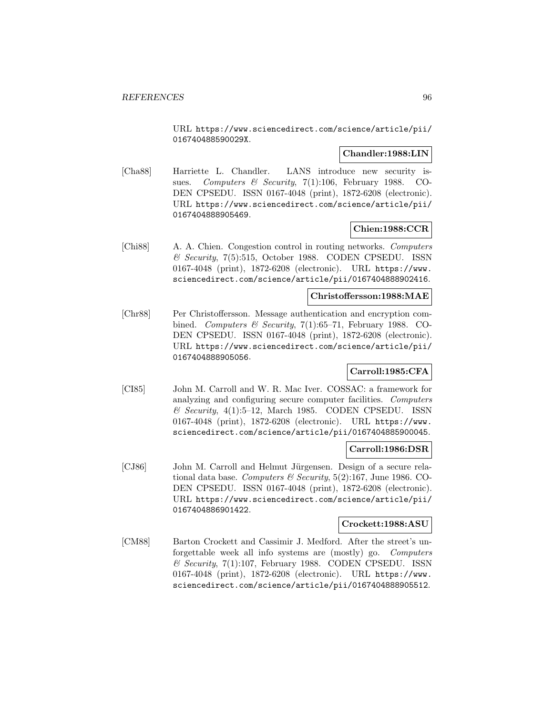URL https://www.sciencedirect.com/science/article/pii/ 016740488590029X.

## **Chandler:1988:LIN**

[Cha88] Harriette L. Chandler. LANS introduce new security issues. Computers & Security, 7(1):106, February 1988. CO-DEN CPSEDU. ISSN 0167-4048 (print), 1872-6208 (electronic). URL https://www.sciencedirect.com/science/article/pii/ 0167404888905469.

## **Chien:1988:CCR**

[Chi88] A. A. Chien. Congestion control in routing networks. Computers & Security, 7(5):515, October 1988. CODEN CPSEDU. ISSN 0167-4048 (print), 1872-6208 (electronic). URL https://www. sciencedirect.com/science/article/pii/0167404888902416.

## **Christoffersson:1988:MAE**

[Chr88] Per Christoffersson. Message authentication and encryption combined. Computers & Security, 7(1):65-71, February 1988. CO-DEN CPSEDU. ISSN 0167-4048 (print), 1872-6208 (electronic). URL https://www.sciencedirect.com/science/article/pii/ 0167404888905056.

## **Carroll:1985:CFA**

[CI85] John M. Carroll and W. R. Mac Iver. COSSAC: a framework for analyzing and configuring secure computer facilities. Computers  $\&$  Security, 4(1):5–12, March 1985. CODEN CPSEDU. ISSN 0167-4048 (print), 1872-6208 (electronic). URL https://www. sciencedirect.com/science/article/pii/0167404885900045.

## **Carroll:1986:DSR**

[CJ86] John M. Carroll and Helmut Jürgensen. Design of a secure relational data base. Computers & Security,  $5(2):167$ , June 1986. CO-DEN CPSEDU. ISSN 0167-4048 (print), 1872-6208 (electronic). URL https://www.sciencedirect.com/science/article/pii/ 0167404886901422.

## **Crockett:1988:ASU**

[CM88] Barton Crockett and Cassimir J. Medford. After the street's unforgettable week all info systems are (mostly) go. Computers  $& Security, 7(1):107, February 1988. CODEN CPSEDU. ISSN$ 0167-4048 (print), 1872-6208 (electronic). URL https://www. sciencedirect.com/science/article/pii/0167404888905512.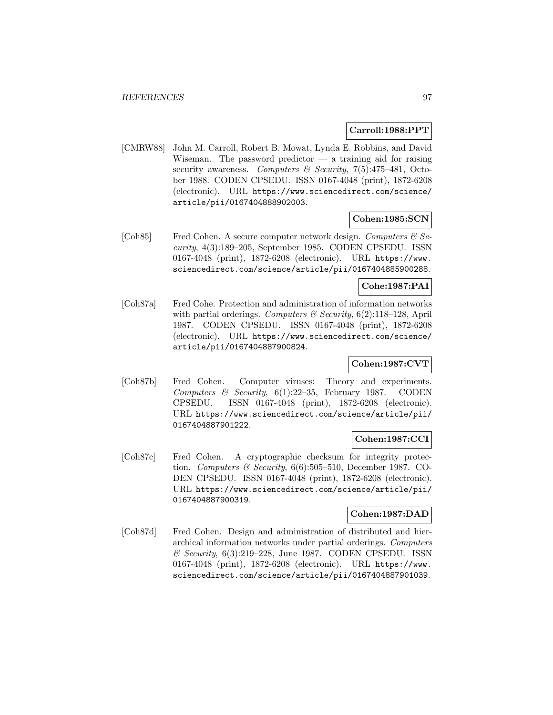## **Carroll:1988:PPT**

[CMRW88] John M. Carroll, Robert B. Mowat, Lynda E. Robbins, and David Wiseman. The password predictor  $-$  a training aid for raising security awareness. Computers  $\mathcal B$  Security, 7(5):475-481, October 1988. CODEN CPSEDU. ISSN 0167-4048 (print), 1872-6208 (electronic). URL https://www.sciencedirect.com/science/ article/pii/0167404888902003.

## **Cohen:1985:SCN**

[Coh85] Fred Cohen. A secure computer network design. Computers  $\mathcal{C}$  Security, 4(3):189–205, September 1985. CODEN CPSEDU. ISSN 0167-4048 (print), 1872-6208 (electronic). URL https://www. sciencedirect.com/science/article/pii/0167404885900288.

## **Cohe:1987:PAI**

[Coh87a] Fred Cohe. Protection and administration of information networks with partial orderings. Computers  $\mathcal C$  Security, 6(2):118–128, April 1987. CODEN CPSEDU. ISSN 0167-4048 (print), 1872-6208 (electronic). URL https://www.sciencedirect.com/science/ article/pii/0167404887900824.

## **Cohen:1987:CVT**

[Coh87b] Fred Cohen. Computer viruses: Theory and experiments. Computers & Security,  $6(1):22-35$ , February 1987. CODEN CPSEDU. ISSN 0167-4048 (print), 1872-6208 (electronic). URL https://www.sciencedirect.com/science/article/pii/ 0167404887901222.

## **Cohen:1987:CCI**

[Coh87c] Fred Cohen. A cryptographic checksum for integrity protection. Computers & Security,  $6(6)$ :505–510, December 1987. CO-DEN CPSEDU. ISSN 0167-4048 (print), 1872-6208 (electronic). URL https://www.sciencedirect.com/science/article/pii/ 0167404887900319.

## **Cohen:1987:DAD**

[Coh87d] Fred Cohen. Design and administration of distributed and hierarchical information networks under partial orderings. Computers  $\mathcal C$  Security, 6(3):219–228, June 1987. CODEN CPSEDU. ISSN 0167-4048 (print), 1872-6208 (electronic). URL https://www. sciencedirect.com/science/article/pii/0167404887901039.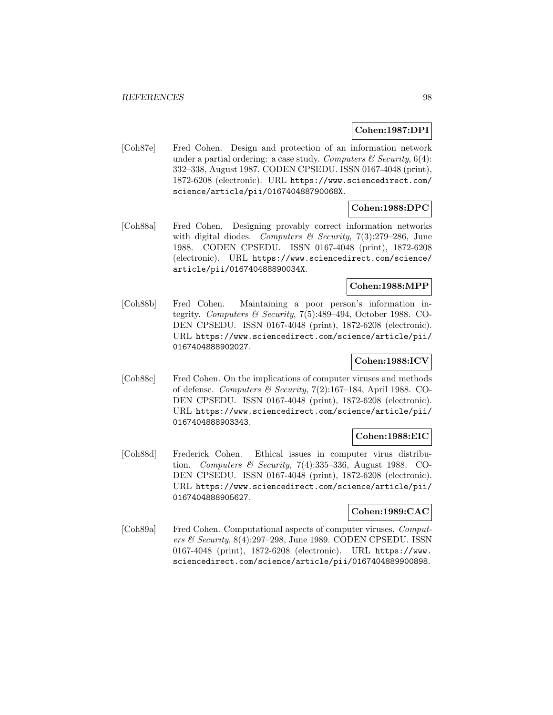## **Cohen:1987:DPI**

[Coh87e] Fred Cohen. Design and protection of an information network under a partial ordering: a case study. Computers  $\mathcal C$  Security, 6(4): 332–338, August 1987. CODEN CPSEDU. ISSN 0167-4048 (print), 1872-6208 (electronic). URL https://www.sciencedirect.com/ science/article/pii/016740488790068X.

## **Cohen:1988:DPC**

[Coh88a] Fred Cohen. Designing provably correct information networks with digital diodes. Computers & Security,  $7(3):279-286$ , June 1988. CODEN CPSEDU. ISSN 0167-4048 (print), 1872-6208 (electronic). URL https://www.sciencedirect.com/science/ article/pii/016740488890034X.

## **Cohen:1988:MPP**

[Coh88b] Fred Cohen. Maintaining a poor person's information integrity. Computers  $\mathcal B$  Security, 7(5):489–494, October 1988. CO-DEN CPSEDU. ISSN 0167-4048 (print), 1872-6208 (electronic). URL https://www.sciencedirect.com/science/article/pii/ 0167404888902027.

## **Cohen:1988:ICV**

[Coh88c] Fred Cohen. On the implications of computer viruses and methods of defense. Computers & Security,  $7(2):167-184$ , April 1988. CO-DEN CPSEDU. ISSN 0167-4048 (print), 1872-6208 (electronic). URL https://www.sciencedirect.com/science/article/pii/ 0167404888903343.

## **Cohen:1988:EIC**

[Coh88d] Frederick Cohen. Ethical issues in computer virus distribution. Computers & Security, 7(4):335–336, August 1988. CO-DEN CPSEDU. ISSN 0167-4048 (print), 1872-6208 (electronic). URL https://www.sciencedirect.com/science/article/pii/ 0167404888905627.

## **Cohen:1989:CAC**

[Coh89a] Fred Cohen. Computational aspects of computer viruses. *Comput*ers & Security, 8(4):297–298, June 1989. CODEN CPSEDU. ISSN 0167-4048 (print), 1872-6208 (electronic). URL https://www. sciencedirect.com/science/article/pii/0167404889900898.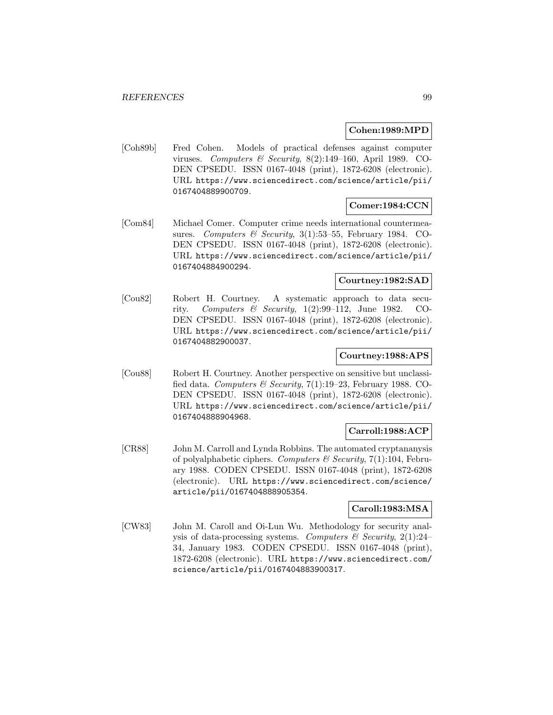### **Cohen:1989:MPD**

[Coh89b] Fred Cohen. Models of practical defenses against computer viruses. Computers & Security,  $8(2):149-160$ , April 1989. CO-DEN CPSEDU. ISSN 0167-4048 (print), 1872-6208 (electronic). URL https://www.sciencedirect.com/science/article/pii/ 0167404889900709.

## **Comer:1984:CCN**

[Com84] Michael Comer. Computer crime needs international countermeasures. Computers & Security,  $3(1):53-55$ , February 1984. CO-DEN CPSEDU. ISSN 0167-4048 (print), 1872-6208 (electronic). URL https://www.sciencedirect.com/science/article/pii/ 0167404884900294.

### **Courtney:1982:SAD**

[Cou82] Robert H. Courtney. A systematic approach to data security. Computers & Security,  $1(2):99-112$ , June 1982. CO-DEN CPSEDU. ISSN 0167-4048 (print), 1872-6208 (electronic). URL https://www.sciencedirect.com/science/article/pii/ 0167404882900037.

## **Courtney:1988:APS**

[Cou88] Robert H. Courtney. Another perspective on sensitive but unclassified data. Computers & Security,  $7(1):19-23$ , February 1988. CO-DEN CPSEDU. ISSN 0167-4048 (print), 1872-6208 (electronic). URL https://www.sciencedirect.com/science/article/pii/ 0167404888904968.

## **Carroll:1988:ACP**

[CR88] John M. Carroll and Lynda Robbins. The automated cryptananysis of polyalphabetic ciphers. Computers & Security, 7(1):104, February 1988. CODEN CPSEDU. ISSN 0167-4048 (print), 1872-6208 (electronic). URL https://www.sciencedirect.com/science/ article/pii/0167404888905354.

## **Caroll:1983:MSA**

[CW83] John M. Caroll and Oi-Lun Wu. Methodology for security analysis of data-processing systems. Computers & Security,  $2(1):24-$ 34, January 1983. CODEN CPSEDU. ISSN 0167-4048 (print), 1872-6208 (electronic). URL https://www.sciencedirect.com/ science/article/pii/0167404883900317.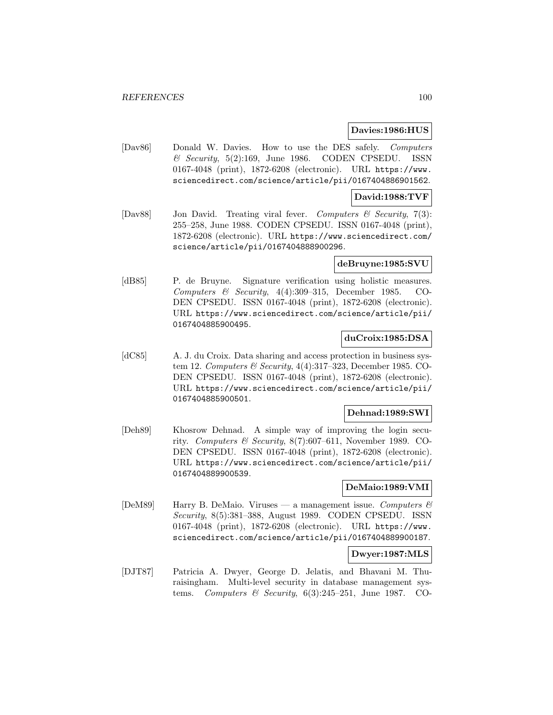#### **Davies:1986:HUS**

[Dav86] Donald W. Davies. How to use the DES safely. Computers  $\mathcal C$  Security, 5(2):169, June 1986. CODEN CPSEDU. ISSN 0167-4048 (print), 1872-6208 (electronic). URL https://www. sciencedirect.com/science/article/pii/0167404886901562.

## **David:1988:TVF**

[Dav88] Jon David. Treating viral fever. Computers  $\mathcal{C}$  Security, 7(3): 255–258, June 1988. CODEN CPSEDU. ISSN 0167-4048 (print), 1872-6208 (electronic). URL https://www.sciencedirect.com/ science/article/pii/0167404888900296.

### **deBruyne:1985:SVU**

[dB85] P. de Bruyne. Signature verification using holistic measures. Computers & Security,  $4(4):309-315$ , December 1985. CO-DEN CPSEDU. ISSN 0167-4048 (print), 1872-6208 (electronic). URL https://www.sciencedirect.com/science/article/pii/ 0167404885900495.

## **duCroix:1985:DSA**

[dC85] A. J. du Croix. Data sharing and access protection in business system 12. Computers & Security, 4(4):317–323, December 1985. CO-DEN CPSEDU. ISSN 0167-4048 (print), 1872-6208 (electronic). URL https://www.sciencedirect.com/science/article/pii/ 0167404885900501.

### **Dehnad:1989:SWI**

[Deh89] Khosrow Dehnad. A simple way of improving the login security. Computers & Security, 8(7):607–611, November 1989. CO-DEN CPSEDU. ISSN 0167-4048 (print), 1872-6208 (electronic). URL https://www.sciencedirect.com/science/article/pii/ 0167404889900539.

#### **DeMaio:1989:VMI**

[DeM89] Harry B. DeMaio. Viruses — a management issue. Computers  $\mathcal{C}$ Security, 8(5):381–388, August 1989. CODEN CPSEDU. ISSN 0167-4048 (print), 1872-6208 (electronic). URL https://www. sciencedirect.com/science/article/pii/0167404889900187.

#### **Dwyer:1987:MLS**

[DJT87] Patricia A. Dwyer, George D. Jelatis, and Bhavani M. Thuraisingham. Multi-level security in database management systems. Computers & Security,  $6(3):245-251$ , June 1987. CO-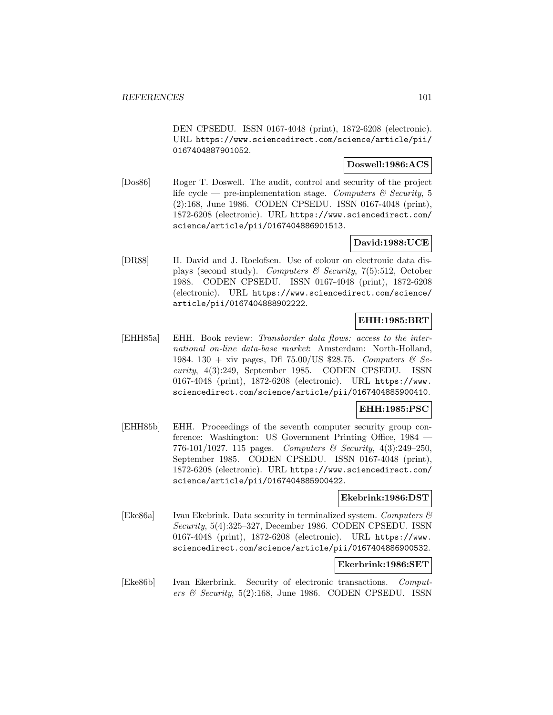DEN CPSEDU. ISSN 0167-4048 (print), 1872-6208 (electronic). URL https://www.sciencedirect.com/science/article/pii/ 0167404887901052.

## **Doswell:1986:ACS**

[Dos86] Roger T. Doswell. The audit, control and security of the project life cycle — pre-implementation stage. Computers  $\mathcal C$  Security, 5 (2):168, June 1986. CODEN CPSEDU. ISSN 0167-4048 (print), 1872-6208 (electronic). URL https://www.sciencedirect.com/ science/article/pii/0167404886901513.

## **David:1988:UCE**

[DR88] H. David and J. Roelofsen. Use of colour on electronic data displays (second study). Computers  $\mathcal B$  Security, 7(5):512, October 1988. CODEN CPSEDU. ISSN 0167-4048 (print), 1872-6208 (electronic). URL https://www.sciencedirect.com/science/ article/pii/0167404888902222.

## **EHH:1985:BRT**

[EHH85a] EHH. Book review: Transborder data flows: access to the international on-line data-base market: Amsterdam: North-Holland, 1984. 130 + xiv pages, Dfl  $75.00/US$  \$28.75. Computers & Security, 4(3):249, September 1985. CODEN CPSEDU. ISSN 0167-4048 (print), 1872-6208 (electronic). URL https://www. sciencedirect.com/science/article/pii/0167404885900410.

## **EHH:1985:PSC**

[EHH85b] EHH. Proceedings of the seventh computer security group conference: Washington: US Government Printing Office, 1984 — 776-101/1027. 115 pages. Computers & Security, 4(3):249–250, September 1985. CODEN CPSEDU. ISSN 0167-4048 (print), 1872-6208 (electronic). URL https://www.sciencedirect.com/ science/article/pii/0167404885900422.

## **Ekebrink:1986:DST**

[Eke86a] Ivan Ekebrink. Data security in terminalized system. Computers  $\mathcal{C}$ Security, 5(4):325–327, December 1986. CODEN CPSEDU. ISSN 0167-4048 (print), 1872-6208 (electronic). URL https://www. sciencedirect.com/science/article/pii/0167404886900532.

#### **Ekerbrink:1986:SET**

[Eke86b] Ivan Ekerbrink. Security of electronic transactions. Computers  $\mathcal C$  Security, 5(2):168, June 1986. CODEN CPSEDU. ISSN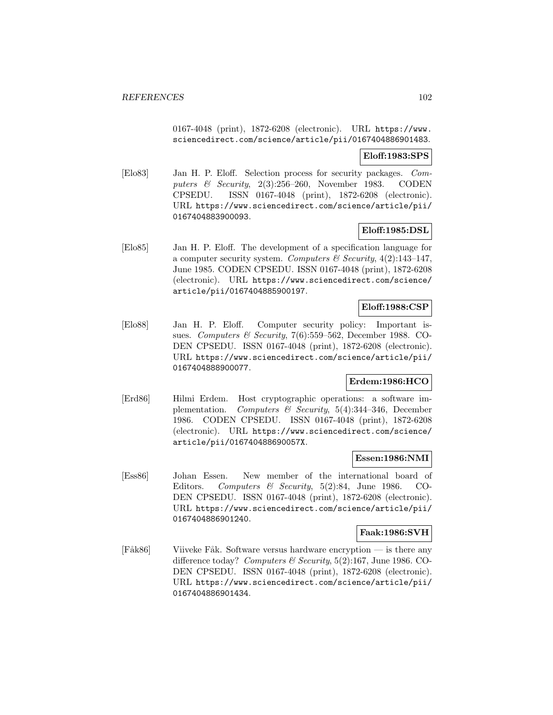0167-4048 (print), 1872-6208 (electronic). URL https://www. sciencedirect.com/science/article/pii/0167404886901483.

## **Eloff:1983:SPS**

[Elo83] Jan H. P. Eloff. Selection process for security packages. Computers & Security, 2(3):256-260, November 1983. CODEN CPSEDU. ISSN 0167-4048 (print), 1872-6208 (electronic). URL https://www.sciencedirect.com/science/article/pii/ 0167404883900093.

## **Eloff:1985:DSL**

[Elo85] Jan H. P. Eloff. The development of a specification language for a computer security system. Computers & Security,  $4(2):143-147$ , June 1985. CODEN CPSEDU. ISSN 0167-4048 (print), 1872-6208 (electronic). URL https://www.sciencedirect.com/science/ article/pii/0167404885900197.

## **Eloff:1988:CSP**

[Elo88] Jan H. P. Eloff. Computer security policy: Important issues. Computers & Security, 7(6):559–562, December 1988. CO-DEN CPSEDU. ISSN 0167-4048 (print), 1872-6208 (electronic). URL https://www.sciencedirect.com/science/article/pii/ 0167404888900077.

## **Erdem:1986:HCO**

[Erd86] Hilmi Erdem. Host cryptographic operations: a software implementation. Computers & Security, 5(4):344-346, December 1986. CODEN CPSEDU. ISSN 0167-4048 (print), 1872-6208 (electronic). URL https://www.sciencedirect.com/science/ article/pii/016740488690057X.

## **Essen:1986:NMI**

[Ess86] Johan Essen. New member of the international board of Editors. Computers & Security, 5(2):84, June 1986. CO-DEN CPSEDU. ISSN 0167-4048 (print), 1872-6208 (electronic). URL https://www.sciencedirect.com/science/article/pii/ 0167404886901240.

### **Faak:1986:SVH**

 $[Fåk86]$  Viiveke Fåk. Software versus hardware encryption — is there any difference today? Computers & Security, 5(2):167, June 1986. CO-DEN CPSEDU. ISSN 0167-4048 (print), 1872-6208 (electronic). URL https://www.sciencedirect.com/science/article/pii/ 0167404886901434.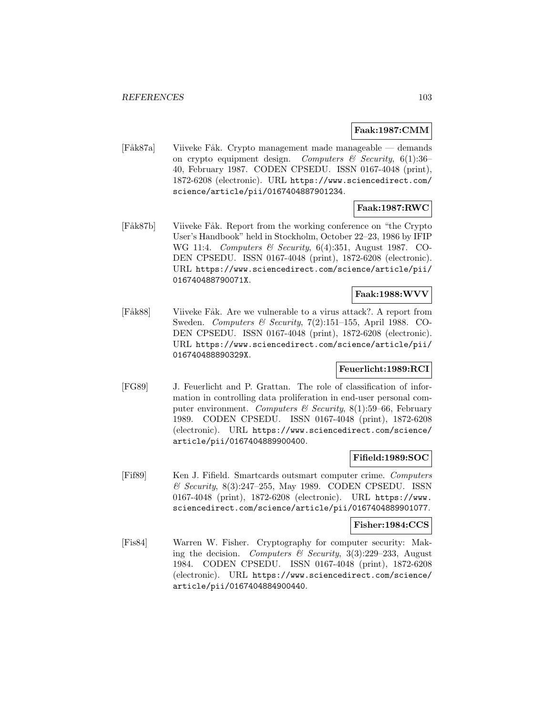## **Faak:1987:CMM**

[Fåk87a] Viiveke Fåk. Crypto management made manageable — demands on crypto equipment design. Computers  $\mathcal C$  Security, 6(1):36– 40, February 1987. CODEN CPSEDU. ISSN 0167-4048 (print), 1872-6208 (electronic). URL https://www.sciencedirect.com/ science/article/pii/0167404887901234.

# **Faak:1987:RWC**

[Fåk87b] Viiveke Fåk. Report from the working conference on "the Crypto"] User's Handbook" held in Stockholm, October 22–23, 1986 by IFIP WG 11:4. Computers & Security, 6(4):351, August 1987. CO-DEN CPSEDU. ISSN 0167-4048 (print), 1872-6208 (electronic). URL https://www.sciencedirect.com/science/article/pii/ 016740488790071X.

## **Faak:1988:WVV**

[Fåk88] Viiveke Fåk. Are we vulnerable to a virus attack?. A report from Sweden. Computers & Security, 7(2):151-155, April 1988. CO-DEN CPSEDU. ISSN 0167-4048 (print), 1872-6208 (electronic). URL https://www.sciencedirect.com/science/article/pii/ 016740488890329X.

## **Feuerlicht:1989:RCI**

[FG89] J. Feuerlicht and P. Grattan. The role of classification of information in controlling data proliferation in end-user personal computer environment. Computers & Security,  $8(1):59-66$ , February 1989. CODEN CPSEDU. ISSN 0167-4048 (print), 1872-6208 (electronic). URL https://www.sciencedirect.com/science/ article/pii/0167404889900400.

#### **Fifield:1989:SOC**

[Fif89] Ken J. Fifield. Smartcards outsmart computer crime. Computers & Security, 8(3):247–255, May 1989. CODEN CPSEDU. ISSN 0167-4048 (print), 1872-6208 (electronic). URL https://www. sciencedirect.com/science/article/pii/0167404889901077.

#### **Fisher:1984:CCS**

[Fis84] Warren W. Fisher. Cryptography for computer security: Making the decision. Computers  $\mathcal C$  Security, 3(3):229–233, August 1984. CODEN CPSEDU. ISSN 0167-4048 (print), 1872-6208 (electronic). URL https://www.sciencedirect.com/science/ article/pii/0167404884900440.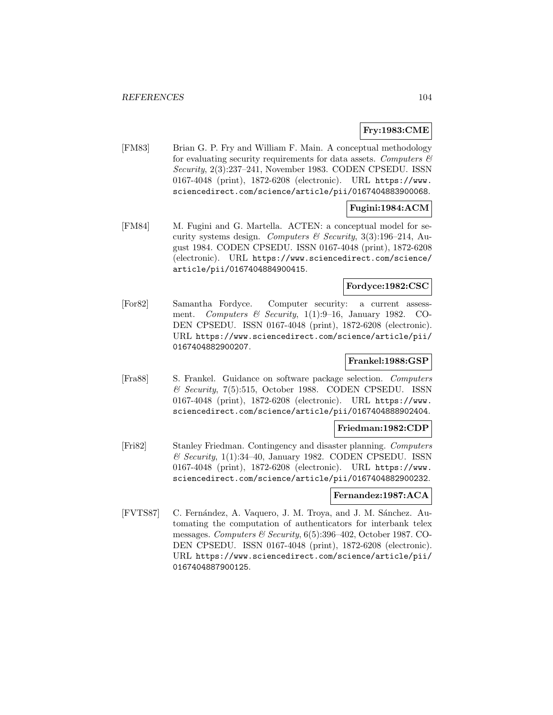# **Fry:1983:CME**

[FM83] Brian G. P. Fry and William F. Main. A conceptual methodology for evaluating security requirements for data assets. Computers  $\mathcal{C}$ Security, 2(3):237–241, November 1983. CODEN CPSEDU. ISSN 0167-4048 (print), 1872-6208 (electronic). URL https://www. sciencedirect.com/science/article/pii/0167404883900068.

## **Fugini:1984:ACM**

[FM84] M. Fugini and G. Martella. ACTEN: a conceptual model for security systems design. Computers & Security, 3(3):196-214, August 1984. CODEN CPSEDU. ISSN 0167-4048 (print), 1872-6208 (electronic). URL https://www.sciencedirect.com/science/ article/pii/0167404884900415.

## **Fordyce:1982:CSC**

[For82] Samantha Fordyce. Computer security: a current assessment. Computers & Security,  $1(1):9-16$ , January 1982. CO-DEN CPSEDU. ISSN 0167-4048 (print), 1872-6208 (electronic). URL https://www.sciencedirect.com/science/article/pii/ 0167404882900207.

## **Frankel:1988:GSP**

[Fra88] S. Frankel. Guidance on software package selection. Computers & Security, 7(5):515, October 1988. CODEN CPSEDU. ISSN 0167-4048 (print), 1872-6208 (electronic). URL https://www. sciencedirect.com/science/article/pii/0167404888902404.

## **Friedman:1982:CDP**

[Fri82] Stanley Friedman. Contingency and disaster planning. Computers  $\mathcal C$  Security, 1(1):34-40, January 1982. CODEN CPSEDU. ISSN 0167-4048 (print), 1872-6208 (electronic). URL https://www. sciencedirect.com/science/article/pii/0167404882900232.

#### **Fernandez:1987:ACA**

[FVTS87] C. Fernández, A. Vaquero, J. M. Troya, and J. M. Sánchez. Automating the computation of authenticators for interbank telex messages. Computers & Security, 6(5):396–402, October 1987. CO-DEN CPSEDU. ISSN 0167-4048 (print), 1872-6208 (electronic). URL https://www.sciencedirect.com/science/article/pii/ 0167404887900125.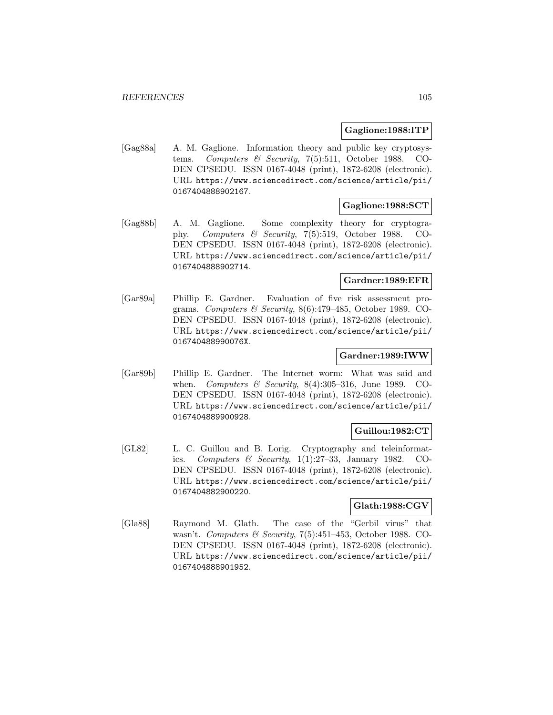### **Gaglione:1988:ITP**

[Gag88a] A. M. Gaglione. Information theory and public key cryptosystems. Computers & Security, 7(5):511, October 1988. CO-DEN CPSEDU. ISSN 0167-4048 (print), 1872-6208 (electronic). URL https://www.sciencedirect.com/science/article/pii/ 0167404888902167.

## **Gaglione:1988:SCT**

[Gag88b] A. M. Gaglione. Some complexity theory for cryptography. Computers & Security, 7(5):519, October 1988. CO-DEN CPSEDU. ISSN 0167-4048 (print), 1872-6208 (electronic). URL https://www.sciencedirect.com/science/article/pii/ 0167404888902714.

### **Gardner:1989:EFR**

[Gar89a] Phillip E. Gardner. Evaluation of five risk assessment programs. Computers  $\mathcal B$  Security, 8(6):479–485, October 1989. CO-DEN CPSEDU. ISSN 0167-4048 (print), 1872-6208 (electronic). URL https://www.sciencedirect.com/science/article/pii/ 016740488990076X.

## **Gardner:1989:IWW**

[Gar89b] Phillip E. Gardner. The Internet worm: What was said and when. Computers & Security,  $8(4):305-316$ , June 1989. CO-DEN CPSEDU. ISSN 0167-4048 (print), 1872-6208 (electronic). URL https://www.sciencedirect.com/science/article/pii/ 0167404889900928.

## **Guillou:1982:CT**

[GL82] L. C. Guillou and B. Lorig. Cryptography and teleinformatics. Computers & Security,  $1(1):27-33$ , January 1982. CO-DEN CPSEDU. ISSN 0167-4048 (print), 1872-6208 (electronic). URL https://www.sciencedirect.com/science/article/pii/ 0167404882900220.

## **Glath:1988:CGV**

[Gla88] Raymond M. Glath. The case of the "Gerbil virus" that wasn't. Computers & Security, 7(5):451–453, October 1988. CO-DEN CPSEDU. ISSN 0167-4048 (print), 1872-6208 (electronic). URL https://www.sciencedirect.com/science/article/pii/ 0167404888901952.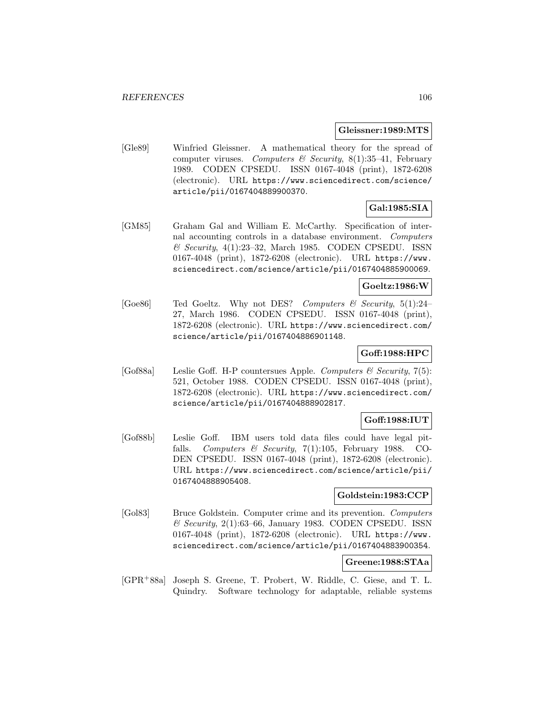#### **Gleissner:1989:MTS**

[Gle89] Winfried Gleissner. A mathematical theory for the spread of computer viruses. Computers & Security, 8(1):35-41, February 1989. CODEN CPSEDU. ISSN 0167-4048 (print), 1872-6208 (electronic). URL https://www.sciencedirect.com/science/ article/pii/0167404889900370.

## **Gal:1985:SIA**

[GM85] Graham Gal and William E. McCarthy. Specification of internal accounting controls in a database environment. Computers  $&$  Security, 4(1):23-32, March 1985. CODEN CPSEDU. ISSN 0167-4048 (print), 1872-6208 (electronic). URL https://www. sciencedirect.com/science/article/pii/0167404885900069.

## **Goeltz:1986:W**

[Goe86] Ted Goeltz. Why not DES? Computers & Security, 5(1):24– 27, March 1986. CODEN CPSEDU. ISSN 0167-4048 (print), 1872-6208 (electronic). URL https://www.sciencedirect.com/ science/article/pii/0167404886901148.

## **Goff:1988:HPC**

[Gof88a] Leslie Goff. H-P countersues Apple. Computers  $\mathcal B$  Security, 7(5): 521, October 1988. CODEN CPSEDU. ISSN 0167-4048 (print), 1872-6208 (electronic). URL https://www.sciencedirect.com/ science/article/pii/0167404888902817.

## **Goff:1988:IUT**

[Gof88b] Leslie Goff. IBM users told data files could have legal pitfalls. Computers & Security, 7(1):105, February 1988. CO-DEN CPSEDU. ISSN 0167-4048 (print), 1872-6208 (electronic). URL https://www.sciencedirect.com/science/article/pii/ 0167404888905408.

## **Goldstein:1983:CCP**

[Gol83] Bruce Goldstein. Computer crime and its prevention. Computers  $\mathcal C$  Security, 2(1):63–66, January 1983. CODEN CPSEDU. ISSN 0167-4048 (print), 1872-6208 (electronic). URL https://www. sciencedirect.com/science/article/pii/0167404883900354.

#### **Greene:1988:STAa**

[GPR<sup>+</sup>88a] Joseph S. Greene, T. Probert, W. Riddle, C. Giese, and T. L. Quindry. Software technology for adaptable, reliable systems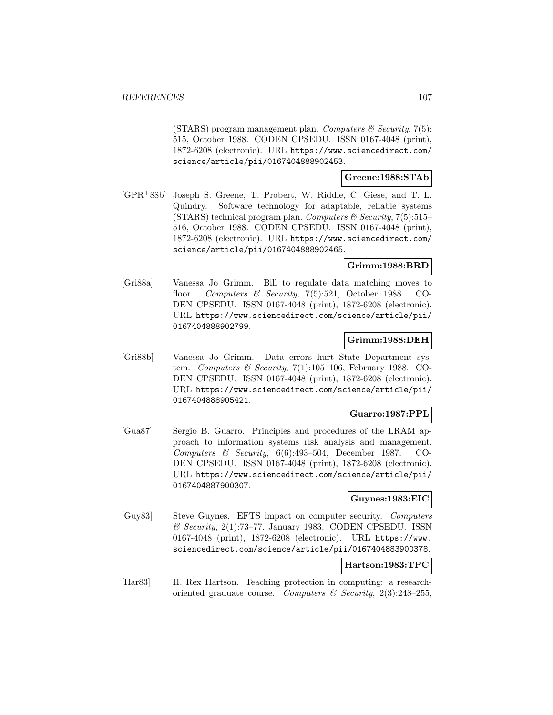(STARS) program management plan. Computers  $\mathcal C$  Security, 7(5): 515, October 1988. CODEN CPSEDU. ISSN 0167-4048 (print), 1872-6208 (electronic). URL https://www.sciencedirect.com/ science/article/pii/0167404888902453.

## **Greene:1988:STAb**

[GPR<sup>+</sup>88b] Joseph S. Greene, T. Probert, W. Riddle, C. Giese, and T. L. Quindry. Software technology for adaptable, reliable systems (STARS) technical program plan. Computers  $\mathcal B$  Security, 7(5):515– 516, October 1988. CODEN CPSEDU. ISSN 0167-4048 (print), 1872-6208 (electronic). URL https://www.sciencedirect.com/ science/article/pii/0167404888902465.

## **Grimm:1988:BRD**

[Gri88a] Vanessa Jo Grimm. Bill to regulate data matching moves to floor. Computers & Security, 7(5):521, October 1988. CO-DEN CPSEDU. ISSN 0167-4048 (print), 1872-6208 (electronic). URL https://www.sciencedirect.com/science/article/pii/ 0167404888902799.

#### **Grimm:1988:DEH**

[Gri88b] Vanessa Jo Grimm. Data errors hurt State Department system. Computers & Security,  $7(1):105-106$ , February 1988. CO-DEN CPSEDU. ISSN 0167-4048 (print), 1872-6208 (electronic). URL https://www.sciencedirect.com/science/article/pii/ 0167404888905421.

## **Guarro:1987:PPL**

[Gua87] Sergio B. Guarro. Principles and procedures of the LRAM approach to information systems risk analysis and management. Computers  $\mathcal C$  Security, 6(6):493-504, December 1987. CO-DEN CPSEDU. ISSN 0167-4048 (print), 1872-6208 (electronic). URL https://www.sciencedirect.com/science/article/pii/ 0167404887900307.

## **Guynes:1983:EIC**

[Guy83] Steve Guynes. EFTS impact on computer security. Computers  $\mathcal C$  Security, 2(1):73–77, January 1983. CODEN CPSEDU. ISSN 0167-4048 (print), 1872-6208 (electronic). URL https://www. sciencedirect.com/science/article/pii/0167404883900378.

## **Hartson:1983:TPC**

[Har83] H. Rex Hartson. Teaching protection in computing: a researchoriented graduate course. Computers & Security,  $2(3):248-255$ ,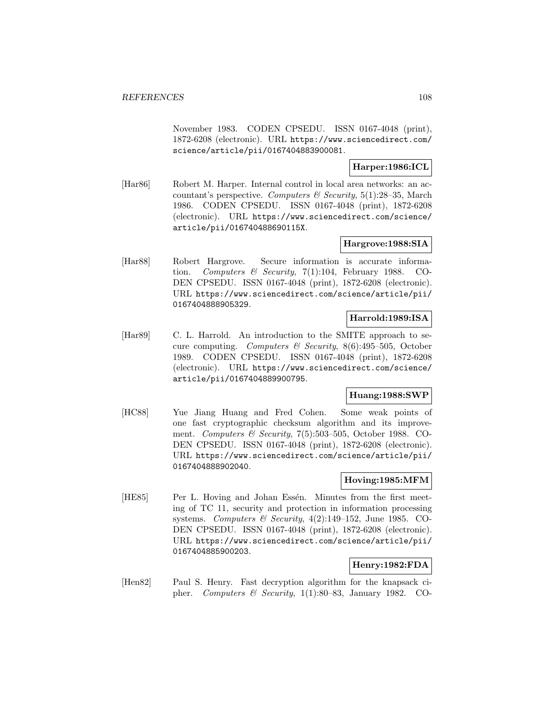November 1983. CODEN CPSEDU. ISSN 0167-4048 (print), 1872-6208 (electronic). URL https://www.sciencedirect.com/ science/article/pii/0167404883900081.

# **Harper:1986:ICL**

[Har86] Robert M. Harper. Internal control in local area networks: an accountant's perspective. Computers  $\mathcal B$  Security, 5(1):28–35, March 1986. CODEN CPSEDU. ISSN 0167-4048 (print), 1872-6208 (electronic). URL https://www.sciencedirect.com/science/ article/pii/016740488690115X.

## **Hargrove:1988:SIA**

[Har88] Robert Hargrove. Secure information is accurate information. Computers & Security, 7(1):104, February 1988. CO-DEN CPSEDU. ISSN 0167-4048 (print), 1872-6208 (electronic). URL https://www.sciencedirect.com/science/article/pii/ 0167404888905329.

## **Harrold:1989:ISA**

[Har89] C. L. Harrold. An introduction to the SMITE approach to secure computing. Computers  $\mathcal C$  Security, 8(6):495-505, October 1989. CODEN CPSEDU. ISSN 0167-4048 (print), 1872-6208 (electronic). URL https://www.sciencedirect.com/science/ article/pii/0167404889900795.

## **Huang:1988:SWP**

[HC88] Yue Jiang Huang and Fred Cohen. Some weak points of one fast cryptographic checksum algorithm and its improvement. Computers & Security, 7(5):503–505, October 1988. CO-DEN CPSEDU. ISSN 0167-4048 (print), 1872-6208 (electronic). URL https://www.sciencedirect.com/science/article/pii/ 0167404888902040.

## **Hoving:1985:MFM**

[HE85] Per L. Hoving and Johan Essén. Minutes from the first meeting of TC 11, security and protection in information processing systems. Computers & Security,  $4(2):149-152$ , June 1985. CO-DEN CPSEDU. ISSN 0167-4048 (print), 1872-6208 (electronic). URL https://www.sciencedirect.com/science/article/pii/ 0167404885900203.

## **Henry:1982:FDA**

[Hen82] Paul S. Henry. Fast decryption algorithm for the knapsack cipher. Computers & Security,  $1(1):80-83$ , January 1982. CO-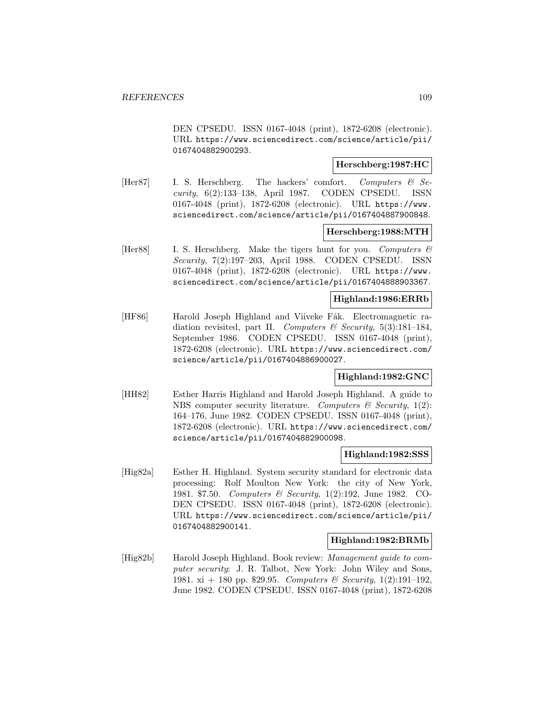DEN CPSEDU. ISSN 0167-4048 (print), 1872-6208 (electronic). URL https://www.sciencedirect.com/science/article/pii/ 0167404882900293.

## **Herschberg:1987:HC**

[Her87] I. S. Herschberg. The hackers' comfort. Computers & Security, 6(2):133–138, April 1987. CODEN CPSEDU. ISSN 0167-4048 (print), 1872-6208 (electronic). URL https://www. sciencedirect.com/science/article/pii/0167404887900848.

### **Herschberg:1988:MTH**

[Her88] I. S. Herschberg. Make the tigers hunt for you. Computers  $\mathcal{C}$ Security, 7(2):197–203, April 1988. CODEN CPSEDU. ISSN 0167-4048 (print), 1872-6208 (electronic). URL https://www. sciencedirect.com/science/article/pii/0167404888903367.

## **Highland:1986:ERRb**

[HF86] Harold Joseph Highland and Viiveke Fåk. Electromagnetic radiation revisited, part II. Computers & Security,  $5(3):181-184$ , September 1986. CODEN CPSEDU. ISSN 0167-4048 (print), 1872-6208 (electronic). URL https://www.sciencedirect.com/ science/article/pii/0167404886900027.

# **Highland:1982:GNC**

[HH82] Esther Harris Highland and Harold Joseph Highland. A guide to NBS computer security literature. Computers  $\mathcal C$  Security, 1(2): 164–176, June 1982. CODEN CPSEDU. ISSN 0167-4048 (print), 1872-6208 (electronic). URL https://www.sciencedirect.com/ science/article/pii/0167404882900098.

### **Highland:1982:SSS**

[Hig82a] Esther H. Highland. System security standard for electronic data processing: Rolf Moulton New York: the city of New York, 1981. \$7.50. Computers & Security, 1(2):192, June 1982. CO-DEN CPSEDU. ISSN 0167-4048 (print), 1872-6208 (electronic). URL https://www.sciencedirect.com/science/article/pii/ 0167404882900141.

### **Highland:1982:BRMb**

[Hig82b] Harold Joseph Highland. Book review: Management guide to computer security: J. R. Talbot, New York: John Wiley and Sons, 1981. xi + 180 pp. \$29.95. Computers & Security, 1(2):191-192, June 1982. CODEN CPSEDU. ISSN 0167-4048 (print), 1872-6208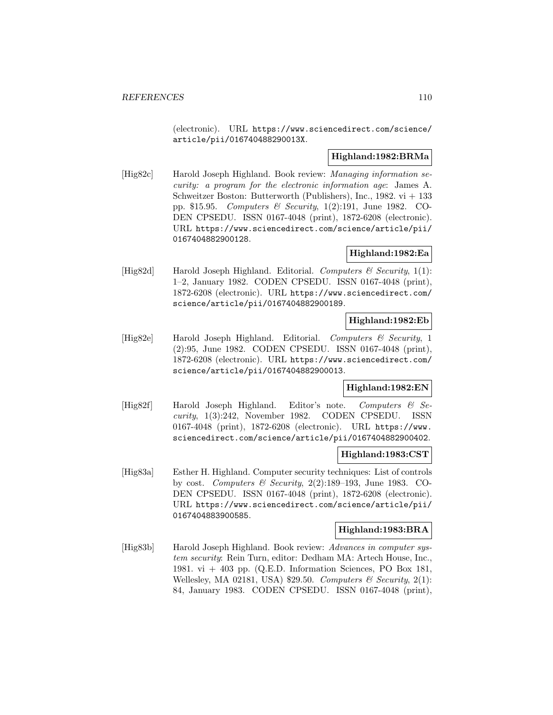(electronic). URL https://www.sciencedirect.com/science/ article/pii/016740488290013X.

## **Highland:1982:BRMa**

[Hig82c] Harold Joseph Highland. Book review: Managing information security: a program for the electronic information age: James A. Schweitzer Boston: Butterworth (Publishers), Inc., 1982.  $vi + 133$ pp. \$15.95. Computers & Security, 1(2):191, June 1982. CO-DEN CPSEDU. ISSN 0167-4048 (print), 1872-6208 (electronic). URL https://www.sciencedirect.com/science/article/pii/ 0167404882900128.

### **Highland:1982:Ea**

 $[Hig82d]$  Harold Joseph Highland. Editorial. Computers & Security, 1(1): 1–2, January 1982. CODEN CPSEDU. ISSN 0167-4048 (print), 1872-6208 (electronic). URL https://www.sciencedirect.com/ science/article/pii/0167404882900189.

# **Highland:1982:Eb**

[Hig82e] Harold Joseph Highland. Editorial. Computers & Security, 1 (2):95, June 1982. CODEN CPSEDU. ISSN 0167-4048 (print), 1872-6208 (electronic). URL https://www.sciencedirect.com/ science/article/pii/0167404882900013.

### **Highland:1982:EN**

[Hig82f] Harold Joseph Highland. Editor's note. Computers & Security, 1(3):242, November 1982. CODEN CPSEDU. ISSN 0167-4048 (print), 1872-6208 (electronic). URL https://www. sciencedirect.com/science/article/pii/0167404882900402.

### **Highland:1983:CST**

[Hig83a] Esther H. Highland. Computer security techniques: List of controls by cost. Computers & Security,  $2(2):189-193$ , June 1983. CO-DEN CPSEDU. ISSN 0167-4048 (print), 1872-6208 (electronic). URL https://www.sciencedirect.com/science/article/pii/ 0167404883900585.

### **Highland:1983:BRA**

[Hig83b] Harold Joseph Highland. Book review: Advances in computer system security: Rein Turn, editor: Dedham MA: Artech House, Inc., 1981. vi  $+$  403 pp. (Q.E.D. Information Sciences, PO Box 181, Wellesley, MA 02181, USA)  $$29.50.$  Computers & Security, 2(1): 84, January 1983. CODEN CPSEDU. ISSN 0167-4048 (print),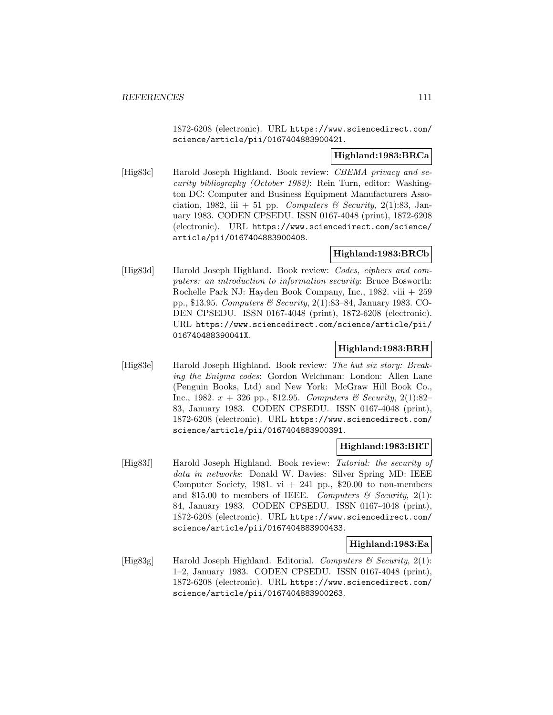1872-6208 (electronic). URL https://www.sciencedirect.com/ science/article/pii/0167404883900421.

## **Highland:1983:BRCa**

[Hig83c] Harold Joseph Highland. Book review: CBEMA privacy and security bibliography (October 1982): Rein Turn, editor: Washington DC: Computer and Business Equipment Manufacturers Association, 1982, iii + 51 pp. Computers & Security, 2(1):83, January 1983. CODEN CPSEDU. ISSN 0167-4048 (print), 1872-6208 (electronic). URL https://www.sciencedirect.com/science/ article/pii/0167404883900408.

### **Highland:1983:BRCb**

[Hig83d] Harold Joseph Highland. Book review: Codes, ciphers and computers: an introduction to information security: Bruce Bosworth: Rochelle Park NJ: Hayden Book Company, Inc., 1982. viii + 259 pp., \$13.95. Computers & Security, 2(1):83–84, January 1983. CO-DEN CPSEDU. ISSN 0167-4048 (print), 1872-6208 (electronic). URL https://www.sciencedirect.com/science/article/pii/ 016740488390041X.

### **Highland:1983:BRH**

[Hig83e] Harold Joseph Highland. Book review: The hut six story: Breaking the Enigma codes: Gordon Welchman: London: Allen Lane (Penguin Books, Ltd) and New York: McGraw Hill Book Co., Inc., 1982.  $x + 326$  pp., \$12.95. Computers & Security, 2(1):82-83, January 1983. CODEN CPSEDU. ISSN 0167-4048 (print), 1872-6208 (electronic). URL https://www.sciencedirect.com/ science/article/pii/0167404883900391.

### **Highland:1983:BRT**

[Hig83f] Harold Joseph Highland. Book review: Tutorial: the security of data in networks: Donald W. Davies: Silver Spring MD: IEEE Computer Society, 1981. vi  $+$  241 pp., \$20.00 to non-members and \$15.00 to members of IEEE. Computers  $\mathcal{B}$  Security, 2(1): 84, January 1983. CODEN CPSEDU. ISSN 0167-4048 (print), 1872-6208 (electronic). URL https://www.sciencedirect.com/ science/article/pii/0167404883900433.

### **Highland:1983:Ea**

[Hig83g] Harold Joseph Highland. Editorial. Computers  $\mathcal C$  Security, 2(1): 1–2, January 1983. CODEN CPSEDU. ISSN 0167-4048 (print), 1872-6208 (electronic). URL https://www.sciencedirect.com/ science/article/pii/0167404883900263.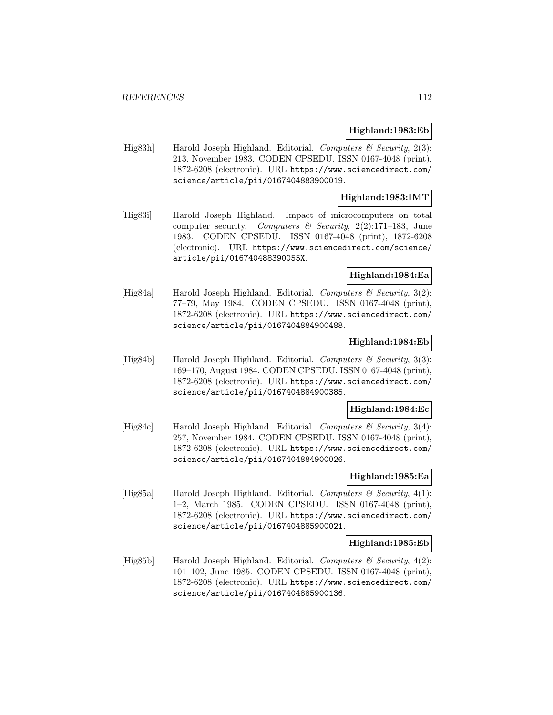### **Highland:1983:Eb**

[Hig83h] Harold Joseph Highland. Editorial. Computers  $\mathcal C$  Security, 2(3): 213, November 1983. CODEN CPSEDU. ISSN 0167-4048 (print), 1872-6208 (electronic). URL https://www.sciencedirect.com/ science/article/pii/0167404883900019.

### **Highland:1983:IMT**

[Hig83i] Harold Joseph Highland. Impact of microcomputers on total computer security. Computers  $\mathcal B$  Security, 2(2):171–183, June 1983. CODEN CPSEDU. ISSN 0167-4048 (print), 1872-6208 (electronic). URL https://www.sciencedirect.com/science/ article/pii/016740488390055X.

### **Highland:1984:Ea**

[Hig84a] Harold Joseph Highland. Editorial. Computers & Security, 3(2): 77–79, May 1984. CODEN CPSEDU. ISSN 0167-4048 (print), 1872-6208 (electronic). URL https://www.sciencedirect.com/ science/article/pii/0167404884900488.

### **Highland:1984:Eb**

[Hig84b] Harold Joseph Highland. Editorial. Computers & Security, 3(3): 169–170, August 1984. CODEN CPSEDU. ISSN 0167-4048 (print), 1872-6208 (electronic). URL https://www.sciencedirect.com/ science/article/pii/0167404884900385.

### **Highland:1984:Ec**

[Hig84c] Harold Joseph Highland. Editorial. Computers  $\mathcal C$  Security, 3(4): 257, November 1984. CODEN CPSEDU. ISSN 0167-4048 (print), 1872-6208 (electronic). URL https://www.sciencedirect.com/ science/article/pii/0167404884900026.

### **Highland:1985:Ea**

[Hig85a] Harold Joseph Highland. Editorial. Computers  $\mathcal C$  Security, 4(1): 1–2, March 1985. CODEN CPSEDU. ISSN 0167-4048 (print), 1872-6208 (electronic). URL https://www.sciencedirect.com/ science/article/pii/0167404885900021.

#### **Highland:1985:Eb**

[Hig85b] Harold Joseph Highland. Editorial. Computers  $\mathcal C$  Security, 4(2): 101–102, June 1985. CODEN CPSEDU. ISSN 0167-4048 (print), 1872-6208 (electronic). URL https://www.sciencedirect.com/ science/article/pii/0167404885900136.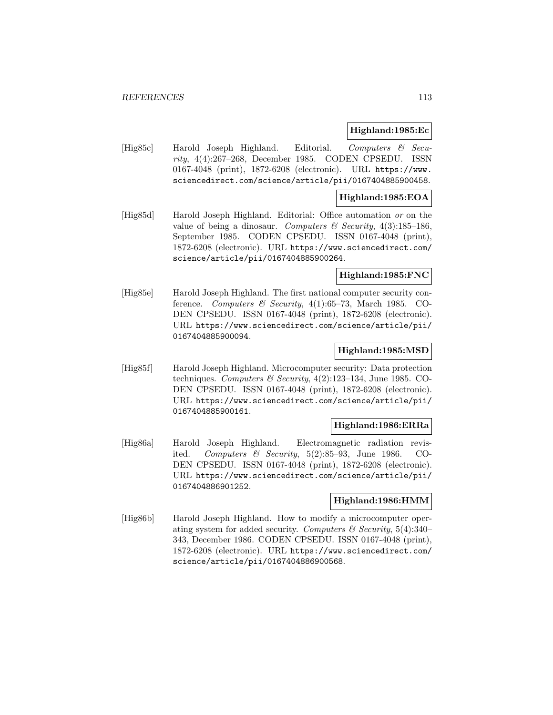### **Highland:1985:Ec**

[Hig85c] Harold Joseph Highland. Editorial. Computers & Security, 4(4):267–268, December 1985. CODEN CPSEDU. ISSN 0167-4048 (print), 1872-6208 (electronic). URL https://www. sciencedirect.com/science/article/pii/0167404885900458.

### **Highland:1985:EOA**

[Hig85d] Harold Joseph Highland. Editorial: Office automation or on the value of being a dinosaur. Computers & Security,  $4(3):185-186$ , September 1985. CODEN CPSEDU. ISSN 0167-4048 (print), 1872-6208 (electronic). URL https://www.sciencedirect.com/ science/article/pii/0167404885900264.

#### **Highland:1985:FNC**

[Hig85e] Harold Joseph Highland. The first national computer security conference. Computers & Security,  $4(1):65-73$ , March 1985. CO-DEN CPSEDU. ISSN 0167-4048 (print), 1872-6208 (electronic). URL https://www.sciencedirect.com/science/article/pii/ 0167404885900094.

#### **Highland:1985:MSD**

[Hig85f] Harold Joseph Highland. Microcomputer security: Data protection techniques. Computers & Security,  $4(2):123-134$ , June 1985. CO-DEN CPSEDU. ISSN 0167-4048 (print), 1872-6208 (electronic). URL https://www.sciencedirect.com/science/article/pii/ 0167404885900161.

### **Highland:1986:ERRa**

[Hig86a] Harold Joseph Highland. Electromagnetic radiation revisited. Computers & Security,  $5(2):85-93$ , June 1986. CO-DEN CPSEDU. ISSN 0167-4048 (print), 1872-6208 (electronic). URL https://www.sciencedirect.com/science/article/pii/ 0167404886901252.

#### **Highland:1986:HMM**

[Hig86b] Harold Joseph Highland. How to modify a microcomputer operating system for added security. Computers  $\mathcal C$  Security, 5(4):340– 343, December 1986. CODEN CPSEDU. ISSN 0167-4048 (print), 1872-6208 (electronic). URL https://www.sciencedirect.com/ science/article/pii/0167404886900568.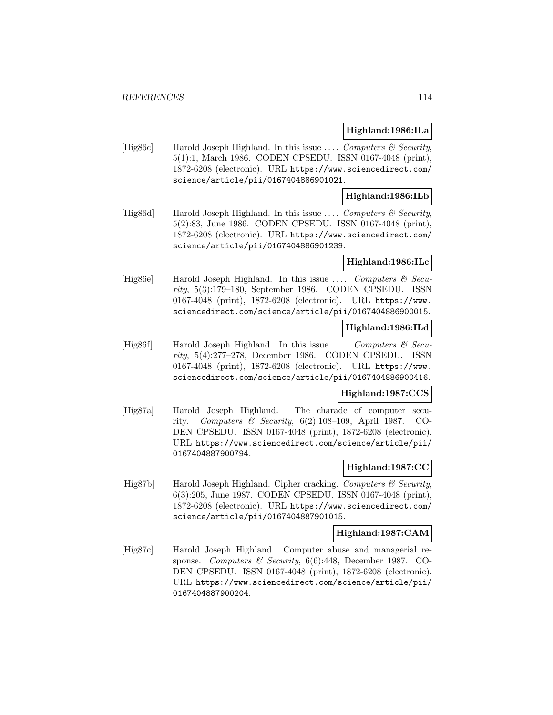#### **Highland:1986:ILa**

[Hig86c] Harold Joseph Highland. In this issue  $\ldots$  Computers & Security, 5(1):1, March 1986. CODEN CPSEDU. ISSN 0167-4048 (print), 1872-6208 (electronic). URL https://www.sciencedirect.com/ science/article/pii/0167404886901021.

### **Highland:1986:ILb**

[Hig86d] Harold Joseph Highland. In this issue  $\ldots$  Computers & Security, 5(2):83, June 1986. CODEN CPSEDU. ISSN 0167-4048 (print), 1872-6208 (electronic). URL https://www.sciencedirect.com/ science/article/pii/0167404886901239.

### **Highland:1986:ILc**

[Hig86e] Harold Joseph Highland. In this issue .... Computers  $\mathcal{C}$  Security, 5(3):179–180, September 1986. CODEN CPSEDU. ISSN 0167-4048 (print), 1872-6208 (electronic). URL https://www. sciencedirect.com/science/article/pii/0167404886900015.

# **Highland:1986:ILd**

[Hig86f] Harold Joseph Highland. In this issue ... . Computers  $\mathcal{C}$  Security, 5(4):277–278, December 1986. CODEN CPSEDU. ISSN 0167-4048 (print), 1872-6208 (electronic). URL https://www. sciencedirect.com/science/article/pii/0167404886900416.

### **Highland:1987:CCS**

[Hig87a] Harold Joseph Highland. The charade of computer security. Computers & Security, 6(2):108–109, April 1987. CO-DEN CPSEDU. ISSN 0167-4048 (print), 1872-6208 (electronic). URL https://www.sciencedirect.com/science/article/pii/ 0167404887900794.

### **Highland:1987:CC**

[Hig87b] Harold Joseph Highland. Cipher cracking. Computers  $\mathcal C$  Security, 6(3):205, June 1987. CODEN CPSEDU. ISSN 0167-4048 (print), 1872-6208 (electronic). URL https://www.sciencedirect.com/ science/article/pii/0167404887901015.

#### **Highland:1987:CAM**

[Hig87c] Harold Joseph Highland. Computer abuse and managerial response. Computers & Security, 6(6):448, December 1987. CO-DEN CPSEDU. ISSN 0167-4048 (print), 1872-6208 (electronic). URL https://www.sciencedirect.com/science/article/pii/ 0167404887900204.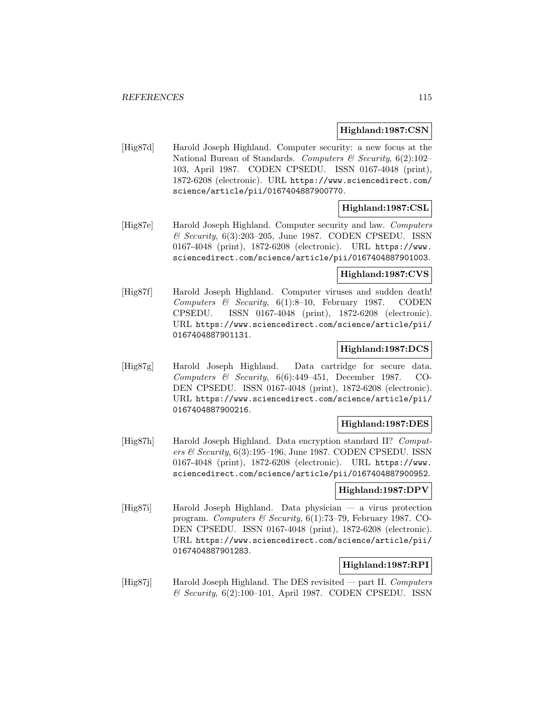#### **Highland:1987:CSN**

[Hig87d] Harold Joseph Highland. Computer security: a new focus at the National Bureau of Standards. Computers & Security,  $6(2):102-$ 103, April 1987. CODEN CPSEDU. ISSN 0167-4048 (print), 1872-6208 (electronic). URL https://www.sciencedirect.com/ science/article/pii/0167404887900770.

## **Highland:1987:CSL**

[Hig87e] Harold Joseph Highland. Computer security and law. Computers & Security, 6(3):203–205, June 1987. CODEN CPSEDU. ISSN 0167-4048 (print), 1872-6208 (electronic). URL https://www. sciencedirect.com/science/article/pii/0167404887901003.

#### **Highland:1987:CVS**

[Hig87f] Harold Joseph Highland. Computer viruses and sudden death! Computers & Security,  $6(1):8-10$ , February 1987. CODEN CPSEDU. ISSN 0167-4048 (print), 1872-6208 (electronic). URL https://www.sciencedirect.com/science/article/pii/ 0167404887901131.

### **Highland:1987:DCS**

[Hig87g] Harold Joseph Highland. Data cartridge for secure data. Computers  $\&$  Security, 6(6):449-451, December 1987. CO-DEN CPSEDU. ISSN 0167-4048 (print), 1872-6208 (electronic). URL https://www.sciencedirect.com/science/article/pii/ 0167404887900216.

#### **Highland:1987:DES**

[Hig87h] Harold Joseph Highland. Data encryption standard II? Computers & Security,  $6(3):195-196$ , June 1987. CODEN CPSEDU. ISSN 0167-4048 (print), 1872-6208 (electronic). URL https://www. sciencedirect.com/science/article/pii/0167404887900952.

### **Highland:1987:DPV**

[Hig87i] Harold Joseph Highland. Data physician — a virus protection program. Computers & Security, 6(1):73–79, February 1987. CO-DEN CPSEDU. ISSN 0167-4048 (print), 1872-6208 (electronic). URL https://www.sciencedirect.com/science/article/pii/ 0167404887901283.

## **Highland:1987:RPI**

[Hig87]] Harold Joseph Highland. The DES revisited — part II. Computers  $\mathcal C$  Security, 6(2):100–101, April 1987. CODEN CPSEDU. ISSN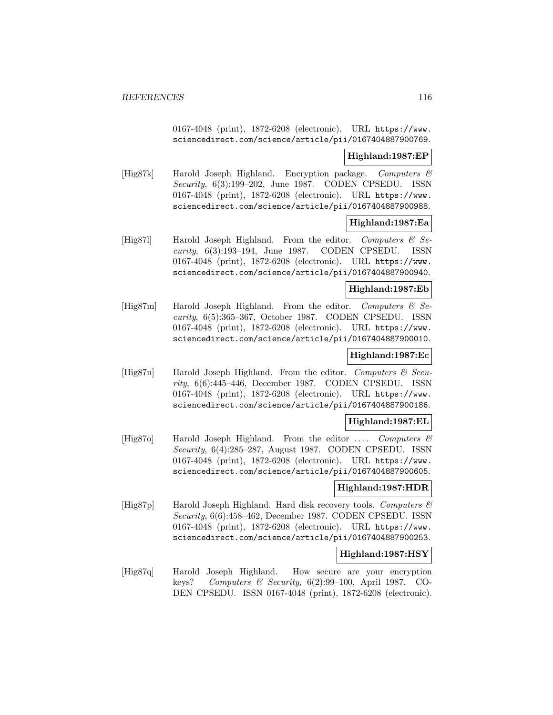0167-4048 (print), 1872-6208 (electronic). URL https://www. sciencedirect.com/science/article/pii/0167404887900769.

#### **Highland:1987:EP**

[Hig87k] Harold Joseph Highland. Encryption package. Computers & Security, 6(3):199–202, June 1987. CODEN CPSEDU. ISSN 0167-4048 (print), 1872-6208 (electronic). URL https://www. sciencedirect.com/science/article/pii/0167404887900988.

## **Highland:1987:Ea**

 $[Hig87]$  Harold Joseph Highland. From the editor. Computers & Security, 6(3):193–194, June 1987. CODEN CPSEDU. ISSN 0167-4048 (print), 1872-6208 (electronic). URL https://www. sciencedirect.com/science/article/pii/0167404887900940.

## **Highland:1987:Eb**

[Hig87m] Harold Joseph Highland. From the editor. Computers  $\mathcal{C}$  Security, 6(5):365–367, October 1987. CODEN CPSEDU. ISSN 0167-4048 (print), 1872-6208 (electronic). URL https://www. sciencedirect.com/science/article/pii/0167404887900010.

# **Highland:1987:Ec**

[Hig87n] Harold Joseph Highland. From the editor. Computers  $\mathcal{C}$  Security, 6(6):445–446, December 1987. CODEN CPSEDU. ISSN 0167-4048 (print), 1872-6208 (electronic). URL https://www. sciencedirect.com/science/article/pii/0167404887900186.

### **Highland:1987:EL**

[Hig87o] Harold Joseph Highland. From the editor ... Computers  $\mathcal{C}$ Security, 6(4):285–287, August 1987. CODEN CPSEDU. ISSN 0167-4048 (print), 1872-6208 (electronic). URL https://www. sciencedirect.com/science/article/pii/0167404887900605.

#### **Highland:1987:HDR**

[Hig87p] Harold Joseph Highland. Hard disk recovery tools. Computers  $\mathcal{C}$ Security, 6(6):458–462, December 1987. CODEN CPSEDU. ISSN 0167-4048 (print), 1872-6208 (electronic). URL https://www. sciencedirect.com/science/article/pii/0167404887900253.

## **Highland:1987:HSY**

[Hig87q] Harold Joseph Highland. How secure are your encryption keys? Computers & Security,  $6(2):99-100$ , April 1987. CO-DEN CPSEDU. ISSN 0167-4048 (print), 1872-6208 (electronic).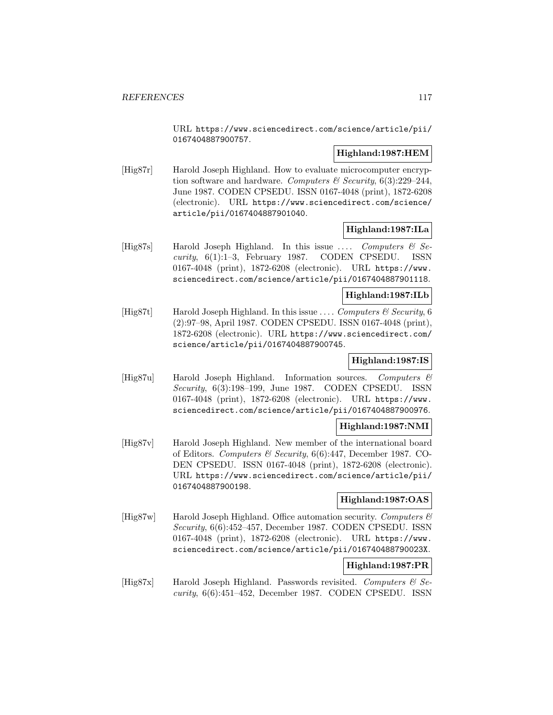URL https://www.sciencedirect.com/science/article/pii/ 0167404887900757.

### **Highland:1987:HEM**

[Hig87r] Harold Joseph Highland. How to evaluate microcomputer encryption software and hardware. Computers  $\mathcal{C}$  Security, 6(3):229–244, June 1987. CODEN CPSEDU. ISSN 0167-4048 (print), 1872-6208 (electronic). URL https://www.sciencedirect.com/science/ article/pii/0167404887901040.

### **Highland:1987:ILa**

[Hig87s] Harold Joseph Highland. In this issue .... Computers  $\mathcal{C}$  Security, 6(1):1–3, February 1987. CODEN CPSEDU. ISSN 0167-4048 (print), 1872-6208 (electronic). URL https://www. sciencedirect.com/science/article/pii/0167404887901118.

#### **Highland:1987:ILb**

[Hig87t] Harold Joseph Highland. In this issue  $\ldots$  Computers & Security, 6 (2):97–98, April 1987. CODEN CPSEDU. ISSN 0167-4048 (print), 1872-6208 (electronic). URL https://www.sciencedirect.com/ science/article/pii/0167404887900745.

## **Highland:1987:IS**

[Hig87u] Harold Joseph Highland. Information sources. Computers & Security, 6(3):198–199, June 1987. CODEN CPSEDU. ISSN 0167-4048 (print), 1872-6208 (electronic). URL https://www. sciencedirect.com/science/article/pii/0167404887900976.

#### **Highland:1987:NMI**

[Hig87v] Harold Joseph Highland. New member of the international board of Editors. Computers & Security,  $6(6):447$ , December 1987. CO-DEN CPSEDU. ISSN 0167-4048 (print), 1872-6208 (electronic). URL https://www.sciencedirect.com/science/article/pii/ 0167404887900198.

### **Highland:1987:OAS**

[Hig87w] Harold Joseph Highland. Office automation security. Computers  $\mathcal{B}$ Security, 6(6):452–457, December 1987. CODEN CPSEDU. ISSN 0167-4048 (print), 1872-6208 (electronic). URL https://www. sciencedirect.com/science/article/pii/016740488790023X.

## **Highland:1987:PR**

[Hig87x] Harold Joseph Highland. Passwords revisited. Computers  $\mathcal{B}$  Security, 6(6):451–452, December 1987. CODEN CPSEDU. ISSN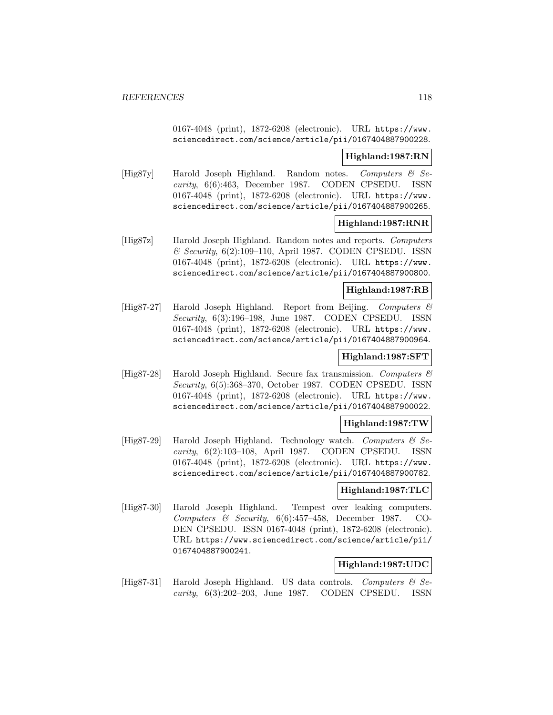0167-4048 (print), 1872-6208 (electronic). URL https://www. sciencedirect.com/science/article/pii/0167404887900228.

## **Highland:1987:RN**

[Hig87y] Harold Joseph Highland. Random notes. Computers & Security, 6(6):463, December 1987. CODEN CPSEDU. ISSN 0167-4048 (print), 1872-6208 (electronic). URL https://www. sciencedirect.com/science/article/pii/0167404887900265.

### **Highland:1987:RNR**

[Hig87z] Harold Joseph Highland. Random notes and reports. Computers & Security, 6(2):109–110, April 1987. CODEN CPSEDU. ISSN 0167-4048 (print), 1872-6208 (electronic). URL https://www. sciencedirect.com/science/article/pii/0167404887900800.

#### **Highland:1987:RB**

[Hig87-27] Harold Joseph Highland. Report from Beijing. Computers & Security, 6(3):196–198, June 1987. CODEN CPSEDU. ISSN 0167-4048 (print), 1872-6208 (electronic). URL https://www. sciencedirect.com/science/article/pii/0167404887900964.

# **Highland:1987:SFT**

[Hig87-28] Harold Joseph Highland. Secure fax transmission. Computers  $\mathcal{C}$ Security, 6(5):368–370, October 1987. CODEN CPSEDU. ISSN 0167-4048 (print), 1872-6208 (electronic). URL https://www. sciencedirect.com/science/article/pii/0167404887900022.

### **Highland:1987:TW**

[Hig87-29] Harold Joseph Highland. Technology watch. Computers  $\mathcal{C}$  Security, 6(2):103–108, April 1987. CODEN CPSEDU. ISSN 0167-4048 (print), 1872-6208 (electronic). URL https://www. sciencedirect.com/science/article/pii/0167404887900782.

### **Highland:1987:TLC**

[Hig87-30] Harold Joseph Highland. Tempest over leaking computers. Computers & Security,  $6(6):457-458$ , December 1987. CO-DEN CPSEDU. ISSN 0167-4048 (print), 1872-6208 (electronic). URL https://www.sciencedirect.com/science/article/pii/ 0167404887900241.

### **Highland:1987:UDC**

[Hig87-31] Harold Joseph Highland. US data controls. Computers  $\mathcal{C}$  Security, 6(3):202–203, June 1987. CODEN CPSEDU. ISSN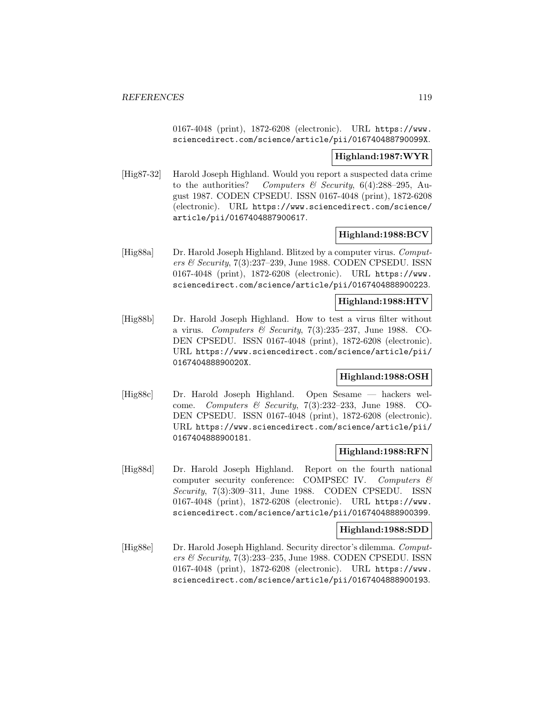0167-4048 (print), 1872-6208 (electronic). URL https://www. sciencedirect.com/science/article/pii/016740488790099X.

### **Highland:1987:WYR**

[Hig87-32] Harold Joseph Highland. Would you report a suspected data crime to the authorities? Computers & Security,  $6(4)$ :288–295, August 1987. CODEN CPSEDU. ISSN 0167-4048 (print), 1872-6208 (electronic). URL https://www.sciencedirect.com/science/ article/pii/0167404887900617.

## **Highland:1988:BCV**

[Hig88a] Dr. Harold Joseph Highland. Blitzed by a computer virus. Computers & Security, 7(3):237–239, June 1988. CODEN CPSEDU. ISSN 0167-4048 (print), 1872-6208 (electronic). URL https://www. sciencedirect.com/science/article/pii/0167404888900223.

### **Highland:1988:HTV**

[Hig88b] Dr. Harold Joseph Highland. How to test a virus filter without a virus. Computers & Security,  $7(3):235-237$ , June 1988. CO-DEN CPSEDU. ISSN 0167-4048 (print), 1872-6208 (electronic). URL https://www.sciencedirect.com/science/article/pii/ 016740488890020X.

# **Highland:1988:OSH**

[Hig88c] Dr. Harold Joseph Highland. Open Sesame — hackers welcome. Computers & Security, 7(3):232-233, June 1988. CO-DEN CPSEDU. ISSN 0167-4048 (print), 1872-6208 (electronic). URL https://www.sciencedirect.com/science/article/pii/ 0167404888900181.

### **Highland:1988:RFN**

[Hig88d] Dr. Harold Joseph Highland. Report on the fourth national computer security conference: COMPSEC IV. Computers & Security, 7(3):309–311, June 1988. CODEN CPSEDU. ISSN 0167-4048 (print), 1872-6208 (electronic). URL https://www. sciencedirect.com/science/article/pii/0167404888900399.

### **Highland:1988:SDD**

[Hig88e] Dr. Harold Joseph Highland. Security director's dilemma. Computers & Security,  $7(3):233-235$ , June 1988. CODEN CPSEDU. ISSN 0167-4048 (print), 1872-6208 (electronic). URL https://www. sciencedirect.com/science/article/pii/0167404888900193.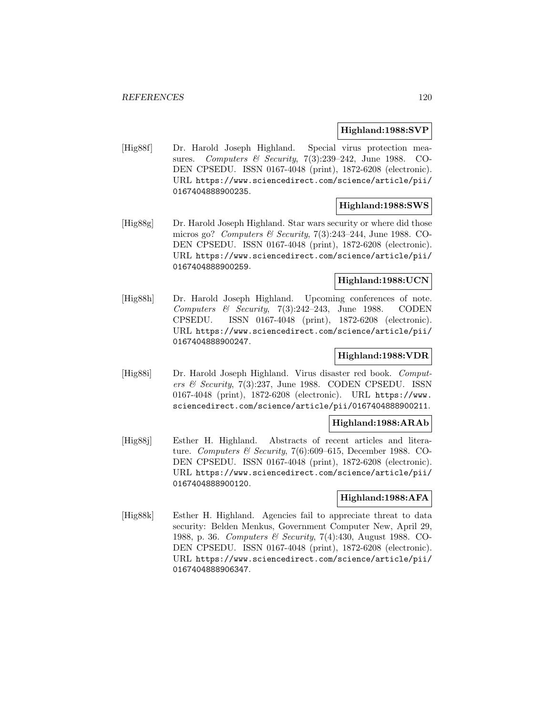### **Highland:1988:SVP**

[Hig88f] Dr. Harold Joseph Highland. Special virus protection measures. Computers & Security,  $7(3):239-242$ , June 1988. CO-DEN CPSEDU. ISSN 0167-4048 (print), 1872-6208 (electronic). URL https://www.sciencedirect.com/science/article/pii/ 0167404888900235.

### **Highland:1988:SWS**

[Hig88g] Dr. Harold Joseph Highland. Star wars security or where did those micros go? Computers & Security, 7(3):243–244, June 1988. CO-DEN CPSEDU. ISSN 0167-4048 (print), 1872-6208 (electronic). URL https://www.sciencedirect.com/science/article/pii/ 0167404888900259.

### **Highland:1988:UCN**

[Hig88h] Dr. Harold Joseph Highland. Upcoming conferences of note. Computers & Security,  $7(3):242-243$ , June 1988. CODEN CPSEDU. ISSN 0167-4048 (print), 1872-6208 (electronic). URL https://www.sciencedirect.com/science/article/pii/ 0167404888900247.

#### **Highland:1988:VDR**

[Hig88i] Dr. Harold Joseph Highland. Virus disaster red book. Computers & Security, 7(3):237, June 1988. CODEN CPSEDU. ISSN 0167-4048 (print), 1872-6208 (electronic). URL https://www. sciencedirect.com/science/article/pii/0167404888900211.

#### **Highland:1988:ARAb**

[Hig88j] Esther H. Highland. Abstracts of recent articles and literature. Computers & Security, 7(6):609–615, December 1988. CO-DEN CPSEDU. ISSN 0167-4048 (print), 1872-6208 (electronic). URL https://www.sciencedirect.com/science/article/pii/ 0167404888900120.

### **Highland:1988:AFA**

[Hig88k] Esther H. Highland. Agencies fail to appreciate threat to data security: Belden Menkus, Government Computer New, April 29, 1988, p. 36. Computers & Security, 7(4):430, August 1988. CO-DEN CPSEDU. ISSN 0167-4048 (print), 1872-6208 (electronic). URL https://www.sciencedirect.com/science/article/pii/ 0167404888906347.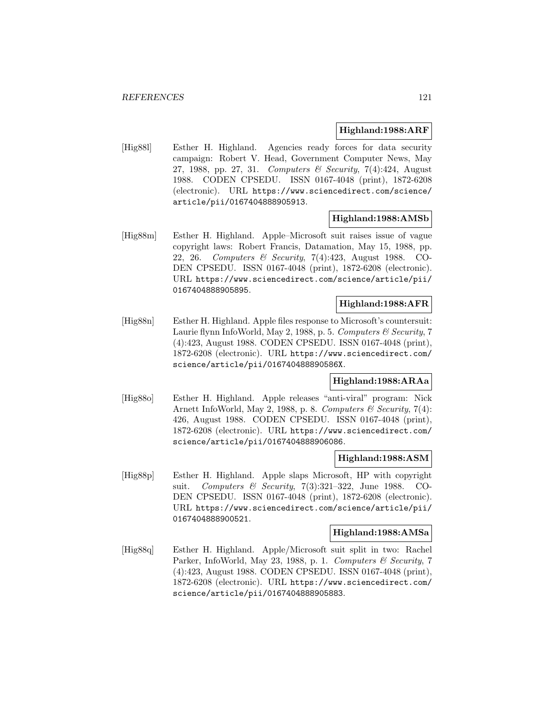#### **Highland:1988:ARF**

[Hig88l] Esther H. Highland. Agencies ready forces for data security campaign: Robert V. Head, Government Computer News, May 27, 1988, pp. 27, 31. Computers & Security, 7(4):424, August 1988. CODEN CPSEDU. ISSN 0167-4048 (print), 1872-6208 (electronic). URL https://www.sciencedirect.com/science/ article/pii/0167404888905913.

### **Highland:1988:AMSb**

[Hig88m] Esther H. Highland. Apple–Microsoft suit raises issue of vague copyright laws: Robert Francis, Datamation, May 15, 1988, pp. 22, 26. Computers & Security, 7(4):423, August 1988. CO-DEN CPSEDU. ISSN 0167-4048 (print), 1872-6208 (electronic). URL https://www.sciencedirect.com/science/article/pii/ 0167404888905895.

### **Highland:1988:AFR**

[Hig88n] Esther H. Highland. Apple files response to Microsoft's countersuit: Laurie flynn InfoWorld, May 2, 1988, p. 5. Computers  $\mathcal C$  Security, 7 (4):423, August 1988. CODEN CPSEDU. ISSN 0167-4048 (print), 1872-6208 (electronic). URL https://www.sciencedirect.com/ science/article/pii/016740488890586X.

### **Highland:1988:ARAa**

[Hig88o] Esther H. Highland. Apple releases "anti-viral" program: Nick Arnett InfoWorld, May 2, 1988, p. 8. Computers  $\mathcal C$  Security, 7(4): 426, August 1988. CODEN CPSEDU. ISSN 0167-4048 (print), 1872-6208 (electronic). URL https://www.sciencedirect.com/ science/article/pii/0167404888906086.

#### **Highland:1988:ASM**

[Hig88p] Esther H. Highland. Apple slaps Microsoft, HP with copyright suit. Computers & Security, 7(3):321-322, June 1988. CO-DEN CPSEDU. ISSN 0167-4048 (print), 1872-6208 (electronic). URL https://www.sciencedirect.com/science/article/pii/ 0167404888900521.

#### **Highland:1988:AMSa**

[Hig88q] Esther H. Highland. Apple/Microsoft suit split in two: Rachel Parker, InfoWorld, May 23, 1988, p. 1. Computers  $\mathcal B$  Security, 7 (4):423, August 1988. CODEN CPSEDU. ISSN 0167-4048 (print), 1872-6208 (electronic). URL https://www.sciencedirect.com/ science/article/pii/0167404888905883.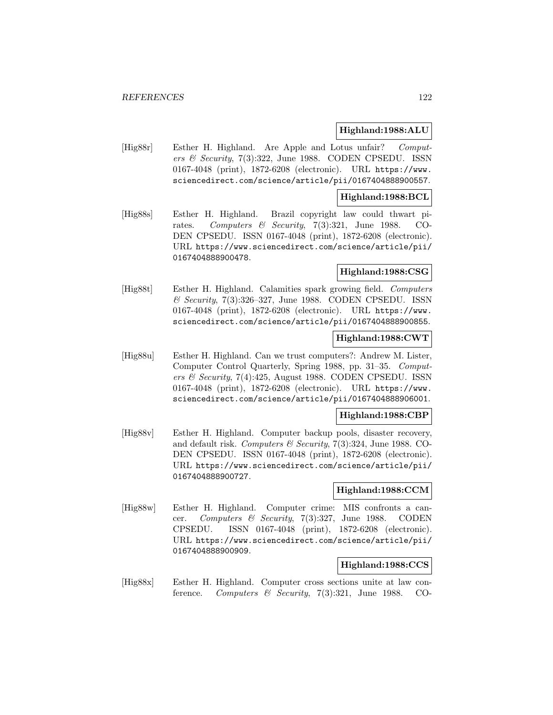#### **Highland:1988:ALU**

[Hig88r] Esther H. Highland. Are Apple and Lotus unfair? Computers & Security,  $7(3):322$ , June 1988. CODEN CPSEDU. ISSN 0167-4048 (print), 1872-6208 (electronic). URL https://www. sciencedirect.com/science/article/pii/0167404888900557.

### **Highland:1988:BCL**

[Hig88s] Esther H. Highland. Brazil copyright law could thwart pirates. Computers & Security, 7(3):321, June 1988. CO-DEN CPSEDU. ISSN 0167-4048 (print), 1872-6208 (electronic). URL https://www.sciencedirect.com/science/article/pii/ 0167404888900478.

## **Highland:1988:CSG**

[Hig88t] Esther H. Highland. Calamities spark growing field. Computers & Security, 7(3):326–327, June 1988. CODEN CPSEDU. ISSN 0167-4048 (print), 1872-6208 (electronic). URL https://www. sciencedirect.com/science/article/pii/0167404888900855.

### **Highland:1988:CWT**

[Hig88u] Esther H. Highland. Can we trust computers?: Andrew M. Lister, Computer Control Quarterly, Spring 1988, pp. 31–35. Computers & Security, 7(4):425, August 1988. CODEN CPSEDU. ISSN 0167-4048 (print), 1872-6208 (electronic). URL https://www. sciencedirect.com/science/article/pii/0167404888906001.

## **Highland:1988:CBP**

[Hig88v] Esther H. Highland. Computer backup pools, disaster recovery, and default risk. Computers & Security,  $7(3):324$ , June 1988. CO-DEN CPSEDU. ISSN 0167-4048 (print), 1872-6208 (electronic). URL https://www.sciencedirect.com/science/article/pii/ 0167404888900727.

### **Highland:1988:CCM**

[Hig88w] Esther H. Highland. Computer crime: MIS confronts a cancer. Computers & Security, 7(3):327, June 1988. CODEN CPSEDU. ISSN 0167-4048 (print), 1872-6208 (electronic). URL https://www.sciencedirect.com/science/article/pii/ 0167404888900909.

### **Highland:1988:CCS**

[Hig88x] Esther H. Highland. Computer cross sections unite at law conference. Computers  $\mathcal B$  Security, 7(3):321, June 1988. CO-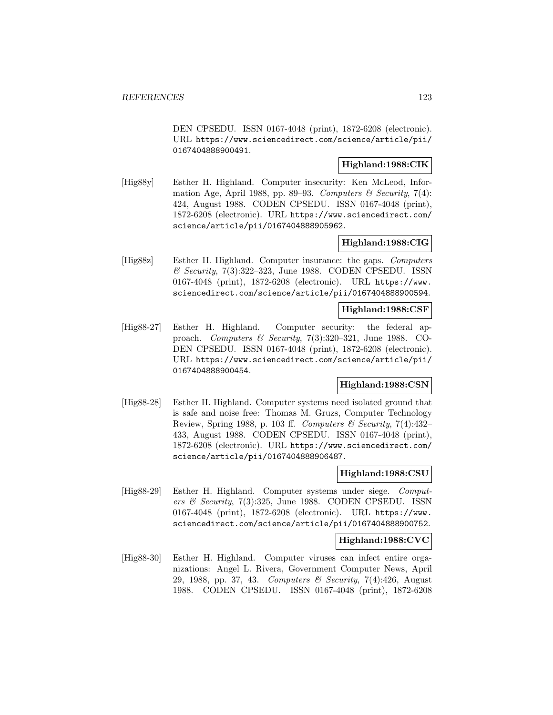DEN CPSEDU. ISSN 0167-4048 (print), 1872-6208 (electronic). URL https://www.sciencedirect.com/science/article/pii/ 0167404888900491.

## **Highland:1988:CIK**

[Hig88y] Esther H. Highland. Computer insecurity: Ken McLeod, Information Age, April 1988, pp. 89–93. Computers & Security, 7(4): 424, August 1988. CODEN CPSEDU. ISSN 0167-4048 (print), 1872-6208 (electronic). URL https://www.sciencedirect.com/ science/article/pii/0167404888905962.

### **Highland:1988:CIG**

[Hig88z] Esther H. Highland. Computer insurance: the gaps. Computers  $\mathcal C$  Security, 7(3):322–323, June 1988. CODEN CPSEDU. ISSN 0167-4048 (print), 1872-6208 (electronic). URL https://www. sciencedirect.com/science/article/pii/0167404888900594.

#### **Highland:1988:CSF**

[Hig88-27] Esther H. Highland. Computer security: the federal approach. Computers & Security, 7(3):320-321, June 1988. CO-DEN CPSEDU. ISSN 0167-4048 (print), 1872-6208 (electronic). URL https://www.sciencedirect.com/science/article/pii/ 0167404888900454.

### **Highland:1988:CSN**

[Hig88-28] Esther H. Highland. Computer systems need isolated ground that is safe and noise free: Thomas M. Gruzs, Computer Technology Review, Spring 1988, p. 103 ff. Computers & Security, 7(4):432-433, August 1988. CODEN CPSEDU. ISSN 0167-4048 (print), 1872-6208 (electronic). URL https://www.sciencedirect.com/ science/article/pii/0167404888906487.

### **Highland:1988:CSU**

[Hig88-29] Esther H. Highland. Computer systems under siege. Computers & Security, 7(3):325, June 1988. CODEN CPSEDU. ISSN 0167-4048 (print), 1872-6208 (electronic). URL https://www. sciencedirect.com/science/article/pii/0167404888900752.

### **Highland:1988:CVC**

[Hig88-30] Esther H. Highland. Computer viruses can infect entire organizations: Angel L. Rivera, Government Computer News, April 29, 1988, pp. 37, 43. Computers & Security, 7(4):426, August 1988. CODEN CPSEDU. ISSN 0167-4048 (print), 1872-6208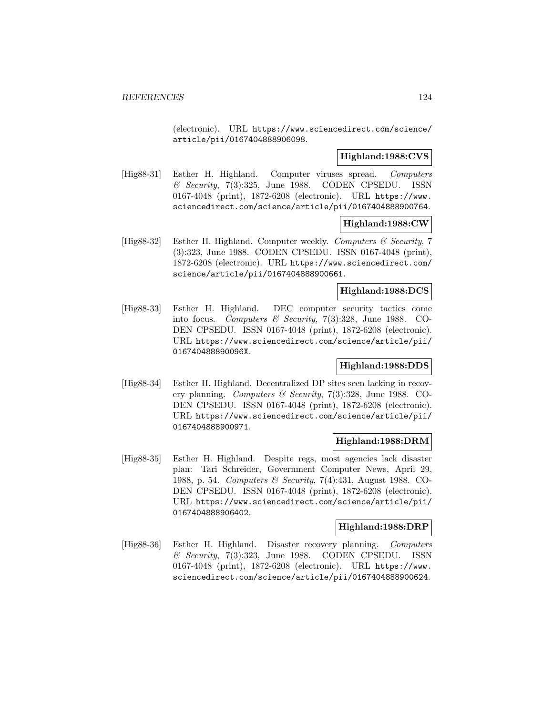(electronic). URL https://www.sciencedirect.com/science/ article/pii/0167404888906098.

## **Highland:1988:CVS**

[Hig88-31] Esther H. Highland. Computer viruses spread. Computers  $\&$  Security, 7(3):325, June 1988. CODEN CPSEDU. ISSN 0167-4048 (print), 1872-6208 (electronic). URL https://www. sciencedirect.com/science/article/pii/0167404888900764.

### **Highland:1988:CW**

[Hig88-32] Esther H. Highland. Computer weekly. Computers & Security, 7 (3):323, June 1988. CODEN CPSEDU. ISSN 0167-4048 (print), 1872-6208 (electronic). URL https://www.sciencedirect.com/ science/article/pii/0167404888900661.

#### **Highland:1988:DCS**

[Hig88-33] Esther H. Highland. DEC computer security tactics come into focus. Computers & Security, 7(3):328, June 1988. CO-DEN CPSEDU. ISSN 0167-4048 (print), 1872-6208 (electronic). URL https://www.sciencedirect.com/science/article/pii/ 016740488890096X.

## **Highland:1988:DDS**

[Hig88-34] Esther H. Highland. Decentralized DP sites seen lacking in recovery planning. Computers & Security, 7(3):328, June 1988. CO-DEN CPSEDU. ISSN 0167-4048 (print), 1872-6208 (electronic). URL https://www.sciencedirect.com/science/article/pii/ 0167404888900971.

### **Highland:1988:DRM**

[Hig88-35] Esther H. Highland. Despite regs, most agencies lack disaster plan: Tari Schreider, Government Computer News, April 29, 1988, p. 54. Computers & Security, 7(4):431, August 1988. CO-DEN CPSEDU. ISSN 0167-4048 (print), 1872-6208 (electronic). URL https://www.sciencedirect.com/science/article/pii/ 0167404888906402.

#### **Highland:1988:DRP**

[Hig88-36] Esther H. Highland. Disaster recovery planning. Computers  $\&$  Security, 7(3):323, June 1988. CODEN CPSEDU. ISSN 0167-4048 (print), 1872-6208 (electronic). URL https://www. sciencedirect.com/science/article/pii/0167404888900624.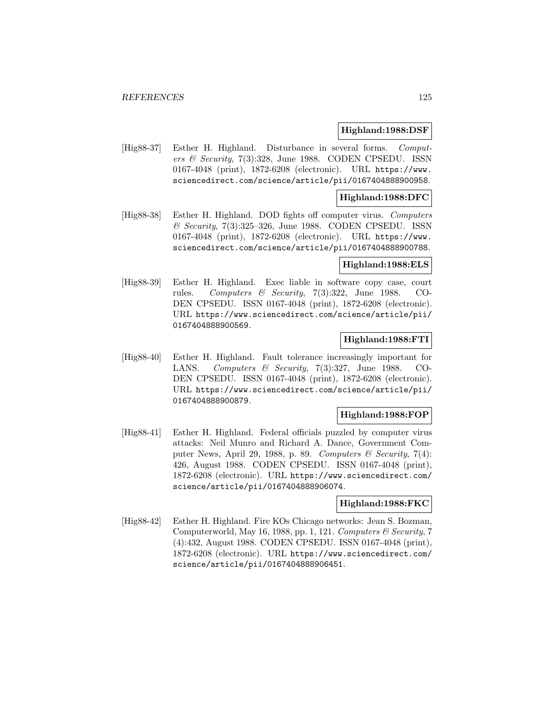#### **Highland:1988:DSF**

[Hig88-37] Esther H. Highland. Disturbance in several forms. Computers & Security, 7(3):328, June 1988. CODEN CPSEDU. ISSN 0167-4048 (print), 1872-6208 (electronic). URL https://www. sciencedirect.com/science/article/pii/0167404888900958.

### **Highland:1988:DFC**

[Hig88-38] Esther H. Highland. DOD fights off computer virus. Computers  $\mathcal C$  Security, 7(3):325–326, June 1988. CODEN CPSEDU. ISSN 0167-4048 (print), 1872-6208 (electronic). URL https://www. sciencedirect.com/science/article/pii/0167404888900788.

### **Highland:1988:ELS**

[Hig88-39] Esther H. Highland. Exec liable in software copy case, court rules. Computers & Security, 7(3):322, June 1988. CO-DEN CPSEDU. ISSN 0167-4048 (print), 1872-6208 (electronic). URL https://www.sciencedirect.com/science/article/pii/ 0167404888900569.

### **Highland:1988:FTI**

[Hig88-40] Esther H. Highland. Fault tolerance increasingly important for LANS. Computers & Security, 7(3):327, June 1988. CO-DEN CPSEDU. ISSN 0167-4048 (print), 1872-6208 (electronic). URL https://www.sciencedirect.com/science/article/pii/ 0167404888900879.

### **Highland:1988:FOP**

[Hig88-41] Esther H. Highland. Federal officials puzzled by computer virus attacks: Neil Munro and Richard A. Dance, Government Computer News, April 29, 1988, p. 89. Computers  $\mathcal C$  Security, 7(4): 426, August 1988. CODEN CPSEDU. ISSN 0167-4048 (print), 1872-6208 (electronic). URL https://www.sciencedirect.com/ science/article/pii/0167404888906074.

#### **Highland:1988:FKC**

[Hig88-42] Esther H. Highland. Fire KOs Chicago networks: Jean S. Bozman, Computerworld, May 16, 1988, pp. 1, 121. Computers  $\mathcal C$  Security, 7 (4):432, August 1988. CODEN CPSEDU. ISSN 0167-4048 (print), 1872-6208 (electronic). URL https://www.sciencedirect.com/ science/article/pii/0167404888906451.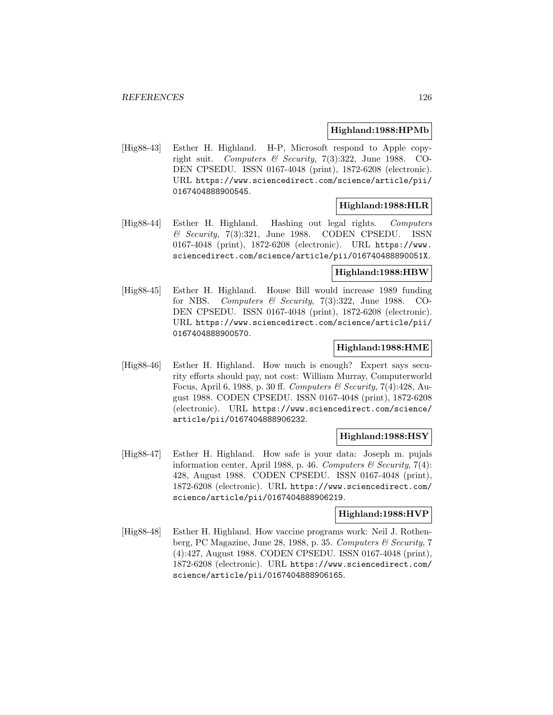### **Highland:1988:HPMb**

[Hig88-43] Esther H. Highland. H-P, Microsoft respond to Apple copyright suit. Computers & Security,  $7(3):322$ , June 1988. CO-DEN CPSEDU. ISSN 0167-4048 (print), 1872-6208 (electronic). URL https://www.sciencedirect.com/science/article/pii/ 0167404888900545.

### **Highland:1988:HLR**

[Hig88-44] Esther H. Highland. Hashing out legal rights. Computers  $\&$  Security, 7(3):321, June 1988. CODEN CPSEDU. ISSN 0167-4048 (print), 1872-6208 (electronic). URL https://www. sciencedirect.com/science/article/pii/016740488890051X.

### **Highland:1988:HBW**

[Hig88-45] Esther H. Highland. House Bill would increase 1989 funding for NBS. Computers & Security,  $7(3):322$ , June 1988. CO-DEN CPSEDU. ISSN 0167-4048 (print), 1872-6208 (electronic). URL https://www.sciencedirect.com/science/article/pii/ 0167404888900570.

### **Highland:1988:HME**

[Hig88-46] Esther H. Highland. How much is enough? Expert says security efforts should pay, not cost: William Murray, Computerworld Focus, April 6, 1988, p. 30 ff. Computers & Security, 7(4):428, August 1988. CODEN CPSEDU. ISSN 0167-4048 (print), 1872-6208 (electronic). URL https://www.sciencedirect.com/science/ article/pii/0167404888906232.

### **Highland:1988:HSY**

[Hig88-47] Esther H. Highland. How safe is your data: Joseph m. pujals information center, April 1988, p. 46. Computers  $\mathcal C$  Security, 7(4): 428, August 1988. CODEN CPSEDU. ISSN 0167-4048 (print), 1872-6208 (electronic). URL https://www.sciencedirect.com/ science/article/pii/0167404888906219.

#### **Highland:1988:HVP**

[Hig88-48] Esther H. Highland. How vaccine programs work: Neil J. Rothenberg, PC Magazine, June 28, 1988, p. 35. Computers  $\mathcal C$  Security, 7 (4):427, August 1988. CODEN CPSEDU. ISSN 0167-4048 (print), 1872-6208 (electronic). URL https://www.sciencedirect.com/ science/article/pii/0167404888906165.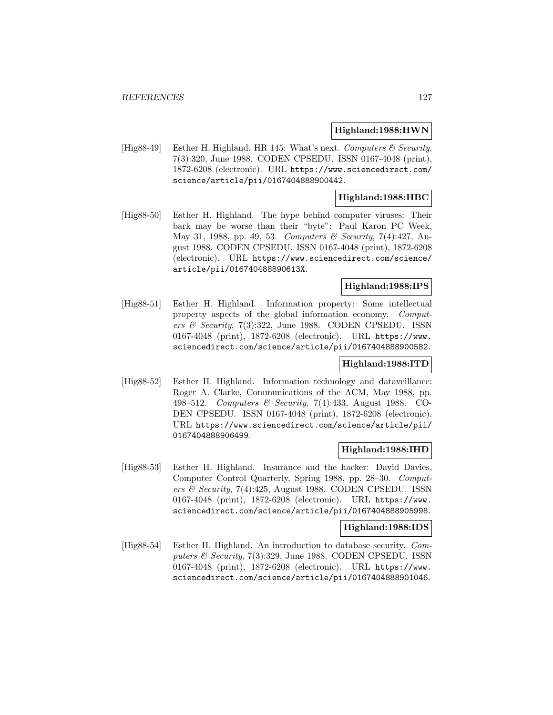#### **Highland:1988:HWN**

[Hig88-49] Esther H. Highland. HR 145: What's next. Computers  $\mathcal C$  Security, 7(3):320, June 1988. CODEN CPSEDU. ISSN 0167-4048 (print), 1872-6208 (electronic). URL https://www.sciencedirect.com/ science/article/pii/0167404888900442.

### **Highland:1988:HBC**

[Hig88-50] Esther H. Highland. The hype behind computer viruses: Their bark may be worse than their "byte": Paul Karon PC Week, May 31, 1988, pp. 49, 53. Computers & Security, 7(4):427, August 1988. CODEN CPSEDU. ISSN 0167-4048 (print), 1872-6208 (electronic). URL https://www.sciencedirect.com/science/ article/pii/016740488890613X.

# **Highland:1988:IPS**

[Hig88-51] Esther H. Highland. Information property: Some intellectual property aspects of the global information economy. Computers & Security,  $7(3):322$ , June 1988. CODEN CPSEDU. ISSN 0167-4048 (print), 1872-6208 (electronic). URL https://www. sciencedirect.com/science/article/pii/0167404888900582.

### **Highland:1988:ITD**

[Hig88-52] Esther H. Highland. Information technology and dataveillance: Roger A. Clarke, Communications of the ACM, May 1988, pp. 498–512. Computers & Security, 7(4):433, August 1988. CO-DEN CPSEDU. ISSN 0167-4048 (print), 1872-6208 (electronic). URL https://www.sciencedirect.com/science/article/pii/ 0167404888906499.

### **Highland:1988:IHD**

[Hig88-53] Esther H. Highland. Insurance and the hacker: David Davies, Computer Control Quarterly, Spring 1988, pp. 28–30. Computers & Security, 7(4):425, August 1988. CODEN CPSEDU. ISSN 0167-4048 (print), 1872-6208 (electronic). URL https://www. sciencedirect.com/science/article/pii/0167404888905998.

#### **Highland:1988:IDS**

[Hig88-54] Esther H. Highland. An introduction to database security. Computers & Security, 7(3):329, June 1988. CODEN CPSEDU. ISSN 0167-4048 (print), 1872-6208 (electronic). URL https://www. sciencedirect.com/science/article/pii/0167404888901046.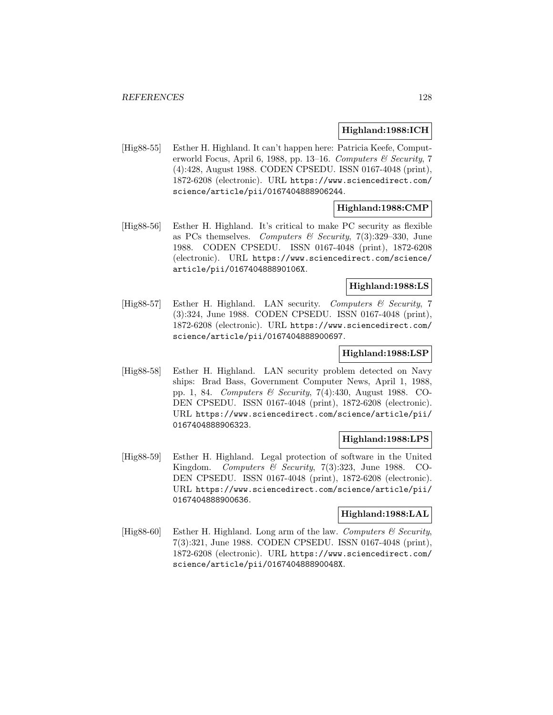#### **Highland:1988:ICH**

[Hig88-55] Esther H. Highland. It can't happen here: Patricia Keefe, Computerworld Focus, April 6, 1988, pp. 13–16. Computers  $\mathcal C$  Security, 7 (4):428, August 1988. CODEN CPSEDU. ISSN 0167-4048 (print), 1872-6208 (electronic). URL https://www.sciencedirect.com/ science/article/pii/0167404888906244.

### **Highland:1988:CMP**

[Hig88-56] Esther H. Highland. It's critical to make PC security as flexible as PCs themselves. Computers & Security,  $7(3):329-330$ , June 1988. CODEN CPSEDU. ISSN 0167-4048 (print), 1872-6208 (electronic). URL https://www.sciencedirect.com/science/ article/pii/016740488890106X.

# **Highland:1988:LS**

[Hig88-57] Esther H. Highland. LAN security. Computers  $\mathcal{C}$  Security, 7 (3):324, June 1988. CODEN CPSEDU. ISSN 0167-4048 (print), 1872-6208 (electronic). URL https://www.sciencedirect.com/ science/article/pii/0167404888900697.

## **Highland:1988:LSP**

[Hig88-58] Esther H. Highland. LAN security problem detected on Navy ships: Brad Bass, Government Computer News, April 1, 1988, pp. 1, 84. Computers & Security, 7(4):430, August 1988. CO-DEN CPSEDU. ISSN 0167-4048 (print), 1872-6208 (electronic). URL https://www.sciencedirect.com/science/article/pii/ 0167404888906323.

## **Highland:1988:LPS**

[Hig88-59] Esther H. Highland. Legal protection of software in the United Kingdom. Computers & Security, 7(3):323, June 1988. CO-DEN CPSEDU. ISSN 0167-4048 (print), 1872-6208 (electronic). URL https://www.sciencedirect.com/science/article/pii/ 0167404888900636.

### **Highland:1988:LAL**

[Hig88-60] Esther H. Highland. Long arm of the law. Computers  $\mathcal C$  Security, 7(3):321, June 1988. CODEN CPSEDU. ISSN 0167-4048 (print), 1872-6208 (electronic). URL https://www.sciencedirect.com/ science/article/pii/016740488890048X.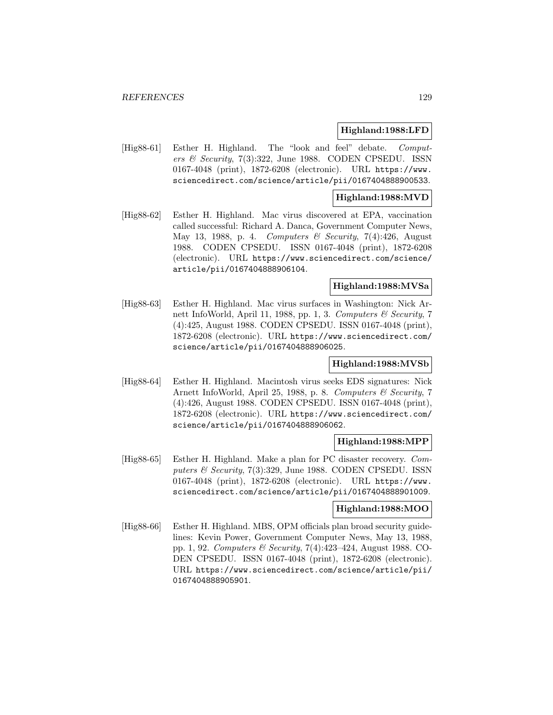#### **Highland:1988:LFD**

[Hig88-61] Esther H. Highland. The "look and feel" debate. Computers  $\mathcal C$  Security, 7(3):322, June 1988. CODEN CPSEDU. ISSN 0167-4048 (print), 1872-6208 (electronic). URL https://www. sciencedirect.com/science/article/pii/0167404888900533.

### **Highland:1988:MVD**

[Hig88-62] Esther H. Highland. Mac virus discovered at EPA, vaccination called successful: Richard A. Danca, Government Computer News, May 13, 1988, p. 4. Computers & Security, 7(4):426, August 1988. CODEN CPSEDU. ISSN 0167-4048 (print), 1872-6208 (electronic). URL https://www.sciencedirect.com/science/ article/pii/0167404888906104.

### **Highland:1988:MVSa**

[Hig88-63] Esther H. Highland. Mac virus surfaces in Washington: Nick Arnett InfoWorld, April 11, 1988, pp. 1, 3. Computers  $\mathcal C$  Security, 7 (4):425, August 1988. CODEN CPSEDU. ISSN 0167-4048 (print), 1872-6208 (electronic). URL https://www.sciencedirect.com/ science/article/pii/0167404888906025.

## **Highland:1988:MVSb**

[Hig88-64] Esther H. Highland. Macintosh virus seeks EDS signatures: Nick Arnett InfoWorld, April 25, 1988, p. 8. Computers & Security, 7 (4):426, August 1988. CODEN CPSEDU. ISSN 0167-4048 (print), 1872-6208 (electronic). URL https://www.sciencedirect.com/ science/article/pii/0167404888906062.

### **Highland:1988:MPP**

[Hig88-65] Esther H. Highland. Make a plan for PC disaster recovery. Computers & Security, 7(3):329, June 1988. CODEN CPSEDU. ISSN 0167-4048 (print), 1872-6208 (electronic). URL https://www. sciencedirect.com/science/article/pii/0167404888901009.

### **Highland:1988:MOO**

[Hig88-66] Esther H. Highland. MBS, OPM officials plan broad security guidelines: Kevin Power, Government Computer News, May 13, 1988, pp. 1, 92. Computers & Security, 7(4):423–424, August 1988. CO-DEN CPSEDU. ISSN 0167-4048 (print), 1872-6208 (electronic). URL https://www.sciencedirect.com/science/article/pii/ 0167404888905901.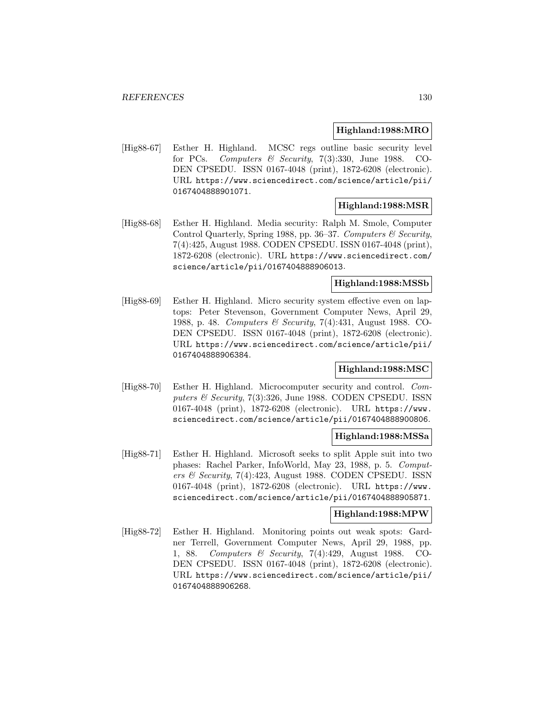#### **Highland:1988:MRO**

[Hig88-67] Esther H. Highland. MCSC regs outline basic security level for PCs. Computers & Security, 7(3):330, June 1988. CO-DEN CPSEDU. ISSN 0167-4048 (print), 1872-6208 (electronic). URL https://www.sciencedirect.com/science/article/pii/ 0167404888901071.

## **Highland:1988:MSR**

[Hig88-68] Esther H. Highland. Media security: Ralph M. Smole, Computer Control Quarterly, Spring 1988, pp. 36–37. Computers & Security, 7(4):425, August 1988. CODEN CPSEDU. ISSN 0167-4048 (print), 1872-6208 (electronic). URL https://www.sciencedirect.com/ science/article/pii/0167404888906013.

### **Highland:1988:MSSb**

[Hig88-69] Esther H. Highland. Micro security system effective even on laptops: Peter Stevenson, Government Computer News, April 29, 1988, p. 48. Computers & Security, 7(4):431, August 1988. CO-DEN CPSEDU. ISSN 0167-4048 (print), 1872-6208 (electronic). URL https://www.sciencedirect.com/science/article/pii/ 0167404888906384.

### **Highland:1988:MSC**

[Hig88-70] Esther H. Highland. Microcomputer security and control. Computers & Security, 7(3):326, June 1988. CODEN CPSEDU. ISSN 0167-4048 (print), 1872-6208 (electronic). URL https://www. sciencedirect.com/science/article/pii/0167404888900806.

#### **Highland:1988:MSSa**

[Hig88-71] Esther H. Highland. Microsoft seeks to split Apple suit into two phases: Rachel Parker, InfoWorld, May 23, 1988, p. 5. Computers & Security, 7(4):423, August 1988. CODEN CPSEDU. ISSN 0167-4048 (print), 1872-6208 (electronic). URL https://www. sciencedirect.com/science/article/pii/0167404888905871.

#### **Highland:1988:MPW**

[Hig88-72] Esther H. Highland. Monitoring points out weak spots: Gardner Terrell, Government Computer News, April 29, 1988, pp. 1, 88. Computers & Security, 7(4):429, August 1988. CO-DEN CPSEDU. ISSN 0167-4048 (print), 1872-6208 (electronic). URL https://www.sciencedirect.com/science/article/pii/ 0167404888906268.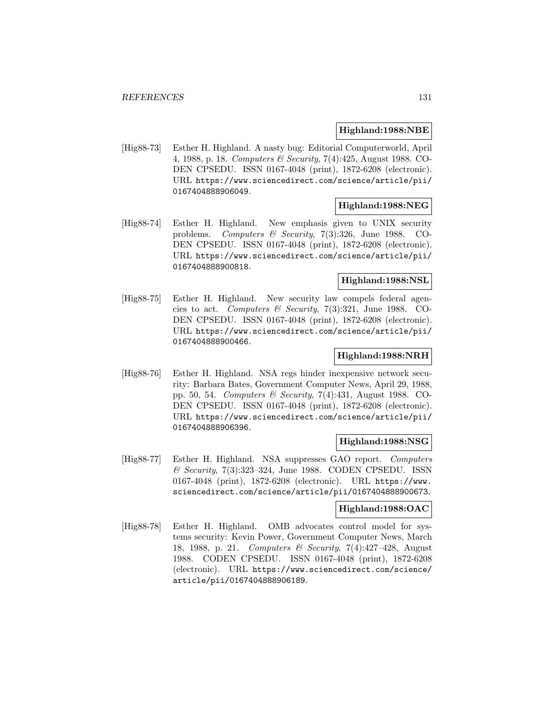### **Highland:1988:NBE**

[Hig88-73] Esther H. Highland. A nasty bug: Editorial Computerworld, April 4, 1988, p. 18. Computers & Security, 7(4):425, August 1988. CO-DEN CPSEDU. ISSN 0167-4048 (print), 1872-6208 (electronic). URL https://www.sciencedirect.com/science/article/pii/ 0167404888906049.

#### **Highland:1988:NEG**

[Hig88-74] Esther H. Highland. New emphasis given to UNIX security problems. Computers & Security, 7(3):326, June 1988. CO-DEN CPSEDU. ISSN 0167-4048 (print), 1872-6208 (electronic). URL https://www.sciencedirect.com/science/article/pii/ 0167404888900818.

#### **Highland:1988:NSL**

[Hig88-75] Esther H. Highland. New security law compels federal agencies to act. Computers  $\mathcal C$  Security, 7(3):321, June 1988. CO-DEN CPSEDU. ISSN 0167-4048 (print), 1872-6208 (electronic). URL https://www.sciencedirect.com/science/article/pii/ 0167404888900466.

### **Highland:1988:NRH**

[Hig88-76] Esther H. Highland. NSA regs hinder inexpensive network security: Barbara Bates, Government Computer News, April 29, 1988, pp. 50, 54. Computers & Security, 7(4):431, August 1988. CO-DEN CPSEDU. ISSN 0167-4048 (print), 1872-6208 (electronic). URL https://www.sciencedirect.com/science/article/pii/ 0167404888906396.

### **Highland:1988:NSG**

[Hig88-77] Esther H. Highland. NSA suppresses GAO report. Computers & Security, 7(3):323–324, June 1988. CODEN CPSEDU. ISSN 0167-4048 (print), 1872-6208 (electronic). URL https://www. sciencedirect.com/science/article/pii/0167404888900673.

### **Highland:1988:OAC**

[Hig88-78] Esther H. Highland. OMB advocates control model for systems security: Kevin Power, Government Computer News, March 18, 1988, p. 21. Computers & Security, 7(4):427–428, August 1988. CODEN CPSEDU. ISSN 0167-4048 (print), 1872-6208 (electronic). URL https://www.sciencedirect.com/science/ article/pii/0167404888906189.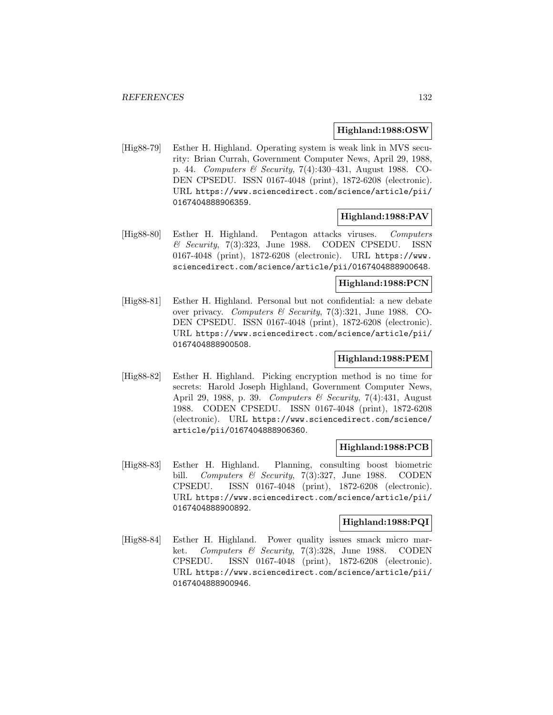### **Highland:1988:OSW**

[Hig88-79] Esther H. Highland. Operating system is weak link in MVS security: Brian Currah, Government Computer News, April 29, 1988, p. 44. Computers & Security, 7(4):430–431, August 1988. CO-DEN CPSEDU. ISSN 0167-4048 (print), 1872-6208 (electronic). URL https://www.sciencedirect.com/science/article/pii/ 0167404888906359.

## **Highland:1988:PAV**

[Hig88-80] Esther H. Highland. Pentagon attacks viruses. Computers  $\&$  Security, 7(3):323, June 1988. CODEN CPSEDU. ISSN 0167-4048 (print), 1872-6208 (electronic). URL https://www. sciencedirect.com/science/article/pii/0167404888900648.

### **Highland:1988:PCN**

[Hig88-81] Esther H. Highland. Personal but not confidential: a new debate over privacy. Computers & Security, 7(3):321, June 1988. CO-DEN CPSEDU. ISSN 0167-4048 (print), 1872-6208 (electronic). URL https://www.sciencedirect.com/science/article/pii/ 0167404888900508.

## **Highland:1988:PEM**

[Hig88-82] Esther H. Highland. Picking encryption method is no time for secrets: Harold Joseph Highland, Government Computer News, April 29, 1988, p. 39. Computers & Security, 7(4):431, August 1988. CODEN CPSEDU. ISSN 0167-4048 (print), 1872-6208 (electronic). URL https://www.sciencedirect.com/science/ article/pii/0167404888906360.

### **Highland:1988:PCB**

[Hig88-83] Esther H. Highland. Planning, consulting boost biometric bill. Computers & Security, 7(3):327, June 1988. CODEN CPSEDU. ISSN 0167-4048 (print), 1872-6208 (electronic). URL https://www.sciencedirect.com/science/article/pii/ 0167404888900892.

# **Highland:1988:PQI**

[Hig88-84] Esther H. Highland. Power quality issues smack micro market. Computers & Security, 7(3):328, June 1988. CODEN CPSEDU. ISSN 0167-4048 (print), 1872-6208 (electronic). URL https://www.sciencedirect.com/science/article/pii/ 0167404888900946.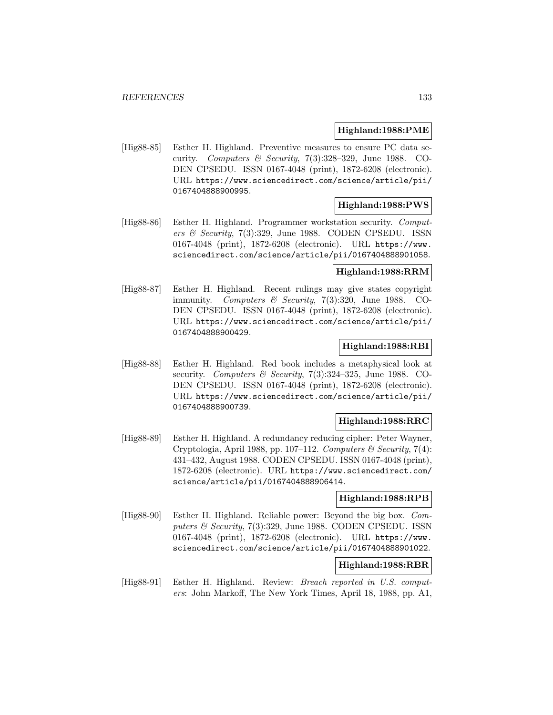### **Highland:1988:PME**

[Hig88-85] Esther H. Highland. Preventive measures to ensure PC data security. Computers & Security, 7(3):328-329, June 1988. CO-DEN CPSEDU. ISSN 0167-4048 (print), 1872-6208 (electronic). URL https://www.sciencedirect.com/science/article/pii/ 0167404888900995.

### **Highland:1988:PWS**

[Hig88-86] Esther H. Highland. Programmer workstation security. Computers & Security, 7(3):329, June 1988. CODEN CPSEDU. ISSN 0167-4048 (print), 1872-6208 (electronic). URL https://www. sciencedirect.com/science/article/pii/0167404888901058.

# **Highland:1988:RRM**

[Hig88-87] Esther H. Highland. Recent rulings may give states copyright immunity. Computers  $\mathcal C$  Security, 7(3):320, June 1988. CO-DEN CPSEDU. ISSN 0167-4048 (print), 1872-6208 (electronic). URL https://www.sciencedirect.com/science/article/pii/ 0167404888900429.

## **Highland:1988:RBI**

[Hig88-88] Esther H. Highland. Red book includes a metaphysical look at security. Computers  $\mathcal B$  Security, 7(3):324-325, June 1988. CO-DEN CPSEDU. ISSN 0167-4048 (print), 1872-6208 (electronic). URL https://www.sciencedirect.com/science/article/pii/ 0167404888900739.

### **Highland:1988:RRC**

[Hig88-89] Esther H. Highland. A redundancy reducing cipher: Peter Wayner, Cryptologia, April 1988, pp. 107–112. Computers & Security, 7(4): 431–432, August 1988. CODEN CPSEDU. ISSN 0167-4048 (print), 1872-6208 (electronic). URL https://www.sciencedirect.com/ science/article/pii/0167404888906414.

### **Highland:1988:RPB**

[Hig88-90] Esther H. Highland. Reliable power: Beyond the big box. Computers & Security, 7(3):329, June 1988. CODEN CPSEDU. ISSN 0167-4048 (print), 1872-6208 (electronic). URL https://www. sciencedirect.com/science/article/pii/0167404888901022.

# **Highland:1988:RBR**

[Hig88-91] Esther H. Highland. Review: *Breach reported in U.S. comput*ers: John Markoff, The New York Times, April 18, 1988, pp. A1,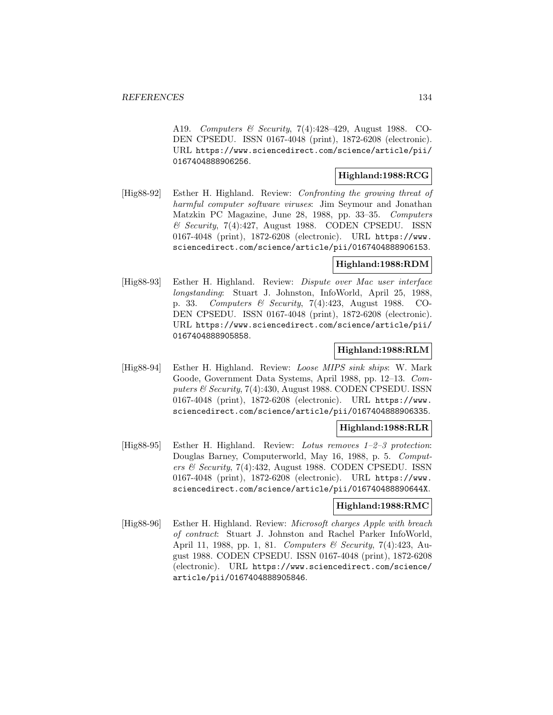A19. Computers & Security, 7(4):428–429, August 1988. CO-DEN CPSEDU. ISSN 0167-4048 (print), 1872-6208 (electronic). URL https://www.sciencedirect.com/science/article/pii/ 0167404888906256.

#### **Highland:1988:RCG**

[Hig88-92] Esther H. Highland. Review: Confronting the growing threat of harmful computer software viruses: Jim Seymour and Jonathan Matzkin PC Magazine, June 28, 1988, pp. 33–35. Computers  $\&$  Security, 7(4):427, August 1988. CODEN CPSEDU. ISSN 0167-4048 (print), 1872-6208 (electronic). URL https://www. sciencedirect.com/science/article/pii/0167404888906153.

### **Highland:1988:RDM**

[Hig88-93] Esther H. Highland. Review: Dispute over Mac user interface longstanding: Stuart J. Johnston, InfoWorld, April 25, 1988, p. 33. Computers & Security, 7(4):423, August 1988. CO-DEN CPSEDU. ISSN 0167-4048 (print), 1872-6208 (electronic). URL https://www.sciencedirect.com/science/article/pii/ 0167404888905858.

### **Highland:1988:RLM**

[Hig88-94] Esther H. Highland. Review: *Loose MIPS sink ships*: W. Mark Goode, Government Data Systems, April 1988, pp. 12–13. Computers & Security, 7(4):430, August 1988. CODEN CPSEDU. ISSN 0167-4048 (print), 1872-6208 (electronic). URL https://www. sciencedirect.com/science/article/pii/0167404888906335.

### **Highland:1988:RLR**

[Hig88-95] Esther H. Highland. Review: Lotus removes 1–2–3 protection: Douglas Barney, Computerworld, May 16, 1988, p. 5. Computers & Security, 7(4):432, August 1988. CODEN CPSEDU. ISSN 0167-4048 (print), 1872-6208 (electronic). URL https://www. sciencedirect.com/science/article/pii/016740488890644X.

# **Highland:1988:RMC**

[Hig88-96] Esther H. Highland. Review: Microsoft charges Apple with breach of contract: Stuart J. Johnston and Rachel Parker InfoWorld, April 11, 1988, pp. 1, 81. Computers & Security, 7(4):423, August 1988. CODEN CPSEDU. ISSN 0167-4048 (print), 1872-6208 (electronic). URL https://www.sciencedirect.com/science/ article/pii/0167404888905846.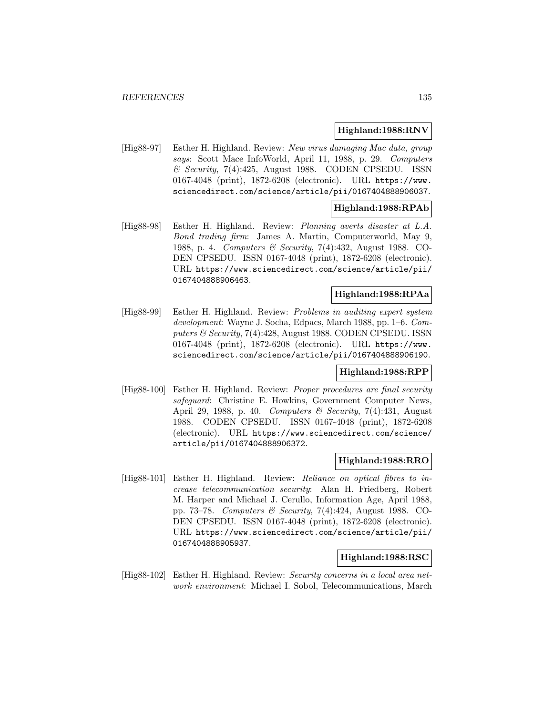### **Highland:1988:RNV**

[Hig88-97] Esther H. Highland. Review: New virus damaging Mac data, group says: Scott Mace InfoWorld, April 11, 1988, p. 29. Computers  $\mathcal C$  Security, 7(4):425, August 1988. CODEN CPSEDU. ISSN 0167-4048 (print), 1872-6208 (electronic). URL https://www. sciencedirect.com/science/article/pii/0167404888906037.

### **Highland:1988:RPAb**

[Hig88-98] Esther H. Highland. Review: Planning averts disaster at L.A. Bond trading firm: James A. Martin, Computerworld, May 9, 1988, p. 4. Computers & Security, 7(4):432, August 1988. CO-DEN CPSEDU. ISSN 0167-4048 (print), 1872-6208 (electronic). URL https://www.sciencedirect.com/science/article/pii/ 0167404888906463.

### **Highland:1988:RPAa**

[Hig88-99] Esther H. Highland. Review: Problems in auditing expert system development: Wayne J. Socha, Edpacs, March 1988, pp. 1–6. Computers  $\mathcal B$  Security, 7(4):428, August 1988. CODEN CPSEDU. ISSN 0167-4048 (print), 1872-6208 (electronic). URL https://www. sciencedirect.com/science/article/pii/0167404888906190.

# **Highland:1988:RPP**

[Hig88-100] Esther H. Highland. Review: Proper procedures are final security safeguard: Christine E. Howkins, Government Computer News, April 29, 1988, p. 40. Computers & Security, 7(4):431, August 1988. CODEN CPSEDU. ISSN 0167-4048 (print), 1872-6208 (electronic). URL https://www.sciencedirect.com/science/ article/pii/0167404888906372.

### **Highland:1988:RRO**

[Hig88-101] Esther H. Highland. Review: Reliance on optical fibres to increase telecommunication security: Alan H. Friedberg, Robert M. Harper and Michael J. Cerullo, Information Age, April 1988, pp. 73–78. Computers & Security, 7(4):424, August 1988. CO-DEN CPSEDU. ISSN 0167-4048 (print), 1872-6208 (electronic). URL https://www.sciencedirect.com/science/article/pii/ 0167404888905937.

### **Highland:1988:RSC**

[Hig88-102] Esther H. Highland. Review: Security concerns in a local area network environment: Michael I. Sobol, Telecommunications, March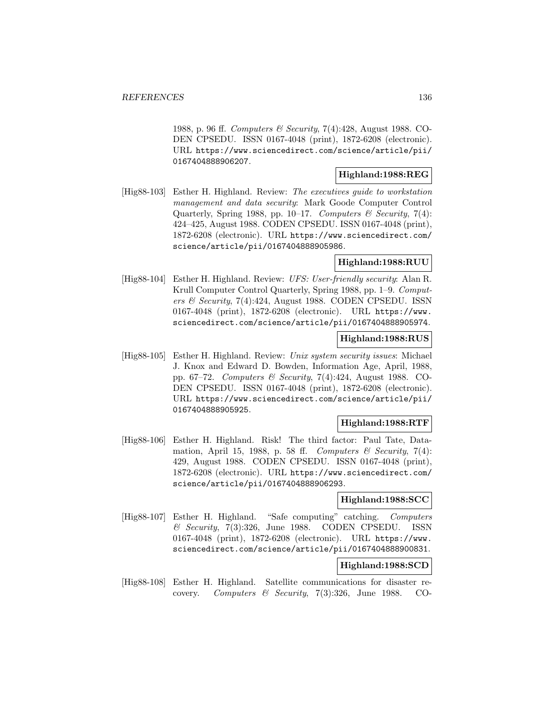1988, p. 96 ff. Computers & Security, 7(4):428, August 1988. CO-DEN CPSEDU. ISSN 0167-4048 (print), 1872-6208 (electronic). URL https://www.sciencedirect.com/science/article/pii/ 0167404888906207.

### **Highland:1988:REG**

[Hig88-103] Esther H. Highland. Review: The executives guide to workstation management and data security: Mark Goode Computer Control Quarterly, Spring 1988, pp. 10–17. Computers  $\mathcal C$  Security, 7(4): 424–425, August 1988. CODEN CPSEDU. ISSN 0167-4048 (print), 1872-6208 (electronic). URL https://www.sciencedirect.com/ science/article/pii/0167404888905986.

## **Highland:1988:RUU**

[Hig88-104] Esther H. Highland. Review: UFS: User-friendly security: Alan R. Krull Computer Control Quarterly, Spring 1988, pp. 1–9. Computers & Security, 7(4):424, August 1988. CODEN CPSEDU. ISSN 0167-4048 (print), 1872-6208 (electronic). URL https://www. sciencedirect.com/science/article/pii/0167404888905974.

### **Highland:1988:RUS**

[Hig88-105] Esther H. Highland. Review: Unix system security issues: Michael J. Knox and Edward D. Bowden, Information Age, April, 1988, pp. 67–72. Computers & Security, 7(4):424, August 1988. CO-DEN CPSEDU. ISSN 0167-4048 (print), 1872-6208 (electronic). URL https://www.sciencedirect.com/science/article/pii/ 0167404888905925.

### **Highland:1988:RTF**

[Hig88-106] Esther H. Highland. Risk! The third factor: Paul Tate, Datamation, April 15, 1988, p. 58 ff. Computers & Security, 7(4): 429, August 1988. CODEN CPSEDU. ISSN 0167-4048 (print), 1872-6208 (electronic). URL https://www.sciencedirect.com/ science/article/pii/0167404888906293.

## **Highland:1988:SCC**

[Hig88-107] Esther H. Highland. "Safe computing" catching. Computers  $\&$  Security, 7(3):326, June 1988. CODEN CPSEDU. ISSN 0167-4048 (print), 1872-6208 (electronic). URL https://www. sciencedirect.com/science/article/pii/0167404888900831.

### **Highland:1988:SCD**

[Hig88-108] Esther H. Highland. Satellite communications for disaster recovery. Computers & Security, 7(3):326, June 1988. CO-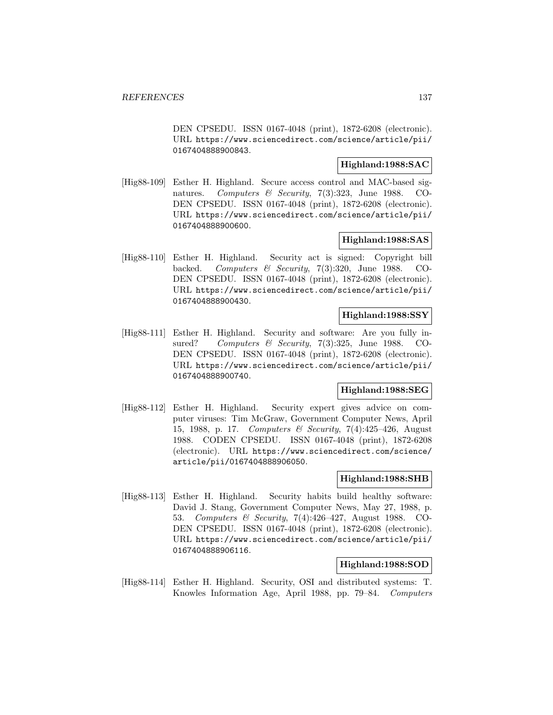DEN CPSEDU. ISSN 0167-4048 (print), 1872-6208 (electronic). URL https://www.sciencedirect.com/science/article/pii/ 0167404888900843.

### **Highland:1988:SAC**

[Hig88-109] Esther H. Highland. Secure access control and MAC-based signatures. Computers & Security, 7(3):323, June 1988. CO-DEN CPSEDU. ISSN 0167-4048 (print), 1872-6208 (electronic). URL https://www.sciencedirect.com/science/article/pii/ 0167404888900600.

# **Highland:1988:SAS**

[Hig88-110] Esther H. Highland. Security act is signed: Copyright bill backed. Computers & Security, 7(3):320, June 1988. CO-DEN CPSEDU. ISSN 0167-4048 (print), 1872-6208 (electronic). URL https://www.sciencedirect.com/science/article/pii/ 0167404888900430.

## **Highland:1988:SSY**

[Hig88-111] Esther H. Highland. Security and software: Are you fully insured? Computers & Security, 7(3):325, June 1988. CO-DEN CPSEDU. ISSN 0167-4048 (print), 1872-6208 (electronic). URL https://www.sciencedirect.com/science/article/pii/ 0167404888900740.

## **Highland:1988:SEG**

[Hig88-112] Esther H. Highland. Security expert gives advice on computer viruses: Tim McGraw, Government Computer News, April 15, 1988, p. 17. Computers & Security, 7(4):425–426, August 1988. CODEN CPSEDU. ISSN 0167-4048 (print), 1872-6208 (electronic). URL https://www.sciencedirect.com/science/ article/pii/0167404888906050.

### **Highland:1988:SHB**

[Hig88-113] Esther H. Highland. Security habits build healthy software: David J. Stang, Government Computer News, May 27, 1988, p. 53. Computers & Security, 7(4):426–427, August 1988. CO-DEN CPSEDU. ISSN 0167-4048 (print), 1872-6208 (electronic). URL https://www.sciencedirect.com/science/article/pii/ 0167404888906116.

### **Highland:1988:SOD**

[Hig88-114] Esther H. Highland. Security, OSI and distributed systems: T. Knowles Information Age, April 1988, pp. 79–84. Computers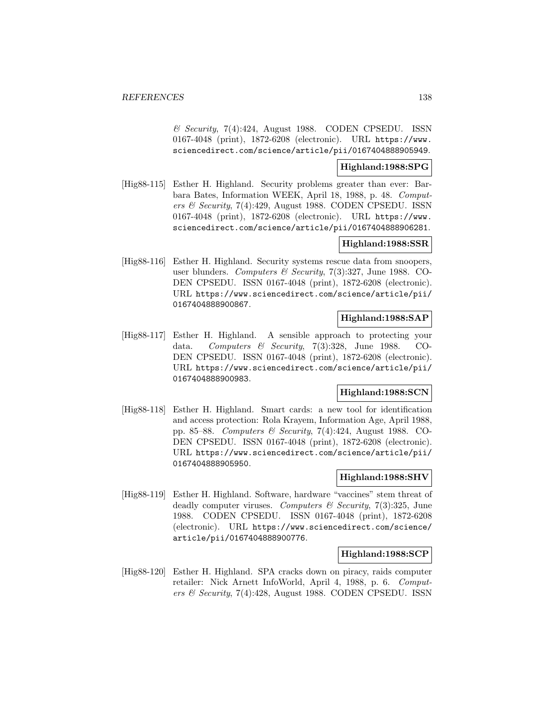& Security, 7(4):424, August 1988. CODEN CPSEDU. ISSN 0167-4048 (print), 1872-6208 (electronic). URL https://www. sciencedirect.com/science/article/pii/0167404888905949.

### **Highland:1988:SPG**

[Hig88-115] Esther H. Highland. Security problems greater than ever: Barbara Bates, Information WEEK, April 18, 1988, p. 48. Computers & Security, 7(4):429, August 1988. CODEN CPSEDU. ISSN 0167-4048 (print), 1872-6208 (electronic). URL https://www. sciencedirect.com/science/article/pii/0167404888906281.

### **Highland:1988:SSR**

[Hig88-116] Esther H. Highland. Security systems rescue data from snoopers, user blunders. Computers & Security, 7(3):327, June 1988. CO-DEN CPSEDU. ISSN 0167-4048 (print), 1872-6208 (electronic). URL https://www.sciencedirect.com/science/article/pii/ 0167404888900867.

### **Highland:1988:SAP**

[Hig88-117] Esther H. Highland. A sensible approach to protecting your data. Computers & Security, 7(3):328, June 1988. CO-DEN CPSEDU. ISSN 0167-4048 (print), 1872-6208 (electronic). URL https://www.sciencedirect.com/science/article/pii/ 0167404888900983.

## **Highland:1988:SCN**

[Hig88-118] Esther H. Highland. Smart cards: a new tool for identification and access protection: Rola Krayem, Information Age, April 1988, pp. 85–88. Computers & Security, 7(4):424, August 1988. CO-DEN CPSEDU. ISSN 0167-4048 (print), 1872-6208 (electronic). URL https://www.sciencedirect.com/science/article/pii/ 0167404888905950.

## **Highland:1988:SHV**

[Hig88-119] Esther H. Highland. Software, hardware "vaccines" stem threat of deadly computer viruses. Computers  $\mathcal C$  Security, 7(3):325, June 1988. CODEN CPSEDU. ISSN 0167-4048 (print), 1872-6208 (electronic). URL https://www.sciencedirect.com/science/ article/pii/0167404888900776.

### **Highland:1988:SCP**

[Hig88-120] Esther H. Highland. SPA cracks down on piracy, raids computer retailer: Nick Arnett InfoWorld, April 4, 1988, p. 6. Computers  $\mathcal B$  Security, 7(4):428, August 1988. CODEN CPSEDU. ISSN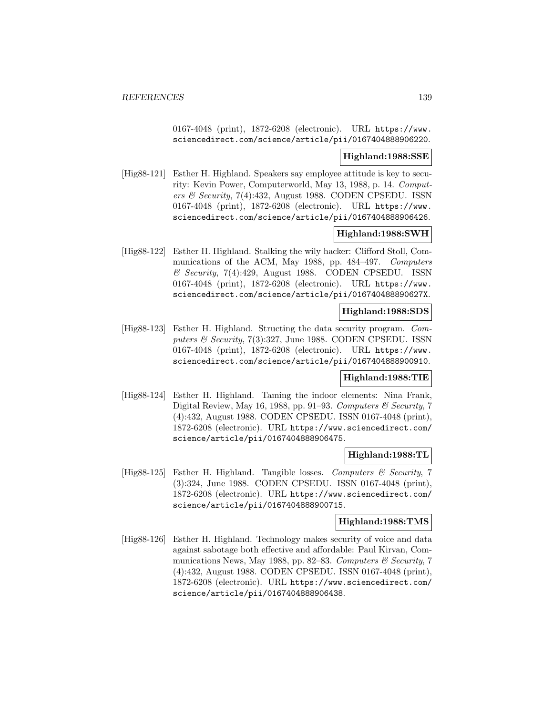0167-4048 (print), 1872-6208 (electronic). URL https://www. sciencedirect.com/science/article/pii/0167404888906220.

### **Highland:1988:SSE**

[Hig88-121] Esther H. Highland. Speakers say employee attitude is key to security: Kevin Power, Computerworld, May 13, 1988, p. 14. Computers & Security, 7(4):432, August 1988. CODEN CPSEDU. ISSN 0167-4048 (print), 1872-6208 (electronic). URL https://www. sciencedirect.com/science/article/pii/0167404888906426.

### **Highland:1988:SWH**

[Hig88-122] Esther H. Highland. Stalking the wily hacker: Clifford Stoll, Communications of the ACM, May 1988, pp. 484–497. Computers & Security, 7(4):429, August 1988. CODEN CPSEDU. ISSN 0167-4048 (print), 1872-6208 (electronic). URL https://www. sciencedirect.com/science/article/pii/016740488890627X.

### **Highland:1988:SDS**

[Hig88-123] Esther H. Highland. Structing the data security program. Computers & Security, 7(3):327, June 1988. CODEN CPSEDU. ISSN 0167-4048 (print), 1872-6208 (electronic). URL https://www. sciencedirect.com/science/article/pii/0167404888900910.

### **Highland:1988:TIE**

[Hig88-124] Esther H. Highland. Taming the indoor elements: Nina Frank, Digital Review, May 16, 1988, pp. 91–93. Computers  $\mathcal C$  Security, 7 (4):432, August 1988. CODEN CPSEDU. ISSN 0167-4048 (print), 1872-6208 (electronic). URL https://www.sciencedirect.com/ science/article/pii/0167404888906475.

### **Highland:1988:TL**

[Hig88-125] Esther H. Highland. Tangible losses. Computers & Security, 7 (3):324, June 1988. CODEN CPSEDU. ISSN 0167-4048 (print), 1872-6208 (electronic). URL https://www.sciencedirect.com/ science/article/pii/0167404888900715.

#### **Highland:1988:TMS**

[Hig88-126] Esther H. Highland. Technology makes security of voice and data against sabotage both effective and affordable: Paul Kirvan, Communications News, May 1988, pp. 82–83. Computers  $\mathcal C$  Security, 7 (4):432, August 1988. CODEN CPSEDU. ISSN 0167-4048 (print), 1872-6208 (electronic). URL https://www.sciencedirect.com/ science/article/pii/0167404888906438.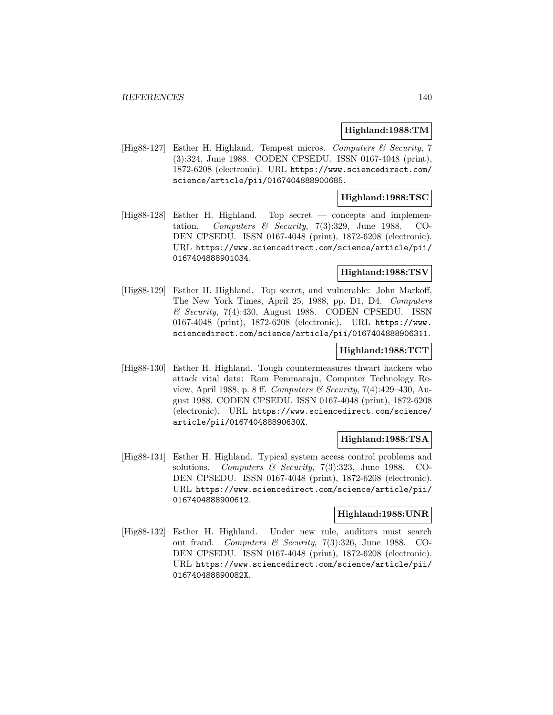### **Highland:1988:TM**

[Hig88-127] Esther H. Highland. Tempest micros. Computers & Security, 7 (3):324, June 1988. CODEN CPSEDU. ISSN 0167-4048 (print), 1872-6208 (electronic). URL https://www.sciencedirect.com/ science/article/pii/0167404888900685.

### **Highland:1988:TSC**

[Hig88-128] Esther H. Highland. Top secret — concepts and implementation. Computers & Security,  $7(3):329$ , June 1988. CO-DEN CPSEDU. ISSN 0167-4048 (print), 1872-6208 (electronic). URL https://www.sciencedirect.com/science/article/pii/ 0167404888901034.

# **Highland:1988:TSV**

[Hig88-129] Esther H. Highland. Top secret, and vulnerable: John Markoff, The New York Times, April 25, 1988, pp. D1, D4. Computers & Security, 7(4):430, August 1988. CODEN CPSEDU. ISSN 0167-4048 (print), 1872-6208 (electronic). URL https://www. sciencedirect.com/science/article/pii/0167404888906311.

### **Highland:1988:TCT**

[Hig88-130] Esther H. Highland. Tough countermeasures thwart hackers who attack vital data: Ram Pemmaraju, Computer Technology Review, April 1988, p. 8 ff. Computers & Security, 7(4):429-430, August 1988. CODEN CPSEDU. ISSN 0167-4048 (print), 1872-6208 (electronic). URL https://www.sciencedirect.com/science/ article/pii/016740488890630X.

### **Highland:1988:TSA**

[Hig88-131] Esther H. Highland. Typical system access control problems and solutions. Computers  $\mathcal B$  Security, 7(3):323, June 1988. CO-DEN CPSEDU. ISSN 0167-4048 (print), 1872-6208 (electronic). URL https://www.sciencedirect.com/science/article/pii/ 0167404888900612.

#### **Highland:1988:UNR**

[Hig88-132] Esther H. Highland. Under new rule, auditors must search out fraud. Computers & Security, 7(3):326, June 1988. CO-DEN CPSEDU. ISSN 0167-4048 (print), 1872-6208 (electronic). URL https://www.sciencedirect.com/science/article/pii/ 016740488890082X.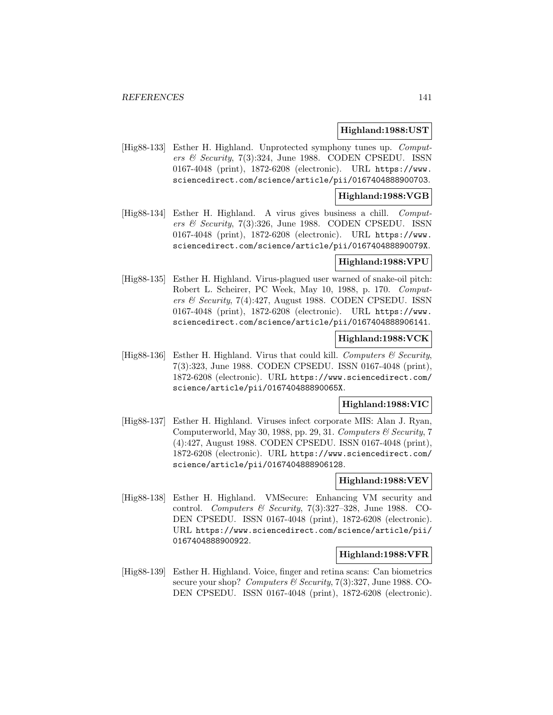### **Highland:1988:UST**

[Hig88-133] Esther H. Highland. Unprotected symphony tunes up. Computers & Security, 7(3):324, June 1988. CODEN CPSEDU. ISSN 0167-4048 (print), 1872-6208 (electronic). URL https://www. sciencedirect.com/science/article/pii/0167404888900703.

### **Highland:1988:VGB**

[Hig88-134] Esther H. Highland. A virus gives business a chill. Computers & Security,  $7(3):326$ , June 1988. CODEN CPSEDU. ISSN 0167-4048 (print), 1872-6208 (electronic). URL https://www. sciencedirect.com/science/article/pii/016740488890079X.

### **Highland:1988:VPU**

[Hig88-135] Esther H. Highland. Virus-plagued user warned of snake-oil pitch: Robert L. Scheirer, PC Week, May 10, 1988, p. 170. Computers & Security, 7(4):427, August 1988. CODEN CPSEDU. ISSN 0167-4048 (print), 1872-6208 (electronic). URL https://www. sciencedirect.com/science/article/pii/0167404888906141.

### **Highland:1988:VCK**

[Hig88-136] Esther H. Highland. Virus that could kill. Computers  $\mathcal C$  Security, 7(3):323, June 1988. CODEN CPSEDU. ISSN 0167-4048 (print), 1872-6208 (electronic). URL https://www.sciencedirect.com/ science/article/pii/016740488890065X.

# **Highland:1988:VIC**

[Hig88-137] Esther H. Highland. Viruses infect corporate MIS: Alan J. Ryan, Computerworld, May 30, 1988, pp. 29, 31. Computers  $\mathcal C$  Security, 7 (4):427, August 1988. CODEN CPSEDU. ISSN 0167-4048 (print), 1872-6208 (electronic). URL https://www.sciencedirect.com/ science/article/pii/0167404888906128.

### **Highland:1988:VEV**

[Hig88-138] Esther H. Highland. VMSecure: Enhancing VM security and control. Computers & Security,  $7(3):327-328$ , June 1988. CO-DEN CPSEDU. ISSN 0167-4048 (print), 1872-6208 (electronic). URL https://www.sciencedirect.com/science/article/pii/ 0167404888900922.

### **Highland:1988:VFR**

[Hig88-139] Esther H. Highland. Voice, finger and retina scans: Can biometrics secure your shop? Computers  $\mathcal C$  Security, 7(3):327, June 1988. CO-DEN CPSEDU. ISSN 0167-4048 (print), 1872-6208 (electronic).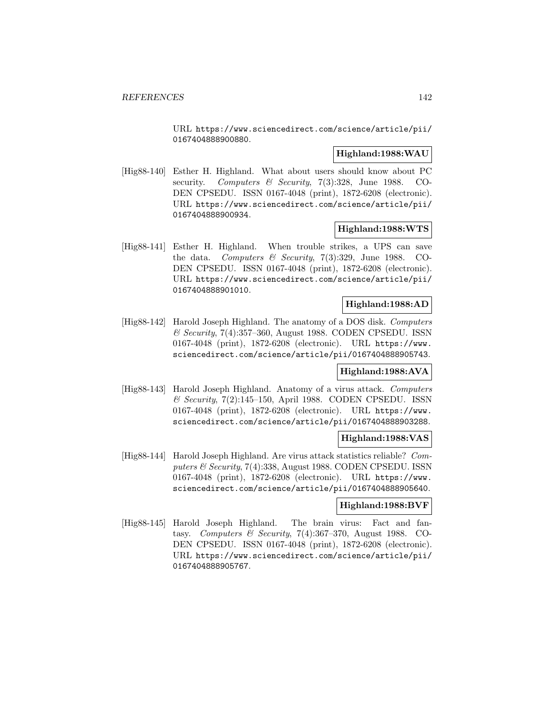URL https://www.sciencedirect.com/science/article/pii/ 0167404888900880.

#### **Highland:1988:WAU**

[Hig88-140] Esther H. Highland. What about users should know about PC security. Computers & Security, 7(3):328, June 1988. CO-DEN CPSEDU. ISSN 0167-4048 (print), 1872-6208 (electronic). URL https://www.sciencedirect.com/science/article/pii/ 0167404888900934.

### **Highland:1988:WTS**

[Hig88-141] Esther H. Highland. When trouble strikes, a UPS can save the data. Computers & Security, 7(3):329, June 1988. CO-DEN CPSEDU. ISSN 0167-4048 (print), 1872-6208 (electronic). URL https://www.sciencedirect.com/science/article/pii/ 0167404888901010.

#### **Highland:1988:AD**

[Hig88-142] Harold Joseph Highland. The anatomy of a DOS disk. Computers & Security, 7(4):357–360, August 1988. CODEN CPSEDU. ISSN 0167-4048 (print), 1872-6208 (electronic). URL https://www. sciencedirect.com/science/article/pii/0167404888905743.

## **Highland:1988:AVA**

[Hig88-143] Harold Joseph Highland. Anatomy of a virus attack. Computers  $\mathscr$  Security, 7(2):145–150, April 1988. CODEN CPSEDU. ISSN 0167-4048 (print), 1872-6208 (electronic). URL https://www. sciencedirect.com/science/article/pii/0167404888903288.

#### **Highland:1988:VAS**

[Hig88-144] Harold Joseph Highland. Are virus attack statistics reliable? Computers & Security, 7(4):338, August 1988. CODEN CPSEDU. ISSN 0167-4048 (print), 1872-6208 (electronic). URL https://www. sciencedirect.com/science/article/pii/0167404888905640.

### **Highland:1988:BVF**

[Hig88-145] Harold Joseph Highland. The brain virus: Fact and fantasy. Computers & Security, 7(4):367-370, August 1988. CO-DEN CPSEDU. ISSN 0167-4048 (print), 1872-6208 (electronic). URL https://www.sciencedirect.com/science/article/pii/ 0167404888905767.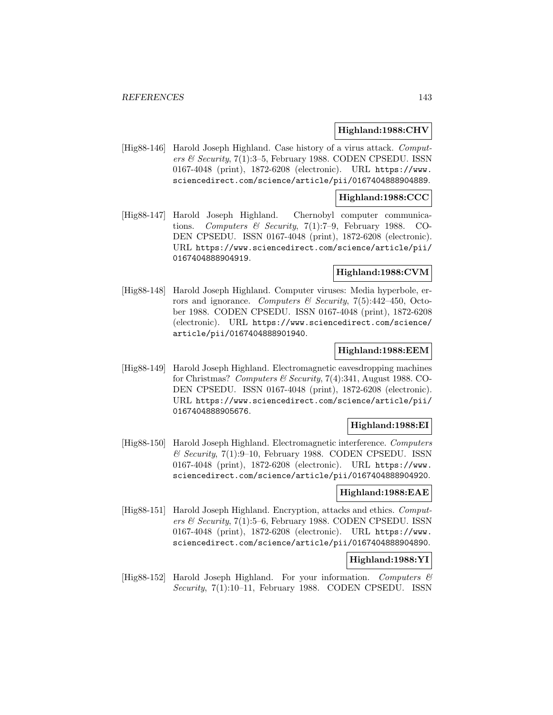### **Highland:1988:CHV**

[Hig88-146] Harold Joseph Highland. Case history of a virus attack. Computers & Security,  $7(1):3-5$ , February 1988. CODEN CPSEDU. ISSN 0167-4048 (print), 1872-6208 (electronic). URL https://www. sciencedirect.com/science/article/pii/0167404888904889.

### **Highland:1988:CCC**

[Hig88-147] Harold Joseph Highland. Chernobyl computer communications. Computers & Security, 7(1):7–9, February 1988. CO-DEN CPSEDU. ISSN 0167-4048 (print), 1872-6208 (electronic). URL https://www.sciencedirect.com/science/article/pii/ 0167404888904919.

### **Highland:1988:CVM**

[Hig88-148] Harold Joseph Highland. Computer viruses: Media hyperbole, errors and ignorance. Computers  $\mathcal B$  Security, 7(5):442-450, October 1988. CODEN CPSEDU. ISSN 0167-4048 (print), 1872-6208 (electronic). URL https://www.sciencedirect.com/science/ article/pii/0167404888901940.

### **Highland:1988:EEM**

[Hig88-149] Harold Joseph Highland. Electromagnetic eavesdropping machines for Christmas? Computers  $\mathcal C$  Security, 7(4):341, August 1988. CO-DEN CPSEDU. ISSN 0167-4048 (print), 1872-6208 (electronic). URL https://www.sciencedirect.com/science/article/pii/ 0167404888905676.

### **Highland:1988:EI**

[Hig88-150] Harold Joseph Highland. Electromagnetic interference. Computers  $\mathcal C$  Security, 7(1):9–10, February 1988. CODEN CPSEDU. ISSN 0167-4048 (print), 1872-6208 (electronic). URL https://www. sciencedirect.com/science/article/pii/0167404888904920.

### **Highland:1988:EAE**

[Hig88-151] Harold Joseph Highland. Encryption, attacks and ethics. Computers & Security,  $7(1):5-6$ , February 1988. CODEN CPSEDU. ISSN 0167-4048 (print), 1872-6208 (electronic). URL https://www. sciencedirect.com/science/article/pii/0167404888904890.

# **Highland:1988:YI**

[Hig88-152] Harold Joseph Highland. For your information. Computers & Security, 7(1):10–11, February 1988. CODEN CPSEDU. ISSN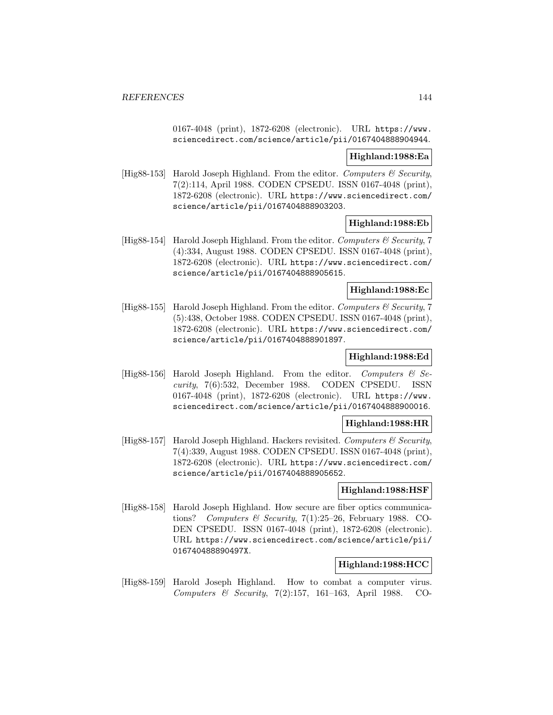0167-4048 (print), 1872-6208 (electronic). URL https://www. sciencedirect.com/science/article/pii/0167404888904944.

#### **Highland:1988:Ea**

[Hig88-153] Harold Joseph Highland. From the editor. Computers  $\mathcal C$  Security, 7(2):114, April 1988. CODEN CPSEDU. ISSN 0167-4048 (print), 1872-6208 (electronic). URL https://www.sciencedirect.com/ science/article/pii/0167404888903203.

## **Highland:1988:Eb**

[Hig88-154] Harold Joseph Highland. From the editor. Computers  $\mathcal C$  Security, 7 (4):334, August 1988. CODEN CPSEDU. ISSN 0167-4048 (print), 1872-6208 (electronic). URL https://www.sciencedirect.com/ science/article/pii/0167404888905615.

## **Highland:1988:Ec**

[Hig88-155] Harold Joseph Highland. From the editor. Computers  $\mathcal{C}$  Security, 7 (5):438, October 1988. CODEN CPSEDU. ISSN 0167-4048 (print), 1872-6208 (electronic). URL https://www.sciencedirect.com/ science/article/pii/0167404888901897.

# **Highland:1988:Ed**

[Hig88-156] Harold Joseph Highland. From the editor. Computers  $\mathcal{C}$  Security, 7(6):532, December 1988. CODEN CPSEDU. ISSN 0167-4048 (print), 1872-6208 (electronic). URL https://www. sciencedirect.com/science/article/pii/0167404888900016.

### **Highland:1988:HR**

[Hig88-157] Harold Joseph Highland. Hackers revisited. Computers  $\mathcal C$  Security, 7(4):339, August 1988. CODEN CPSEDU. ISSN 0167-4048 (print), 1872-6208 (electronic). URL https://www.sciencedirect.com/ science/article/pii/0167404888905652.

### **Highland:1988:HSF**

[Hig88-158] Harold Joseph Highland. How secure are fiber optics communications? Computers & Security, 7(1):25-26, February 1988. CO-DEN CPSEDU. ISSN 0167-4048 (print), 1872-6208 (electronic). URL https://www.sciencedirect.com/science/article/pii/ 016740488890497X.

### **Highland:1988:HCC**

[Hig88-159] Harold Joseph Highland. How to combat a computer virus. Computers & Security, 7(2):157, 161–163, April 1988. CO-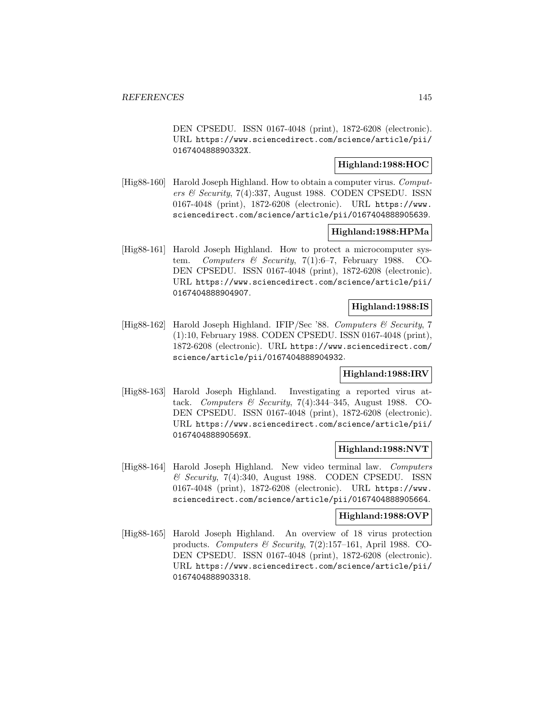DEN CPSEDU. ISSN 0167-4048 (print), 1872-6208 (electronic). URL https://www.sciencedirect.com/science/article/pii/ 016740488890332X.

# **Highland:1988:HOC**

[Hig88-160] Harold Joseph Highland. How to obtain a computer virus. Computers & Security, 7(4):337, August 1988. CODEN CPSEDU. ISSN 0167-4048 (print), 1872-6208 (electronic). URL https://www. sciencedirect.com/science/article/pii/0167404888905639.

## **Highland:1988:HPMa**

[Hig88-161] Harold Joseph Highland. How to protect a microcomputer system. Computers & Security, 7(1):6–7, February 1988. CO-DEN CPSEDU. ISSN 0167-4048 (print), 1872-6208 (electronic). URL https://www.sciencedirect.com/science/article/pii/ 0167404888904907.

## **Highland:1988:IS**

[Hig88-162] Harold Joseph Highland. IFIP/Sec '88. Computers & Security, 7 (1):10, February 1988. CODEN CPSEDU. ISSN 0167-4048 (print), 1872-6208 (electronic). URL https://www.sciencedirect.com/ science/article/pii/0167404888904932.

## **Highland:1988:IRV**

[Hig88-163] Harold Joseph Highland. Investigating a reported virus attack. Computers & Security, 7(4):344-345, August 1988. CO-DEN CPSEDU. ISSN 0167-4048 (print), 1872-6208 (electronic). URL https://www.sciencedirect.com/science/article/pii/ 016740488890569X.

# **Highland:1988:NVT**

[Hig88-164] Harold Joseph Highland. New video terminal law. Computers  $&$  Security, 7(4):340, August 1988. CODEN CPSEDU. ISSN 0167-4048 (print), 1872-6208 (electronic). URL https://www. sciencedirect.com/science/article/pii/0167404888905664.

## **Highland:1988:OVP**

[Hig88-165] Harold Joseph Highland. An overview of 18 virus protection products. Computers & Security,  $7(2):157-161$ , April 1988. CO-DEN CPSEDU. ISSN 0167-4048 (print), 1872-6208 (electronic). URL https://www.sciencedirect.com/science/article/pii/ 0167404888903318.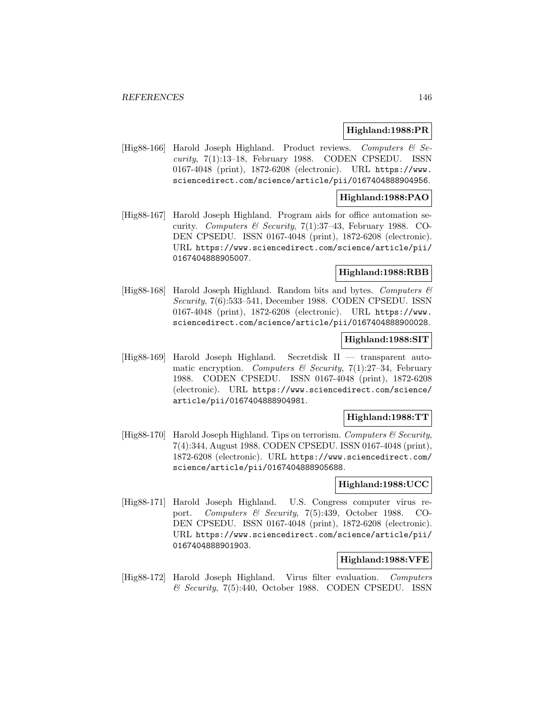#### **Highland:1988:PR**

[Hig88-166] Harold Joseph Highland. Product reviews. Computers & Security, 7(1):13–18, February 1988. CODEN CPSEDU. ISSN 0167-4048 (print), 1872-6208 (electronic). URL https://www. sciencedirect.com/science/article/pii/0167404888904956.

## **Highland:1988:PAO**

[Hig88-167] Harold Joseph Highland. Program aids for office automation security. Computers & Security,  $7(1):37-43$ , February 1988. CO-DEN CPSEDU. ISSN 0167-4048 (print), 1872-6208 (electronic). URL https://www.sciencedirect.com/science/article/pii/ 0167404888905007.

## **Highland:1988:RBB**

[Hig88-168] Harold Joseph Highland. Random bits and bytes. Computers  $\mathcal{B}$ Security, 7(6):533–541, December 1988. CODEN CPSEDU. ISSN 0167-4048 (print), 1872-6208 (electronic). URL https://www. sciencedirect.com/science/article/pii/0167404888900028.

#### **Highland:1988:SIT**

[Hig88-169] Harold Joseph Highland. Secretdisk II — transparent automatic encryption. Computers & Security, 7(1):27-34, February 1988. CODEN CPSEDU. ISSN 0167-4048 (print), 1872-6208 (electronic). URL https://www.sciencedirect.com/science/ article/pii/0167404888904981.

## **Highland:1988:TT**

[Hig88-170] Harold Joseph Highland. Tips on terrorism. Computers  $\mathcal C$  Security, 7(4):344, August 1988. CODEN CPSEDU. ISSN 0167-4048 (print), 1872-6208 (electronic). URL https://www.sciencedirect.com/ science/article/pii/0167404888905688.

## **Highland:1988:UCC**

[Hig88-171] Harold Joseph Highland. U.S. Congress computer virus report. Computers & Security, 7(5):439, October 1988. CO-DEN CPSEDU. ISSN 0167-4048 (print), 1872-6208 (electronic). URL https://www.sciencedirect.com/science/article/pii/ 0167404888901903.

## **Highland:1988:VFE**

[Hig88-172] Harold Joseph Highland. Virus filter evaluation. Computers & Security, 7(5):440, October 1988. CODEN CPSEDU. ISSN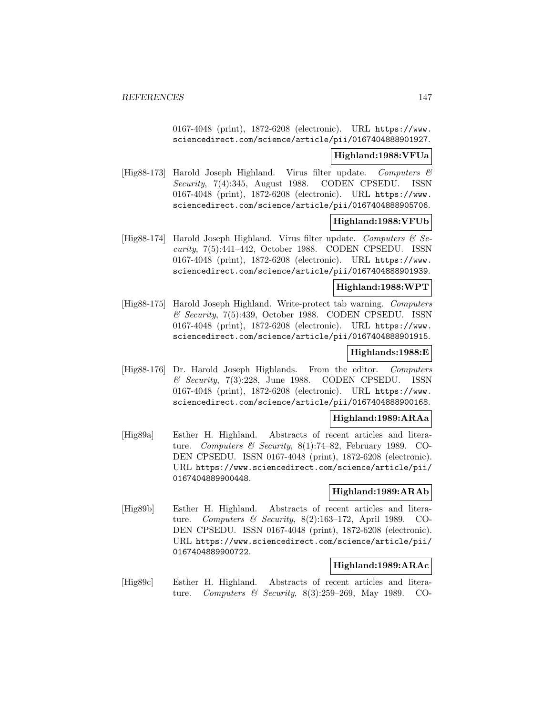0167-4048 (print), 1872-6208 (electronic). URL https://www. sciencedirect.com/science/article/pii/0167404888901927.

#### **Highland:1988:VFUa**

[Hig88-173] Harold Joseph Highland. Virus filter update. Computers & Security, 7(4):345, August 1988. CODEN CPSEDU. ISSN 0167-4048 (print), 1872-6208 (electronic). URL https://www. sciencedirect.com/science/article/pii/0167404888905706.

#### **Highland:1988:VFUb**

[Hig88-174] Harold Joseph Highland. Virus filter update. Computers  $\mathcal{C}$  Security, 7(5):441–442, October 1988. CODEN CPSEDU. ISSN 0167-4048 (print), 1872-6208 (electronic). URL https://www. sciencedirect.com/science/article/pii/0167404888901939.

## **Highland:1988:WPT**

[Hig88-175] Harold Joseph Highland. Write-protect tab warning. Computers & Security, 7(5):439, October 1988. CODEN CPSEDU. ISSN 0167-4048 (print), 1872-6208 (electronic). URL https://www. sciencedirect.com/science/article/pii/0167404888901915.

#### **Highlands:1988:E**

[Hig88-176] Dr. Harold Joseph Highlands. From the editor. Computers & Security, 7(3):228, June 1988. CODEN CPSEDU. ISSN 0167-4048 (print), 1872-6208 (electronic). URL https://www. sciencedirect.com/science/article/pii/0167404888900168.

## **Highland:1989:ARAa**

[Hig89a] Esther H. Highland. Abstracts of recent articles and literature. Computers & Security, 8(1):74–82, February 1989. CO-DEN CPSEDU. ISSN 0167-4048 (print), 1872-6208 (electronic). URL https://www.sciencedirect.com/science/article/pii/ 0167404889900448.

## **Highland:1989:ARAb**

[Hig89b] Esther H. Highland. Abstracts of recent articles and literature. Computers & Security, 8(2):163–172, April 1989. CO-DEN CPSEDU. ISSN 0167-4048 (print), 1872-6208 (electronic). URL https://www.sciencedirect.com/science/article/pii/ 0167404889900722.

## **Highland:1989:ARAc**

[Hig89c] Esther H. Highland. Abstracts of recent articles and literature. Computers & Security, 8(3):259–269, May 1989. CO-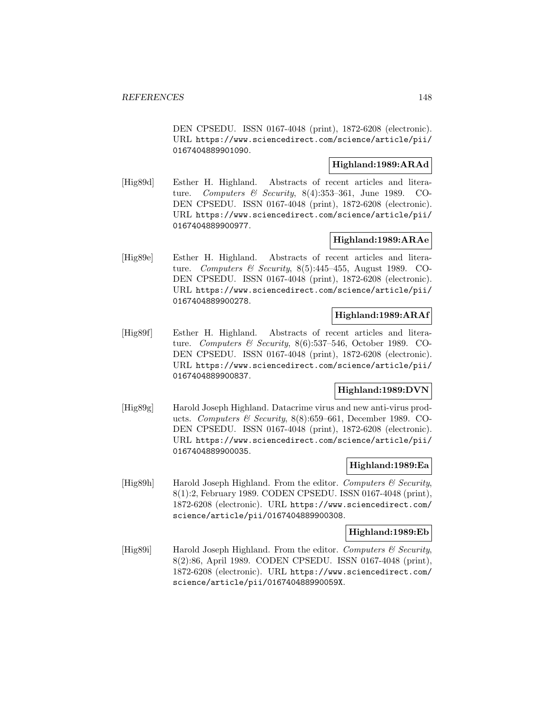DEN CPSEDU. ISSN 0167-4048 (print), 1872-6208 (electronic). URL https://www.sciencedirect.com/science/article/pii/ 0167404889901090.

## **Highland:1989:ARAd**

[Hig89d] Esther H. Highland. Abstracts of recent articles and literature. Computers & Security, 8(4):353–361, June 1989. CO-DEN CPSEDU. ISSN 0167-4048 (print), 1872-6208 (electronic). URL https://www.sciencedirect.com/science/article/pii/ 0167404889900977.

# **Highland:1989:ARAe**

[Hig89e] Esther H. Highland. Abstracts of recent articles and literature. Computers & Security,  $8(5):445-455$ , August 1989. CO-DEN CPSEDU. ISSN 0167-4048 (print), 1872-6208 (electronic). URL https://www.sciencedirect.com/science/article/pii/ 0167404889900278.

## **Highland:1989:ARAf**

[Hig89f] Esther H. Highland. Abstracts of recent articles and literature. Computers & Security,  $8(6):537-546$ , October 1989. CO-DEN CPSEDU. ISSN 0167-4048 (print), 1872-6208 (electronic). URL https://www.sciencedirect.com/science/article/pii/ 0167404889900837.

## **Highland:1989:DVN**

[Hig89g] Harold Joseph Highland. Datacrime virus and new anti-virus products. Computers & Security,  $8(8)$ :659–661, December 1989. CO-DEN CPSEDU. ISSN 0167-4048 (print), 1872-6208 (electronic). URL https://www.sciencedirect.com/science/article/pii/ 0167404889900035.

## **Highland:1989:Ea**

 $[Hig89h]$  Harold Joseph Highland. From the editor. Computers & Security, 8(1):2, February 1989. CODEN CPSEDU. ISSN 0167-4048 (print), 1872-6208 (electronic). URL https://www.sciencedirect.com/ science/article/pii/0167404889900308.

#### **Highland:1989:Eb**

[Hig89i] Harold Joseph Highland. From the editor. Computers  $\mathcal B$  Security, 8(2):86, April 1989. CODEN CPSEDU. ISSN 0167-4048 (print), 1872-6208 (electronic). URL https://www.sciencedirect.com/ science/article/pii/016740488990059X.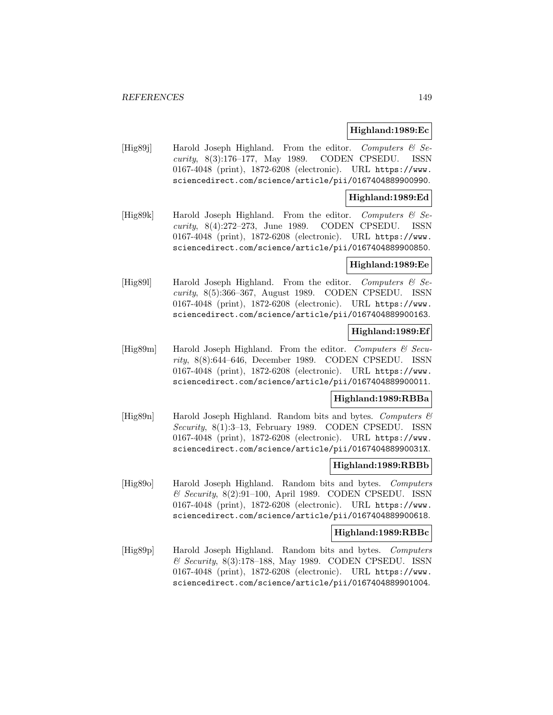#### **Highland:1989:Ec**

[Hig89j] Harold Joseph Highland. From the editor. Computers  $\mathcal{C}$  Security, 8(3):176–177, May 1989. CODEN CPSEDU. ISSN 0167-4048 (print), 1872-6208 (electronic). URL https://www. sciencedirect.com/science/article/pii/0167404889900990.

# **Highland:1989:Ed**

[Hig89k] Harold Joseph Highland. From the editor. Computers  $\mathcal{C}$  Security, 8(4):272–273, June 1989. CODEN CPSEDU. ISSN 0167-4048 (print), 1872-6208 (electronic). URL https://www. sciencedirect.com/science/article/pii/0167404889900850.

#### **Highland:1989:Ee**

[Hig891] Harold Joseph Highland. From the editor. Computers  $\mathcal{C}$  Security, 8(5):366–367, August 1989. CODEN CPSEDU. ISSN 0167-4048 (print), 1872-6208 (electronic). URL https://www. sciencedirect.com/science/article/pii/0167404889900163.

### **Highland:1989:Ef**

[Hig89m] Harold Joseph Highland. From the editor. Computers  $\mathcal{C}$  Security, 8(8):644–646, December 1989. CODEN CPSEDU. ISSN 0167-4048 (print), 1872-6208 (electronic). URL https://www. sciencedirect.com/science/article/pii/0167404889900011.

## **Highland:1989:RBBa**

[Hig89n] Harold Joseph Highland. Random bits and bytes. Computers  $\mathcal C$ Security, 8(1):3–13, February 1989. CODEN CPSEDU. ISSN 0167-4048 (print), 1872-6208 (electronic). URL https://www. sciencedirect.com/science/article/pii/016740488990031X.

#### **Highland:1989:RBBb**

[Hig89o] Harold Joseph Highland. Random bits and bytes. Computers & Security, 8(2):91–100, April 1989. CODEN CPSEDU. ISSN 0167-4048 (print), 1872-6208 (electronic). URL https://www. sciencedirect.com/science/article/pii/0167404889900618.

#### **Highland:1989:RBBc**

[Hig89p] Harold Joseph Highland. Random bits and bytes. Computers & Security, 8(3):178–188, May 1989. CODEN CPSEDU. ISSN 0167-4048 (print), 1872-6208 (electronic). URL https://www. sciencedirect.com/science/article/pii/0167404889901004.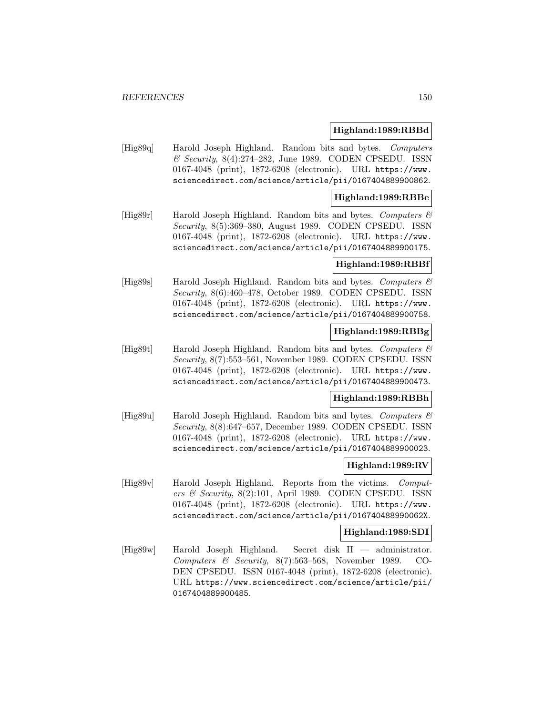#### **Highland:1989:RBBd**

[Hig89q] Harold Joseph Highland. Random bits and bytes. Computers  $\mathcal C$  Security, 8(4):274–282, June 1989. CODEN CPSEDU. ISSN 0167-4048 (print), 1872-6208 (electronic). URL https://www. sciencedirect.com/science/article/pii/0167404889900862.

### **Highland:1989:RBBe**

[Hig89r] Harold Joseph Highland. Random bits and bytes. Computers & Security, 8(5):369–380, August 1989. CODEN CPSEDU. ISSN 0167-4048 (print), 1872-6208 (electronic). URL https://www. sciencedirect.com/science/article/pii/0167404889900175.

#### **Highland:1989:RBBf**

[Hig89s] Harold Joseph Highland. Random bits and bytes. Computers  $\mathcal C$ Security, 8(6):460–478, October 1989. CODEN CPSEDU. ISSN 0167-4048 (print), 1872-6208 (electronic). URL https://www. sciencedirect.com/science/article/pii/0167404889900758.

## **Highland:1989:RBBg**

 $[Hig89t]$  Harold Joseph Highland. Random bits and bytes. Computers  $\mathcal{C}$ Security, 8(7):553–561, November 1989. CODEN CPSEDU. ISSN 0167-4048 (print), 1872-6208 (electronic). URL https://www. sciencedirect.com/science/article/pii/0167404889900473.

## **Highland:1989:RBBh**

[Hig89u] Harold Joseph Highland. Random bits and bytes. Computers  $\mathcal{B}$ Security, 8(8):647–657, December 1989. CODEN CPSEDU. ISSN 0167-4048 (print), 1872-6208 (electronic). URL https://www. sciencedirect.com/science/article/pii/0167404889900023.

## **Highland:1989:RV**

[Hig89v] Harold Joseph Highland. Reports from the victims. Computers & Security,  $8(2):101$ , April 1989. CODEN CPSEDU. ISSN 0167-4048 (print), 1872-6208 (electronic). URL https://www. sciencedirect.com/science/article/pii/016740488990062X.

#### **Highland:1989:SDI**

[Hig89w] Harold Joseph Highland. Secret disk II — administrator. Computers  $\&$  Security, 8(7):563-568, November 1989. CO-DEN CPSEDU. ISSN 0167-4048 (print), 1872-6208 (electronic). URL https://www.sciencedirect.com/science/article/pii/ 0167404889900485.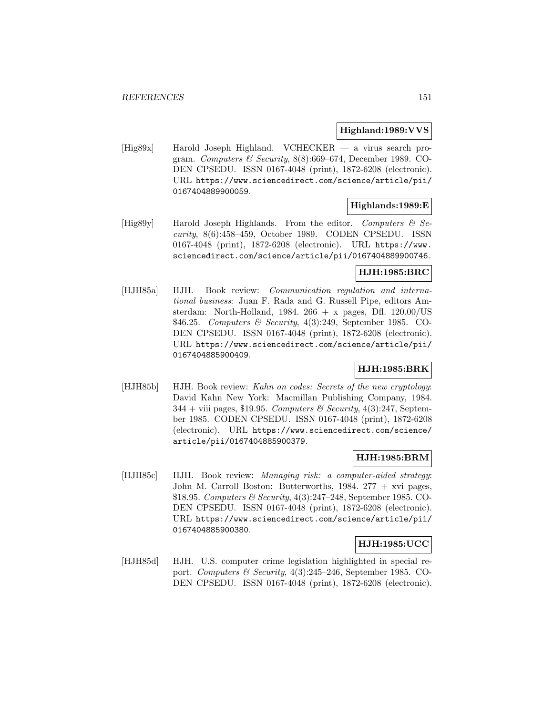## **Highland:1989:VVS**

[Hig89x] Harold Joseph Highland. VCHECKER — a virus search program. Computers & Security,  $8(8):669-674$ , December 1989. CO-DEN CPSEDU. ISSN 0167-4048 (print), 1872-6208 (electronic). URL https://www.sciencedirect.com/science/article/pii/ 0167404889900059.

# **Highlands:1989:E**

[Hig89y] Harold Joseph Highlands. From the editor. Computers  $\mathcal{B}$  Security, 8(6):458–459, October 1989. CODEN CPSEDU. ISSN 0167-4048 (print), 1872-6208 (electronic). URL https://www. sciencedirect.com/science/article/pii/0167404889900746.

# **HJH:1985:BRC**

[HJH85a] HJH. Book review: Communication regulation and international business: Juan F. Rada and G. Russell Pipe, editors Amsterdam: North-Holland, 1984.  $266 + x$  pages, Dfl.  $120.00 / US$ \$46.25. Computers & Security, 4(3):249, September 1985. CO-DEN CPSEDU. ISSN 0167-4048 (print), 1872-6208 (electronic). URL https://www.sciencedirect.com/science/article/pii/ 0167404885900409.

## **HJH:1985:BRK**

[HJH85b] HJH. Book review: Kahn on codes: Secrets of the new cryptology: David Kahn New York: Macmillan Publishing Company, 1984.  $344 +$  viii pages, \$19.95. Computers & Security, 4(3):247, September 1985. CODEN CPSEDU. ISSN 0167-4048 (print), 1872-6208 (electronic). URL https://www.sciencedirect.com/science/ article/pii/0167404885900379.

## **HJH:1985:BRM**

[HJH85c] HJH. Book review: Managing risk: a computer-aided strategy: John M. Carroll Boston: Butterworths, 1984. 277 + xvi pages, \$18.95. Computers & Security, 4(3):247–248, September 1985. CO-DEN CPSEDU. ISSN 0167-4048 (print), 1872-6208 (electronic). URL https://www.sciencedirect.com/science/article/pii/ 0167404885900380.

# **HJH:1985:UCC**

[HJH85d] HJH. U.S. computer crime legislation highlighted in special report. Computers  $\mathcal B$  Security, 4(3):245–246, September 1985. CO-DEN CPSEDU. ISSN 0167-4048 (print), 1872-6208 (electronic).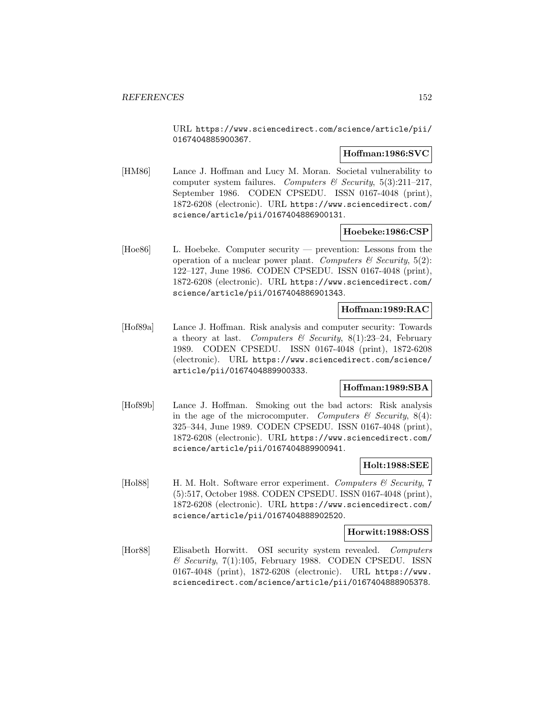URL https://www.sciencedirect.com/science/article/pii/ 0167404885900367.

## **Hoffman:1986:SVC**

[HM86] Lance J. Hoffman and Lucy M. Moran. Societal vulnerability to computer system failures. Computers & Security,  $5(3):211-217$ , September 1986. CODEN CPSEDU. ISSN 0167-4048 (print), 1872-6208 (electronic). URL https://www.sciencedirect.com/ science/article/pii/0167404886900131.

## **Hoebeke:1986:CSP**

[Hoe86] L. Hoebeke. Computer security — prevention: Lessons from the operation of a nuclear power plant. Computers  $\mathcal C$  Security, 5(2): 122–127, June 1986. CODEN CPSEDU. ISSN 0167-4048 (print), 1872-6208 (electronic). URL https://www.sciencedirect.com/ science/article/pii/0167404886901343.

# **Hoffman:1989:RAC**

[Hof89a] Lance J. Hoffman. Risk analysis and computer security: Towards a theory at last. Computers & Security,  $8(1):23-24$ , February 1989. CODEN CPSEDU. ISSN 0167-4048 (print), 1872-6208 (electronic). URL https://www.sciencedirect.com/science/ article/pii/0167404889900333.

## **Hoffman:1989:SBA**

[Hof89b] Lance J. Hoffman. Smoking out the bad actors: Risk analysis in the age of the microcomputer. Computers  $\mathcal{B}$  Security, 8(4): 325–344, June 1989. CODEN CPSEDU. ISSN 0167-4048 (print), 1872-6208 (electronic). URL https://www.sciencedirect.com/ science/article/pii/0167404889900941.

## **Holt:1988:SEE**

[Hol88] H. M. Holt. Software error experiment. Computers  $\mathcal C$  Security, 7 (5):517, October 1988. CODEN CPSEDU. ISSN 0167-4048 (print), 1872-6208 (electronic). URL https://www.sciencedirect.com/ science/article/pii/0167404888902520.

#### **Horwitt:1988:OSS**

[Hor88] Elisabeth Horwitt. OSI security system revealed. Computers & Security, 7(1):105, February 1988. CODEN CPSEDU. ISSN 0167-4048 (print), 1872-6208 (electronic). URL https://www. sciencedirect.com/science/article/pii/0167404888905378.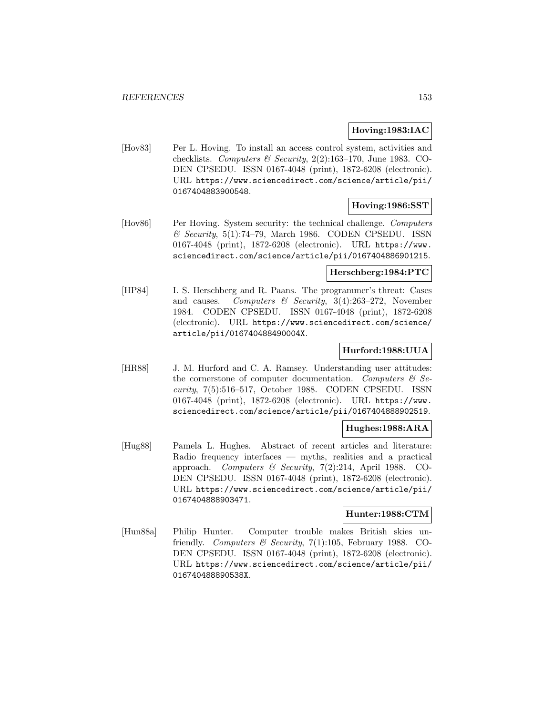## **Hoving:1983:IAC**

[Hov83] Per L. Hoving. To install an access control system, activities and checklists. Computers & Security,  $2(2)$ :163-170, June 1983. CO-DEN CPSEDU. ISSN 0167-4048 (print), 1872-6208 (electronic). URL https://www.sciencedirect.com/science/article/pii/ 0167404883900548.

## **Hoving:1986:SST**

[Hov86] Per Hoving. System security: the technical challenge. Computers  $&$  Security, 5(1):74-79, March 1986. CODEN CPSEDU. ISSN 0167-4048 (print), 1872-6208 (electronic). URL https://www. sciencedirect.com/science/article/pii/0167404886901215.

## **Herschberg:1984:PTC**

[HP84] I. S. Herschberg and R. Paans. The programmer's threat: Cases and causes. Computers & Security,  $3(4):263-272$ , November 1984. CODEN CPSEDU. ISSN 0167-4048 (print), 1872-6208 (electronic). URL https://www.sciencedirect.com/science/ article/pii/016740488490004X.

# **Hurford:1988:UUA**

[HR88] J. M. Hurford and C. A. Ramsey. Understanding user attitudes: the cornerstone of computer documentation. Computers  $\mathcal{C}$  Security, 7(5):516–517, October 1988. CODEN CPSEDU. ISSN 0167-4048 (print), 1872-6208 (electronic). URL https://www. sciencedirect.com/science/article/pii/0167404888902519.

## **Hughes:1988:ARA**

[Hug88] Pamela L. Hughes. Abstract of recent articles and literature: Radio frequency interfaces — myths, realities and a practical approach. Computers & Security,  $7(2):214$ , April 1988. CO-DEN CPSEDU. ISSN 0167-4048 (print), 1872-6208 (electronic). URL https://www.sciencedirect.com/science/article/pii/ 0167404888903471.

## **Hunter:1988:CTM**

[Hun88a] Philip Hunter. Computer trouble makes British skies unfriendly. Computers & Security,  $7(1):105$ , February 1988. CO-DEN CPSEDU. ISSN 0167-4048 (print), 1872-6208 (electronic). URL https://www.sciencedirect.com/science/article/pii/ 016740488890538X.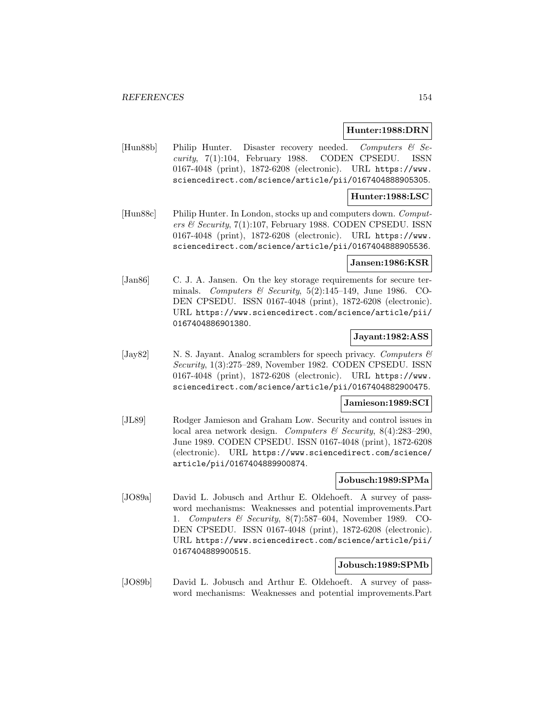#### **Hunter:1988:DRN**

[Hun88b] Philip Hunter. Disaster recovery needed. Computers & Security, 7(1):104, February 1988. CODEN CPSEDU. ISSN 0167-4048 (print), 1872-6208 (electronic). URL https://www. sciencedirect.com/science/article/pii/0167404888905305.

#### **Hunter:1988:LSC**

[Hun88c] Philip Hunter. In London, stocks up and computers down. Computers & Security, 7(1):107, February 1988. CODEN CPSEDU. ISSN 0167-4048 (print), 1872-6208 (electronic). URL https://www. sciencedirect.com/science/article/pii/0167404888905536.

## **Jansen:1986:KSR**

[Jan86] C. J. A. Jansen. On the key storage requirements for secure terminals. Computers & Security,  $5(2):145-149$ , June 1986. CO-DEN CPSEDU. ISSN 0167-4048 (print), 1872-6208 (electronic). URL https://www.sciencedirect.com/science/article/pii/ 0167404886901380.

## **Jayant:1982:ASS**

[Jay82] N. S. Jayant. Analog scramblers for speech privacy. Computers  $\mathcal{C}$ Security, 1(3):275–289, November 1982. CODEN CPSEDU. ISSN 0167-4048 (print), 1872-6208 (electronic). URL https://www. sciencedirect.com/science/article/pii/0167404882900475.

## **Jamieson:1989:SCI**

[JL89] Rodger Jamieson and Graham Low. Security and control issues in local area network design. Computers & Security,  $8(4):283-290$ , June 1989. CODEN CPSEDU. ISSN 0167-4048 (print), 1872-6208 (electronic). URL https://www.sciencedirect.com/science/ article/pii/0167404889900874.

## **Jobusch:1989:SPMa**

[JO89a] David L. Jobusch and Arthur E. Oldehoeft. A survey of password mechanisms: Weaknesses and potential improvements.Part 1. Computers & Security, 8(7):587–604, November 1989. CO-DEN CPSEDU. ISSN 0167-4048 (print), 1872-6208 (electronic). URL https://www.sciencedirect.com/science/article/pii/ 0167404889900515.

## **Jobusch:1989:SPMb**

[JO89b] David L. Jobusch and Arthur E. Oldehoeft. A survey of password mechanisms: Weaknesses and potential improvements.Part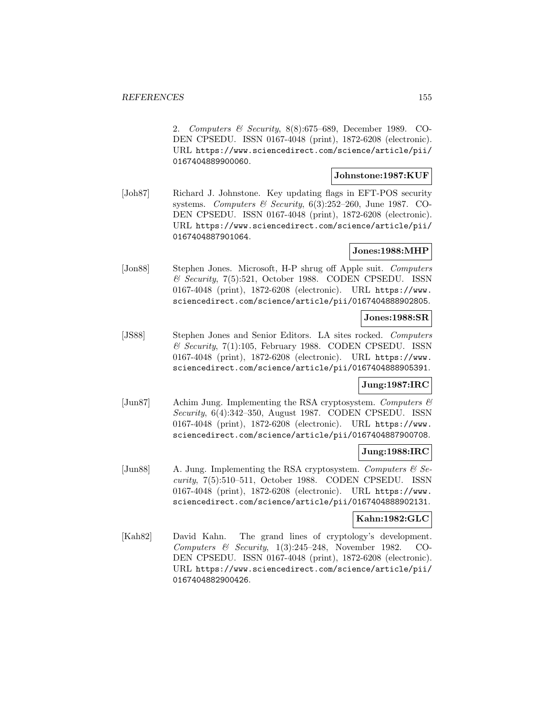2. Computers & Security, 8(8):675–689, December 1989. CO-DEN CPSEDU. ISSN 0167-4048 (print), 1872-6208 (electronic). URL https://www.sciencedirect.com/science/article/pii/ 0167404889900060.

#### **Johnstone:1987:KUF**

[Joh87] Richard J. Johnstone. Key updating flags in EFT-POS security systems. Computers & Security,  $6(3):252-260$ , June 1987. CO-DEN CPSEDU. ISSN 0167-4048 (print), 1872-6208 (electronic). URL https://www.sciencedirect.com/science/article/pii/ 0167404887901064.

## **Jones:1988:MHP**

[Jon88] Stephen Jones. Microsoft, H-P shrug off Apple suit. Computers & Security, 7(5):521, October 1988. CODEN CPSEDU. ISSN 0167-4048 (print), 1872-6208 (electronic). URL https://www. sciencedirect.com/science/article/pii/0167404888902805.

#### **Jones:1988:SR**

[JS88] Stephen Jones and Senior Editors. LA sites rocked. Computers  $\&$  Security, 7(1):105, February 1988. CODEN CPSEDU. ISSN 0167-4048 (print), 1872-6208 (electronic). URL https://www. sciencedirect.com/science/article/pii/0167404888905391.

# **Jung:1987:IRC**

[Jun87] Achim Jung. Implementing the RSA cryptosystem. Computers  $\mathcal{B}$ Security, 6(4):342–350, August 1987. CODEN CPSEDU. ISSN 0167-4048 (print), 1872-6208 (electronic). URL https://www. sciencedirect.com/science/article/pii/0167404887900708.

## **Jung:1988:IRC**

[Jun88] A. Jung. Implementing the RSA cryptosystem. Computers  $\mathcal{B}$  Security, 7(5):510–511, October 1988. CODEN CPSEDU. ISSN 0167-4048 (print), 1872-6208 (electronic). URL https://www. sciencedirect.com/science/article/pii/0167404888902131.

## **Kahn:1982:GLC**

[Kah82] David Kahn. The grand lines of cryptology's development. Computers & Security,  $1(3):245-248$ , November 1982. CO-DEN CPSEDU. ISSN 0167-4048 (print), 1872-6208 (electronic). URL https://www.sciencedirect.com/science/article/pii/ 0167404882900426.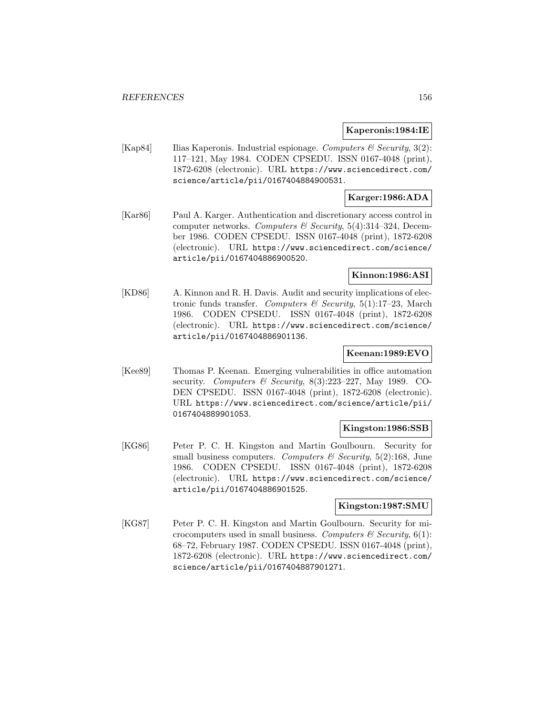#### **Kaperonis:1984:IE**

[Kap84] Ilias Kaperonis. Industrial espionage. Computers  $\mathcal C$  Security, 3(2): 117–121, May 1984. CODEN CPSEDU. ISSN 0167-4048 (print), 1872-6208 (electronic). URL https://www.sciencedirect.com/ science/article/pii/0167404884900531.

## **Karger:1986:ADA**

[Kar86] Paul A. Karger. Authentication and discretionary access control in computer networks. Computers & Security, 5(4):314-324, December 1986. CODEN CPSEDU. ISSN 0167-4048 (print), 1872-6208 (electronic). URL https://www.sciencedirect.com/science/ article/pii/0167404886900520.

# **Kinnon:1986:ASI**

[KD86] A. Kinnon and R. H. Davis. Audit and security implications of electronic funds transfer. Computers & Security,  $5(1):17-23$ , March 1986. CODEN CPSEDU. ISSN 0167-4048 (print), 1872-6208 (electronic). URL https://www.sciencedirect.com/science/ article/pii/0167404886901136.

## **Keenan:1989:EVO**

[Kee89] Thomas P. Keenan. Emerging vulnerabilities in office automation security. Computers  $\mathcal B$  Security, 8(3):223-227, May 1989. CO-DEN CPSEDU. ISSN 0167-4048 (print), 1872-6208 (electronic). URL https://www.sciencedirect.com/science/article/pii/ 0167404889901053.

## **Kingston:1986:SSB**

[KG86] Peter P. C. H. Kingston and Martin Goulbourn. Security for small business computers. Computers  $\mathcal C$  Security, 5(2):168, June 1986. CODEN CPSEDU. ISSN 0167-4048 (print), 1872-6208 (electronic). URL https://www.sciencedirect.com/science/ article/pii/0167404886901525.

## **Kingston:1987:SMU**

[KG87] Peter P. C. H. Kingston and Martin Goulbourn. Security for microcomputers used in small business. Computers  $\mathcal C$  Security, 6(1): 68–72, February 1987. CODEN CPSEDU. ISSN 0167-4048 (print), 1872-6208 (electronic). URL https://www.sciencedirect.com/ science/article/pii/0167404887901271.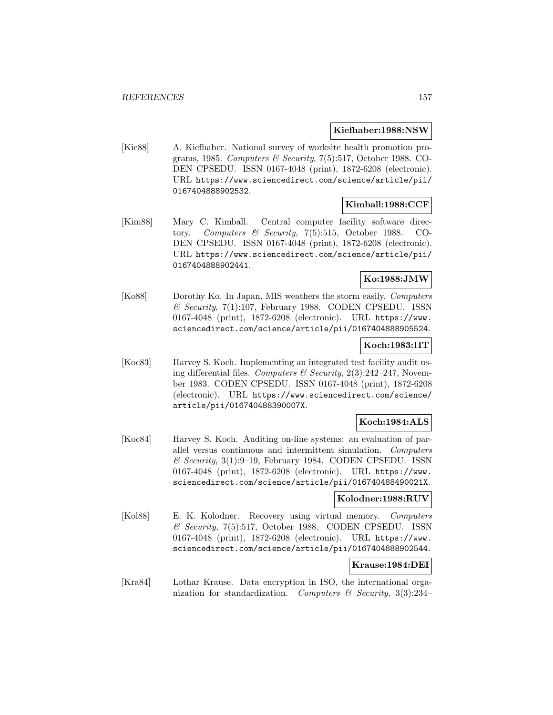#### **Kiefhaber:1988:NSW**

[Kie88] A. Kiefhaber. National survey of worksite health promotion programs, 1985. Computers & Security, 7(5):517, October 1988. CO-DEN CPSEDU. ISSN 0167-4048 (print), 1872-6208 (electronic). URL https://www.sciencedirect.com/science/article/pii/ 0167404888902532.

## **Kimball:1988:CCF**

[Kim88] Mary C. Kimball. Central computer facility software directory. Computers & Security, 7(5):515, October 1988. CO-DEN CPSEDU. ISSN 0167-4048 (print), 1872-6208 (electronic). URL https://www.sciencedirect.com/science/article/pii/ 0167404888902441.

# **Ko:1988:JMW**

[Ko88] Dorothy Ko. In Japan, MIS weathers the storm easily. Computers  $\&$  Security, 7(1):107, February 1988. CODEN CPSEDU. ISSN 0167-4048 (print), 1872-6208 (electronic). URL https://www. sciencedirect.com/science/article/pii/0167404888905524.

#### **Koch:1983:IIT**

[Koc83] Harvey S. Koch. Implementing an integrated test facility audit using differential files. Computers & Security,  $2(3):242-247$ , November 1983. CODEN CPSEDU. ISSN 0167-4048 (print), 1872-6208 (electronic). URL https://www.sciencedirect.com/science/ article/pii/016740488390007X.

# **Koch:1984:ALS**

[Koc84] Harvey S. Koch. Auditing on-line systems: an evaluation of parallel versus continuous and intermittent simulation. Computers  $\&$  Security, 3(1):9-19, February 1984. CODEN CPSEDU. ISSN 0167-4048 (print), 1872-6208 (electronic). URL https://www. sciencedirect.com/science/article/pii/016740488490021X.

## **Kolodner:1988:RUV**

[Kol88] E. K. Kolodner. Recovery using virtual memory. Computers & Security, 7(5):517, October 1988. CODEN CPSEDU. ISSN 0167-4048 (print), 1872-6208 (electronic). URL https://www. sciencedirect.com/science/article/pii/0167404888902544.

## **Krause:1984:DEI**

[Kra84] Lothar Krause. Data encryption in ISO, the international organization for standardization. Computers  $\mathcal{C}$  Security, 3(3):234–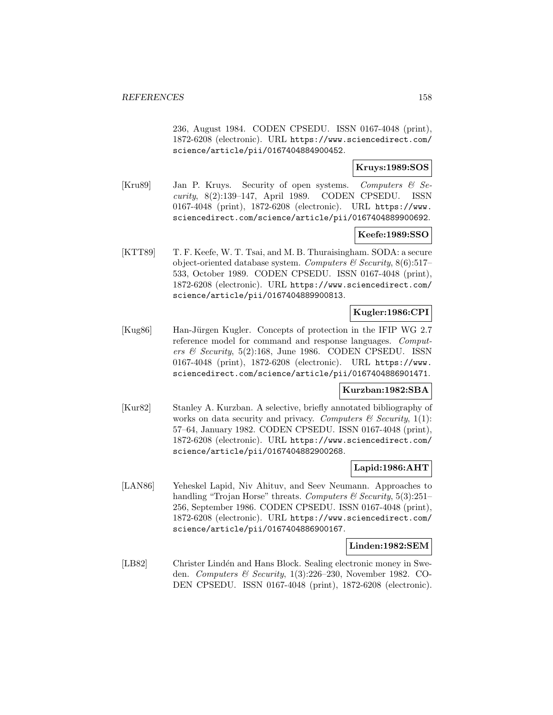236, August 1984. CODEN CPSEDU. ISSN 0167-4048 (print), 1872-6208 (electronic). URL https://www.sciencedirect.com/ science/article/pii/0167404884900452.

## **Kruys:1989:SOS**

 $[Kru89]$  Jan P. Kruys. Security of open systems. Computers & Security, 8(2):139–147, April 1989. CODEN CPSEDU. ISSN 0167-4048 (print), 1872-6208 (electronic). URL https://www. sciencedirect.com/science/article/pii/0167404889900692.

## **Keefe:1989:SSO**

[KTT89] T. F. Keefe, W. T. Tsai, and M. B. Thuraisingham. SODA: a secure object-oriented database system. Computers & Security,  $8(6):517-$ 533, October 1989. CODEN CPSEDU. ISSN 0167-4048 (print), 1872-6208 (electronic). URL https://www.sciencedirect.com/ science/article/pii/0167404889900813.

# **Kugler:1986:CPI**

[Kug86] Han-Jürgen Kugler. Concepts of protection in the IFIP WG 2.7 reference model for command and response languages. Computers & Security,  $5(2):168$ , June 1986. CODEN CPSEDU. ISSN 0167-4048 (print), 1872-6208 (electronic). URL https://www. sciencedirect.com/science/article/pii/0167404886901471.

## **Kurzban:1982:SBA**

[Kur82] Stanley A. Kurzban. A selective, briefly annotated bibliography of works on data security and privacy. Computers  $\mathcal C$  Security, 1(1): 57–64, January 1982. CODEN CPSEDU. ISSN 0167-4048 (print), 1872-6208 (electronic). URL https://www.sciencedirect.com/ science/article/pii/0167404882900268.

## **Lapid:1986:AHT**

[LAN86] Yeheskel Lapid, Niv Ahituv, and Seev Neumann. Approaches to handling "Trojan Horse" threats. Computers  $\mathcal C$  Security, 5(3):251– 256, September 1986. CODEN CPSEDU. ISSN 0167-4048 (print), 1872-6208 (electronic). URL https://www.sciencedirect.com/ science/article/pii/0167404886900167.

## **Linden:1982:SEM**

[LB82] Christer Lindén and Hans Block. Sealing electronic money in Sweden. Computers & Security, 1(3):226–230, November 1982. CO-DEN CPSEDU. ISSN 0167-4048 (print), 1872-6208 (electronic).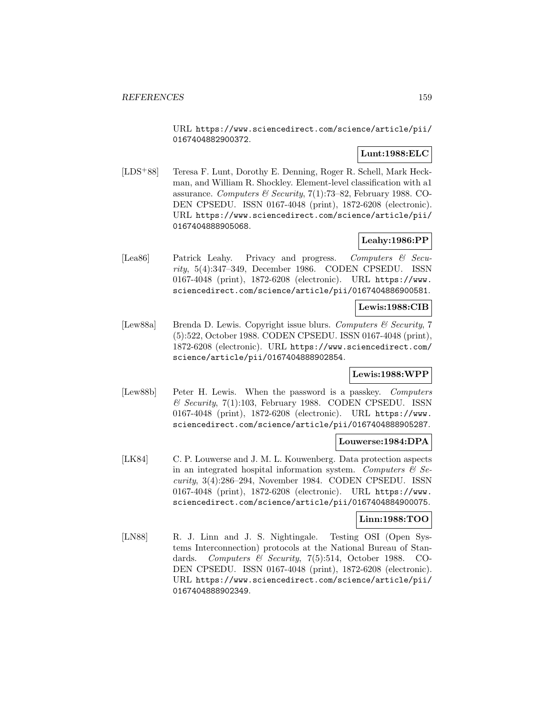URL https://www.sciencedirect.com/science/article/pii/ 0167404882900372.

## **Lunt:1988:ELC**

[LDS<sup>+</sup>88] Teresa F. Lunt, Dorothy E. Denning, Roger R. Schell, Mark Heckman, and William R. Shockley. Element-level classification with a1 assurance. Computers & Security,  $7(1)$ : 73–82, February 1988. CO-DEN CPSEDU. ISSN 0167-4048 (print), 1872-6208 (electronic). URL https://www.sciencedirect.com/science/article/pii/ 0167404888905068.

# **Leahy:1986:PP**

[Lea86] Patrick Leahy. Privacy and progress. Computers & Security, 5(4):347–349, December 1986. CODEN CPSEDU. ISSN 0167-4048 (print), 1872-6208 (electronic). URL https://www. sciencedirect.com/science/article/pii/0167404886900581.

#### **Lewis:1988:CIB**

[Lew88a] Brenda D. Lewis. Copyright issue blurs. Computers & Security, 7 (5):522, October 1988. CODEN CPSEDU. ISSN 0167-4048 (print), 1872-6208 (electronic). URL https://www.sciencedirect.com/ science/article/pii/0167404888902854.

## **Lewis:1988:WPP**

[Lew88b] Peter H. Lewis. When the password is a passkey. Computers  $\&$  Security, 7(1):103, February 1988. CODEN CPSEDU. ISSN 0167-4048 (print), 1872-6208 (electronic). URL https://www. sciencedirect.com/science/article/pii/0167404888905287.

## **Louwerse:1984:DPA**

[LK84] C. P. Louwerse and J. M. L. Kouwenberg. Data protection aspects in an integrated hospital information system. Computers  $\mathcal{C}$  Security, 3(4):286–294, November 1984. CODEN CPSEDU. ISSN 0167-4048 (print), 1872-6208 (electronic). URL https://www. sciencedirect.com/science/article/pii/0167404884900075.

## **Linn:1988:TOO**

[LN88] R. J. Linn and J. S. Nightingale. Testing OSI (Open Systems Interconnection) protocols at the National Bureau of Standards. Computers & Security, 7(5):514, October 1988. CO-DEN CPSEDU. ISSN 0167-4048 (print), 1872-6208 (electronic). URL https://www.sciencedirect.com/science/article/pii/ 0167404888902349.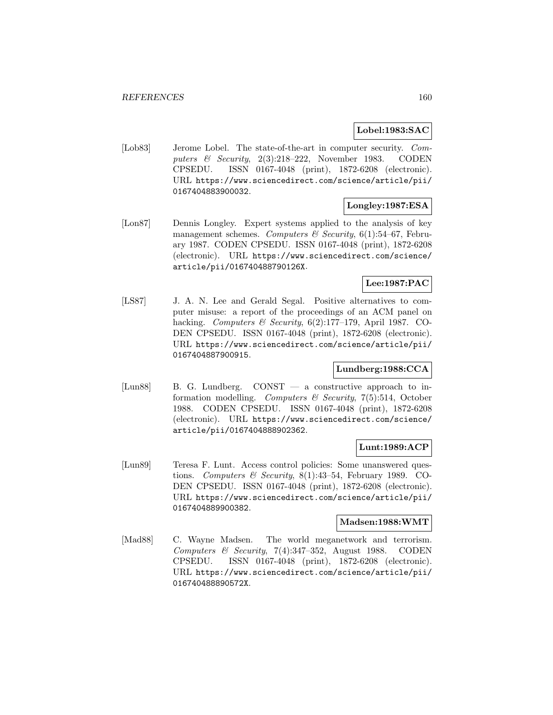## **Lobel:1983:SAC**

[Lob83] Jerome Lobel. The state-of-the-art in computer security. Computers & Security, 2(3):218-222, November 1983. CODEN CPSEDU. ISSN 0167-4048 (print), 1872-6208 (electronic). URL https://www.sciencedirect.com/science/article/pii/ 0167404883900032.

## **Longley:1987:ESA**

[Lon87] Dennis Longley. Expert systems applied to the analysis of key management schemes. Computers & Security,  $6(1):54-67$ , February 1987. CODEN CPSEDU. ISSN 0167-4048 (print), 1872-6208 (electronic). URL https://www.sciencedirect.com/science/ article/pii/016740488790126X.

# **Lee:1987:PAC**

[LS87] J. A. N. Lee and Gerald Segal. Positive alternatives to computer misuse: a report of the proceedings of an ACM panel on hacking. Computers & Security, 6(2):177-179, April 1987. CO-DEN CPSEDU. ISSN 0167-4048 (print), 1872-6208 (electronic). URL https://www.sciencedirect.com/science/article/pii/ 0167404887900915.

## **Lundberg:1988:CCA**

[Lun88] B. G. Lundberg. CONST — a constructive approach to information modelling. Computers  $\mathscr$  Security, 7(5):514, October 1988. CODEN CPSEDU. ISSN 0167-4048 (print), 1872-6208 (electronic). URL https://www.sciencedirect.com/science/ article/pii/0167404888902362.

## **Lunt:1989:ACP**

[Lun89] Teresa F. Lunt. Access control policies: Some unanswered questions. Computers & Security,  $8(1):43-54$ , February 1989. CO-DEN CPSEDU. ISSN 0167-4048 (print), 1872-6208 (electronic). URL https://www.sciencedirect.com/science/article/pii/ 0167404889900382.

## **Madsen:1988:WMT**

[Mad88] C. Wayne Madsen. The world meganetwork and terrorism. Computers & Security, 7(4):347–352, August 1988. CODEN CPSEDU. ISSN 0167-4048 (print), 1872-6208 (electronic). URL https://www.sciencedirect.com/science/article/pii/ 016740488890572X.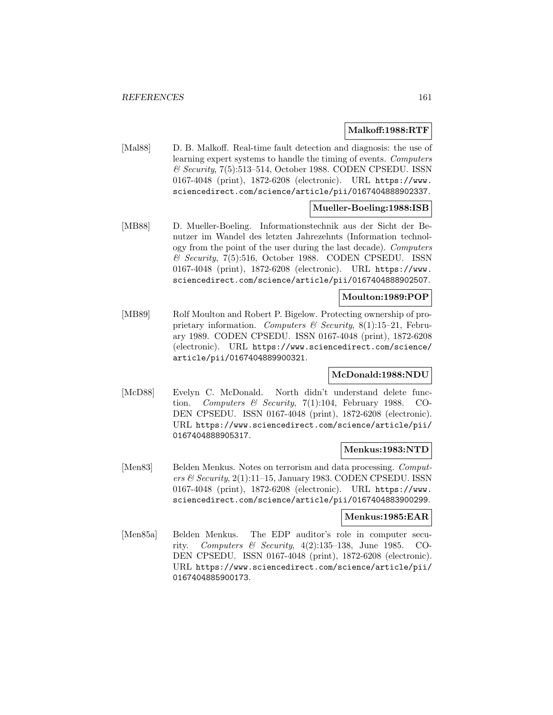#### **Malkoff:1988:RTF**

[Mal88] D. B. Malkoff. Real-time fault detection and diagnosis: the use of learning expert systems to handle the timing of events. Computers  $\&$  Security, 7(5):513–514, October 1988. CODEN CPSEDU. ISSN 0167-4048 (print), 1872-6208 (electronic). URL https://www. sciencedirect.com/science/article/pii/0167404888902337.

# **Mueller-Boeling:1988:ISB**

[MB88] D. Mueller-Boeling. Informationstechnik aus der Sicht der Benutzer im Wandel des letzten Jahrezehnts (Information technology from the point of the user during the last decade). Computers & Security, 7(5):516, October 1988. CODEN CPSEDU. ISSN 0167-4048 (print), 1872-6208 (electronic). URL https://www. sciencedirect.com/science/article/pii/0167404888902507.

## **Moulton:1989:POP**

[MB89] Rolf Moulton and Robert P. Bigelow. Protecting ownership of proprietary information. Computers & Security, 8(1):15–21, February 1989. CODEN CPSEDU. ISSN 0167-4048 (print), 1872-6208 (electronic). URL https://www.sciencedirect.com/science/ article/pii/0167404889900321.

## **McDonald:1988:NDU**

[McD88] Evelyn C. McDonald. North didn't understand delete function. Computers & Security, 7(1):104, February 1988. CO-DEN CPSEDU. ISSN 0167-4048 (print), 1872-6208 (electronic). URL https://www.sciencedirect.com/science/article/pii/ 0167404888905317.

## **Menkus:1983:NTD**

[Men83] Belden Menkus. Notes on terrorism and data processing. Computers & Security,  $2(1)$ :11–15, January 1983. CODEN CPSEDU. ISSN 0167-4048 (print), 1872-6208 (electronic). URL https://www. sciencedirect.com/science/article/pii/0167404883900299.

#### **Menkus:1985:EAR**

[Men85a] Belden Menkus. The EDP auditor's role in computer security. Computers & Security,  $4(2):135-138$ , June 1985. CO-DEN CPSEDU. ISSN 0167-4048 (print), 1872-6208 (electronic). URL https://www.sciencedirect.com/science/article/pii/ 0167404885900173.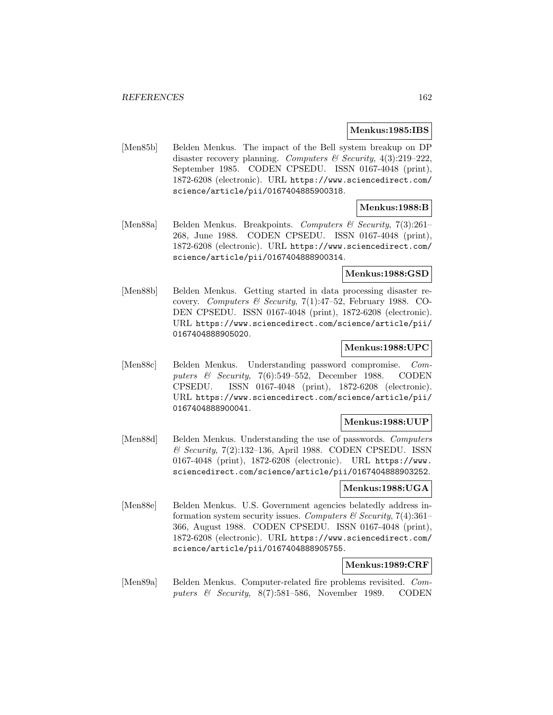#### **Menkus:1985:IBS**

[Men85b] Belden Menkus. The impact of the Bell system breakup on DP disaster recovery planning. Computers & Security,  $4(3):219-222$ , September 1985. CODEN CPSEDU. ISSN 0167-4048 (print), 1872-6208 (electronic). URL https://www.sciencedirect.com/ science/article/pii/0167404885900318.

## **Menkus:1988:B**

[Men88a] Belden Menkus. Breakpoints. Computers & Security, 7(3):261– 268, June 1988. CODEN CPSEDU. ISSN 0167-4048 (print), 1872-6208 (electronic). URL https://www.sciencedirect.com/ science/article/pii/0167404888900314.

# **Menkus:1988:GSD**

[Men88b] Belden Menkus. Getting started in data processing disaster recovery. Computers & Security, 7(1):47-52, February 1988. CO-DEN CPSEDU. ISSN 0167-4048 (print), 1872-6208 (electronic). URL https://www.sciencedirect.com/science/article/pii/ 0167404888905020.

## **Menkus:1988:UPC**

[Men88c] Belden Menkus. Understanding password compromise. Computers & Security, 7(6):549-552, December 1988. CODEN CPSEDU. ISSN 0167-4048 (print), 1872-6208 (electronic). URL https://www.sciencedirect.com/science/article/pii/ 0167404888900041.

## **Menkus:1988:UUP**

[Men88d] Belden Menkus. Understanding the use of passwords. Computers  $\mathcal C$  Security, 7(2):132–136, April 1988. CODEN CPSEDU. ISSN 0167-4048 (print), 1872-6208 (electronic). URL https://www. sciencedirect.com/science/article/pii/0167404888903252.

#### **Menkus:1988:UGA**

[Men88e] Belden Menkus. U.S. Government agencies belatedly address information system security issues. Computers & Security,  $7(4):361-$ 366, August 1988. CODEN CPSEDU. ISSN 0167-4048 (print), 1872-6208 (electronic). URL https://www.sciencedirect.com/ science/article/pii/0167404888905755.

## **Menkus:1989:CRF**

[Men89a] Belden Menkus. Computer-related fire problems revisited. Computers  $\&$  Security, 8(7):581–586, November 1989. CODEN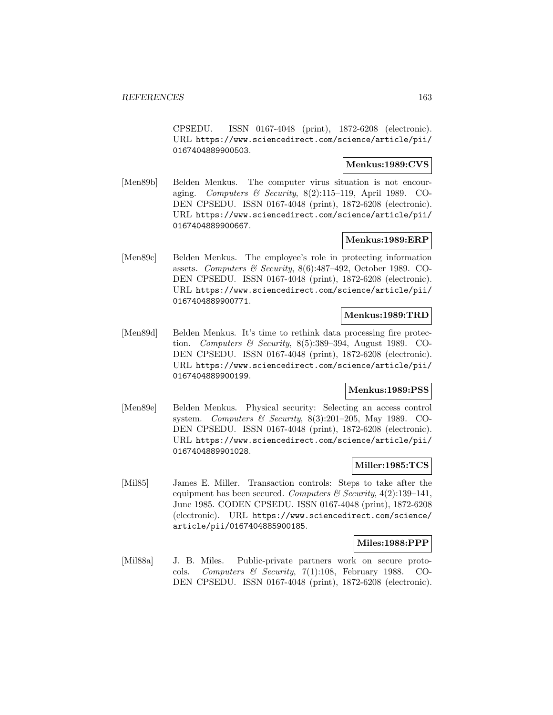CPSEDU. ISSN 0167-4048 (print), 1872-6208 (electronic). URL https://www.sciencedirect.com/science/article/pii/ 0167404889900503.

## **Menkus:1989:CVS**

[Men89b] Belden Menkus. The computer virus situation is not encouraging. Computers & Security,  $8(2):115-119$ , April 1989. CO-DEN CPSEDU. ISSN 0167-4048 (print), 1872-6208 (electronic). URL https://www.sciencedirect.com/science/article/pii/ 0167404889900667.

## **Menkus:1989:ERP**

[Men89c] Belden Menkus. The employee's role in protecting information assets. Computers & Security,  $8(6):487-492$ , October 1989. CO-DEN CPSEDU. ISSN 0167-4048 (print), 1872-6208 (electronic). URL https://www.sciencedirect.com/science/article/pii/ 0167404889900771.

## **Menkus:1989:TRD**

[Men89d] Belden Menkus. It's time to rethink data processing fire protection. Computers & Security,  $8(5):389-394$ , August 1989. CO-DEN CPSEDU. ISSN 0167-4048 (print), 1872-6208 (electronic). URL https://www.sciencedirect.com/science/article/pii/ 0167404889900199.

## **Menkus:1989:PSS**

[Men89e] Belden Menkus. Physical security: Selecting an access control system. Computers & Security,  $8(3):201-205$ , May 1989. CO-DEN CPSEDU. ISSN 0167-4048 (print), 1872-6208 (electronic). URL https://www.sciencedirect.com/science/article/pii/ 0167404889901028.

## **Miller:1985:TCS**

[Mil85] James E. Miller. Transaction controls: Steps to take after the equipment has been secured. Computers  $\mathcal{C}$  Security, 4(2):139–141, June 1985. CODEN CPSEDU. ISSN 0167-4048 (print), 1872-6208 (electronic). URL https://www.sciencedirect.com/science/ article/pii/0167404885900185.

## **Miles:1988:PPP**

[Mil88a] J. B. Miles. Public-private partners work on secure protocols. Computers & Security,  $7(1):108$ , February 1988. CO-DEN CPSEDU. ISSN 0167-4048 (print), 1872-6208 (electronic).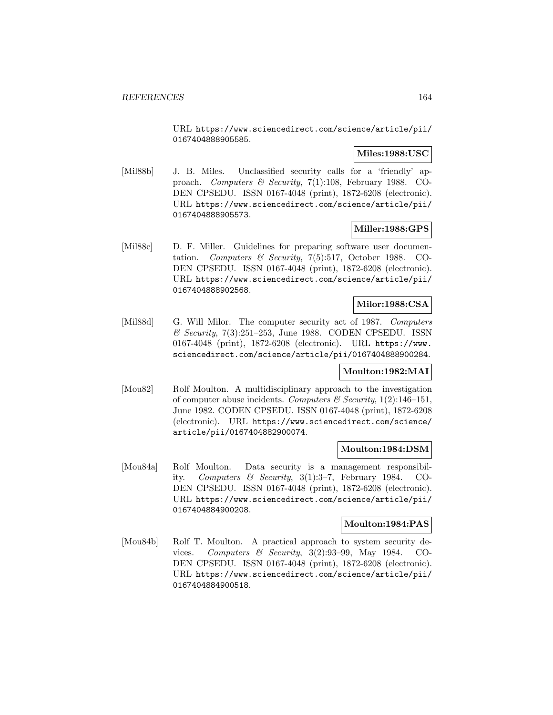URL https://www.sciencedirect.com/science/article/pii/ 0167404888905585.

## **Miles:1988:USC**

[Mil88b] J. B. Miles. Unclassified security calls for a 'friendly' approach. Computers & Security, 7(1):108, February 1988. CO-DEN CPSEDU. ISSN 0167-4048 (print), 1872-6208 (electronic). URL https://www.sciencedirect.com/science/article/pii/ 0167404888905573.

## **Miller:1988:GPS**

[Mil88c] D. F. Miller. Guidelines for preparing software user documentation. Computers & Security, 7(5):517, October 1988. CO-DEN CPSEDU. ISSN 0167-4048 (print), 1872-6208 (electronic). URL https://www.sciencedirect.com/science/article/pii/ 0167404888902568.

## **Milor:1988:CSA**

[Mil88d] G. Will Milor. The computer security act of 1987. Computers  $\mathcal C$  Security, 7(3):251–253, June 1988. CODEN CPSEDU. ISSN 0167-4048 (print), 1872-6208 (electronic). URL https://www. sciencedirect.com/science/article/pii/0167404888900284.

## **Moulton:1982:MAI**

[Mou82] Rolf Moulton. A multidisciplinary approach to the investigation of computer abuse incidents. Computers & Security,  $1(2):146-151$ , June 1982. CODEN CPSEDU. ISSN 0167-4048 (print), 1872-6208 (electronic). URL https://www.sciencedirect.com/science/ article/pii/0167404882900074.

## **Moulton:1984:DSM**

[Mou84a] Rolf Moulton. Data security is a management responsibility. Computers & Security, 3(1):3–7, February 1984. CO-DEN CPSEDU. ISSN 0167-4048 (print), 1872-6208 (electronic). URL https://www.sciencedirect.com/science/article/pii/ 0167404884900208.

## **Moulton:1984:PAS**

[Mou84b] Rolf T. Moulton. A practical approach to system security devices. Computers & Security, 3(2):93–99, May 1984. CO-DEN CPSEDU. ISSN 0167-4048 (print), 1872-6208 (electronic). URL https://www.sciencedirect.com/science/article/pii/ 0167404884900518.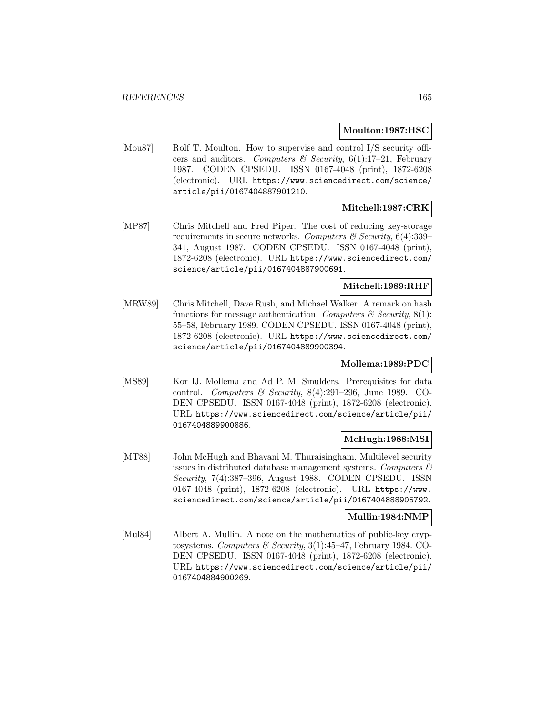#### **Moulton:1987:HSC**

[Mou87] Rolf T. Moulton. How to supervise and control I/S security officers and auditors. Computers & Security,  $6(1):17-21$ , February 1987. CODEN CPSEDU. ISSN 0167-4048 (print), 1872-6208 (electronic). URL https://www.sciencedirect.com/science/ article/pii/0167404887901210.

## **Mitchell:1987:CRK**

[MP87] Chris Mitchell and Fred Piper. The cost of reducing key-storage requirements in secure networks. Computers & Security,  $6(4):339-$ 341, August 1987. CODEN CPSEDU. ISSN 0167-4048 (print), 1872-6208 (electronic). URL https://www.sciencedirect.com/ science/article/pii/0167404887900691.

# **Mitchell:1989:RHF**

[MRW89] Chris Mitchell, Dave Rush, and Michael Walker. A remark on hash functions for message authentication. Computers  $\mathcal{B}$  Security, 8(1): 55–58, February 1989. CODEN CPSEDU. ISSN 0167-4048 (print), 1872-6208 (electronic). URL https://www.sciencedirect.com/ science/article/pii/0167404889900394.

# **Mollema:1989:PDC**

[MS89] Kor IJ. Mollema and Ad P. M. Smulders. Prerequisites for data control. Computers & Security,  $8(4):291-296$ , June 1989. CO-DEN CPSEDU. ISSN 0167-4048 (print), 1872-6208 (electronic). URL https://www.sciencedirect.com/science/article/pii/ 0167404889900886.

# **McHugh:1988:MSI**

[MT88] John McHugh and Bhavani M. Thuraisingham. Multilevel security issues in distributed database management systems. Computers  $\mathcal C$ Security, 7(4):387–396, August 1988. CODEN CPSEDU. ISSN 0167-4048 (print), 1872-6208 (electronic). URL https://www. sciencedirect.com/science/article/pii/0167404888905792.

## **Mullin:1984:NMP**

[Mul84] Albert A. Mullin. A note on the mathematics of public-key cryptosystems. Computers & Security,  $3(1):45-47$ , February 1984. CO-DEN CPSEDU. ISSN 0167-4048 (print), 1872-6208 (electronic). URL https://www.sciencedirect.com/science/article/pii/ 0167404884900269.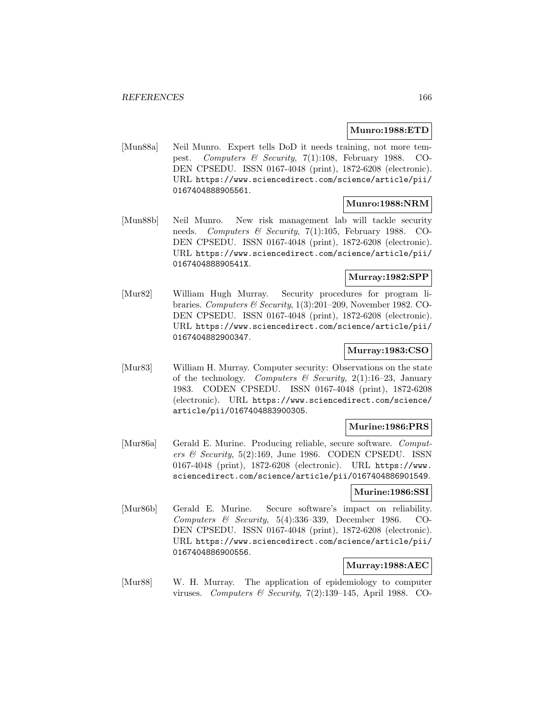## **Munro:1988:ETD**

[Mun88a] Neil Munro. Expert tells DoD it needs training, not more tempest. Computers & Security, 7(1):108, February 1988. CO-DEN CPSEDU. ISSN 0167-4048 (print), 1872-6208 (electronic). URL https://www.sciencedirect.com/science/article/pii/ 0167404888905561.

### **Munro:1988:NRM**

[Mun88b] Neil Munro. New risk management lab will tackle security needs. Computers & Security, 7(1):105, February 1988. CO-DEN CPSEDU. ISSN 0167-4048 (print), 1872-6208 (electronic). URL https://www.sciencedirect.com/science/article/pii/ 016740488890541X.

## **Murray:1982:SPP**

[Mur82] William Hugh Murray. Security procedures for program libraries. Computers & Security,  $1(3):201-209$ , November 1982. CO-DEN CPSEDU. ISSN 0167-4048 (print), 1872-6208 (electronic). URL https://www.sciencedirect.com/science/article/pii/ 0167404882900347.

## **Murray:1983:CSO**

[Mur83] William H. Murray. Computer security: Observations on the state of the technology. Computers & Security, 2(1):16–23, January 1983. CODEN CPSEDU. ISSN 0167-4048 (print), 1872-6208 (electronic). URL https://www.sciencedirect.com/science/ article/pii/0167404883900305.

## **Murine:1986:PRS**

[Mur86a] Gerald E. Murine. Producing reliable, secure software. Computers & Security,  $5(2):169$ , June 1986. CODEN CPSEDU. ISSN 0167-4048 (print), 1872-6208 (electronic). URL https://www. sciencedirect.com/science/article/pii/0167404886901549.

## **Murine:1986:SSI**

[Mur86b] Gerald E. Murine. Secure software's impact on reliability. Computers & Security,  $5(4):336-339$ , December 1986. CO-DEN CPSEDU. ISSN 0167-4048 (print), 1872-6208 (electronic). URL https://www.sciencedirect.com/science/article/pii/ 0167404886900556.

## **Murray:1988:AEC**

[Mur88] W. H. Murray. The application of epidemiology to computer viruses. Computers & Security,  $7(2):139-145$ , April 1988. CO-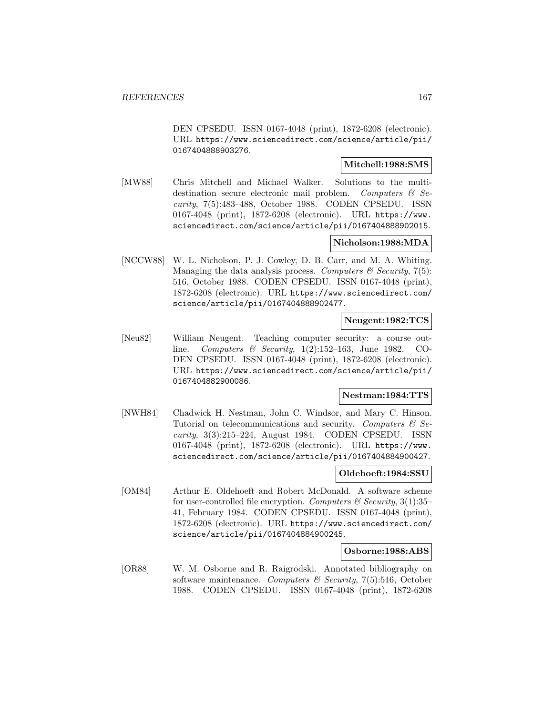DEN CPSEDU. ISSN 0167-4048 (print), 1872-6208 (electronic). URL https://www.sciencedirect.com/science/article/pii/ 0167404888903276.

## **Mitchell:1988:SMS**

[MW88] Chris Mitchell and Michael Walker. Solutions to the multidestination secure electronic mail problem. Computers & Security, 7(5):483–488, October 1988. CODEN CPSEDU. ISSN 0167-4048 (print), 1872-6208 (electronic). URL https://www. sciencedirect.com/science/article/pii/0167404888902015.

## **Nicholson:1988:MDA**

[NCCW88] W. L. Nicholson, P. J. Cowley, D. B. Carr, and M. A. Whiting. Managing the data analysis process. Computers  $\mathcal C$  Security, 7(5): 516, October 1988. CODEN CPSEDU. ISSN 0167-4048 (print), 1872-6208 (electronic). URL https://www.sciencedirect.com/ science/article/pii/0167404888902477.

## **Neugent:1982:TCS**

[Neu82] William Neugent. Teaching computer security: a course outline. Computers & Security, 1(2):152–163, June 1982. CO-DEN CPSEDU. ISSN 0167-4048 (print), 1872-6208 (electronic). URL https://www.sciencedirect.com/science/article/pii/ 0167404882900086.

## **Nestman:1984:TTS**

[NWH84] Chadwick H. Nestman, John C. Windsor, and Mary C. Hinson. Tutorial on telecommunications and security. Computers  $\mathcal{C}$  Security, 3(3):215–224, August 1984. CODEN CPSEDU. ISSN 0167-4048 (print), 1872-6208 (electronic). URL https://www. sciencedirect.com/science/article/pii/0167404884900427.

## **Oldehoeft:1984:SSU**

[OM84] Arthur E. Oldehoeft and Robert McDonald. A software scheme for user-controlled file encryption. Computers  $\mathcal C$  Security, 3(1):35– 41, February 1984. CODEN CPSEDU. ISSN 0167-4048 (print), 1872-6208 (electronic). URL https://www.sciencedirect.com/ science/article/pii/0167404884900245.

#### **Osborne:1988:ABS**

[OR88] W. M. Osborne and R. Raigrodski. Annotated bibliography on software maintenance. Computers  $\mathcal{C}$  Security, 7(5):516, October 1988. CODEN CPSEDU. ISSN 0167-4048 (print), 1872-6208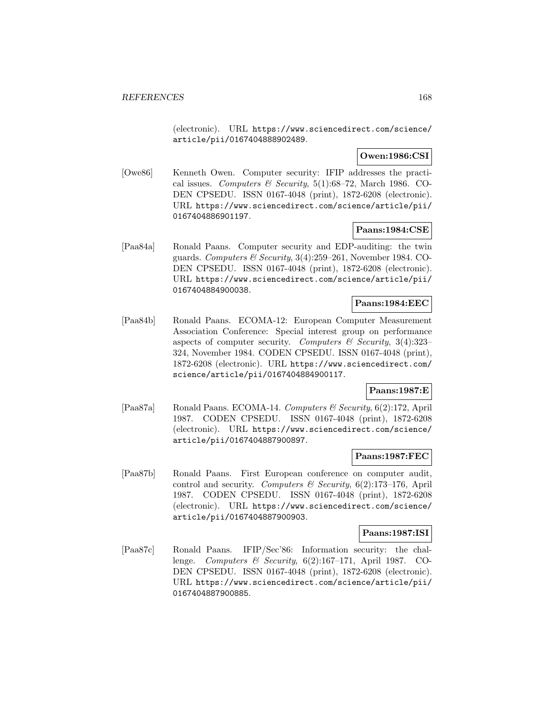(electronic). URL https://www.sciencedirect.com/science/ article/pii/0167404888902489.

# **Owen:1986:CSI**

[Owe86] Kenneth Owen. Computer security: IFIP addresses the practical issues. Computers & Security,  $5(1):68-72$ , March 1986. CO-DEN CPSEDU. ISSN 0167-4048 (print), 1872-6208 (electronic). URL https://www.sciencedirect.com/science/article/pii/ 0167404886901197.

## **Paans:1984:CSE**

[Paa84a] Ronald Paans. Computer security and EDP-auditing: the twin guards. Computers & Security,  $3(4):259-261$ , November 1984. CO-DEN CPSEDU. ISSN 0167-4048 (print), 1872-6208 (electronic). URL https://www.sciencedirect.com/science/article/pii/ 0167404884900038.

## **Paans:1984:EEC**

[Paa84b] Ronald Paans. ECOMA-12: European Computer Measurement Association Conference: Special interest group on performance aspects of computer security. Computers  $\mathcal C$  Security, 3(4):323-324, November 1984. CODEN CPSEDU. ISSN 0167-4048 (print), 1872-6208 (electronic). URL https://www.sciencedirect.com/ science/article/pii/0167404884900117.

## **Paans:1987:E**

[Paa87a] Ronald Paans. ECOMA-14. Computers & Security, 6(2):172, April 1987. CODEN CPSEDU. ISSN 0167-4048 (print), 1872-6208 (electronic). URL https://www.sciencedirect.com/science/ article/pii/0167404887900897.

#### **Paans:1987:FEC**

[Paa87b] Ronald Paans. First European conference on computer audit, control and security. Computers & Security,  $6(2)$ :173-176, April 1987. CODEN CPSEDU. ISSN 0167-4048 (print), 1872-6208 (electronic). URL https://www.sciencedirect.com/science/ article/pii/0167404887900903.

#### **Paans:1987:ISI**

[Paa87c] Ronald Paans. IFIP/Sec'86: Information security: the challenge. Computers & Security, 6(2):167–171, April 1987. CO-DEN CPSEDU. ISSN 0167-4048 (print), 1872-6208 (electronic). URL https://www.sciencedirect.com/science/article/pii/ 0167404887900885.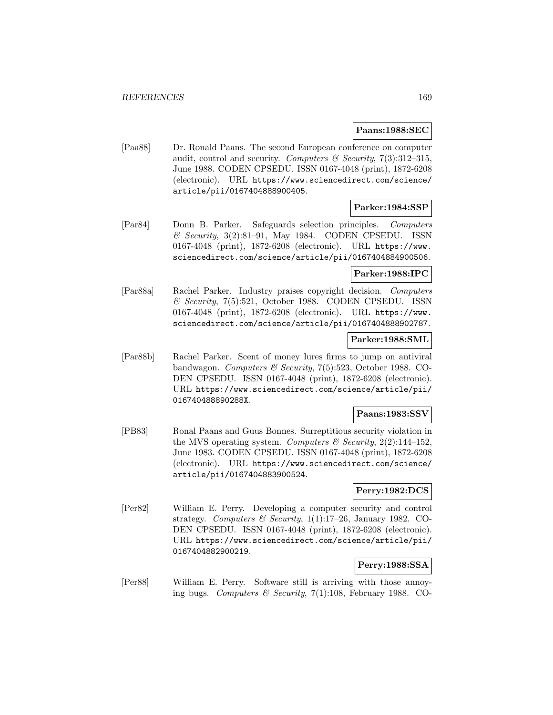## **Paans:1988:SEC**

[Paa88] Dr. Ronald Paans. The second European conference on computer audit, control and security. Computers & Security, 7(3):312-315, June 1988. CODEN CPSEDU. ISSN 0167-4048 (print), 1872-6208 (electronic). URL https://www.sciencedirect.com/science/ article/pii/0167404888900405.

## **Parker:1984:SSP**

[Par84] Donn B. Parker. Safeguards selection principles. Computers  $\mathcal C$  Security, 3(2):81–91, May 1984. CODEN CPSEDU. ISSN 0167-4048 (print), 1872-6208 (electronic). URL https://www. sciencedirect.com/science/article/pii/0167404884900506.

# **Parker:1988:IPC**

[Par88a] Rachel Parker. Industry praises copyright decision. Computers & Security, 7(5):521, October 1988. CODEN CPSEDU. ISSN 0167-4048 (print), 1872-6208 (electronic). URL https://www. sciencedirect.com/science/article/pii/0167404888902787.

#### **Parker:1988:SML**

[Par88b] Rachel Parker. Scent of money lures firms to jump on antiviral bandwagon. Computers & Security, 7(5):523, October 1988. CO-DEN CPSEDU. ISSN 0167-4048 (print), 1872-6208 (electronic). URL https://www.sciencedirect.com/science/article/pii/ 016740488890288X.

#### **Paans:1983:SSV**

[PB83] Ronal Paans and Guus Bonnes. Surreptitious security violation in the MVS operating system. Computers & Security, 2(2):144-152, June 1983. CODEN CPSEDU. ISSN 0167-4048 (print), 1872-6208 (electronic). URL https://www.sciencedirect.com/science/ article/pii/0167404883900524.

## **Perry:1982:DCS**

[Per82] William E. Perry. Developing a computer security and control strategy. Computers & Security, 1(1):17–26, January 1982. CO-DEN CPSEDU. ISSN 0167-4048 (print), 1872-6208 (electronic). URL https://www.sciencedirect.com/science/article/pii/ 0167404882900219.

# **Perry:1988:SSA**

[Per88] William E. Perry. Software still is arriving with those annoying bugs. Computers & Security, 7(1):108, February 1988. CO-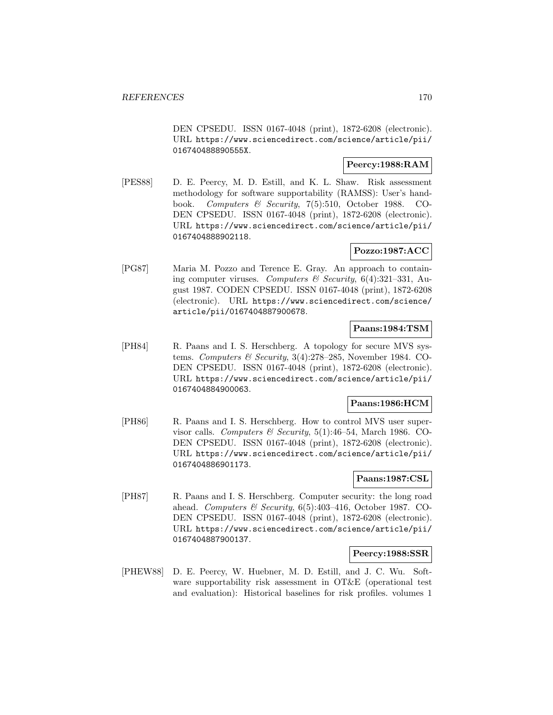DEN CPSEDU. ISSN 0167-4048 (print), 1872-6208 (electronic). URL https://www.sciencedirect.com/science/article/pii/ 016740488890555X.

## **Peercy:1988:RAM**

[PES88] D. E. Peercy, M. D. Estill, and K. L. Shaw. Risk assessment methodology for software supportability (RAMSS): User's handbook. Computers & Security, 7(5):510, October 1988. CO-DEN CPSEDU. ISSN 0167-4048 (print), 1872-6208 (electronic). URL https://www.sciencedirect.com/science/article/pii/ 0167404888902118.

# **Pozzo:1987:ACC**

[PG87] Maria M. Pozzo and Terence E. Gray. An approach to containing computer viruses. Computers & Security,  $6(4):321-331$ , August 1987. CODEN CPSEDU. ISSN 0167-4048 (print), 1872-6208 (electronic). URL https://www.sciencedirect.com/science/ article/pii/0167404887900678.

## **Paans:1984:TSM**

[PH84] R. Paans and I. S. Herschberg. A topology for secure MVS systems. Computers & Security,  $3(4):278-285$ , November 1984. CO-DEN CPSEDU. ISSN 0167-4048 (print), 1872-6208 (electronic). URL https://www.sciencedirect.com/science/article/pii/ 0167404884900063.

# **Paans:1986:HCM**

[PH86] R. Paans and I. S. Herschberg. How to control MVS user supervisor calls. Computers & Security,  $5(1):46-54$ , March 1986. CO-DEN CPSEDU. ISSN 0167-4048 (print), 1872-6208 (electronic). URL https://www.sciencedirect.com/science/article/pii/ 0167404886901173.

## **Paans:1987:CSL**

[PH87] R. Paans and I. S. Herschberg. Computer security: the long road ahead. Computers & Security,  $6(5):403-416$ , October 1987. CO-DEN CPSEDU. ISSN 0167-4048 (print), 1872-6208 (electronic). URL https://www.sciencedirect.com/science/article/pii/ 0167404887900137.

## **Peercy:1988:SSR**

[PHEW88] D. E. Peercy, W. Huebner, M. D. Estill, and J. C. Wu. Software supportability risk assessment in OT&E (operational test and evaluation): Historical baselines for risk profiles. volumes 1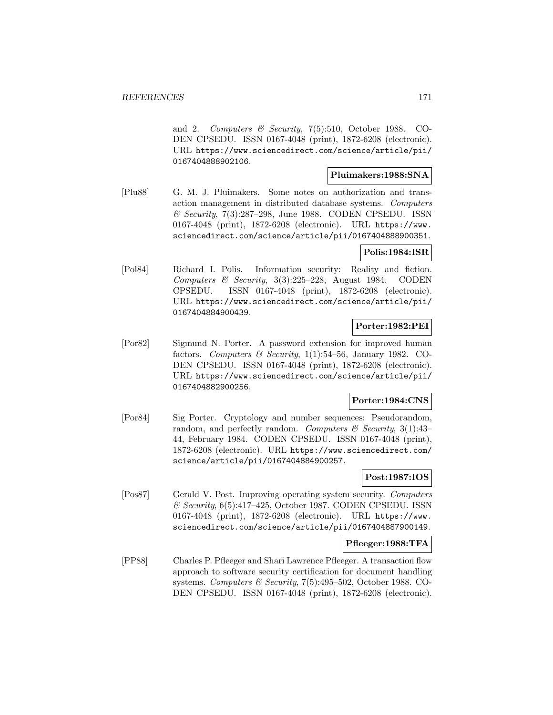and 2. Computers & Security, 7(5):510, October 1988. CO-DEN CPSEDU. ISSN 0167-4048 (print), 1872-6208 (electronic). URL https://www.sciencedirect.com/science/article/pii/ 0167404888902106.

#### **Pluimakers:1988:SNA**

[Plu88] G. M. J. Pluimakers. Some notes on authorization and transaction management in distributed database systems. Computers & Security, 7(3):287–298, June 1988. CODEN CPSEDU. ISSN 0167-4048 (print), 1872-6208 (electronic). URL https://www. sciencedirect.com/science/article/pii/0167404888900351.

# **Polis:1984:ISR**

[Pol84] Richard I. Polis. Information security: Reality and fiction. Computers & Security, 3(3):225–228, August 1984. CODEN CPSEDU. ISSN 0167-4048 (print), 1872-6208 (electronic). URL https://www.sciencedirect.com/science/article/pii/ 0167404884900439.

# **Porter:1982:PEI**

[Por82] Sigmund N. Porter. A password extension for improved human factors. Computers  $\mathcal B$  Security, 1(1):54–56, January 1982. CO-DEN CPSEDU. ISSN 0167-4048 (print), 1872-6208 (electronic). URL https://www.sciencedirect.com/science/article/pii/ 0167404882900256.

## **Porter:1984:CNS**

[Por84] Sig Porter. Cryptology and number sequences: Pseudorandom, random, and perfectly random. Computers  $\mathcal C$  Security, 3(1):43– 44, February 1984. CODEN CPSEDU. ISSN 0167-4048 (print), 1872-6208 (electronic). URL https://www.sciencedirect.com/ science/article/pii/0167404884900257.

# **Post:1987:IOS**

[Pos87] Gerald V. Post. Improving operating system security. Computers  $\&$  Security, 6(5):417–425, October 1987. CODEN CPSEDU. ISSN 0167-4048 (print), 1872-6208 (electronic). URL https://www. sciencedirect.com/science/article/pii/0167404887900149.

# **Pfleeger:1988:TFA**

[PP88] Charles P. Pfleeger and Shari Lawrence Pfleeger. A transaction flow approach to software security certification for document handling systems. Computers & Security, 7(5):495–502, October 1988. CO-DEN CPSEDU. ISSN 0167-4048 (print), 1872-6208 (electronic).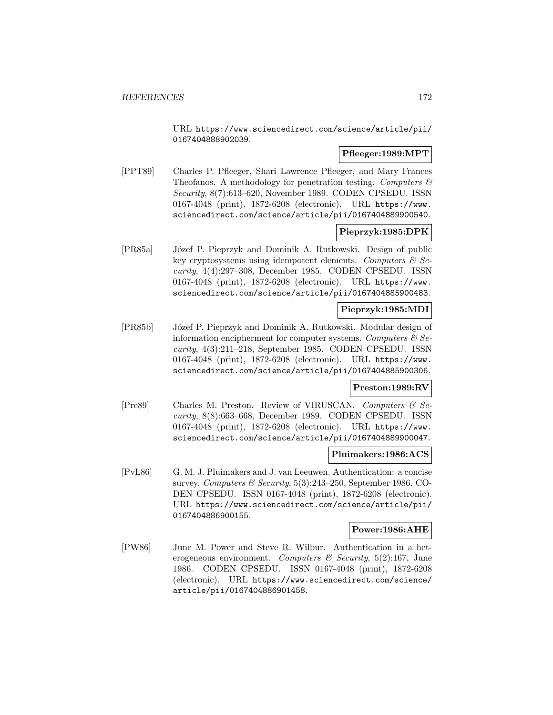URL https://www.sciencedirect.com/science/article/pii/ 0167404888902039.

## **Pfleeger:1989:MPT**

[PPT89] Charles P. Pfleeger, Shari Lawrence Pfleeger, and Mary Frances Theofanos. A methodology for penetration testing. Computers  $\mathcal C$ Security, 8(7):613–620, November 1989. CODEN CPSEDU. ISSN 0167-4048 (print), 1872-6208 (electronic). URL https://www. sciencedirect.com/science/article/pii/0167404889900540.

## **Pieprzyk:1985:DPK**

[PR85a] J´ozef P. Pieprzyk and Dominik A. Rutkowski. Design of public key cryptosystems using idempotent elements. Computers  $\mathcal{C}$  Security, 4(4):297–308, December 1985. CODEN CPSEDU. ISSN 0167-4048 (print), 1872-6208 (electronic). URL https://www. sciencedirect.com/science/article/pii/0167404885900483.

## **Pieprzyk:1985:MDI**

[PR85b] Józef P. Pieprzyk and Dominik A. Rutkowski. Modular design of information encipherment for computer systems. Computers  $\mathcal{C}$  Security, 4(3):211–218, September 1985. CODEN CPSEDU. ISSN 0167-4048 (print), 1872-6208 (electronic). URL https://www. sciencedirect.com/science/article/pii/0167404885900306.

## **Preston:1989:RV**

[Pre89] Charles M. Preston. Review of VIRUSCAN. Computers & Security, 8(8):663–668, December 1989. CODEN CPSEDU. ISSN 0167-4048 (print), 1872-6208 (electronic). URL https://www. sciencedirect.com/science/article/pii/0167404889900047.

## **Pluimakers:1986:ACS**

[PvL86] G. M. J. Pluimakers and J. van Leeuwen. Authentication: a concise survey. Computers & Security,  $5(3):243-250$ , September 1986. CO-DEN CPSEDU. ISSN 0167-4048 (print), 1872-6208 (electronic). URL https://www.sciencedirect.com/science/article/pii/ 0167404886900155.

## **Power:1986:AHE**

[PW86] June M. Power and Steve R. Wilbur. Authentication in a heterogeneous environment. Computers & Security,  $5(2):167$ , June 1986. CODEN CPSEDU. ISSN 0167-4048 (print), 1872-6208 (electronic). URL https://www.sciencedirect.com/science/ article/pii/0167404886901458.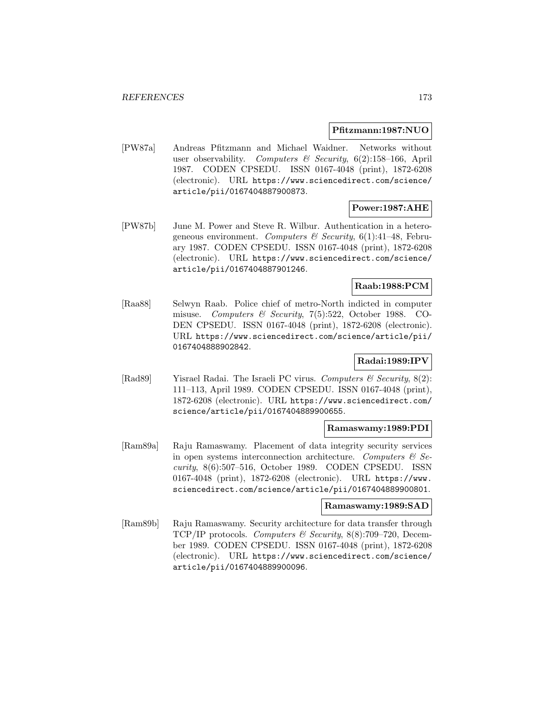#### **Pfitzmann:1987:NUO**

[PW87a] Andreas Pfitzmann and Michael Waidner. Networks without user observability. Computers & Security,  $6(2)$ :158-166, April 1987. CODEN CPSEDU. ISSN 0167-4048 (print), 1872-6208 (electronic). URL https://www.sciencedirect.com/science/ article/pii/0167404887900873.

# **Power:1987:AHE**

[PW87b] June M. Power and Steve R. Wilbur. Authentication in a heterogeneous environment. Computers & Security,  $6(1):41-48$ , February 1987. CODEN CPSEDU. ISSN 0167-4048 (print), 1872-6208 (electronic). URL https://www.sciencedirect.com/science/ article/pii/0167404887901246.

## **Raab:1988:PCM**

[Raa88] Selwyn Raab. Police chief of metro-North indicted in computer misuse. Computers & Security, 7(5):522, October 1988. CO-DEN CPSEDU. ISSN 0167-4048 (print), 1872-6208 (electronic). URL https://www.sciencedirect.com/science/article/pii/ 0167404888902842.

## **Radai:1989:IPV**

[Rad89] Yisrael Radai. The Israeli PC virus. Computers & Security, 8(2): 111–113, April 1989. CODEN CPSEDU. ISSN 0167-4048 (print), 1872-6208 (electronic). URL https://www.sciencedirect.com/ science/article/pii/0167404889900655.

#### **Ramaswamy:1989:PDI**

[Ram89a] Raju Ramaswamy. Placement of data integrity security services in open systems interconnection architecture. Computers  $\mathcal{C}$  Security, 8(6):507–516, October 1989. CODEN CPSEDU. ISSN 0167-4048 (print), 1872-6208 (electronic). URL https://www. sciencedirect.com/science/article/pii/0167404889900801.

## **Ramaswamy:1989:SAD**

[Ram89b] Raju Ramaswamy. Security architecture for data transfer through TCP/IP protocols. Computers & Security,  $8(8)$ :709–720, December 1989. CODEN CPSEDU. ISSN 0167-4048 (print), 1872-6208 (electronic). URL https://www.sciencedirect.com/science/ article/pii/0167404889900096.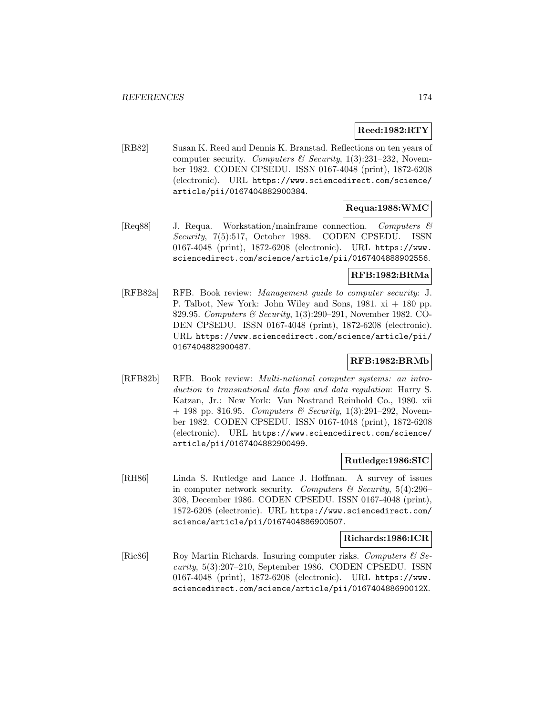## **Reed:1982:RTY**

[RB82] Susan K. Reed and Dennis K. Branstad. Reflections on ten years of computer security. Computers & Security,  $1(3):231-232$ , November 1982. CODEN CPSEDU. ISSN 0167-4048 (print), 1872-6208 (electronic). URL https://www.sciencedirect.com/science/ article/pii/0167404882900384.

## **Requa:1988:WMC**

[Req88] J. Requa. Workstation/mainframe connection. Computers & Security, 7(5):517, October 1988. CODEN CPSEDU. ISSN 0167-4048 (print), 1872-6208 (electronic). URL https://www. sciencedirect.com/science/article/pii/0167404888902556.

## **RFB:1982:BRMa**

[RFB82a] RFB. Book review: Management guide to computer security: J. P. Talbot, New York: John Wiley and Sons, 1981. xi + 180 pp. \$29.95. Computers & Security, 1(3):290–291, November 1982. CO-DEN CPSEDU. ISSN 0167-4048 (print), 1872-6208 (electronic). URL https://www.sciencedirect.com/science/article/pii/ 0167404882900487.

# **RFB:1982:BRMb**

[RFB82b] RFB. Book review: Multi-national computer systems: an introduction to transnational data flow and data regulation: Harry S. Katzan, Jr.: New York: Van Nostrand Reinhold Co., 1980. xii  $+$  198 pp. \$16.95. Computers & Security, 1(3):291–292, November 1982. CODEN CPSEDU. ISSN 0167-4048 (print), 1872-6208 (electronic). URL https://www.sciencedirect.com/science/ article/pii/0167404882900499.

# **Rutledge:1986:SIC**

[RH86] Linda S. Rutledge and Lance J. Hoffman. A survey of issues in computer network security. Computers  $\mathcal C$  Security, 5(4):296– 308, December 1986. CODEN CPSEDU. ISSN 0167-4048 (print), 1872-6208 (electronic). URL https://www.sciencedirect.com/ science/article/pii/0167404886900507.

## **Richards:1986:ICR**

[Ric86] Roy Martin Richards. Insuring computer risks. Computers  $\mathcal{C}$  Se $curity, 5(3):207-210, September 1986. CODEN CPSEDU. ISSN$ 0167-4048 (print), 1872-6208 (electronic). URL https://www. sciencedirect.com/science/article/pii/016740488690012X.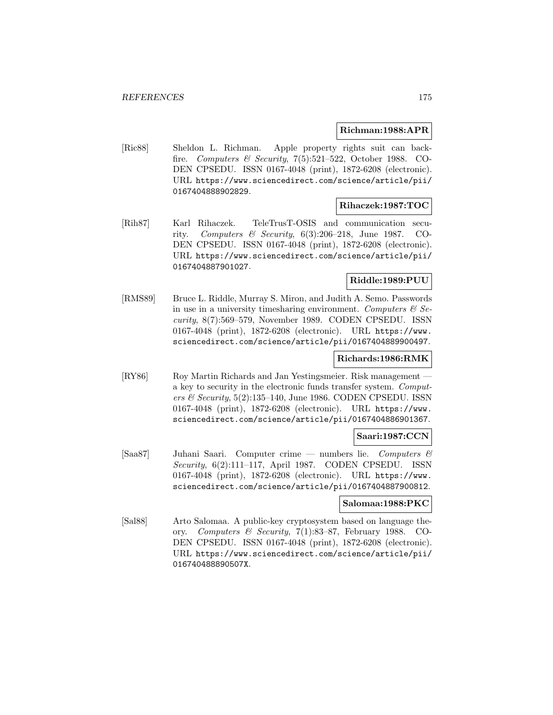#### **Richman:1988:APR**

[Ric88] Sheldon L. Richman. Apple property rights suit can backfire. Computers & Security,  $7(5):521-522$ , October 1988. CO-DEN CPSEDU. ISSN 0167-4048 (print), 1872-6208 (electronic). URL https://www.sciencedirect.com/science/article/pii/ 0167404888902829.

#### **Rihaczek:1987:TOC**

[Rih87] Karl Rihaczek. TeleTrusT-OSIS and communication security. Computers & Security, 6(3):206–218, June 1987. CO-DEN CPSEDU. ISSN 0167-4048 (print), 1872-6208 (electronic). URL https://www.sciencedirect.com/science/article/pii/ 0167404887901027.

## **Riddle:1989:PUU**

[RMS89] Bruce L. Riddle, Murray S. Miron, and Judith A. Semo. Passwords in use in a university timesharing environment. Computers  $\mathcal{C}$  Security, 8(7):569–579, November 1989. CODEN CPSEDU. ISSN 0167-4048 (print), 1872-6208 (electronic). URL https://www. sciencedirect.com/science/article/pii/0167404889900497.

## **Richards:1986:RMK**

[RY86] Roy Martin Richards and Jan Yestingsmeier. Risk management a key to security in the electronic funds transfer system. Computers & Security,  $5(2):135-140$ , June 1986. CODEN CPSEDU. ISSN 0167-4048 (print), 1872-6208 (electronic). URL https://www. sciencedirect.com/science/article/pii/0167404886901367.

#### **Saari:1987:CCN**

[Saa87] Juhani Saari. Computer crime — numbers lie. Computers & Security, 6(2):111–117, April 1987. CODEN CPSEDU. ISSN 0167-4048 (print), 1872-6208 (electronic). URL https://www. sciencedirect.com/science/article/pii/0167404887900812.

#### **Salomaa:1988:PKC**

[Sal88] Arto Salomaa. A public-key cryptosystem based on language theory. Computers & Security, 7(1):83–87, February 1988. CO-DEN CPSEDU. ISSN 0167-4048 (print), 1872-6208 (electronic). URL https://www.sciencedirect.com/science/article/pii/ 016740488890507X.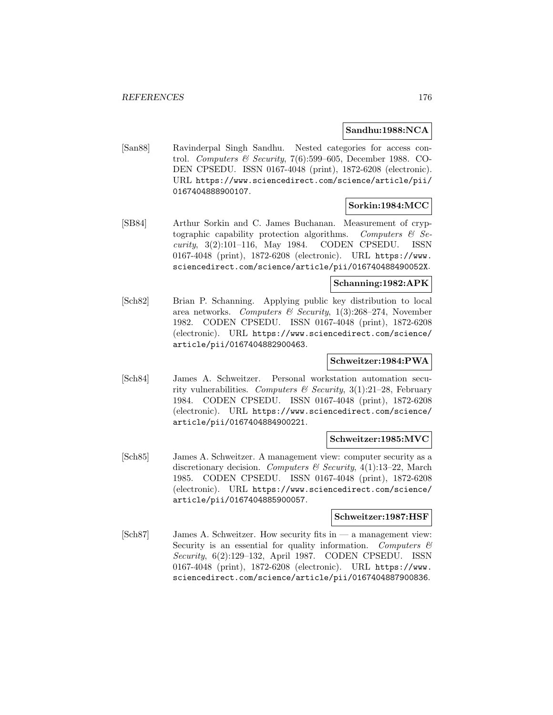#### **Sandhu:1988:NCA**

[San88] Ravinderpal Singh Sandhu. Nested categories for access control. Computers & Security, 7(6):599–605, December 1988. CO-DEN CPSEDU. ISSN 0167-4048 (print), 1872-6208 (electronic). URL https://www.sciencedirect.com/science/article/pii/ 0167404888900107.

## **Sorkin:1984:MCC**

[SB84] Arthur Sorkin and C. James Buchanan. Measurement of cryptographic capability protection algorithms. Computers  $\mathcal{C}$  Security, 3(2):101–116, May 1984. CODEN CPSEDU. ISSN 0167-4048 (print), 1872-6208 (electronic). URL https://www. sciencedirect.com/science/article/pii/016740488490052X.

## **Schanning:1982:APK**

[Sch82] Brian P. Schanning. Applying public key distribution to local area networks. Computers & Security,  $1(3):268-274$ , November 1982. CODEN CPSEDU. ISSN 0167-4048 (print), 1872-6208 (electronic). URL https://www.sciencedirect.com/science/ article/pii/0167404882900463.

## **Schweitzer:1984:PWA**

[Sch84] James A. Schweitzer. Personal workstation automation security vulnerabilities. Computers & Security, 3(1):21-28, February 1984. CODEN CPSEDU. ISSN 0167-4048 (print), 1872-6208 (electronic). URL https://www.sciencedirect.com/science/ article/pii/0167404884900221.

## **Schweitzer:1985:MVC**

[Sch85] James A. Schweitzer. A management view: computer security as a discretionary decision. Computers & Security,  $4(1)$ :13-22, March 1985. CODEN CPSEDU. ISSN 0167-4048 (print), 1872-6208 (electronic). URL https://www.sciencedirect.com/science/ article/pii/0167404885900057.

#### **Schweitzer:1987:HSF**

 $[Sch87]$  James A. Schweitzer. How security fits in — a management view: Security is an essential for quality information. Computers  $\mathcal{B}$ Security, 6(2):129–132, April 1987. CODEN CPSEDU. ISSN 0167-4048 (print), 1872-6208 (electronic). URL https://www. sciencedirect.com/science/article/pii/0167404887900836.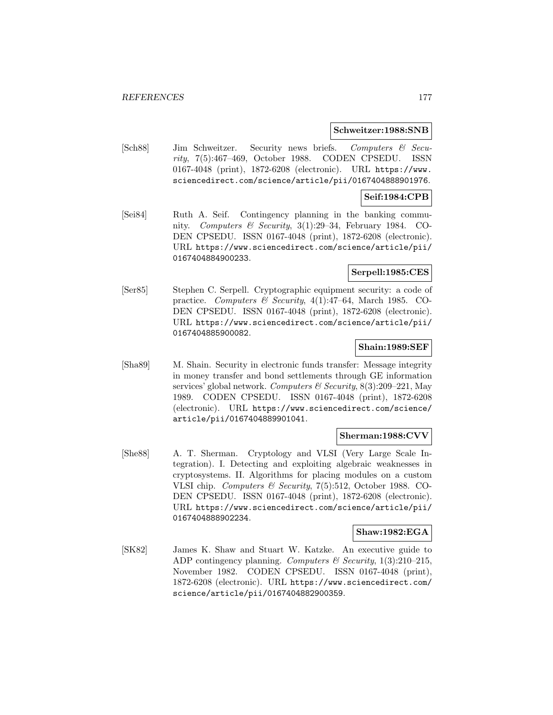#### **Schweitzer:1988:SNB**

[Sch88] Jim Schweitzer. Security news briefs. Computers & Security, 7(5):467–469, October 1988. CODEN CPSEDU. ISSN 0167-4048 (print), 1872-6208 (electronic). URL https://www. sciencedirect.com/science/article/pii/0167404888901976.

## **Seif:1984:CPB**

[Sei84] Ruth A. Seif. Contingency planning in the banking community. Computers & Security, 3(1):29–34, February 1984. CO-DEN CPSEDU. ISSN 0167-4048 (print), 1872-6208 (electronic). URL https://www.sciencedirect.com/science/article/pii/ 0167404884900233.

# **Serpell:1985:CES**

[Ser85] Stephen C. Serpell. Cryptographic equipment security: a code of practice. Computers & Security,  $4(1):47-64$ , March 1985. CO-DEN CPSEDU. ISSN 0167-4048 (print), 1872-6208 (electronic). URL https://www.sciencedirect.com/science/article/pii/ 0167404885900082.

## **Shain:1989:SEF**

[Sha89] M. Shain. Security in electronic funds transfer: Message integrity in money transfer and bond settlements through GE information services' global network. Computers & Security, 8(3):209-221, May 1989. CODEN CPSEDU. ISSN 0167-4048 (print), 1872-6208 (electronic). URL https://www.sciencedirect.com/science/ article/pii/0167404889901041.

#### **Sherman:1988:CVV**

[She88] A. T. Sherman. Cryptology and VLSI (Very Large Scale Integration). I. Detecting and exploiting algebraic weaknesses in cryptosystems. II. Algorithms for placing modules on a custom VLSI chip. Computers & Security, 7(5):512, October 1988. CO-DEN CPSEDU. ISSN 0167-4048 (print), 1872-6208 (electronic). URL https://www.sciencedirect.com/science/article/pii/ 0167404888902234.

#### **Shaw:1982:EGA**

[SK82] James K. Shaw and Stuart W. Katzke. An executive guide to ADP contingency planning. Computers  $\mathcal C$  Security, 1(3):210–215, November 1982. CODEN CPSEDU. ISSN 0167-4048 (print), 1872-6208 (electronic). URL https://www.sciencedirect.com/ science/article/pii/0167404882900359.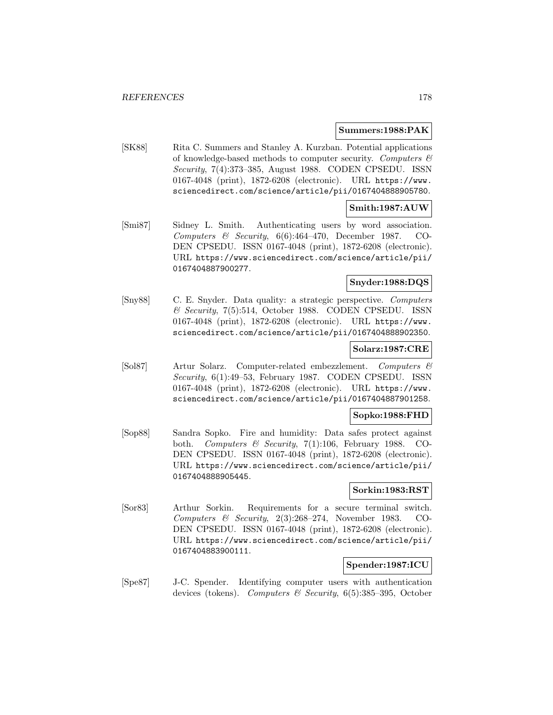#### **Summers:1988:PAK**

[SK88] Rita C. Summers and Stanley A. Kurzban. Potential applications of knowledge-based methods to computer security. Computers  $\mathcal C$ Security, 7(4):373–385, August 1988. CODEN CPSEDU. ISSN 0167-4048 (print), 1872-6208 (electronic). URL https://www. sciencedirect.com/science/article/pii/0167404888905780.

# **Smith:1987:AUW**

[Smi87] Sidney L. Smith. Authenticating users by word association. Computers & Security,  $6(6):464-470$ , December 1987. CO-DEN CPSEDU. ISSN 0167-4048 (print), 1872-6208 (electronic). URL https://www.sciencedirect.com/science/article/pii/ 0167404887900277.

# **Snyder:1988:DQS**

[Sny88] C. E. Snyder. Data quality: a strategic perspective. Computers & Security, 7(5):514, October 1988. CODEN CPSEDU. ISSN 0167-4048 (print), 1872-6208 (electronic). URL https://www. sciencedirect.com/science/article/pii/0167404888902350.

#### **Solarz:1987:CRE**

[Sol87] Artur Solarz. Computer-related embezzlement. Computers & Security, 6(1):49–53, February 1987. CODEN CPSEDU. ISSN 0167-4048 (print), 1872-6208 (electronic). URL https://www. sciencedirect.com/science/article/pii/0167404887901258.

## **Sopko:1988:FHD**

[Sop88] Sandra Sopko. Fire and humidity: Data safes protect against both. Computers & Security, 7(1):106, February 1988. CO-DEN CPSEDU. ISSN 0167-4048 (print), 1872-6208 (electronic). URL https://www.sciencedirect.com/science/article/pii/ 0167404888905445.

#### **Sorkin:1983:RST**

[Sor83] Arthur Sorkin. Requirements for a secure terminal switch. Computers & Security, 2(3):268–274, November 1983. CO-DEN CPSEDU. ISSN 0167-4048 (print), 1872-6208 (electronic). URL https://www.sciencedirect.com/science/article/pii/ 0167404883900111.

# **Spender:1987:ICU**

[Spe87] J-C. Spender. Identifying computer users with authentication devices (tokens). Computers & Security,  $6(5):385-395$ , October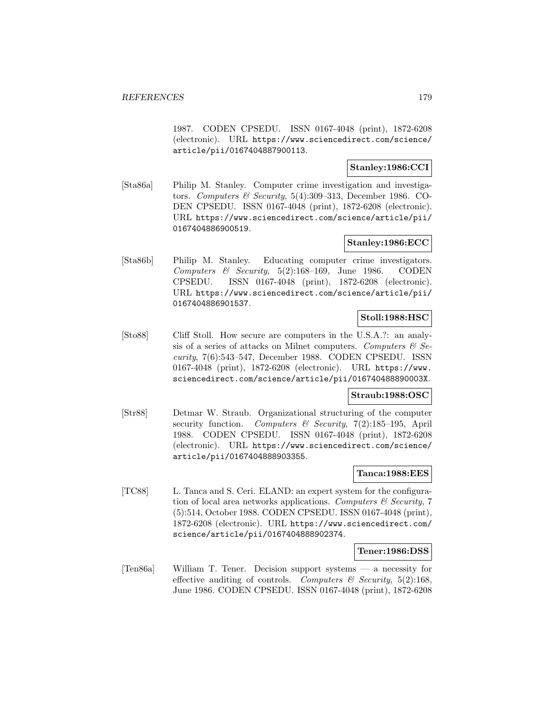1987. CODEN CPSEDU. ISSN 0167-4048 (print), 1872-6208 (electronic). URL https://www.sciencedirect.com/science/ article/pii/0167404887900113.

# **Stanley:1986:CCI**

[Sta86a] Philip M. Stanley. Computer crime investigation and investigators. Computers & Security, 5(4):309–313, December 1986. CO-DEN CPSEDU. ISSN 0167-4048 (print), 1872-6208 (electronic). URL https://www.sciencedirect.com/science/article/pii/ 0167404886900519.

## **Stanley:1986:ECC**

[Sta86b] Philip M. Stanley. Educating computer crime investigators. Computers & Security,  $5(2):168-169$ , June 1986. CODEN CPSEDU. ISSN 0167-4048 (print), 1872-6208 (electronic). URL https://www.sciencedirect.com/science/article/pii/ 0167404886901537.

# **Stoll:1988:HSC**

[Sto88] Cliff Stoll. How secure are computers in the U.S.A.?: an analysis of a series of attacks on Milnet computers. Computers  $\mathcal{C}$  Security, 7(6):543–547, December 1988. CODEN CPSEDU. ISSN 0167-4048 (print), 1872-6208 (electronic). URL https://www. sciencedirect.com/science/article/pii/016740488890003X.

## **Straub:1988:OSC**

[Str88] Detmar W. Straub. Organizational structuring of the computer security function. Computers & Security,  $7(2):185-195$ , April 1988. CODEN CPSEDU. ISSN 0167-4048 (print), 1872-6208 (electronic). URL https://www.sciencedirect.com/science/ article/pii/0167404888903355.

## **Tanca:1988:EES**

[TC88] L. Tanca and S. Ceri. ELAND: an expert system for the configuration of local area networks applications. Computers  $\mathcal B$  Security, 7 (5):514, October 1988. CODEN CPSEDU. ISSN 0167-4048 (print), 1872-6208 (electronic). URL https://www.sciencedirect.com/ science/article/pii/0167404888902374.

## **Tener:1986:DSS**

[Ten86a] William T. Tener. Decision support systems — a necessity for effective auditing of controls. Computers  $\mathcal{C}$  Security, 5(2):168, June 1986. CODEN CPSEDU. ISSN 0167-4048 (print), 1872-6208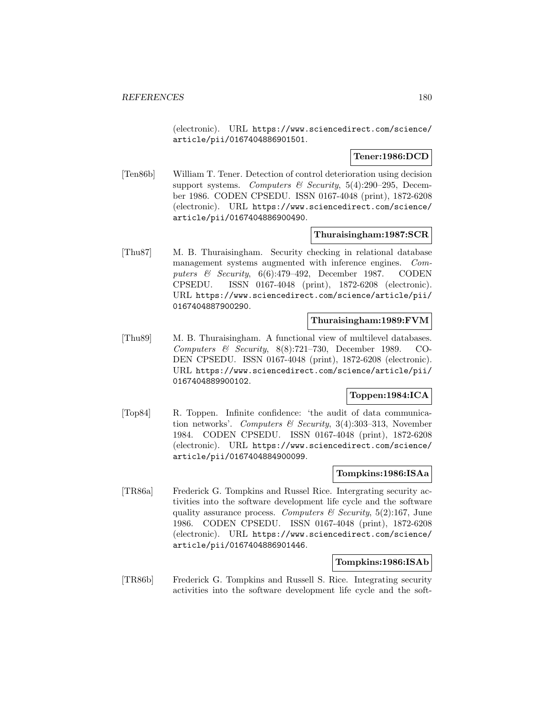(electronic). URL https://www.sciencedirect.com/science/ article/pii/0167404886901501.

## **Tener:1986:DCD**

[Ten86b] William T. Tener. Detection of control deterioration using decision support systems. Computers & Security,  $5(4):290-295$ , December 1986. CODEN CPSEDU. ISSN 0167-4048 (print), 1872-6208 (electronic). URL https://www.sciencedirect.com/science/ article/pii/0167404886900490.

#### **Thuraisingham:1987:SCR**

[Thu87] M. B. Thuraisingham. Security checking in relational database management systems augmented with inference engines. Computers & Security, 6(6):479–492, December 1987. CODEN CPSEDU. ISSN 0167-4048 (print), 1872-6208 (electronic). URL https://www.sciencedirect.com/science/article/pii/ 0167404887900290.

#### **Thuraisingham:1989:FVM**

[Thu89] M. B. Thuraisingham. A functional view of multilevel databases. Computers & Security, 8(8):721–730, December 1989. CO-DEN CPSEDU. ISSN 0167-4048 (print), 1872-6208 (electronic). URL https://www.sciencedirect.com/science/article/pii/ 0167404889900102.

# **Toppen:1984:ICA**

[Top84] R. Toppen. Infinite confidence: 'the audit of data communication networks'. Computers & Security, 3(4):303-313, November 1984. CODEN CPSEDU. ISSN 0167-4048 (print), 1872-6208 (electronic). URL https://www.sciencedirect.com/science/ article/pii/0167404884900099.

#### **Tompkins:1986:ISAa**

[TR86a] Frederick G. Tompkins and Russel Rice. Intergrating security activities into the software development life cycle and the software quality assurance process. Computers  $\mathcal{B}$  Security, 5(2):167, June 1986. CODEN CPSEDU. ISSN 0167-4048 (print), 1872-6208 (electronic). URL https://www.sciencedirect.com/science/ article/pii/0167404886901446.

#### **Tompkins:1986:ISAb**

[TR86b] Frederick G. Tompkins and Russell S. Rice. Integrating security activities into the software development life cycle and the soft-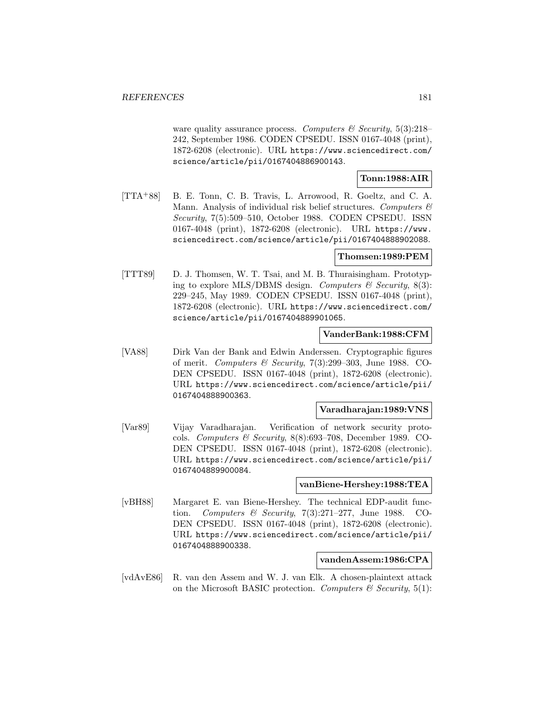ware quality assurance process. Computers  $\mathcal C$  Security, 5(3):218– 242, September 1986. CODEN CPSEDU. ISSN 0167-4048 (print), 1872-6208 (electronic). URL https://www.sciencedirect.com/ science/article/pii/0167404886900143.

### **Tonn:1988:AIR**

[TTA<sup>+</sup>88] B. E. Tonn, C. B. Travis, L. Arrowood, R. Goeltz, and C. A. Mann. Analysis of individual risk belief structures. Computers  $\mathcal{O}$ Security, 7(5):509–510, October 1988. CODEN CPSEDU. ISSN 0167-4048 (print), 1872-6208 (electronic). URL https://www. sciencedirect.com/science/article/pii/0167404888902088.

### **Thomsen:1989:PEM**

[TTT89] D. J. Thomsen, W. T. Tsai, and M. B. Thuraisingham. Prototyping to explore MLS/DBMS design. Computers  $\mathcal C$  Security, 8(3): 229–245, May 1989. CODEN CPSEDU. ISSN 0167-4048 (print), 1872-6208 (electronic). URL https://www.sciencedirect.com/ science/article/pii/0167404889901065.

### **VanderBank:1988:CFM**

[VA88] Dirk Van der Bank and Edwin Anderssen. Cryptographic figures of merit. Computers & Security, 7(3):299-303, June 1988. CO-DEN CPSEDU. ISSN 0167-4048 (print), 1872-6208 (electronic). URL https://www.sciencedirect.com/science/article/pii/ 0167404888900363.

### **Varadharajan:1989:VNS**

[Var89] Vijay Varadharajan. Verification of network security protocols. Computers & Security,  $8(8):693-708$ , December 1989. CO-DEN CPSEDU. ISSN 0167-4048 (print), 1872-6208 (electronic). URL https://www.sciencedirect.com/science/article/pii/ 0167404889900084.

#### **vanBiene-Hershey:1988:TEA**

[vBH88] Margaret E. van Biene-Hershey. The technical EDP-audit function. Computers & Security,  $7(3):271-277$ , June 1988. CO-DEN CPSEDU. ISSN 0167-4048 (print), 1872-6208 (electronic). URL https://www.sciencedirect.com/science/article/pii/ 0167404888900338.

### **vandenAssem:1986:CPA**

[vdAvE86] R. van den Assem and W. J. van Elk. A chosen-plaintext attack on the Microsoft BASIC protection. Computers  $\mathcal C$  Security, 5(1):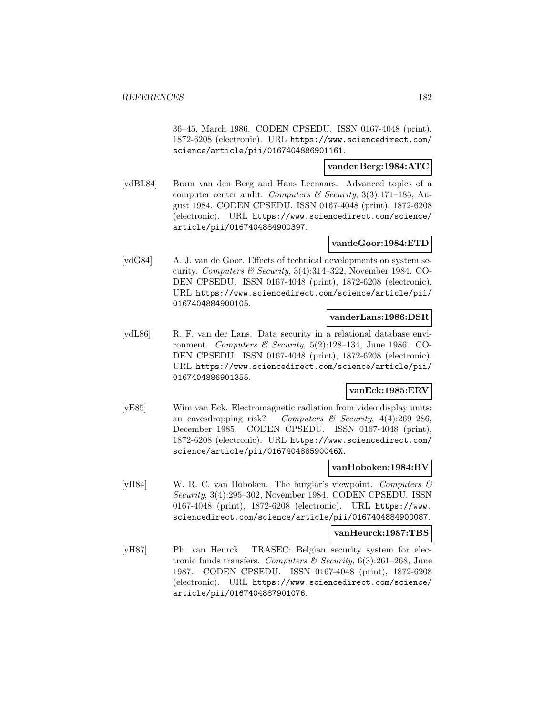36–45, March 1986. CODEN CPSEDU. ISSN 0167-4048 (print), 1872-6208 (electronic). URL https://www.sciencedirect.com/ science/article/pii/0167404886901161.

## **vandenBerg:1984:ATC**

[vdBL84] Bram van den Berg and Hans Leenaars. Advanced topics of a computer center audit. Computers & Security, 3(3):171–185, August 1984. CODEN CPSEDU. ISSN 0167-4048 (print), 1872-6208 (electronic). URL https://www.sciencedirect.com/science/ article/pii/0167404884900397.

### **vandeGoor:1984:ETD**

[vdG84] A. J. van de Goor. Effects of technical developments on system security. Computers & Security,  $3(4):314-322$ , November 1984. CO-DEN CPSEDU. ISSN 0167-4048 (print), 1872-6208 (electronic). URL https://www.sciencedirect.com/science/article/pii/ 0167404884900105.

### **vanderLans:1986:DSR**

[vdL86] R. F. van der Lans. Data security in a relational database environment. Computers & Security,  $5(2):128-134$ , June 1986. CO-DEN CPSEDU. ISSN 0167-4048 (print), 1872-6208 (electronic). URL https://www.sciencedirect.com/science/article/pii/ 0167404886901355.

### **vanEck:1985:ERV**

[vE85] Wim van Eck. Electromagnetic radiation from video display units: an eavesdropping risk? Computers & Security,  $4(4):269-286$ , December 1985. CODEN CPSEDU. ISSN 0167-4048 (print), 1872-6208 (electronic). URL https://www.sciencedirect.com/ science/article/pii/016740488590046X.

#### **vanHoboken:1984:BV**

[vH84] W. R. C. van Hoboken. The burglar's viewpoint. Computers  $\mathcal{B}$ Security, 3(4):295–302, November 1984. CODEN CPSEDU. ISSN 0167-4048 (print), 1872-6208 (electronic). URL https://www. sciencedirect.com/science/article/pii/0167404884900087.

#### **vanHeurck:1987:TBS**

[vH87] Ph. van Heurck. TRASEC: Belgian security system for electronic funds transfers. Computers & Security,  $6(3):261-268$ , June 1987. CODEN CPSEDU. ISSN 0167-4048 (print), 1872-6208 (electronic). URL https://www.sciencedirect.com/science/ article/pii/0167404887901076.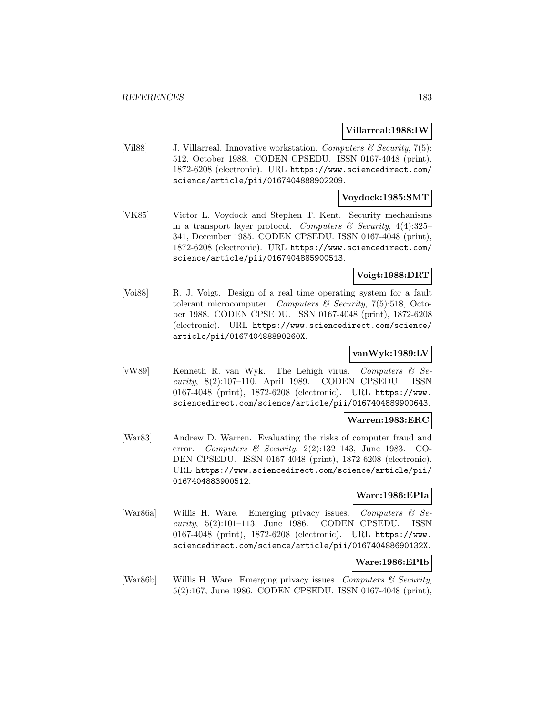#### **Villarreal:1988:IW**

[Vil88] J. Villarreal. Innovative workstation. Computers  $\mathcal C$  Security, 7(5): 512, October 1988. CODEN CPSEDU. ISSN 0167-4048 (print), 1872-6208 (electronic). URL https://www.sciencedirect.com/ science/article/pii/0167404888902209.

### **Voydock:1985:SMT**

[VK85] Victor L. Voydock and Stephen T. Kent. Security mechanisms in a transport layer protocol. Computers  $\mathcal C$  Security, 4(4):325– 341, December 1985. CODEN CPSEDU. ISSN 0167-4048 (print), 1872-6208 (electronic). URL https://www.sciencedirect.com/ science/article/pii/0167404885900513.

# **Voigt:1988:DRT**

[Voi88] R. J. Voigt. Design of a real time operating system for a fault tolerant microcomputer. Computers  $\mathcal C$  Security, 7(5):518, October 1988. CODEN CPSEDU. ISSN 0167-4048 (print), 1872-6208 (electronic). URL https://www.sciencedirect.com/science/ article/pii/016740488890260X.

#### **vanWyk:1989:LV**

[vW89] Kenneth R. van Wyk. The Lehigh virus. Computers  $\mathcal{C}$  Security, 8(2):107–110, April 1989. CODEN CPSEDU. ISSN 0167-4048 (print), 1872-6208 (electronic). URL https://www. sciencedirect.com/science/article/pii/0167404889900643.

### **Warren:1983:ERC**

[War83] Andrew D. Warren. Evaluating the risks of computer fraud and error. Computers & Security,  $2(2):132-143$ , June 1983. CO-DEN CPSEDU. ISSN 0167-4048 (print), 1872-6208 (electronic). URL https://www.sciencedirect.com/science/article/pii/ 0167404883900512.

### **Ware:1986:EPIa**

[War86a] Willis H. Ware. Emerging privacy issues. Computers & Se $curity, 5(2):101-113, June 1986. CODEN CPSEDU. ISSN$ 0167-4048 (print), 1872-6208 (electronic). URL https://www. sciencedirect.com/science/article/pii/016740488690132X.

#### **Ware:1986:EPIb**

[War86b] Willis H. Ware. Emerging privacy issues. Computers  $\mathcal C$  Security, 5(2):167, June 1986. CODEN CPSEDU. ISSN 0167-4048 (print),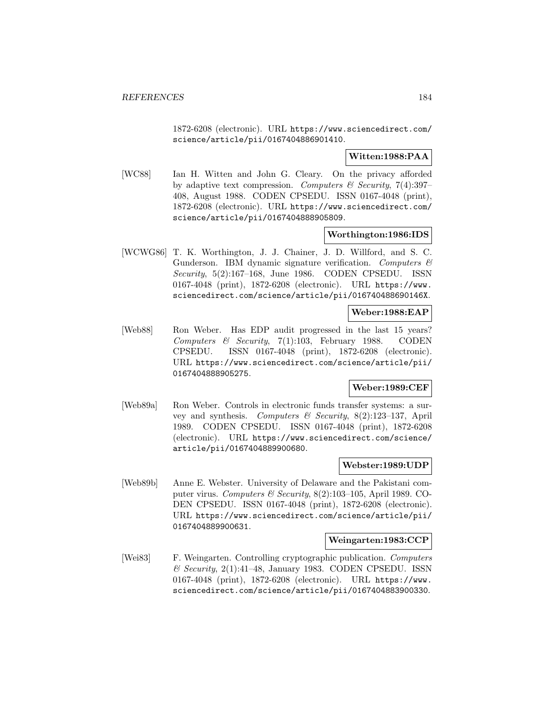1872-6208 (electronic). URL https://www.sciencedirect.com/ science/article/pii/0167404886901410.

### **Witten:1988:PAA**

[WC88] Ian H. Witten and John G. Cleary. On the privacy afforded by adaptive text compression. Computers  $\mathcal B$  Security, 7(4):397– 408, August 1988. CODEN CPSEDU. ISSN 0167-4048 (print), 1872-6208 (electronic). URL https://www.sciencedirect.com/ science/article/pii/0167404888905809.

### **Worthington:1986:IDS**

[WCWG86] T. K. Worthington, J. J. Chainer, J. D. Willford, and S. C. Gunderson. IBM dynamic signature verification. Computers & Security, 5(2):167–168, June 1986. CODEN CPSEDU. ISSN 0167-4048 (print), 1872-6208 (electronic). URL https://www. sciencedirect.com/science/article/pii/016740488690146X.

### **Weber:1988:EAP**

[Web88] Ron Weber. Has EDP audit progressed in the last 15 years? Computers & Security, 7(1):103, February 1988. CODEN CPSEDU. ISSN 0167-4048 (print), 1872-6208 (electronic). URL https://www.sciencedirect.com/science/article/pii/ 0167404888905275.

### **Weber:1989:CEF**

[Web89a] Ron Weber. Controls in electronic funds transfer systems: a survey and synthesis. Computers  $\mathcal C$  Security, 8(2):123–137, April 1989. CODEN CPSEDU. ISSN 0167-4048 (print), 1872-6208 (electronic). URL https://www.sciencedirect.com/science/ article/pii/0167404889900680.

#### **Webster:1989:UDP**

[Web89b] Anne E. Webster. University of Delaware and the Pakistani computer virus. Computers & Security, 8(2):103–105, April 1989. CO-DEN CPSEDU. ISSN 0167-4048 (print), 1872-6208 (electronic). URL https://www.sciencedirect.com/science/article/pii/ 0167404889900631.

#### **Weingarten:1983:CCP**

[Wei83] F. Weingarten. Controlling cryptographic publication. Computers  $\mathcal C$  Security, 2(1):41–48, January 1983. CODEN CPSEDU. ISSN 0167-4048 (print), 1872-6208 (electronic). URL https://www. sciencedirect.com/science/article/pii/0167404883900330.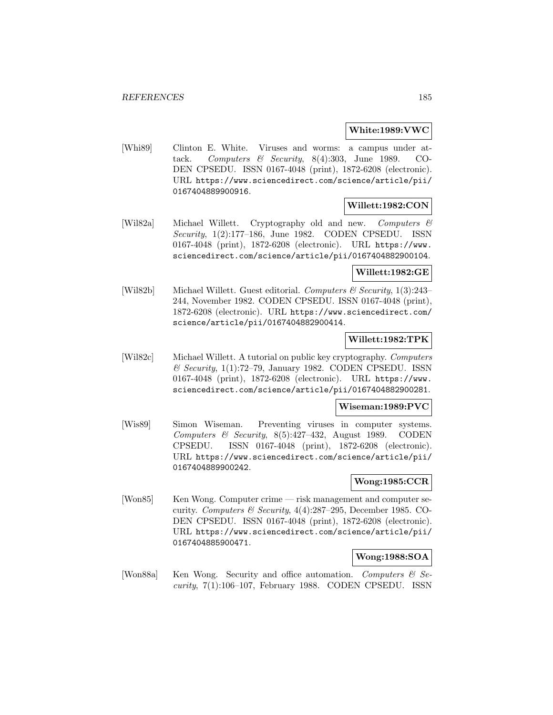#### **White:1989:VWC**

[Whi89] Clinton E. White. Viruses and worms: a campus under attack. Computers & Security, 8(4):303, June 1989. CO-DEN CPSEDU. ISSN 0167-4048 (print), 1872-6208 (electronic). URL https://www.sciencedirect.com/science/article/pii/ 0167404889900916.

#### **Willett:1982:CON**

[Wil82a] Michael Willett. Cryptography old and new. Computers & Security, 1(2):177–186, June 1982. CODEN CPSEDU. ISSN 0167-4048 (print), 1872-6208 (electronic). URL https://www. sciencedirect.com/science/article/pii/0167404882900104.

# **Willett:1982:GE**

[Wil82b] Michael Willett. Guest editorial. Computers & Security,  $1(3):243-$ 244, November 1982. CODEN CPSEDU. ISSN 0167-4048 (print), 1872-6208 (electronic). URL https://www.sciencedirect.com/ science/article/pii/0167404882900414.

### **Willett:1982:TPK**

[Wil82c] Michael Willett. A tutorial on public key cryptography. Computers & Security, 1(1):72–79, January 1982. CODEN CPSEDU. ISSN 0167-4048 (print), 1872-6208 (electronic). URL https://www. sciencedirect.com/science/article/pii/0167404882900281.

#### **Wiseman:1989:PVC**

[Wis89] Simon Wiseman. Preventing viruses in computer systems. Computers  $\mathcal C$  Security, 8(5):427-432, August 1989. CODEN CPSEDU. ISSN 0167-4048 (print), 1872-6208 (electronic). URL https://www.sciencedirect.com/science/article/pii/ 0167404889900242.

### **Wong:1985:CCR**

[Won85] Ken Wong. Computer crime — risk management and computer security. Computers & Security,  $4(4)$ :287-295, December 1985. CO-DEN CPSEDU. ISSN 0167-4048 (print), 1872-6208 (electronic). URL https://www.sciencedirect.com/science/article/pii/ 0167404885900471.

### **Wong:1988:SOA**

[Won88a] Ken Wong. Security and office automation. Computers  $\mathcal{C}$  Security, 7(1):106–107, February 1988. CODEN CPSEDU. ISSN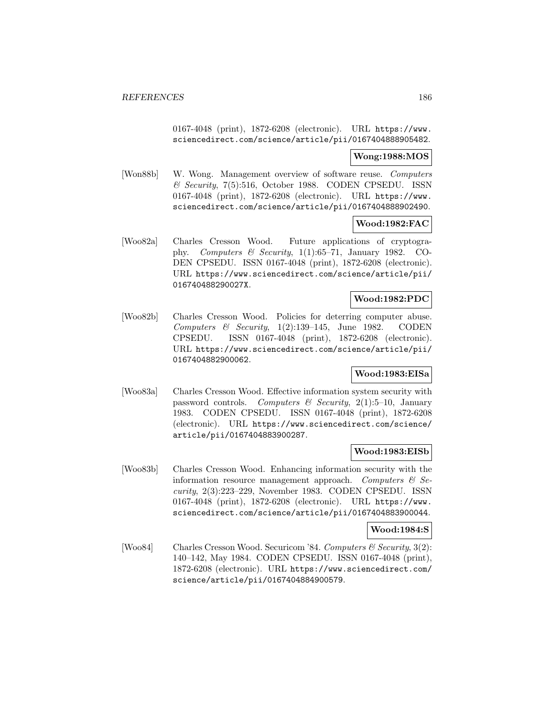0167-4048 (print), 1872-6208 (electronic). URL https://www. sciencedirect.com/science/article/pii/0167404888905482.

### **Wong:1988:MOS**

[Won88b] W. Wong. Management overview of software reuse. Computers  $\&$  Security, 7(5):516, October 1988. CODEN CPSEDU. ISSN 0167-4048 (print), 1872-6208 (electronic). URL https://www. sciencedirect.com/science/article/pii/0167404888902490.

## **Wood:1982:FAC**

[Woo82a] Charles Cresson Wood. Future applications of cryptography. Computers & Security, 1(1):65–71, January 1982. CO-DEN CPSEDU. ISSN 0167-4048 (print), 1872-6208 (electronic). URL https://www.sciencedirect.com/science/article/pii/ 016740488290027X.

# **Wood:1982:PDC**

[Woo82b] Charles Cresson Wood. Policies for deterring computer abuse. Computers & Security,  $1(2):139-145$ , June 1982. CODEN CPSEDU. ISSN 0167-4048 (print), 1872-6208 (electronic). URL https://www.sciencedirect.com/science/article/pii/ 0167404882900062.

### **Wood:1983:EISa**

[Woo83a] Charles Cresson Wood. Effective information system security with password controls. Computers & Security, 2(1):5–10, January 1983. CODEN CPSEDU. ISSN 0167-4048 (print), 1872-6208 (electronic). URL https://www.sciencedirect.com/science/ article/pii/0167404883900287.

### **Wood:1983:EISb**

[Woo83b] Charles Cresson Wood. Enhancing information security with the information resource management approach. Computers  $\mathcal{C}$  Security, 2(3):223–229, November 1983. CODEN CPSEDU. ISSN 0167-4048 (print), 1872-6208 (electronic). URL https://www. sciencedirect.com/science/article/pii/0167404883900044.

#### **Wood:1984:S**

[Woo84] Charles Cresson Wood. Securicom '84. Computers  $\mathcal{C}'$  Security, 3(2): 140–142, May 1984. CODEN CPSEDU. ISSN 0167-4048 (print), 1872-6208 (electronic). URL https://www.sciencedirect.com/ science/article/pii/0167404884900579.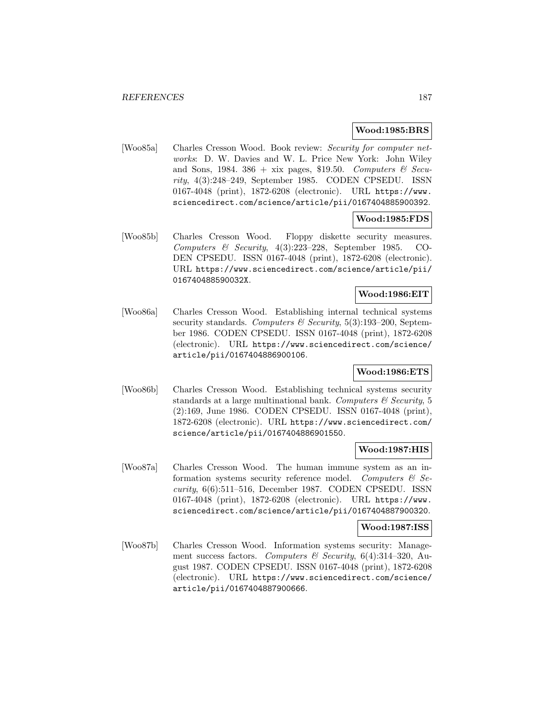#### **Wood:1985:BRS**

[Woo85a] Charles Cresson Wood. Book review: Security for computer networks: D. W. Davies and W. L. Price New York: John Wiley and Sons, 1984. 386 + xix pages, \$19.50. Computers  $\mathcal{C}$  Security, 4(3):248–249, September 1985. CODEN CPSEDU. ISSN 0167-4048 (print), 1872-6208 (electronic). URL https://www. sciencedirect.com/science/article/pii/0167404885900392.

### **Wood:1985:FDS**

[Woo85b] Charles Cresson Wood. Floppy diskette security measures. Computers & Security, 4(3):223–228, September 1985. CO-DEN CPSEDU. ISSN 0167-4048 (print), 1872-6208 (electronic). URL https://www.sciencedirect.com/science/article/pii/ 016740488590032X.

# **Wood:1986:EIT**

[Woo86a] Charles Cresson Wood. Establishing internal technical systems security standards. Computers  $\mathcal C$  Security, 5(3):193-200, September 1986. CODEN CPSEDU. ISSN 0167-4048 (print), 1872-6208 (electronic). URL https://www.sciencedirect.com/science/ article/pii/0167404886900106.

# **Wood:1986:ETS**

[Woo86b] Charles Cresson Wood. Establishing technical systems security standards at a large multinational bank. Computers  $\mathcal C$  Security, 5 (2):169, June 1986. CODEN CPSEDU. ISSN 0167-4048 (print), 1872-6208 (electronic). URL https://www.sciencedirect.com/ science/article/pii/0167404886901550.

### **Wood:1987:HIS**

[Woo87a] Charles Cresson Wood. The human immune system as an information systems security reference model. Computers  $\mathcal{C}$  Security, 6(6):511–516, December 1987. CODEN CPSEDU. ISSN 0167-4048 (print), 1872-6208 (electronic). URL https://www. sciencedirect.com/science/article/pii/0167404887900320.

#### **Wood:1987:ISS**

[Woo87b] Charles Cresson Wood. Information systems security: Management success factors. Computers & Security,  $6(4):314-320$ , August 1987. CODEN CPSEDU. ISSN 0167-4048 (print), 1872-6208 (electronic). URL https://www.sciencedirect.com/science/ article/pii/0167404887900666.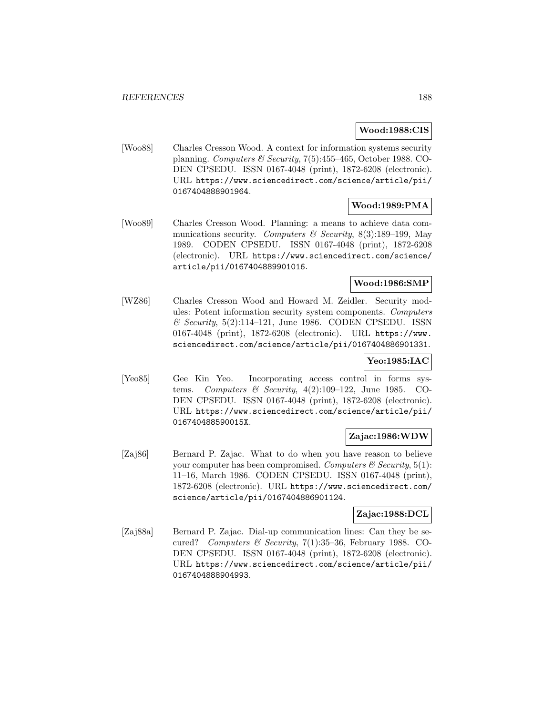#### **Wood:1988:CIS**

[Woo88] Charles Cresson Wood. A context for information systems security planning. Computers & Security,  $7(5):455-465$ , October 1988. CO-DEN CPSEDU. ISSN 0167-4048 (print), 1872-6208 (electronic). URL https://www.sciencedirect.com/science/article/pii/ 0167404888901964.

#### **Wood:1989:PMA**

[Woo89] Charles Cresson Wood. Planning: a means to achieve data communications security. Computers & Security, 8(3):189-199, May 1989. CODEN CPSEDU. ISSN 0167-4048 (print), 1872-6208 (electronic). URL https://www.sciencedirect.com/science/ article/pii/0167404889901016.

### **Wood:1986:SMP**

[WZ86] Charles Cresson Wood and Howard M. Zeidler. Security modules: Potent information security system components. Computers  $\&$  Security, 5(2):114–121, June 1986. CODEN CPSEDU. ISSN 0167-4048 (print), 1872-6208 (electronic). URL https://www. sciencedirect.com/science/article/pii/0167404886901331.

#### **Yeo:1985:IAC**

[Yeo85] Gee Kin Yeo. Incorporating access control in forms systems. Computers & Security,  $4(2):109-122$ , June 1985. CO-DEN CPSEDU. ISSN 0167-4048 (print), 1872-6208 (electronic). URL https://www.sciencedirect.com/science/article/pii/ 016740488590015X.

### **Zajac:1986:WDW**

[Zaj86] Bernard P. Zajac. What to do when you have reason to believe your computer has been compromised. Computers  $\mathcal C$  Security, 5(1): 11–16, March 1986. CODEN CPSEDU. ISSN 0167-4048 (print), 1872-6208 (electronic). URL https://www.sciencedirect.com/ science/article/pii/0167404886901124.

### **Zajac:1988:DCL**

[Zaj88a] Bernard P. Zajac. Dial-up communication lines: Can they be secured? Computers & Security,  $7(1):35-36$ , February 1988. CO-DEN CPSEDU. ISSN 0167-4048 (print), 1872-6208 (electronic). URL https://www.sciencedirect.com/science/article/pii/ 0167404888904993.